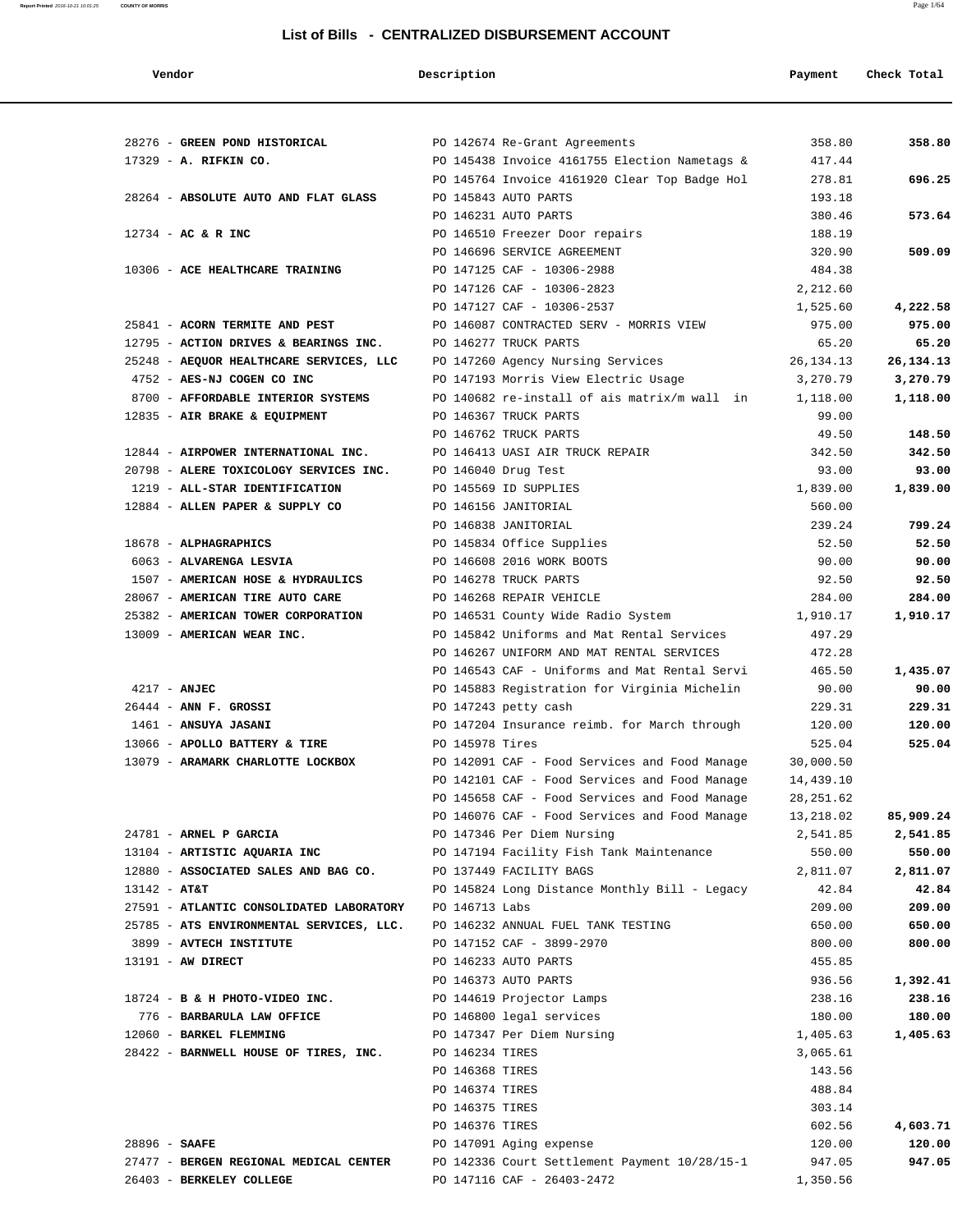| endor |  |
|-------|--|
|-------|--|

#### **Vendor Description Payment Check Total**

**Report Printed** 2016-10-21 10:01:25 **COUNTY OF MORRIS** Page 1/64

|                 | 28276 - GREEN POND HISTORICAL PO 142674 Re-Grant Agreements |                 |                                               | 358.80     | 358.80    |
|-----------------|-------------------------------------------------------------|-----------------|-----------------------------------------------|------------|-----------|
|                 | 17329 - A. RIFKIN CO.                                       |                 | PO 145438 Invoice 4161755 Election Nametags & | 417.44     |           |
|                 |                                                             |                 | PO 145764 Invoice 4161920 Clear Top Badge Hol | 278.81     | 696.25    |
|                 | 28264 - ABSOLUTE AUTO AND FLAT GLASS                        |                 | PO 145843 AUTO PARTS                          | 193.18     |           |
|                 |                                                             |                 | PO 146231 AUTO PARTS                          | 380.46     | 573.64    |
|                 | $12734$ - AC & R INC                                        |                 | PO 146510 Freezer Door repairs                | 188.19     |           |
|                 |                                                             |                 | PO 146696 SERVICE AGREEMENT                   | 320.90     | 509.09    |
|                 | 10306 - ACE HEALTHCARE TRAINING                             |                 | PO 147125 CAF - 10306-2988                    | 484.38     |           |
|                 |                                                             |                 | PO 147126 CAF - 10306-2823                    | 2,212.60   |           |
|                 |                                                             |                 | PO 147127 CAF - 10306-2537                    | 1,525.60   | 4,222.58  |
|                 | 25841 - ACORN TERMITE AND PEST                              |                 | PO 146087 CONTRACTED SERV - MORRIS VIEW       | 975.00     | 975.00    |
|                 | 12795 - ACTION DRIVES & BEARINGS INC.                       |                 | PO 146277 TRUCK PARTS                         | 65.20      | 65.20     |
|                 | 25248 - AEQUOR HEALTHCARE SERVICES, LLC                     |                 | PO 147260 Agency Nursing Services             | 26,134.13  | 26,134.13 |
|                 | 4752 - AES-NJ COGEN CO INC                                  |                 | PO 147193 Morris View Electric Usage          | 3,270.79   | 3,270.79  |
|                 | 8700 - AFFORDABLE INTERIOR SYSTEMS                          |                 | PO 140682 re-install of ais matrix/m wall in  | 1,118.00   | 1,118.00  |
|                 | 12835 - AIR BRAKE & EQUIPMENT                               |                 | PO 146367 TRUCK PARTS                         | 99.00      |           |
|                 |                                                             |                 | PO 146762 TRUCK PARTS                         | 49.50      | 148.50    |
|                 | 12844 - AIRPOWER INTERNATIONAL INC.                         |                 | PO 146413 UASI AIR TRUCK REPAIR               | 342.50     | 342.50    |
|                 | 20798 - ALERE TOXICOLOGY SERVICES INC.                      |                 | PO 146040 Drug Test                           | 93.00      | 93.00     |
|                 | 1219 - ALL-STAR IDENTIFICATION                              |                 | PO 145569 ID SUPPLIES                         | 1,839.00   | 1,839.00  |
|                 |                                                             |                 |                                               |            |           |
|                 | 12884 - ALLEN PAPER & SUPPLY CO                             |                 | PO 146156 JANITORIAL                          | 560.00     |           |
|                 |                                                             |                 | PO 146838 JANITORIAL                          | 239.24     | 799.24    |
|                 | 18678 - ALPHAGRAPHICS                                       |                 | PO 145834 Office Supplies                     | 52.50      | 52.50     |
|                 | 6063 - ALVARENGA LESVIA                                     |                 | PO 146608 2016 WORK BOOTS                     | 90.00      | 90.00     |
|                 | 1507 - AMERICAN HOSE & HYDRAULICS                           |                 | PO 146278 TRUCK PARTS                         | 92.50      | 92.50     |
|                 | 28067 - AMERICAN TIRE AUTO CARE                             |                 | PO 146268 REPAIR VEHICLE                      | 284.00     | 284.00    |
|                 | 25382 - AMERICAN TOWER CORPORATION                          |                 | PO 146531 County Wide Radio System            | 1,910.17   | 1,910.17  |
|                 | 13009 - AMERICAN WEAR INC.                                  |                 | PO 145842 Uniforms and Mat Rental Services    | 497.29     |           |
|                 |                                                             |                 | PO 146267 UNIFORM AND MAT RENTAL SERVICES     | 472.28     |           |
|                 |                                                             |                 | PO 146543 CAF - Uniforms and Mat Rental Servi | 465.50     | 1,435.07  |
|                 | $4217 - ANJEC$                                              |                 | PO 145883 Registration for Virginia Michelin  | 90.00      | 90.00     |
|                 | $26444$ - ANN F. GROSSI                                     |                 | PO 147243 petty cash                          | 229.31     | 229.31    |
|                 | 1461 - ANSUYA JASANI                                        |                 | PO 147204 Insurance reimb. for March through  | 120.00     | 120.00    |
|                 | 13066 - APOLLO BATTERY & TIRE                               | PO 145978 Tires |                                               | 525.04     | 525.04    |
|                 | 13079 - ARAMARK CHARLOTTE LOCKBOX                           |                 | PO 142091 CAF - Food Services and Food Manage | 30,000.50  |           |
|                 |                                                             |                 | PO 142101 CAF - Food Services and Food Manage | 14,439.10  |           |
|                 |                                                             |                 | PO 145658 CAF - Food Services and Food Manage | 28, 251.62 |           |
|                 |                                                             |                 | PO 146076 CAF - Food Services and Food Manage | 13,218.02  | 85,909.24 |
|                 | 24781 - ARNEL P GARCIA                                      |                 | PO 147346 Per Diem Nursing                    | 2,541.85   | 2,541.85  |
|                 | 13104 - ARTISTIC AQUARIA INC                                |                 | PO 147194 Facility Fish Tank Maintenance      | 550.00     | 550.00    |
|                 | 12880 - ASSOCIATED SALES AND BAG CO.                        |                 | PO 137449 FACILITY BAGS                       | 2,811.07   | 2,811.07  |
| $13142 - AT&T$  |                                                             |                 | PO 145824 Long Distance Monthly Bill - Legacy | 42.84      | 42.84     |
|                 | 27591 - ATLANTIC CONSOLIDATED LABORATORY                    | PO 146713 Labs  |                                               | 209.00     | 209.00    |
|                 | 25785 - ATS ENVIRONMENTAL SERVICES, LLC.                    |                 |                                               |            |           |
|                 |                                                             |                 | PO 146232 ANNUAL FUEL TANK TESTING            | 650.00     | 650.00    |
|                 | 3899 - AVTECH INSTITUTE                                     |                 | PO 147152 CAF - 3899-2970                     | 800.00     | 800.00    |
|                 | 13191 - AW DIRECT                                           |                 | PO 146233 AUTO PARTS                          | 455.85     |           |
|                 |                                                             |                 | PO 146373 AUTO PARTS                          | 936.56     | 1,392.41  |
|                 | 18724 - B & H PHOTO-VIDEO INC.                              |                 | PO 144619 Projector Lamps                     | 238.16     | 238.16    |
|                 | 776 - BARBARULA LAW OFFICE                                  |                 | PO 146800 legal services                      | 180.00     | 180.00    |
|                 | 12060 - BARKEL FLEMMING                                     |                 | PO 147347 Per Diem Nursing                    | 1,405.63   | 1,405.63  |
|                 | 28422 - BARNWELL HOUSE OF TIRES, INC.                       | PO 146234 TIRES |                                               | 3,065.61   |           |
|                 |                                                             | PO 146368 TIRES |                                               | 143.56     |           |
|                 |                                                             | PO 146374 TIRES |                                               | 488.84     |           |
|                 |                                                             | PO 146375 TIRES |                                               | 303.14     |           |
|                 |                                                             | PO 146376 TIRES |                                               | 602.56     | 4,603.71  |
| $28896$ - SAAFE |                                                             |                 | PO 147091 Aging expense                       | 120.00     | 120.00    |
|                 | 27477 - BERGEN REGIONAL MEDICAL CENTER                      |                 | PO 142336 Court Settlement Payment 10/28/15-1 | 947.05     | 947.05    |
|                 | 26403 - BERKELEY COLLEGE                                    |                 | PO 147116 CAF - 26403-2472                    | 1,350.56   |           |
|                 |                                                             |                 |                                               |            |           |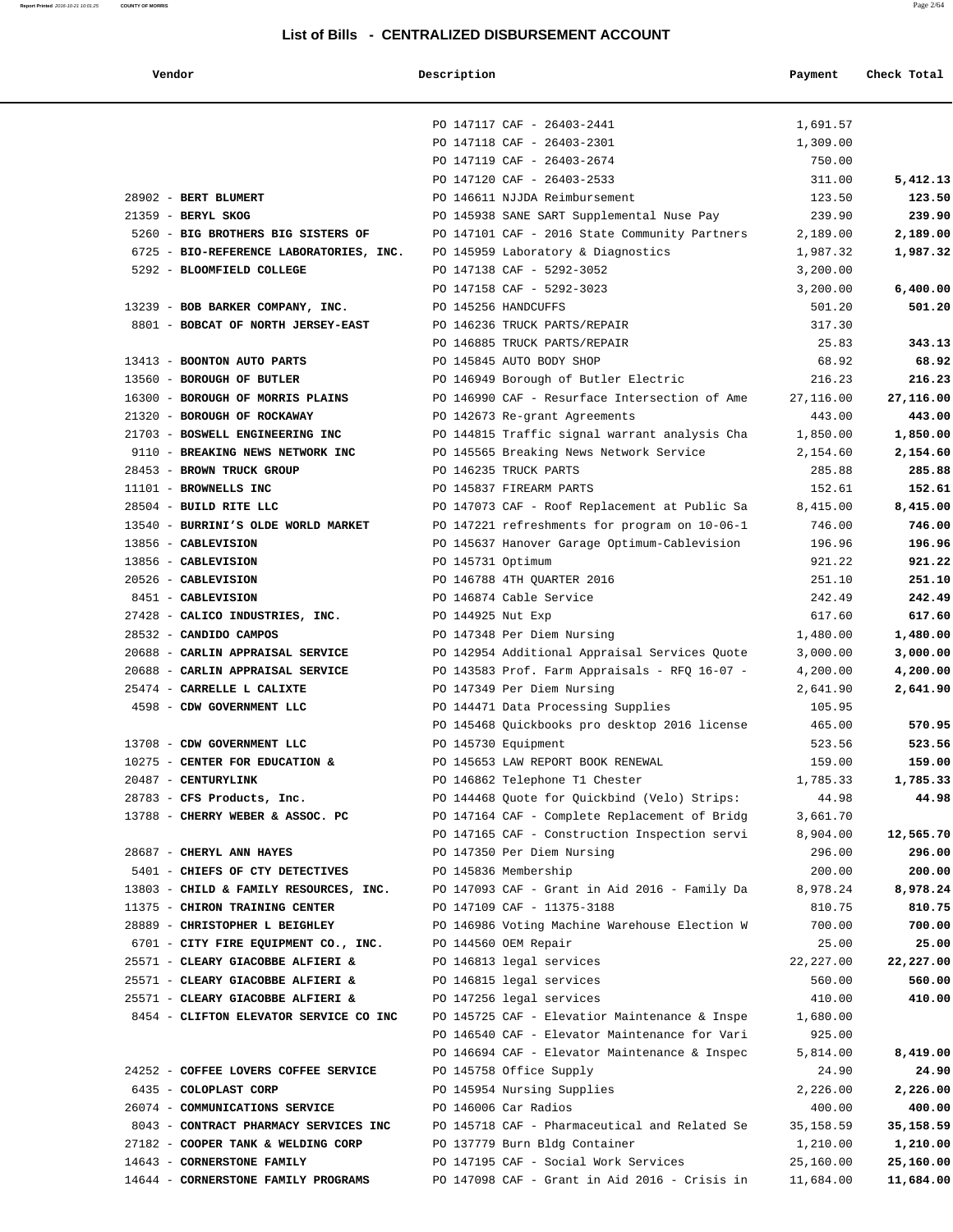**Report Printed** 2016-10-21 10:01:25 **COUNTY OF MORRIS** Page 2/64

#### **List of Bills - CENTRALIZED DISBURSEMENT ACCOUNT**

# **Vendor Description Payment Check Total** PO 147117 CAF - 26403-2441 1,691.57 PO 147118 CAF - 26403-2301 1,309.00 PO 147119 CAF - 26403-2674 750.00 PO 147120 CAF - 26403-2533 311.00 5,412.13 28902 - **BERT BLUMERT** PO 146611 NJJDA Reimbursement 123.50 **123.50** 16300 - **BOROUGH OF MORRIS PLAINS** PO 146990 CAF - Resurface Intersection of Ame 27,116.00 **27,116.00**

| 21359 - BERYL SKOG                      | PO 145938 SANE SART Supplemental Nuse Pay                                       | 239.90     | 239.90    |
|-----------------------------------------|---------------------------------------------------------------------------------|------------|-----------|
| 5260 - BIG BROTHERS BIG SISTERS OF      | PO 147101 CAF - 2016 State Community Partners                                   | 2,189.00   | 2,189.00  |
| 6725 - BIO-REFERENCE LABORATORIES, INC. | PO 145959 Laboratory & Diagnostics                                              | 1,987.32   | 1,987.32  |
| 5292 - BLOOMFIELD COLLEGE               | PO 147138 CAF - 5292-3052                                                       | 3,200.00   |           |
|                                         | PO 147158 CAF - 5292-3023                                                       | 3,200.00   | 6,400.00  |
| 13239 - BOB BARKER COMPANY, INC.        | PO 145256 HANDCUFFS                                                             | 501.20     | 501.20    |
| 8801 - BOBCAT OF NORTH JERSEY-EAST      | PO 146236 TRUCK PARTS/REPAIR                                                    | 317.30     |           |
|                                         | PO 146885 TRUCK PARTS/REPAIR                                                    | 25.83      | 343.13    |
| 13413 - BOONTON AUTO PARTS              | PO 145845 AUTO BODY SHOP                                                        | 68.92      | 68.92     |
| 13560 - BOROUGH OF BUTLER               | PO 146949 Borough of Butler Electric                                            | 216.23     | 216.23    |
|                                         | 16300 - BOROUGH OF MORRIS PLAINS FOR 146990 CAF - Resurface Intersection of Ame | 27,116.00  | 27,116.00 |
| 21320 - BOROUGH OF ROCKAWAY             | PO 142673 Re-grant Agreements                                                   | 443.00     | 443.00    |
|                                         | 21703 - BOSWELL ENGINEERING INC PO 144815 Traffic signal warrant analysis Cha   | 1,850.00   | 1,850.00  |
|                                         |                                                                                 | 2,154.60   | 2,154.60  |
| 28453 - BROWN TRUCK GROUP               | PO 146235 TRUCK PARTS                                                           | 285.88     | 285.88    |
| 11101 - BROWNELLS INC                   | PO 145837 FIREARM PARTS                                                         | 152.61     | 152.61    |
| 28504 - BUILD RITE LLC                  | PO 147073 CAF - Roof Replacement at Public Sa                                   | 8,415.00   | 8,415.00  |
| 13540 - BURRINI'S OLDE WORLD MARKET     | PO 147221 refreshments for program on 10-06-1                                   | 746.00     | 746.00    |
| 13856 - CABLEVISION                     | PO 145637 Hanover Garage Optimum-Cablevision                                    | 196.96     | 196.96    |
| 13856 - CABLEVISION                     | PO 145731 Optimum                                                               | 921.22     | 921.22    |
| 20526 - CABLEVISION                     | PO 146788 4TH QUARTER 2016                                                      | 251.10     | 251.10    |
| 8451 - CABLEVISION                      | PO 146874 Cable Service                                                         | 242.49     | 242.49    |
| 27428 - CALICO INDUSTRIES, INC.         | PO 144925 Nut Exp                                                               | 617.60     | 617.60    |
| 28532 - CANDIDO CAMPOS                  | PO 147348 Per Diem Nursing                                                      | 1,480.00   | 1,480.00  |
| 20688 - CARLIN APPRAISAL SERVICE        | PO 142954 Additional Appraisal Services Quote                                   | 3,000.00   | 3,000.00  |
| 20688 - CARLIN APPRAISAL SERVICE        | PO 143583 Prof. Farm Appraisals - RFQ 16-07 -                                   | 4,200.00   | 4,200.00  |
| 25474 - CARRELLE L CALIXTE              | PO 147349 Per Diem Nursing                                                      | 2,641.90   | 2,641.90  |
| 4598 - CDW GOVERNMENT LLC               | PO 144471 Data Processing Supplies                                              | 105.95     |           |
|                                         | PO 145468 Quickbooks pro desktop 2016 license                                   | 465.00     | 570.95    |
| 13708 - CDW GOVERNMENT LLC              | PO 145730 Equipment                                                             | 523.56     | 523.56    |
| 10275 - CENTER FOR EDUCATION &          | PO 145653 LAW REPORT BOOK RENEWAL                                               | 159.00     | 159.00    |
| 20487 - CENTURYLINK                     | PO 146862 Telephone T1 Chester                                                  | 1,785.33   | 1,785.33  |
| 28783 - CFS Products, Inc.              | PO 144468 Quote for Quickbind (Velo) Strips:                                    | 44.98      | 44.98     |
| 13788 - CHERRY WEBER & ASSOC. PC        | PO 147164 CAF - Complete Replacement of Bridg                                   | 3,661.70   |           |
|                                         | PO 147165 CAF - Construction Inspection servi                                   | 8,904.00   | 12,565.70 |
| 28687 - CHERYL ANN HAYES                | PO 147350 Per Diem Nursing                                                      | 296.00     | 296.00    |
| 5401 - CHIEFS OF CTY DETECTIVES         | PO 145836 Membership                                                            | 200.00     | 200.00    |
| 13803 - CHILD & FAMILY RESOURCES, INC.  | PO 147093 CAF - Grant in Aid 2016 - Family Da                                   | 8,978.24   | 8,978.24  |
| 11375 - CHIRON TRAINING CENTER          | PO 147109 CAF - 11375-3188                                                      | 810.75     | 810.75    |
| 28889 - CHRISTOPHER L BEIGHLEY          | PO 146986 Voting Machine Warehouse Election W                                   | 700.00     | 700.00    |
| 6701 - CITY FIRE EQUIPMENT CO., INC.    | PO 144560 OEM Repair                                                            | 25.00      | 25.00     |
| 25571 - CLEARY GIACOBBE ALFIERI &       | PO 146813 legal services                                                        | 22, 227.00 | 22,227.00 |
| 25571 - CLEARY GIACOBBE ALFIERI &       | PO 146815 legal services                                                        | 560.00     | 560.00    |
| 25571 - CLEARY GIACOBBE ALFIERI &       | PO 147256 legal services                                                        | 410.00     | 410.00    |
| 8454 - CLIFTON ELEVATOR SERVICE CO INC  | PO 145725 CAF - Elevatior Maintenance & Inspe                                   | 1,680.00   |           |
|                                         | PO 146540 CAF - Elevator Maintenance for Vari                                   | 925.00     |           |
|                                         | PO 146694 CAF - Elevator Maintenance & Inspec                                   | 5,814.00   | 8,419.00  |
| 24252 - COFFEE LOVERS COFFEE SERVICE    | PO 145758 Office Supply                                                         | 24.90      | 24.90     |
| 6435 - COLOPLAST CORP                   | PO 145954 Nursing Supplies                                                      | 2,226.00   | 2,226.00  |
| 26074 - COMMUNICATIONS SERVICE          | PO 146006 Car Radios                                                            | 400.00     | 400.00    |
| 8043 - CONTRACT PHARMACY SERVICES INC   | PO 145718 CAF - Pharmaceutical and Related Se                                   | 35,158.59  | 35,158.59 |
| 27182 - COOPER TANK & WELDING CORP      | PO 137779 Burn Bldg Container                                                   | 1,210.00   | 1,210.00  |
| 14643 - CORNERSTONE FAMILY              | PO 147195 CAF - Social Work Services                                            | 25,160.00  | 25,160.00 |
| 14644 - CORNERSTONE FAMILY PROGRAMS     | PO 147098 CAF - Grant in Aid 2016 - Crisis in                                   | 11,684.00  | 11,684.00 |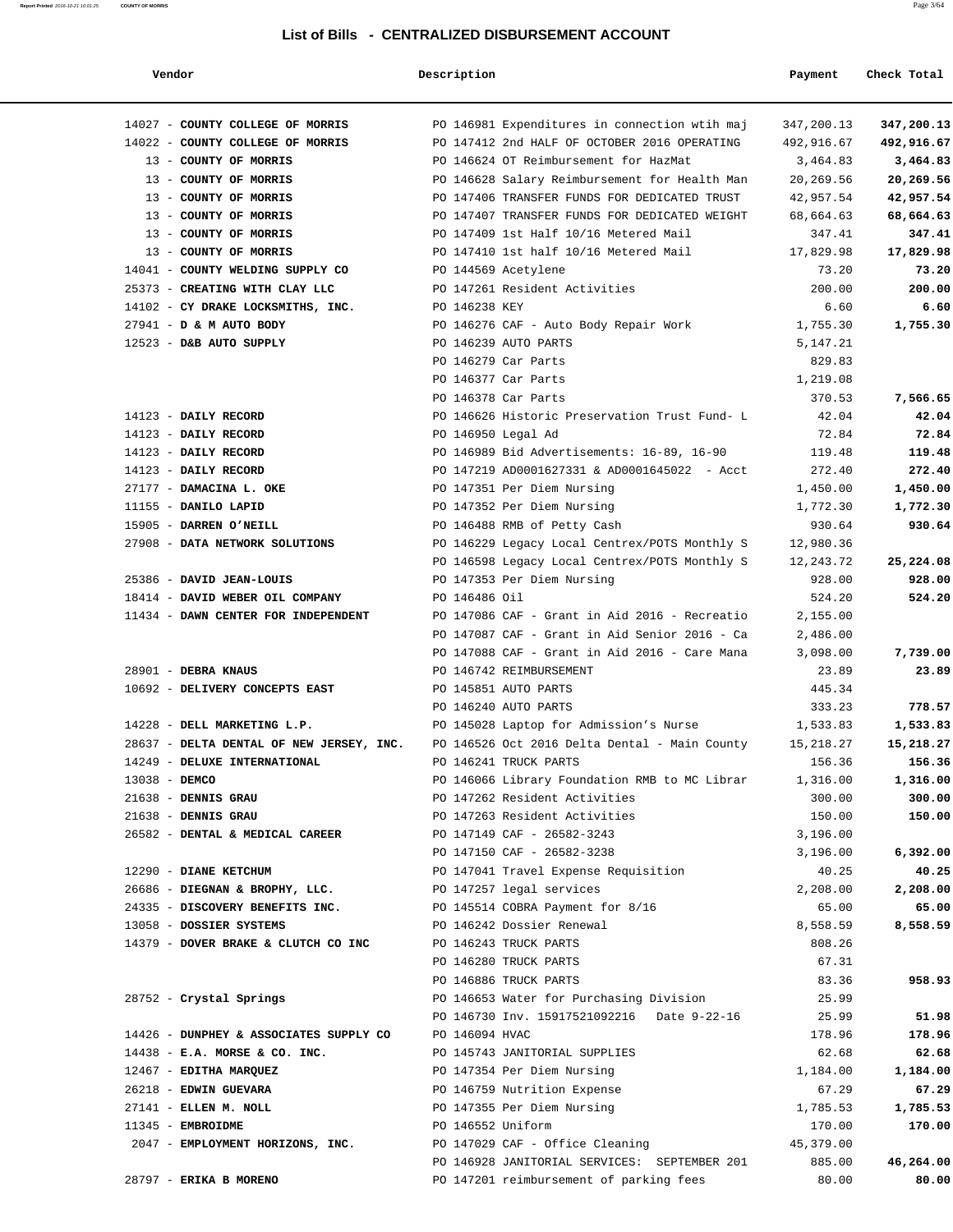#### **Report Printed** 2016-10-21 10:01:25 **COUNTY OF MORRIS** Page 3/64

#### **List of Bills - CENTRALIZED DISBURSEMENT ACCOUNT**

| nα | ır |
|----|----|

 **Vendor Description Payment Check Total**

|                 | 14027 - COUNTY COLLEGE OF MORRIS                  | PO 14698 |
|-----------------|---------------------------------------------------|----------|
|                 | 14022 - COUNTY COLLEGE OF MORRIS                  | PO 14741 |
|                 | 13 - COUNTY OF MORRIS                             | PO 14662 |
|                 | 13 - COUNTY OF MORRIS                             | PO 14662 |
|                 | 13 - COUNTY OF MORRIS                             | PO 14740 |
|                 | 13 - COUNTY OF MORRIS                             | PO 14740 |
|                 | 13 - COUNTY OF MORRIS                             | PO 14740 |
|                 | 13 - COUNTY OF MORRIS                             | PO 14741 |
|                 | 14041 - COUNTY WELDING SUPPLY CO                  | PO 14456 |
|                 | 25373 - CREATING WITH CLAY LLC                    | PO 14726 |
|                 | 14102 - CY DRAKE LOCKSMITHS, INC.                 | PO 14623 |
|                 | 27941 - D & M AUTO BODY                           | PO 14627 |
|                 | 12523 - D&B AUTO SUPPLY                           | PO 14623 |
|                 |                                                   | PO 14627 |
|                 |                                                   | PO 14637 |
|                 |                                                   | PO 14637 |
|                 | 14123 - DAILY RECORD                              | PO 14662 |
|                 | 14123 - DAILY RECORD                              | PO 14695 |
|                 | 14123 - DAILY RECORD                              | PO 14698 |
|                 | 14123 - DAILY RECORD                              | PO 14721 |
|                 | 27177 - DAMACINA L. OKE                           | PO 14735 |
|                 | 11155 - DANILO LAPID                              | PO 14735 |
|                 | 15905 - DARREN O'NEILL                            | PO 14648 |
|                 | 27908 - DATA NETWORK SOLUTIONS                    | PO 14622 |
|                 |                                                   | PO 14659 |
|                 | 25386 - DAVID JEAN-LOUIS                          | PO 14735 |
|                 | 18414 - DAVID WEBER OIL COMPANY                   | PO 14648 |
|                 | 11434 - DAWN CENTER FOR INDEPENDENT               | PO 14708 |
|                 |                                                   | PO 14708 |
|                 |                                                   | PO 14708 |
|                 | 28901 - DEBRA KNAUS                               | PO 14674 |
|                 | 10692 - DELIVERY CONCEPTS EAST                    | PO 14585 |
|                 |                                                   | PO 14624 |
|                 | 14228 - DELL MARKETING L.P.                       | PO 14502 |
|                 | 28637 - DELTA DENTAL OF NEW JERSEY, INC. PO 14652 |          |
|                 | 14249 - DELUXE INTERNATIONAL                      | PO 14624 |
| $13038 -$ DEMCO |                                                   | PO 14606 |
|                 | $21638$ - DENNIS GRAU                             | PO 14726 |
|                 | 21638 - DENNIS GRAU                               | PO 14726 |
|                 | 26582 - DENTAL & MEDICAL CAREER                   | PO 14714 |
|                 |                                                   | PO 14715 |
|                 | 12290 - DIANE KETCHUM                             | PO 14704 |
|                 | 26686 - DIEGNAN & BROPHY, LLC.                    | PO 14725 |
|                 | 24335 - DISCOVERY BENEFITS INC.                   | PO 14551 |
|                 | 13058 - DOSSIER SYSTEMS                           | PO 14624 |
|                 | 14379 - DOVER BRAKE & CLUTCH CO INC               | PO 14624 |
|                 |                                                   | PO 14628 |
|                 |                                                   | PO 14688 |
|                 | 28752 - Crystal Springs                           | PO 14665 |
|                 |                                                   | PO 14673 |
|                 | 14426 - DUNPHEY & ASSOCIATES SUPPLY CO            | PO 14609 |
|                 | 14438 - E.A. MORSE & CO. INC.                     | PO 14574 |
|                 | 12467 - EDITHA MARQUEZ                            | PO 14735 |
|                 | 26218 - EDWIN GUEVARA                             | PO 14675 |
|                 | 27141 - ELLEN M. NOLL                             | PO 14735 |
|                 | 11345 - EMBROIDME                                 | PO 14655 |
|                 | 2047 - EMPLOYMENT HORIZONS, INC.                  | PO 14702 |

|  | 14027 - COUNTY COLLEGE OF MORRIS<br>14022 - COUNTY COLLEGE OF MORRIS |                | PO 146981 Expenditures in connection wtih maj<br>PO 147412 2nd HALF OF OCTOBER 2016 OPERATING | 347,200.13<br>492,916.67 | 347,200.13<br>492,916.67 |
|--|----------------------------------------------------------------------|----------------|-----------------------------------------------------------------------------------------------|--------------------------|--------------------------|
|  | 13 - COUNTY OF MORRIS                                                |                | PO 146624 OT Reimbursement for HazMat                                                         | 3,464.83                 | 3,464.83                 |
|  | 13 - COUNTY OF MORRIS                                                |                | PO 146628 Salary Reimbursement for Health Man                                                 | 20,269.56                | 20,269.56                |
|  | 13 - COUNTY OF MORRIS                                                |                | PO 147406 TRANSFER FUNDS FOR DEDICATED TRUST                                                  | 42,957.54                | 42,957.54                |
|  | 13 - COUNTY OF MORRIS                                                |                | PO 147407 TRANSFER FUNDS FOR DEDICATED WEIGHT                                                 | 68,664.63                | 68,664.63                |
|  | 13 - COUNTY OF MORRIS                                                |                | PO 147409 1st Half 10/16 Metered Mail                                                         | 347.41                   | 347.41                   |
|  | 13 - COUNTY OF MORRIS                                                |                |                                                                                               |                          |                          |
|  | 14041 - COUNTY WELDING SUPPLY CO                                     |                | PO 147410 1st half 10/16 Metered Mail                                                         | 17,829.98<br>73.20       | 17,829.98                |
|  |                                                                      |                | PO 144569 Acetylene<br>PO 147261 Resident Activities                                          | 200.00                   | 73.20                    |
|  | 25373 - CREATING WITH CLAY LLC                                       |                |                                                                                               |                          | 200.00                   |
|  | 14102 - CY DRAKE LOCKSMITHS, INC.                                    | PO 146238 KEY  |                                                                                               | 6.60                     | 6.60                     |
|  | 27941 - D & M AUTO BODY                                              |                | PO 146276 CAF - Auto Body Repair Work                                                         | 1,755.30                 | 1,755.30                 |
|  | 12523 - D&B AUTO SUPPLY                                              |                | PO 146239 AUTO PARTS                                                                          | 5,147.21                 |                          |
|  |                                                                      |                | PO 146279 Car Parts                                                                           | 829.83                   |                          |
|  |                                                                      |                | PO 146377 Car Parts                                                                           | 1,219.08                 |                          |
|  |                                                                      |                | PO 146378 Car Parts                                                                           | 370.53                   | 7,566.65                 |
|  | 14123 - DAILY RECORD                                                 |                | PO 146626 Historic Preservation Trust Fund- L                                                 | 42.04                    | 42.04                    |
|  | 14123 - DAILY RECORD                                                 |                | PO 146950 Legal Ad                                                                            | 72.84                    | 72.84                    |
|  | 14123 - DAILY RECORD                                                 |                | PO 146989 Bid Advertisements: 16-89, 16-90                                                    | 119.48                   | 119.48                   |
|  | 14123 - DAILY RECORD                                                 |                | PO 147219 AD0001627331 & AD0001645022 - Acct                                                  | 272.40                   | 272.40                   |
|  | 27177 - DAMACINA L. OKE                                              |                | PO 147351 Per Diem Nursing                                                                    | 1,450.00                 | 1,450.00                 |
|  | 11155 - DANILO LAPID                                                 |                | PO 147352 Per Diem Nursing                                                                    | 1,772.30                 | 1,772.30                 |
|  | 15905 - DARREN O'NEILL                                               |                | PO 146488 RMB of Petty Cash                                                                   | 930.64                   | 930.64                   |
|  | 27908 - DATA NETWORK SOLUTIONS                                       |                | PO 146229 Legacy Local Centrex/POTS Monthly S                                                 | 12,980.36                |                          |
|  |                                                                      |                | PO 146598 Legacy Local Centrex/POTS Monthly S                                                 | 12,243.72                | 25,224.08                |
|  | 25386 - DAVID JEAN-LOUIS                                             |                | PO 147353 Per Diem Nursing                                                                    | 928.00                   | 928.00                   |
|  | 18414 - DAVID WEBER OIL COMPANY                                      | PO 146486 Oil  |                                                                                               | 524.20                   | 524.20                   |
|  | 11434 - DAWN CENTER FOR INDEPENDENT                                  |                | PO 147086 CAF - Grant in Aid 2016 - Recreatio                                                 | 2,155.00                 |                          |
|  |                                                                      |                | PO 147087 CAF - Grant in Aid Senior 2016 - Ca                                                 | 2,486.00                 |                          |
|  |                                                                      |                | PO 147088 CAF - Grant in Aid 2016 - Care Mana                                                 | 3,098.00                 | 7,739.00                 |
|  | 28901 - DEBRA KNAUS                                                  |                | PO 146742 REIMBURSEMENT                                                                       | 23.89                    | 23.89                    |
|  | 10692 - DELIVERY CONCEPTS EAST                                       |                | PO 145851 AUTO PARTS                                                                          | 445.34                   |                          |
|  |                                                                      |                | PO 146240 AUTO PARTS                                                                          | 333.23                   | 778.57                   |
|  | 14228 - DELL MARKETING L.P.                                          |                | PO 145028 Laptop for Admission's Nurse                                                        | 1,533.83                 | 1,533.83                 |
|  | 28637 - DELTA DENTAL OF NEW JERSEY, INC.                             |                | PO 146526 Oct 2016 Delta Dental - Main County                                                 | 15,218.27                | 15,218.27                |
|  | 14249 - DELUXE INTERNATIONAL                                         |                | PO 146241 TRUCK PARTS                                                                         | 156.36                   | 156.36                   |
|  | 13038 - DEMCO                                                        |                | PO 146066 Library Foundation RMB to MC Librar                                                 | 1,316.00                 | 1,316.00                 |
|  | 21638 - DENNIS GRAU                                                  |                | PO 147262 Resident Activities                                                                 | 300.00                   | 300.00                   |
|  | 21638 - DENNIS GRAU                                                  |                | PO 147263 Resident Activities                                                                 | 150.00                   | 150.00                   |
|  | 26582 - DENTAL & MEDICAL CAREER                                      |                | PO 147149 CAF - 26582-3243                                                                    | 3,196.00                 |                          |
|  |                                                                      |                | PO 147150 CAF - 26582-3238                                                                    | 3,196.00                 | 6,392.00                 |
|  | 12290 - DIANE KETCHUM                                                |                | PO 147041 Travel Expense Requisition                                                          | 40.25                    | 40.25                    |
|  | 26686 - DIEGNAN & BROPHY, LLC.                                       |                | PO 147257 legal services                                                                      | 2,208.00                 | 2,208.00                 |
|  | 24335 - DISCOVERY BENEFITS INC.                                      |                | PO 145514 COBRA Payment for 8/16                                                              | 65.00                    | 65.00                    |
|  | 13058 - DOSSIER SYSTEMS                                              |                | PO 146242 Dossier Renewal                                                                     | 8,558.59                 | 8,558.59                 |
|  | 14379 - DOVER BRAKE & CLUTCH CO INC                                  |                | PO 146243 TRUCK PARTS                                                                         | 808.26                   |                          |
|  |                                                                      |                | PO 146280 TRUCK PARTS                                                                         | 67.31                    |                          |
|  |                                                                      |                | PO 146886 TRUCK PARTS                                                                         | 83.36                    | 958.93                   |
|  | 28752 - Crystal Springs                                              |                | PO 146653 Water for Purchasing Division                                                       | 25.99                    |                          |
|  |                                                                      |                | PO 146730 Inv. 15917521092216 Date 9-22-16                                                    | 25.99                    | 51.98                    |
|  | 14426 - DUNPHEY & ASSOCIATES SUPPLY CO                               | PO 146094 HVAC |                                                                                               | 178.96                   | 178.96                   |
|  | $14438$ - E.A. MORSE & CO. INC.                                      |                | PO 145743 JANITORIAL SUPPLIES                                                                 | 62.68                    | 62.68                    |
|  | 12467 - EDITHA MARQUEZ                                               |                | PO 147354 Per Diem Nursing                                                                    | 1,184.00                 | 1,184.00                 |
|  | 26218 - EDWIN GUEVARA                                                |                | PO 146759 Nutrition Expense                                                                   | 67.29                    | 67.29                    |
|  | 27141 - ELLEN M. NOLL                                                |                | PO 147355 Per Diem Nursing                                                                    | 1,785.53                 | 1,785.53                 |
|  | 11345 - EMBROIDME                                                    |                | PO 146552 Uniform                                                                             | 170.00                   | 170.00                   |
|  | 2047 - EMPLOYMENT HORIZONS, INC.                                     |                | PO 147029 CAF - Office Cleaning                                                               | 45,379.00                |                          |
|  |                                                                      |                | PO 146928 JANITORIAL SERVICES: SEPTEMBER 201                                                  | 885.00                   | 46,264.00                |
|  |                                                                      |                |                                                                                               |                          |                          |

28797 - **ERIKA B MORENO** PO 147201 reimbursement of parking fees 80.00 **80.00**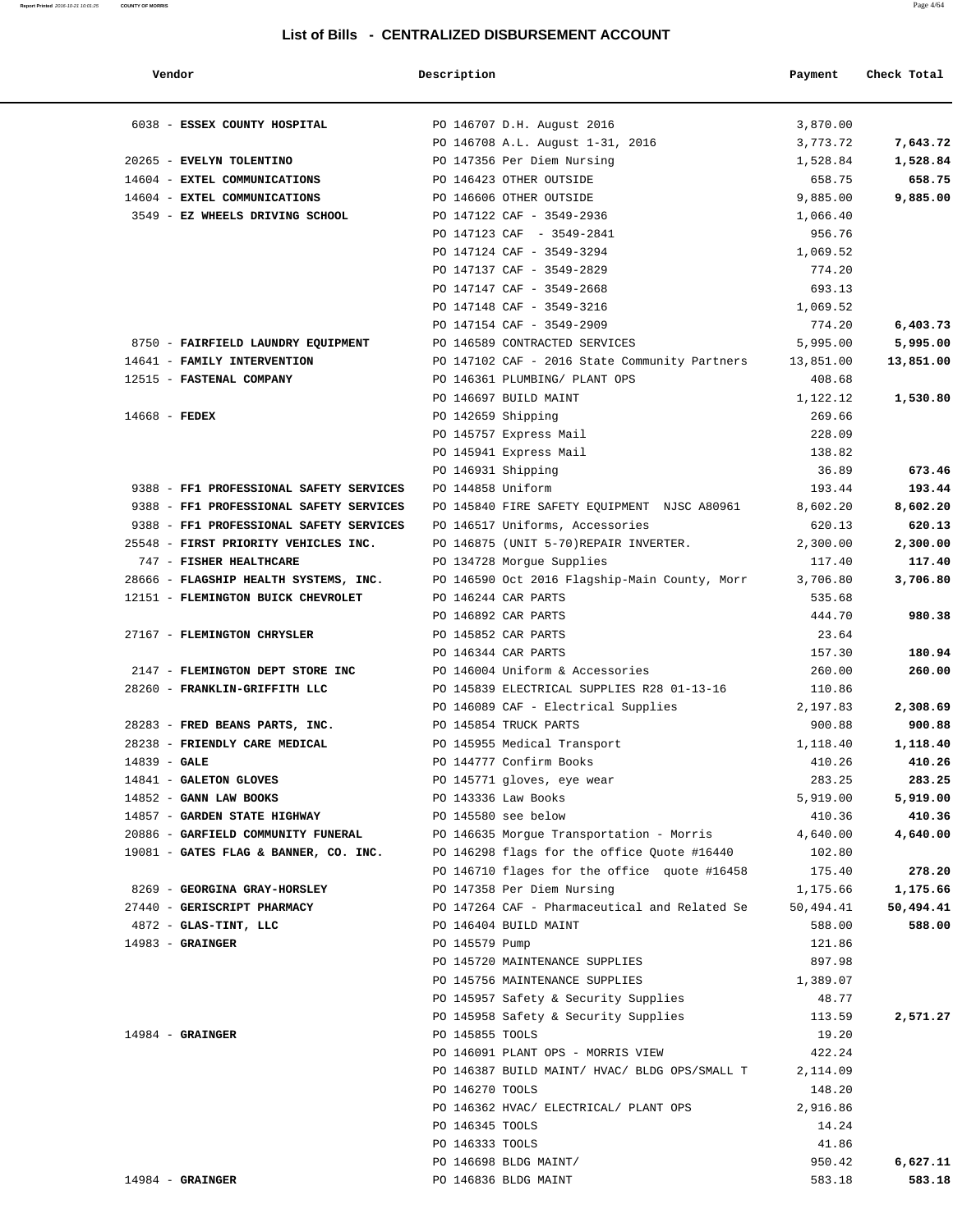#### **Report Printed** 2016-10-21 10:01:25 **COUNTY OF MORRIS** Page 4/64

### **List of Bills - CENTRALIZED DISBURSEMENT ACCOUNT**

| Vendor                                  | Description                                   | Payment   | Check Total |
|-----------------------------------------|-----------------------------------------------|-----------|-------------|
| 6038 - ESSEX COUNTY HOSPITAL            | PO 146707 D.H. August 2016                    | 3,870.00  |             |
|                                         | PO 146708 A.L. August 1-31, 2016              | 3,773.72  | 7,643.72    |
| 20265 - EVELYN TOLENTINO                | PO 147356 Per Diem Nursing                    | 1,528.84  | 1,528.84    |
| 14604 - EXTEL COMMUNICATIONS            | PO 146423 OTHER OUTSIDE                       | 658.75    | 658.75      |
| 14604 - EXTEL COMMUNICATIONS            | PO 146606 OTHER OUTSIDE                       | 9,885.00  | 9,885.00    |
| 3549 - EZ WHEELS DRIVING SCHOOL         | PO 147122 CAF - 3549-2936                     | 1,066.40  |             |
|                                         | PO 147123 CAF - 3549-2841                     | 956.76    |             |
|                                         | PO 147124 CAF - 3549-3294                     | 1,069.52  |             |
|                                         | PO 147137 CAF - 3549-2829                     | 774.20    |             |
|                                         | PO 147147 CAF - 3549-2668                     | 693.13    |             |
|                                         | PO 147148 CAF - 3549-3216                     | 1,069.52  |             |
|                                         | PO 147154 CAF - 3549-2909                     | 774.20    | 6,403.73    |
| 8750 - FAIRFIELD LAUNDRY EQUIPMENT      | PO 146589 CONTRACTED SERVICES                 | 5,995.00  | 5,995.00    |
| 14641 - FAMILY INTERVENTION             | PO 147102 CAF - 2016 State Community Partners | 13,851.00 | 13,851.00   |
| 12515 - FASTENAL COMPANY                | PO 146361 PLUMBING/ PLANT OPS                 | 408.68    |             |
|                                         | PO 146697 BUILD MAINT                         | 1,122.12  | 1,530.80    |
| $14668$ - FEDEX                         | PO 142659 Shipping                            | 269.66    |             |
|                                         | PO 145757 Express Mail                        | 228.09    |             |
|                                         | PO 145941 Express Mail                        | 138.82    |             |
|                                         | PO 146931 Shipping                            | 36.89     | 673.46      |
| 9388 - FF1 PROFESSIONAL SAFETY SERVICES | PO 144858 Uniform                             | 193.44    | 193.44      |
| 9388 - FF1 PROFESSIONAL SAFETY SERVICES | PO 145840 FIRE SAFETY EQUIPMENT NJSC A80961   | 8,602.20  | 8,602.20    |
| 9388 - FF1 PROFESSIONAL SAFETY SERVICES | PO 146517 Uniforms, Accessories               | 620.13    | 620.13      |
| 25548 - FIRST PRIORITY VEHICLES INC.    | PO 146875 (UNIT 5-70)REPAIR INVERTER.         | 2,300.00  | 2,300.00    |
| 747 - FISHER HEALTHCARE                 | PO 134728 Morgue Supplies                     | 117.40    | 117.40      |
| 28666 - FLAGSHIP HEALTH SYSTEMS, INC.   | PO 146590 Oct 2016 Flagship-Main County, Morr | 3,706.80  | 3,706.80    |
| 12151 - FLEMINGTON BUICK CHEVROLET      | PO 146244 CAR PARTS                           | 535.68    |             |
|                                         | PO 146892 CAR PARTS                           | 444.70    | 980.38      |
| 27167 - FLEMINGTON CHRYSLER             | PO 145852 CAR PARTS                           | 23.64     |             |
|                                         | PO 146344 CAR PARTS                           | 157.30    | 180.94      |
| 2147 - FLEMINGTON DEPT STORE INC        | PO 146004 Uniform & Accessories               | 260.00    | 260.00      |
| 28260 - FRANKLIN-GRIFFITH LLC           | PO 145839 ELECTRICAL SUPPLIES R28 01-13-16    | 110.86    |             |
|                                         | PO 146089 CAF - Electrical Supplies           | 2,197.83  | 2,308.69    |
| 28283 - FRED BEANS PARTS, INC.          | PO 145854 TRUCK PARTS                         | 900.88    | 900.88      |
| 28238 - FRIENDLY CARE MEDICAL           | PO 145955 Medical Transport                   | 1,118.40  | 1,118.40    |
| $14839 - GALE$                          | PO 144777 Confirm Books                       | 410.26    | 410.26      |
| 14841 - GALETON GLOVES                  | PO 145771 gloves, eye wear                    | 283.25    | 283.25      |
| 14852 - GANN LAW BOOKS                  | PO 143336 Law Books                           | 5,919.00  | 5,919.00    |
| 14857 - GARDEN STATE HIGHWAY            | PO 145580 see below                           | 410.36    | 410.36      |
| 20886 - GARFIELD COMMUNITY FUNERAL      | PO 146635 Morgue Transportation - Morris      | 4,640.00  | 4,640.00    |
| 19081 - GATES FLAG & BANNER, CO. INC.   | PO 146298 flags for the office Quote #16440   | 102.80    |             |
|                                         | PO 146710 flages for the office quote #16458  | 175.40    | 278.20      |
| 8269 - GEORGINA GRAY-HORSLEY            | PO 147358 Per Diem Nursing                    | 1,175.66  | 1,175.66    |
| 27440 - GERISCRIPT PHARMACY             | PO 147264 CAF - Pharmaceutical and Related Se | 50,494.41 | 50,494.41   |
| $4872$ - GLAS-TINT, LLC                 | PO 146404 BUILD MAINT                         | 588.00    | 588.00      |
| $14983$ - GRAINGER                      | PO 145579 Pump                                | 121.86    |             |
|                                         | PO 145720 MAINTENANCE SUPPLIES                | 897.98    |             |
|                                         | PO 145756 MAINTENANCE SUPPLIES                | 1,389.07  |             |
|                                         | PO 145957 Safety & Security Supplies          | 48.77     |             |
|                                         | PO 145958 Safety & Security Supplies          | 113.59    | 2,571.27    |
| $14984 - \text{GRAINGER}$               | PO 145855 TOOLS                               | 19.20     |             |
|                                         | PO 146091 PLANT OPS - MORRIS VIEW             | 422.24    |             |
|                                         | PO 146387 BUILD MAINT/ HVAC/ BLDG OPS/SMALL T | 2,114.09  |             |
|                                         | PO 146270 TOOLS                               | 148.20    |             |
|                                         | PO 146362 HVAC/ ELECTRICAL/ PLANT OPS         | 2,916.86  |             |
|                                         | PO 146345 TOOLS                               | 14.24     |             |
|                                         | PO 146333 TOOLS                               | 41.86     |             |
|                                         | PO 146698 BLDG MAINT/                         | 950.42    | 6,627.11    |
| $14984 -$ GRAINGER                      | PO 146836 BLDG MAINT                          | 583.18    | 583.18      |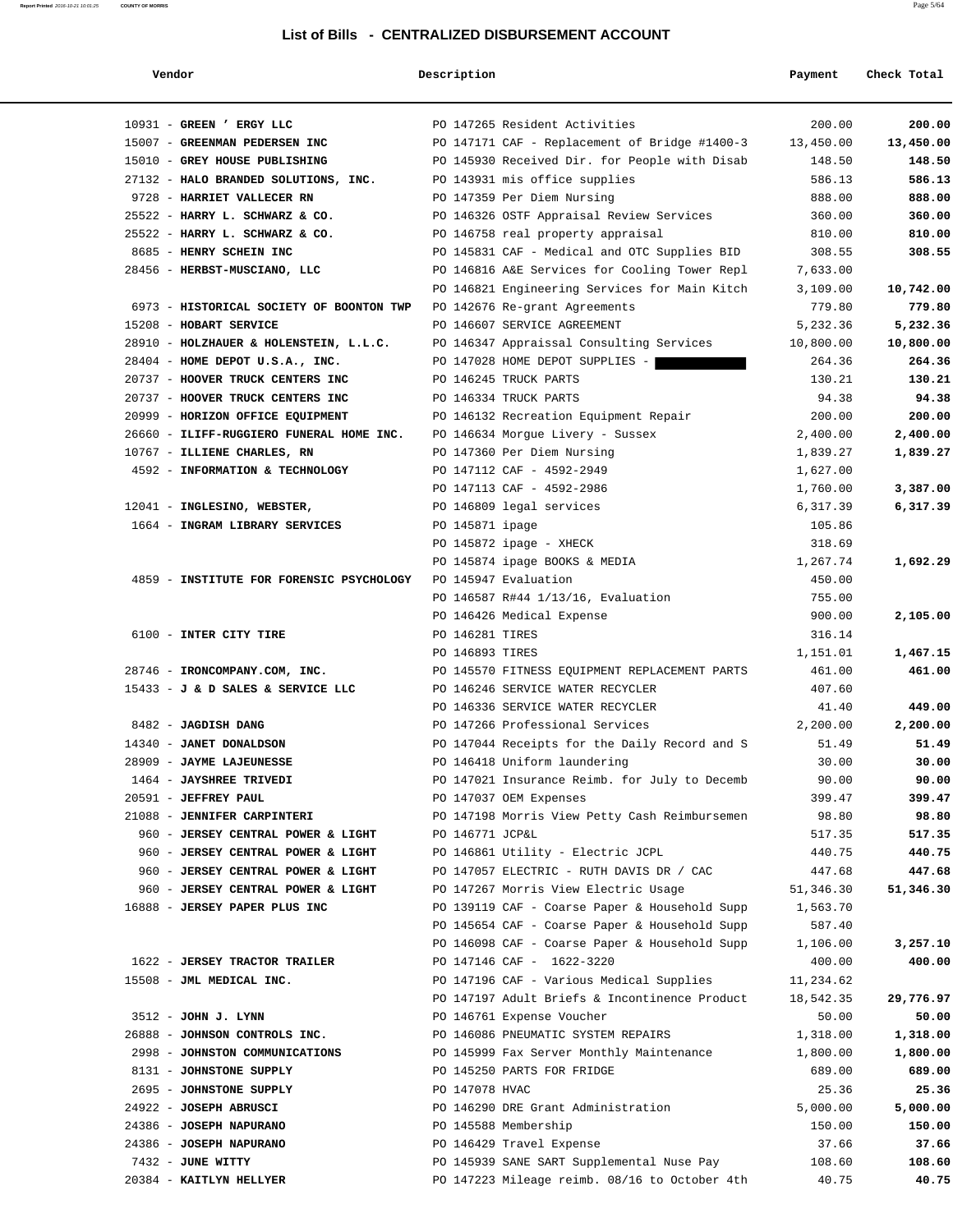# **Report Printed** 2016-10-21 10:01:25 **COUNTY OF MORRIS** Page 5/64 **List of Bills - CENTRALIZED DISBURSEMENT ACCOUNT**

|  | endor |  |
|--|-------|--|
|--|-------|--|

| Vendor                                                                   | Description     |                                                                                  | Payment             | Check Total         |
|--------------------------------------------------------------------------|-----------------|----------------------------------------------------------------------------------|---------------------|---------------------|
| 10931 - GREEN ' ERGY LLC                                                 |                 | PO 147265 Resident Activities                                                    | 200.00              | 200.00              |
| 15007 - GREENMAN PEDERSEN INC                                            |                 | PO 147171 CAF - Replacement of Bridge #1400-3                                    | 13,450.00           | 13,450.00           |
| 15010 - GREY HOUSE PUBLISHING                                            |                 | PO 145930 Received Dir. for People with Disab                                    | 148.50              | 148.50              |
| 27132 - HALO BRANDED SOLUTIONS, INC.                                     |                 | PO 143931 mis office supplies                                                    | 586.13              | 586.13              |
| 9728 - HARRIET VALLECER RN                                               |                 | PO 147359 Per Diem Nursing                                                       | 888.00              | 888.00              |
| 25522 - HARRY L. SCHWARZ & CO.                                           |                 | PO 146326 OSTF Appraisal Review Services                                         | 360.00              | 360.00              |
| 25522 - HARRY L. SCHWARZ & CO.                                           |                 | PO 146758 real property appraisal                                                | 810.00              | 810.00              |
| 8685 - HENRY SCHEIN INC                                                  |                 | PO 145831 CAF - Medical and OTC Supplies BID                                     | 308.55              | 308.55              |
| 28456 - HERBST-MUSCIANO, LLC                                             |                 | PO 146816 A&E Services for Cooling Tower Repl                                    | 7,633.00            |                     |
|                                                                          |                 | PO 146821 Engineering Services for Main Kitch                                    | 3,109.00            | 10,742.00           |
| 6973 - HISTORICAL SOCIETY OF BOONTON TWP                                 |                 | PO 142676 Re-grant Agreements                                                    | 779.80              | 779.80              |
| 15208 - HOBART SERVICE                                                   |                 | PO 146607 SERVICE AGREEMENT                                                      | 5,232.36            | 5,232.36            |
| 28910 - HOLZHAUER & HOLENSTEIN, L.L.C.                                   |                 | PO 146347 Appraissal Consulting Services                                         | 10,800.00           | 10,800.00           |
| 28404 - HOME DEPOT U.S.A., INC.                                          |                 | PO 147028 HOME DEPOT SUPPLIES -                                                  | 264.36              | 264.36              |
| 20737 - HOOVER TRUCK CENTERS INC                                         |                 | PO 146245 TRUCK PARTS                                                            | 130.21              | 130.21              |
| 20737 - HOOVER TRUCK CENTERS INC                                         |                 | PO 146334 TRUCK PARTS                                                            | 94.38               | 94.38               |
| 20999 - HORIZON OFFICE EQUIPMENT                                         |                 | PO 146132 Recreation Equipment Repair                                            | 200.00              | 200.00              |
| 26660 - ILIFF-RUGGIERO FUNERAL HOME INC.                                 |                 | PO 146634 Morgue Livery - Sussex                                                 | 2,400.00            | 2,400.00            |
| 10767 - ILLIENE CHARLES, RN                                              |                 | PO 147360 Per Diem Nursing                                                       | 1,839.27            | 1,839.27            |
| 4592 - INFORMATION & TECHNOLOGY                                          |                 | PO 147112 CAF - 4592-2949                                                        | 1,627.00            |                     |
|                                                                          |                 | PO 147113 CAF - 4592-2986                                                        | 1,760.00            | 3,387.00            |
| 12041 - INGLESINO, WEBSTER,                                              |                 | PO 146809 legal services                                                         | 6,317.39            | 6,317.39            |
| 1664 - INGRAM LIBRARY SERVICES                                           | PO 145871 ipage |                                                                                  | 105.86              |                     |
|                                                                          |                 | PO 145872 ipage - XHECK                                                          | 318.69              |                     |
|                                                                          |                 | PO 145874 ipage BOOKS & MEDIA                                                    | 1,267.74            | 1,692.29            |
| 4859 - INSTITUTE FOR FORENSIC PSYCHOLOGY                                 |                 | PO 145947 Evaluation                                                             | 450.00              |                     |
|                                                                          |                 | PO 146587 R#44 1/13/16, Evaluation                                               | 755.00              |                     |
|                                                                          |                 | PO 146426 Medical Expense                                                        | 900.00              | 2,105.00            |
| 6100 - INTER CITY TIRE                                                   | PO 146281 TIRES |                                                                                  | 316.14              |                     |
|                                                                          | PO 146893 TIRES |                                                                                  | 1,151.01            | 1,467.15            |
| 28746 - IRONCOMPANY.COM, INC.                                            |                 | PO 145570 FITNESS EQUIPMENT REPLACEMENT PARTS                                    | 461.00              | 461.00              |
| 15433 - J & D SALES & SERVICE LLC                                        |                 | PO 146246 SERVICE WATER RECYCLER                                                 | 407.60              |                     |
|                                                                          |                 | PO 146336 SERVICE WATER RECYCLER                                                 | 41.40               | 449.00              |
| 8482 - JAGDISH DANG                                                      |                 | PO 147266 Professional Services                                                  | 2,200.00            | 2,200.00            |
| 14340 - JANET DONALDSON                                                  |                 | PO 147044 Receipts for the Daily Record and S                                    | 51.49               | 51.49               |
| 28909 - JAYME LAJEUNESSE                                                 |                 | PO 146418 Uniform laundering                                                     | 30.00               | 30.00               |
| 1464 - JAYSHREE TRIVEDI                                                  |                 | PO 147021 Insurance Reimb. for July to Decemb                                    | 90.00               | 90.00               |
| 20591 - JEFFREY PAUL                                                     |                 | PO 147037 OEM Expenses                                                           | 399.47              | 399.47              |
| 21088 - JENNIFER CARPINTERI                                              |                 | PO 147198 Morris View Petty Cash Reimbursemen                                    | 98.80               | 98.80               |
| 960 - JERSEY CENTRAL POWER & LIGHT                                       | PO 146771 JCP&L |                                                                                  | 517.35              | 517.35              |
| 960 - JERSEY CENTRAL POWER & LIGHT                                       |                 | PO 146861 Utility - Electric JCPL                                                | 440.75              | 440.75              |
| 960 - JERSEY CENTRAL POWER & LIGHT<br>960 - JERSEY CENTRAL POWER & LIGHT |                 | PO 147057 ELECTRIC - RUTH DAVIS DR / CAC<br>PO 147267 Morris View Electric Usage | 447.68<br>51,346.30 | 447.68<br>51,346.30 |
| 16888 - JERSEY PAPER PLUS INC                                            |                 | PO 139119 CAF - Coarse Paper & Household Supp                                    | 1,563.70            |                     |
|                                                                          |                 | PO 145654 CAF - Coarse Paper & Household Supp                                    | 587.40              |                     |
|                                                                          |                 | PO 146098 CAF - Coarse Paper & Household Supp                                    | 1,106.00            | 3,257.10            |
| 1622 - JERSEY TRACTOR TRAILER                                            |                 | PO 147146 CAF - 1622-3220                                                        | 400.00              | 400.00              |
| 15508 - JML MEDICAL INC.                                                 |                 | PO 147196 CAF - Various Medical Supplies                                         | 11,234.62           |                     |
|                                                                          |                 | PO 147197 Adult Briefs & Incontinence Product                                    | 18,542.35           | 29,776.97           |
| 3512 - JOHN J. LYNN                                                      |                 | PO 146761 Expense Voucher                                                        | 50.00               | 50.00               |
| 26888 - JOHNSON CONTROLS INC.                                            |                 | PO 146086 PNEUMATIC SYSTEM REPAIRS                                               | 1,318.00            | 1,318.00            |
| 2998 - JOHNSTON COMMUNICATIONS                                           |                 | PO 145999 Fax Server Monthly Maintenance                                         | 1,800.00            | 1,800.00            |
| 8131 - JOHNSTONE SUPPLY                                                  |                 | PO 145250 PARTS FOR FRIDGE                                                       | 689.00              | 689.00              |
| 2695 - JOHNSTONE SUPPLY                                                  | PO 147078 HVAC  |                                                                                  | 25.36               | 25.36               |
| 24922 - JOSEPH ABRUSCI                                                   |                 | PO 146290 DRE Grant Administration                                               | 5,000.00            | 5,000.00            |
| 24386 - JOSEPH NAPURANO                                                  |                 | PO 145588 Membership                                                             | 150.00              | 150.00              |
| 24386 - JOSEPH NAPURANO                                                  |                 | PO 146429 Travel Expense                                                         | 37.66               | 37.66               |
| 7432 - JUNE WITTY                                                        |                 | PO 145939 SANE SART Supplemental Nuse Pay                                        | 108.60              | 108.60              |
| 20384 - KAITLYN HELLYER                                                  |                 | PO 147223 Mileage reimb. 08/16 to October 4th                                    | 40.75               | 40.75               |
|                                                                          |                 |                                                                                  |                     |                     |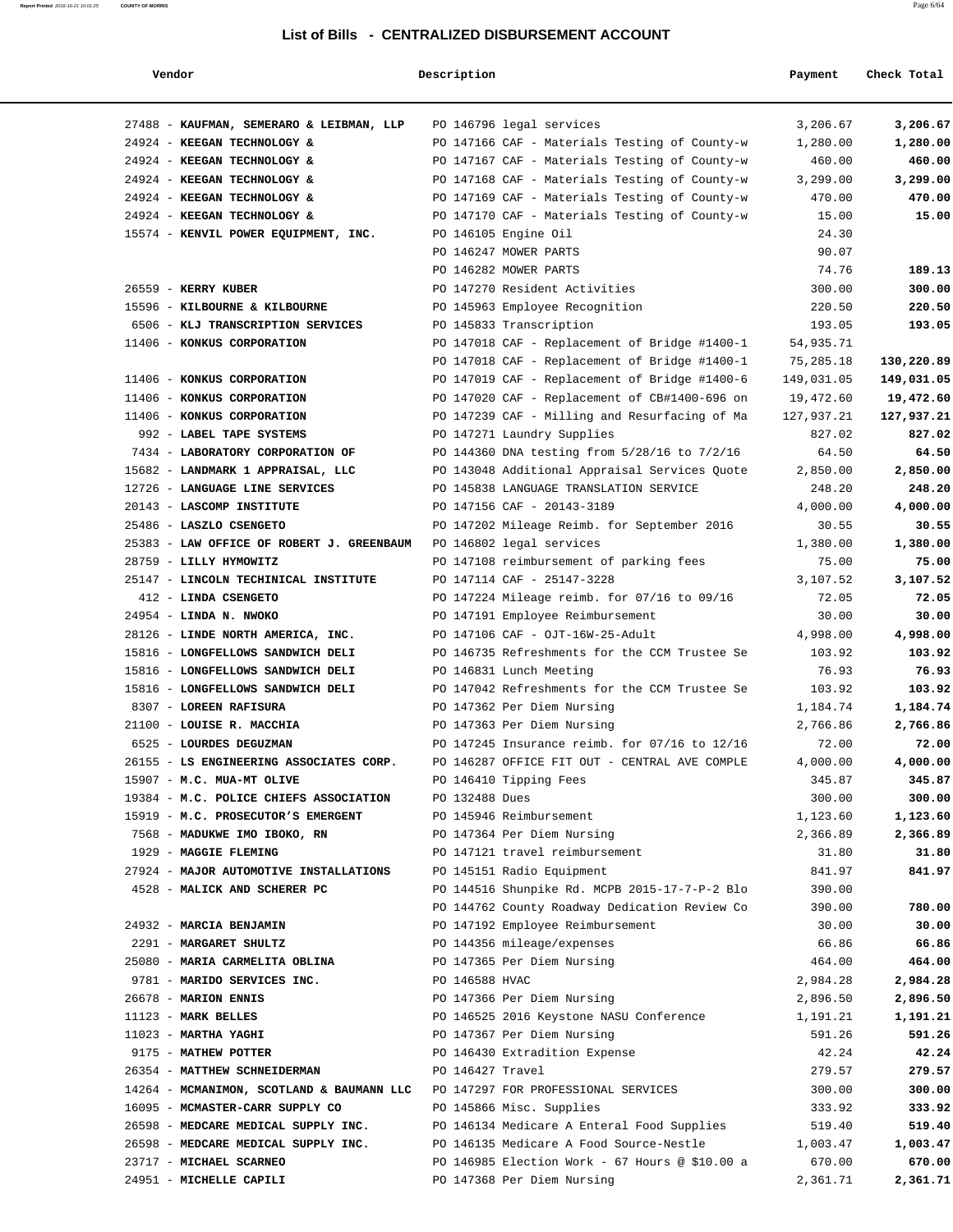| Vendor                                                                        | Description      |                                                | Payment    | Check Total |
|-------------------------------------------------------------------------------|------------------|------------------------------------------------|------------|-------------|
| 27488 - KAUFMAN, SEMERARO & LEIBMAN, LLP                                      |                  | PO 146796 legal services                       | 3,206.67   | 3,206.67    |
| 24924 - KEEGAN TECHNOLOGY &                                                   |                  | PO 147166 CAF - Materials Testing of County-w  | 1,280.00   | 1,280.00    |
| 24924 - KEEGAN TECHNOLOGY &                                                   |                  | PO 147167 CAF - Materials Testing of County-w  | 460.00     | 460.00      |
| 24924 - KEEGAN TECHNOLOGY &                                                   |                  | PO 147168 CAF - Materials Testing of County-w  | 3,299.00   | 3,299.00    |
| 24924 - KEEGAN TECHNOLOGY &                                                   |                  | PO 147169 CAF - Materials Testing of County-w  | 470.00     | 470.00      |
| 24924 - KEEGAN TECHNOLOGY &                                                   |                  | PO 147170 CAF - Materials Testing of County-w  | 15.00      | 15.00       |
| 15574 - KENVIL POWER EQUIPMENT, INC.                                          |                  | PO 146105 Engine Oil                           | 24.30      |             |
|                                                                               |                  | PO 146247 MOWER PARTS                          | 90.07      |             |
|                                                                               |                  | PO 146282 MOWER PARTS                          | 74.76      | 189.13      |
| 26559 - KERRY KUBER                                                           |                  | PO 147270 Resident Activities                  | 300.00     | 300.00      |
| 15596 - KILBOURNE & KILBOURNE                                                 |                  | PO 145963 Employee Recognition                 | 220.50     | 220.50      |
| 6506 - KLJ TRANSCRIPTION SERVICES                                             |                  | PO 145833 Transcription                        | 193.05     | 193.05      |
| 11406 - KONKUS CORPORATION                                                    |                  | PO 147018 CAF - Replacement of Bridge #1400-1  | 54,935.71  |             |
|                                                                               |                  | PO 147018 CAF - Replacement of Bridge #1400-1  | 75,285.18  | 130,220.89  |
| 11406 - KONKUS CORPORATION                                                    |                  | PO 147019 CAF - Replacement of Bridge #1400-6  | 149,031.05 | 149,031.05  |
| 11406 - KONKUS CORPORATION                                                    |                  | PO 147020 CAF - Replacement of CB#1400-696 on  | 19,472.60  | 19,472.60   |
| 11406 - KONKUS CORPORATION                                                    |                  | PO 147239 CAF - Milling and Resurfacing of Ma  | 127,937.21 | 127,937.21  |
| 992 - LABEL TAPE SYSTEMS                                                      |                  | PO 147271 Laundry Supplies                     | 827.02     | 827.02      |
| 7434 - LABORATORY CORPORATION OF                                              |                  | PO 144360 DNA testing from 5/28/16 to 7/2/16   | 64.50      | 64.50       |
| 15682 - LANDMARK 1 APPRAISAL, LLC                                             |                  | PO 143048 Additional Appraisal Services Quote  | 2,850.00   | 2,850.00    |
| 12726 - LANGUAGE LINE SERVICES                                                |                  | PO 145838 LANGUAGE TRANSLATION SERVICE         | 248.20     | 248.20      |
| 20143 - LASCOMP INSTITUTE                                                     |                  | PO 147156 CAF - 20143-3189                     | 4,000.00   | 4,000.00    |
| 25486 - LASZLO CSENGETO                                                       |                  | PO 147202 Mileage Reimb. for September 2016    | 30.55      | 30.55       |
| 25383 - LAW OFFICE OF ROBERT J. GREENBAUM                                     |                  | PO 146802 legal services                       | 1,380.00   | 1,380.00    |
| 28759 - LILLY HYMOWITZ                                                        |                  | PO 147108 reimbursement of parking fees        | 75.00      | 75.00       |
| 25147 - LINCOLN TECHINICAL INSTITUTE                                          |                  | PO 147114 CAF - 25147-3228                     | 3,107.52   | 3,107.52    |
| 412 - LINDA CSENGETO                                                          |                  | PO 147224 Mileage reimb. for 07/16 to 09/16    | 72.05      | 72.05       |
| 24954 - LINDA N. NWOKO                                                        |                  | PO 147191 Employee Reimbursement               | 30.00      | 30.00       |
| 28126 - LINDE NORTH AMERICA, INC.                                             |                  | PO 147106 CAF - OJT-16W-25-Adult               | 4,998.00   | 4,998.00    |
| 15816 - LONGFELLOWS SANDWICH DELI                                             |                  | PO 146735 Refreshments for the CCM Trustee Se  | 103.92     | 103.92      |
| 15816 - LONGFELLOWS SANDWICH DELI                                             |                  | PO 146831 Lunch Meeting                        | 76.93      | 76.93       |
| 15816 - LONGFELLOWS SANDWICH DELI                                             |                  | PO 147042 Refreshments for the CCM Trustee Se  | 103.92     | 103.92      |
| 8307 - LOREEN RAFISURA                                                        |                  | PO 147362 Per Diem Nursing                     | 1,184.74   | 1,184.74    |
| 21100 - LOUISE R. MACCHIA                                                     |                  | PO 147363 Per Diem Nursing                     | 2,766.86   | 2,766.86    |
| 6525 - LOURDES DEGUZMAN                                                       |                  | PO 147245 Insurance reimb. for 07/16 to 12/16  | 72.00      | 72.00       |
| 26155 - LS ENGINEERING ASSOCIATES CORP.                                       |                  | PO 146287 OFFICE FIT OUT - CENTRAL AVE COMPLE  | 4,000.00   | 4,000.00    |
| 15907 - M.C. MUA-MT OLIVE                                                     |                  | PO 146410 Tipping Fees                         | 345.87     | 345.87      |
| 19384 - M.C. POLICE CHIEFS ASSOCIATION                                        | PO 132488 Dues   |                                                | 300.00     | 300.00      |
| 15919 - M.C. PROSECUTOR'S EMERGENT                                            |                  | PO 145946 Reimbursement                        | 1,123.60   | 1,123.60    |
| 7568 - MADUKWE IMO IBOKO, RN                                                  |                  | PO 147364 Per Diem Nursing                     | 2,366.89   | 2,366.89    |
| 1929 - MAGGIE FLEMING                                                         |                  | PO 147121 travel reimbursement                 | 31.80      | 31.80       |
| 27924 - MAJOR AUTOMOTIVE INSTALLATIONS                                        |                  | PO 145151 Radio Equipment                      | 841.97     | 841.97      |
| 4528 - MALICK AND SCHERER PC                                                  |                  | PO 144516 Shunpike Rd. MCPB 2015-17-7-P-2 Blo  | 390.00     |             |
|                                                                               |                  | PO 144762 County Roadway Dedication Review Co  | 390.00     | 780.00      |
| 24932 - MARCIA BENJAMIN                                                       |                  | PO 147192 Employee Reimbursement               | 30.00      | 30.00       |
| 2291 - MARGARET SHULTZ                                                        |                  | PO 144356 mileage/expenses                     | 66.86      | 66.86       |
| 25080 - MARIA CARMELITA OBLINA                                                |                  | PO 147365 Per Diem Nursing                     | 464.00     | 464.00      |
| 9781 - MARIDO SERVICES INC.                                                   | PO 146588 HVAC   |                                                | 2,984.28   | 2,984.28    |
| 26678 - MARION ENNIS                                                          |                  | PO 147366 Per Diem Nursing                     | 2,896.50   | 2,896.50    |
| $11123$ - MARK BELLES                                                         |                  | PO 146525 2016 Keystone NASU Conference        | 1,191.21   | 1,191.21    |
| $11023$ - MARTHA YAGHI                                                        |                  | PO 147367 Per Diem Nursing                     | 591.26     | 591.26      |
| 9175 - MATHEW POTTER                                                          |                  | PO 146430 Extradition Expense                  | 42.24      | 42.24       |
| 26354 - MATTHEW SCHNEIDERMAN                                                  | PO 146427 Travel |                                                | 279.57     | 279.57      |
| 14264 - MCMANIMON, SCOTLAND & BAUMANN LLC PO 147297 FOR PROFESSIONAL SERVICES |                  |                                                | 300.00     | 300.00      |
| 16095 - MCMASTER-CARR SUPPLY CO                                               |                  | PO 145866 Misc. Supplies                       | 333.92     | 333.92      |
| 26598 - MEDCARE MEDICAL SUPPLY INC.                                           |                  | PO 146134 Medicare A Enteral Food Supplies     | 519.40     | 519.40      |
| 26598 - MEDCARE MEDICAL SUPPLY INC.                                           |                  | PO 146135 Medicare A Food Source-Nestle        | 1,003.47   | 1,003.47    |
| 23717 - MICHAEL SCARNEO                                                       |                  | PO 146985 Election Work - 67 Hours @ \$10.00 a | 670.00     | 670.00      |
| 24951 - MICHELLE CAPILI                                                       |                  | PO 147368 Per Diem Nursing                     | 2,361.71   | 2,361.71    |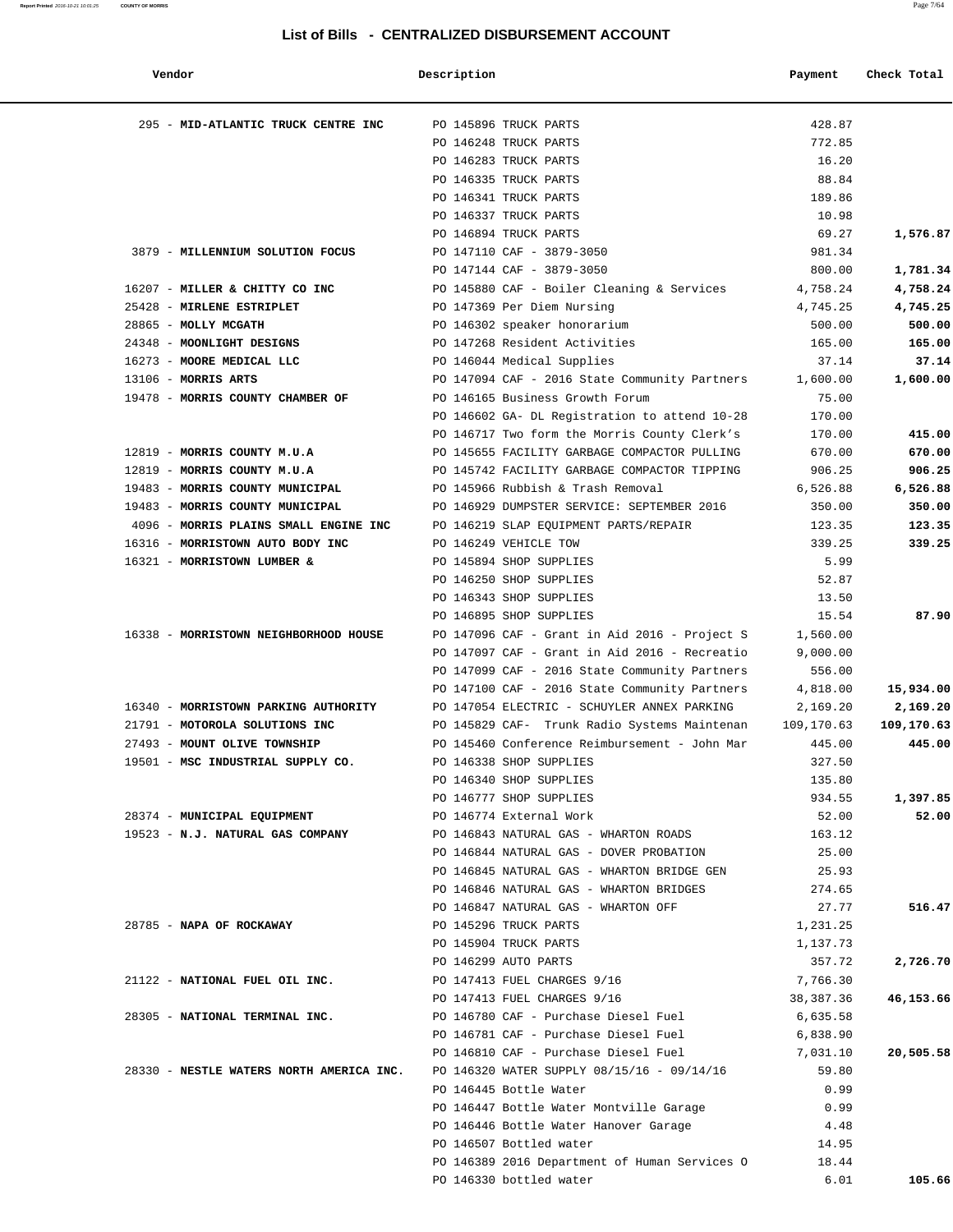| Vendor                                   | Description |                                               | Payment    | Check Total |
|------------------------------------------|-------------|-----------------------------------------------|------------|-------------|
| 295 - MID-ATLANTIC TRUCK CENTRE INC      |             | PO 145896 TRUCK PARTS                         | 428.87     |             |
|                                          |             | PO 146248 TRUCK PARTS                         | 772.85     |             |
|                                          |             | PO 146283 TRUCK PARTS                         | 16.20      |             |
|                                          |             | PO 146335 TRUCK PARTS                         | 88.84      |             |
|                                          |             | PO 146341 TRUCK PARTS                         | 189.86     |             |
|                                          |             | PO 146337 TRUCK PARTS                         | 10.98      |             |
|                                          |             | PO 146894 TRUCK PARTS                         | 69.27      | 1,576.87    |
| 3879 - MILLENNIUM SOLUTION FOCUS         |             | PO 147110 CAF - 3879-3050                     | 981.34     |             |
|                                          |             | PO 147144 CAF - 3879-3050                     | 800.00     | 1,781.34    |
| 16207 - MILLER & CHITTY CO INC           |             | PO 145880 CAF - Boiler Cleaning & Services    | 4,758.24   | 4,758.24    |
| 25428 - MIRLENE ESTRIPLET                |             | PO 147369 Per Diem Nursing                    | 4,745.25   | 4,745.25    |
| 28865 - MOLLY MCGATH                     |             | PO 146302 speaker honorarium                  | 500.00     | 500.00      |
| 24348 - MOONLIGHT DESIGNS                |             | PO 147268 Resident Activities                 | 165.00     | 165.00      |
| 16273 - MOORE MEDICAL LLC                |             | PO 146044 Medical Supplies                    | 37.14      | 37.14       |
| 13106 - MORRIS ARTS                      |             | PO 147094 CAF - 2016 State Community Partners | 1,600.00   | 1,600.00    |
| 19478 - MORRIS COUNTY CHAMBER OF         |             | PO 146165 Business Growth Forum               | 75.00      |             |
|                                          |             | PO 146602 GA- DL Registration to attend 10-28 | 170.00     |             |
|                                          |             | PO 146717 Two form the Morris County Clerk's  | 170.00     | 415.00      |
| 12819 - MORRIS COUNTY M.U.A              |             | PO 145655 FACILITY GARBAGE COMPACTOR PULLING  | 670.00     | 670.00      |
| 12819 - MORRIS COUNTY M.U.A              |             | PO 145742 FACILITY GARBAGE COMPACTOR TIPPING  | 906.25     | 906.25      |
| 19483 - MORRIS COUNTY MUNICIPAL          |             | PO 145966 Rubbish & Trash Removal             | 6,526.88   | 6,526.88    |
| 19483 - MORRIS COUNTY MUNICIPAL          |             | PO 146929 DUMPSTER SERVICE: SEPTEMBER 2016    | 350.00     | 350.00      |
| 4096 - MORRIS PLAINS SMALL ENGINE INC    |             | PO 146219 SLAP EQUIPMENT PARTS/REPAIR         | 123.35     | 123.35      |
| 16316 - MORRISTOWN AUTO BODY INC         |             | PO 146249 VEHICLE TOW                         | 339.25     | 339.25      |
| 16321 - MORRISTOWN LUMBER &              |             | PO 145894 SHOP SUPPLIES                       | 5.99       |             |
|                                          |             | PO 146250 SHOP SUPPLIES                       | 52.87      |             |
|                                          |             | PO 146343 SHOP SUPPLIES                       | 13.50      |             |
|                                          |             | PO 146895 SHOP SUPPLIES                       | 15.54      | 87.90       |
| 16338 - MORRISTOWN NEIGHBORHOOD HOUSE    |             |                                               |            |             |
|                                          |             | PO 147096 CAF - Grant in Aid 2016 - Project S | 1,560.00   |             |
|                                          |             | PO 147097 CAF - Grant in Aid 2016 - Recreatio | 9,000.00   |             |
|                                          |             | PO 147099 CAF - 2016 State Community Partners | 556.00     |             |
|                                          |             | PO 147100 CAF - 2016 State Community Partners | 4,818.00   | 15,934.00   |
| 16340 - MORRISTOWN PARKING AUTHORITY     |             | PO 147054 ELECTRIC - SCHUYLER ANNEX PARKING   | 2,169.20   | 2,169.20    |
| 21791 - MOTOROLA SOLUTIONS INC           |             | PO 145829 CAF- Trunk Radio Systems Maintenan  | 109,170.63 | 109,170.63  |
| 27493 - MOUNT OLIVE TOWNSHIP             |             | PO 145460 Conference Reimbursement - John Mar | 445.00     | 445.00      |
| 19501 - MSC INDUSTRIAL SUPPLY CO.        |             | PO 146338 SHOP SUPPLIES                       | 327.50     |             |
|                                          |             | PO 146340 SHOP SUPPLIES                       | 135.80     |             |
|                                          |             | PO 146777 SHOP SUPPLIES                       | 934.55     | 1,397.85    |
| 28374 - MUNICIPAL EQUIPMENT              |             | PO 146774 External Work                       | 52.00      | 52.00       |
| 19523 - N.J. NATURAL GAS COMPANY         |             | PO 146843 NATURAL GAS - WHARTON ROADS         | 163.12     |             |
|                                          |             | PO 146844 NATURAL GAS - DOVER PROBATION       | 25.00      |             |
|                                          |             | PO 146845 NATURAL GAS - WHARTON BRIDGE GEN    | 25.93      |             |
|                                          |             | PO 146846 NATURAL GAS - WHARTON BRIDGES       | 274.65     |             |
|                                          |             | PO 146847 NATURAL GAS - WHARTON OFF           | 27.77      | 516.47      |
| 28785 - NAPA OF ROCKAWAY                 |             | PO 145296 TRUCK PARTS                         | 1,231.25   |             |
|                                          |             | PO 145904 TRUCK PARTS                         | 1,137.73   |             |
|                                          |             | PO 146299 AUTO PARTS                          | 357.72     | 2,726.70    |
| 21122 - NATIONAL FUEL OIL INC.           |             | PO 147413 FUEL CHARGES 9/16                   | 7,766.30   |             |
|                                          |             | PO 147413 FUEL CHARGES 9/16                   | 38,387.36  | 46,153.66   |
| 28305 - NATIONAL TERMINAL INC.           |             | PO 146780 CAF - Purchase Diesel Fuel          | 6,635.58   |             |
|                                          |             | PO 146781 CAF - Purchase Diesel Fuel          | 6,838.90   |             |
|                                          |             | PO 146810 CAF - Purchase Diesel Fuel          | 7,031.10   | 20,505.58   |
| 28330 - NESTLE WATERS NORTH AMERICA INC. |             | PO 146320 WATER SUPPLY 08/15/16 - 09/14/16    | 59.80      |             |
|                                          |             | PO 146445 Bottle Water                        | 0.99       |             |
|                                          |             | PO 146447 Bottle Water Montville Garage 0.99  |            |             |
|                                          |             | PO 146446 Bottle Water Hanover Garage         | 4.48       |             |
|                                          |             | PO 146507 Bottled water                       | 14.95      |             |
|                                          |             | PO 146389 2016 Department of Human Services O | 18.44      |             |
|                                          |             | PO 146330 bottled water                       | 6.01       | 105.66      |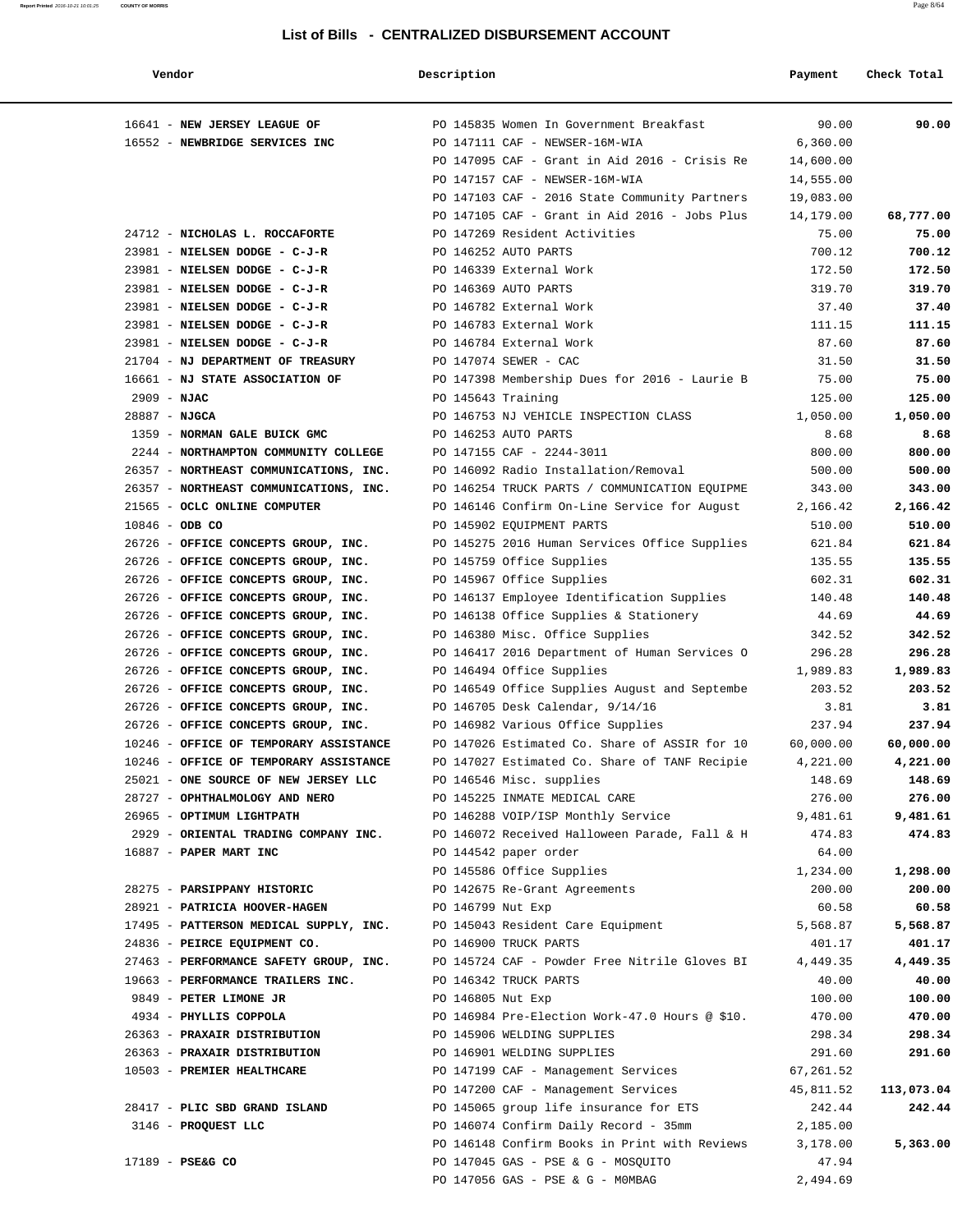#### **Report Printed** 2016-10-21 10:01:25 **COUNTY OF MORRIS** Page 8/64

#### **List of Bills - CENTRALIZED DISBURSEMENT ACCOUNT**

| Vendor                                                                             | Description       |                                                                            | Payment          | Check Total      |
|------------------------------------------------------------------------------------|-------------------|----------------------------------------------------------------------------|------------------|------------------|
| 16641 - NEW JERSEY LEAGUE OF                                                       |                   | PO 145835 Women In Government Breakfast                                    | 90.00            | 90.00            |
| 16552 - NEWBRIDGE SERVICES INC                                                     |                   | PO 147111 CAF - NEWSER-16M-WIA                                             | 6,360.00         |                  |
|                                                                                    |                   | PO 147095 CAF - Grant in Aid 2016 - Crisis Re                              | 14,600.00        |                  |
|                                                                                    |                   | PO 147157 CAF - NEWSER-16M-WIA                                             | 14,555.00        |                  |
|                                                                                    |                   | PO 147103 CAF - 2016 State Community Partners                              | 19,083.00        |                  |
|                                                                                    |                   | PO 147105 CAF - Grant in Aid 2016 - Jobs Plus                              | 14,179.00        | 68,777.00        |
| 24712 - NICHOLAS L. ROCCAFORTE                                                     |                   | PO 147269 Resident Activities                                              | 75.00            | 75.00            |
| 23981 - NIELSEN DODGE - C-J-R                                                      |                   | PO 146252 AUTO PARTS                                                       | 700.12           | 700.12           |
| 23981 - NIELSEN DODGE - C-J-R                                                      |                   | PO 146339 External Work                                                    | 172.50           | 172.50           |
| 23981 - NIELSEN DODGE - C-J-R                                                      |                   | PO 146369 AUTO PARTS                                                       | 319.70           | 319.70           |
| 23981 - NIELSEN DODGE - C-J-R                                                      |                   | PO 146782 External Work                                                    | 37.40            | 37.40            |
| 23981 - NIELSEN DODGE - C-J-R                                                      |                   | PO 146783 External Work                                                    | 111.15           | 111.15           |
| 23981 - NIELSEN DODGE - C-J-R                                                      |                   | PO 146784 External Work                                                    | 87.60            | 87.60            |
| 21704 - NJ DEPARTMENT OF TREASURY                                                  |                   | PO 147074 SEWER - CAC                                                      | 31.50            | 31.50            |
| 16661 - NJ STATE ASSOCIATION OF                                                    |                   | PO 147398 Membership Dues for 2016 - Laurie B                              | 75.00            | 75.00            |
| $2909 - NJAC$                                                                      |                   | PO 145643 Training                                                         | 125.00           | 125.00           |
| $28887 - NJGCA$                                                                    |                   | PO 146753 NJ VEHICLE INSPECTION CLASS                                      | 1,050.00         | 1,050.00         |
| 1359 - NORMAN GALE BUICK GMC                                                       |                   | PO 146253 AUTO PARTS                                                       | 8.68             | 8.68             |
| 2244 - NORTHAMPTON COMMUNITY COLLEGE                                               |                   | PO 147155 CAF - 2244-3011                                                  | 800.00           | 800.00           |
| 26357 - NORTHEAST COMMUNICATIONS, INC.                                             |                   | PO 146092 Radio Installation/Removal                                       | 500.00           | 500.00           |
| 26357 - NORTHEAST COMMUNICATIONS, INC.                                             |                   | PO 146254 TRUCK PARTS / COMMUNICATION EQUIPME                              | 343.00           | 343.00           |
| 21565 - OCLC ONLINE COMPUTER                                                       |                   | PO 146146 Confirm On-Line Service for August                               | 2,166.42         | 2,166.42         |
| $10846 - ODB CO$                                                                   |                   | PO 145902 EQUIPMENT PARTS                                                  | 510.00           | 510.00           |
| 26726 - OFFICE CONCEPTS GROUP, INC.<br>26726 - OFFICE CONCEPTS GROUP, INC.         |                   | PO 145275 2016 Human Services Office Supplies<br>PO 145759 Office Supplies | 621.84<br>135.55 | 621.84<br>135.55 |
| 26726 - OFFICE CONCEPTS GROUP, INC.                                                |                   | PO 145967 Office Supplies                                                  | 602.31           | 602.31           |
| 26726 - OFFICE CONCEPTS GROUP, INC.                                                |                   | PO 146137 Employee Identification Supplies                                 | 140.48           | 140.48           |
| 26726 - OFFICE CONCEPTS GROUP, INC.                                                |                   | PO 146138 Office Supplies & Stationery                                     | 44.69            | 44.69            |
| 26726 - OFFICE CONCEPTS GROUP, INC.                                                |                   | PO 146380 Misc. Office Supplies                                            | 342.52           | 342.52           |
| 26726 - OFFICE CONCEPTS GROUP, INC.                                                |                   | PO 146417 2016 Department of Human Services O                              | 296.28           | 296.28           |
| 26726 - OFFICE CONCEPTS GROUP, INC.                                                |                   | PO 146494 Office Supplies                                                  | 1,989.83         | 1,989.83         |
| 26726 - OFFICE CONCEPTS GROUP, INC.                                                |                   | PO 146549 Office Supplies August and Septembe                              | 203.52           | 203.52           |
| 26726 - OFFICE CONCEPTS GROUP, INC.                                                |                   | PO 146705 Desk Calendar, 9/14/16                                           | 3.81             | 3.81             |
| 26726 - OFFICE CONCEPTS GROUP, INC.                                                |                   | PO 146982 Various Office Supplies                                          | 237.94           | 237.94           |
| 10246 - OFFICE OF TEMPORARY ASSISTANCE                                             |                   | PO 147026 Estimated Co. Share of ASSIR for 10                              | 60,000.00        | 60,000.00        |
| 10246 - OFFICE OF TEMPORARY ASSISTANCE                                             |                   | PO 147027 Estimated Co. Share of TANF Recipie                              | 4,221.00         | 4,221.00         |
| 25021 - ONE SOURCE OF NEW JERSEY LLC                                               |                   | PO 146546 Misc. supplies                                                   | 148.69           | 148.69           |
| 28727 - OPHTHALMOLOGY AND NERO                                                     |                   | PO 145225 INMATE MEDICAL CARE                                              | 276.00           | 276.00           |
| 26965 - OPTIMUM LIGHTPATH                                                          |                   | PO 146288 VOIP/ISP Monthly Service                                         | 9,481.61         | 9,481.61         |
| 2929 - ORIENTAL TRADING COMPANY INC. PO 146072 Received Halloween Parade, Fall & H |                   |                                                                            | 474.83           | 474.83           |
| 16887 - PAPER MART INC                                                             |                   | PO 144542 paper order                                                      | 64.00            |                  |
|                                                                                    |                   | PO 145586 Office Supplies                                                  | 1,234.00         | 1,298.00         |
| 28275 - PARSIPPANY HISTORIC                                                        |                   | PO 142675 Re-Grant Agreements                                              | 200.00           | 200.00           |
| 28921 - PATRICIA HOOVER-HAGEN                                                      | PO 146799 Nut Exp |                                                                            | 60.58            | 60.58            |
| 17495 - PATTERSON MEDICAL SUPPLY, INC.                                             |                   | PO 145043 Resident Care Equipment                                          | 5,568.87         | 5,568.87         |
| 24836 - PEIRCE EQUIPMENT CO.                                                       |                   | PO 146900 TRUCK PARTS                                                      | 401.17           | 401.17           |
| 27463 - PERFORMANCE SAFETY GROUP, INC.                                             |                   | PO 145724 CAF - Powder Free Nitrile Gloves BI                              | 4,449.35         | 4,449.35         |
| 19663 - PERFORMANCE TRAILERS INC.                                                  |                   | PO 146342 TRUCK PARTS                                                      | 40.00            | 40.00            |
| 9849 - PETER LIMONE JR                                                             | PO 146805 Nut Exp |                                                                            | 100.00           | 100.00           |
| 4934 - PHYLLIS COPPOLA                                                             |                   | PO 146984 Pre-Election Work-47.0 Hours @ \$10.                             | 470.00           | 470.00           |
| 26363 - PRAXAIR DISTRIBUTION PO 145906 WELDING SUPPLIES                            |                   |                                                                            | 298.34           | 298.34           |
| 26363 - PRAXAIR DISTRIBUTION                                                       |                   | PO 146901 WELDING SUPPLIES                                                 | 291.60           | 291.60           |
| 10503 - PREMIER HEALTHCARE                                                         |                   | PO 147199 CAF - Management Services                                        | 67,261.52        |                  |
|                                                                                    |                   | PO 147200 CAF - Management Services                                        | 45,811.52        | 113,073.04       |
| 28417 - PLIC SBD GRAND ISLAND                                                      |                   | PO 145065 group life insurance for ETS                                     | 242.44           | 242.44           |
| 3146 - PROQUEST LLC                                                                |                   | PO 146074 Confirm Daily Record - 35mm                                      | 2,185.00         |                  |
|                                                                                    |                   | PO 146148 Confirm Books in Print with Reviews                              | 3,178.00         | 5,363.00         |
| 17189 - PSE&G CO                                                                   |                   | PO 147045 GAS - PSE & G - MOSQUITO                                         | 47.94            |                  |
|                                                                                    |                   | PO 147056 GAS - PSE & G - MOMBAG                                           | 2,494.69         |                  |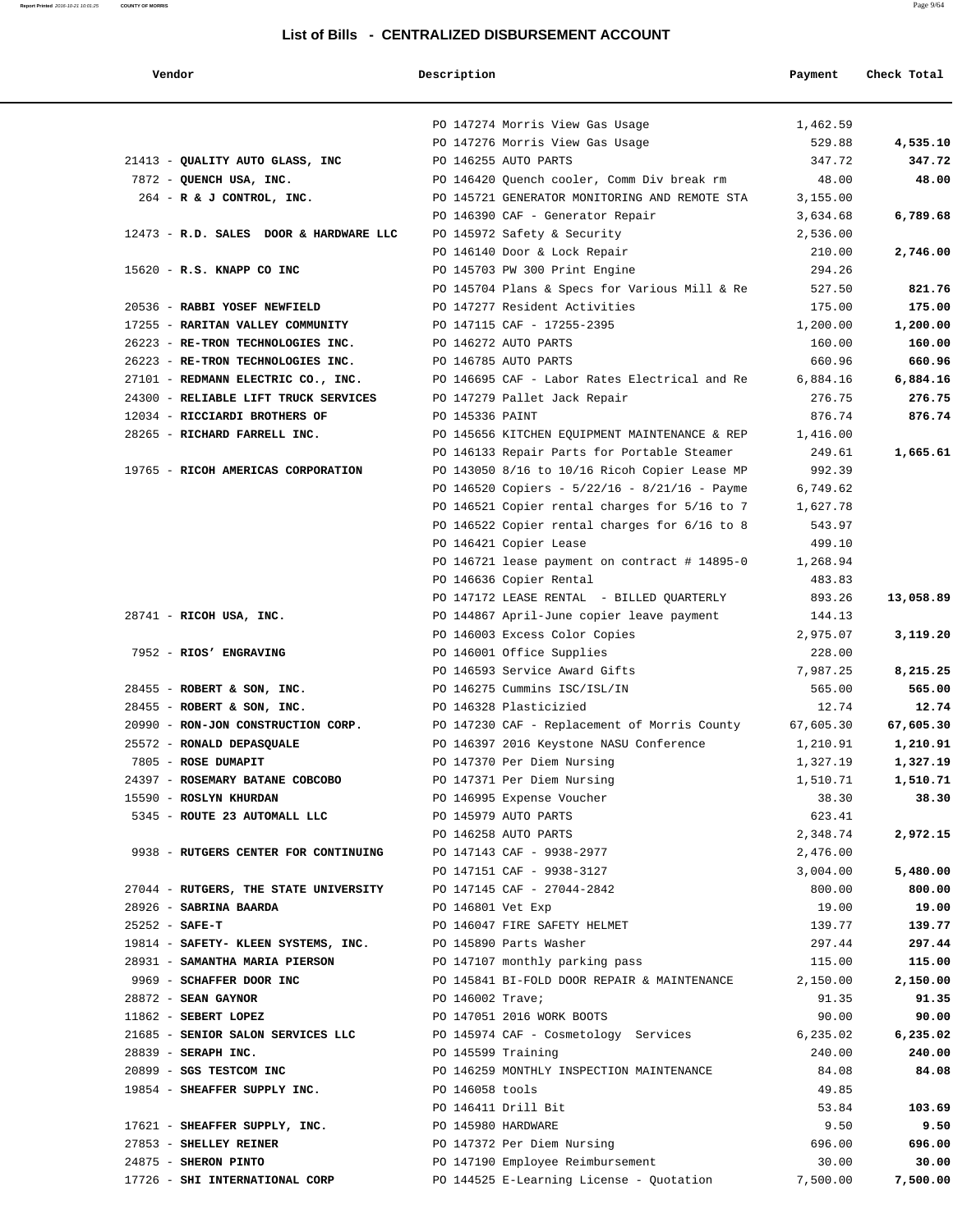| Vendor |  |  |
|--------|--|--|
|        |  |  |

# **Vendor Description Payment Check Total**

**Report Printed** 2016-10-21 10:01:25 **COUNTY OF MORRIS** Page 9/64

|                                        | PO 147274 Morris View Gas Usage                   | 1,462.59  |           |
|----------------------------------------|---------------------------------------------------|-----------|-----------|
|                                        | PO 147276 Morris View Gas Usage                   | 529.88    | 4,535.10  |
| 21413 - QUALITY AUTO GLASS, INC        | PO 146255 AUTO PARTS                              | 347.72    | 347.72    |
| 7872 - QUENCH USA, INC.                | PO 146420 Quench cooler, Comm Div break rm        | 48.00     | 48.00     |
| $264$ - R & J CONTROL, INC.            | PO 145721 GENERATOR MONITORING AND REMOTE STA     | 3,155.00  |           |
|                                        | PO 146390 CAF - Generator Repair                  | 3,634.68  | 6,789.68  |
| 12473 - R.D. SALES DOOR & HARDWARE LLC | PO 145972 Safety & Security                       | 2,536.00  |           |
|                                        | PO 146140 Door & Lock Repair                      | 210.00    | 2,746.00  |
| 15620 - R.S. KNAPP CO INC              | PO 145703 PW 300 Print Engine                     | 294.26    |           |
|                                        | PO 145704 Plans & Specs for Various Mill & Re     | 527.50    | 821.76    |
| 20536 - RABBI YOSEF NEWFIELD           | PO 147277 Resident Activities                     | 175.00    | 175.00    |
| 17255 - RARITAN VALLEY COMMUNITY       | PO 147115 CAF - 17255-2395                        | 1,200.00  | 1,200.00  |
| 26223 - RE-TRON TECHNOLOGIES INC.      | PO 146272 AUTO PARTS                              | 160.00    | 160.00    |
| 26223 - RE-TRON TECHNOLOGIES INC.      | PO 146785 AUTO PARTS                              | 660.96    | 660.96    |
| 27101 - REDMANN ELECTRIC CO., INC.     | PO 146695 CAF - Labor Rates Electrical and Re     | 6,884.16  | 6,884.16  |
| 24300 - RELIABLE LIFT TRUCK SERVICES   | PO 147279 Pallet Jack Repair                      | 276.75    | 276.75    |
| 12034 - RICCIARDI BROTHERS OF          | PO 145336 PAINT                                   | 876.74    | 876.74    |
| 28265 - RICHARD FARRELL INC.           | PO 145656 KITCHEN EQUIPMENT MAINTENANCE & REP     | 1,416.00  |           |
|                                        | PO 146133 Repair Parts for Portable Steamer       | 249.61    | 1,665.61  |
| 19765 - RICOH AMERICAS CORPORATION     | PO 143050 8/16 to 10/16 Ricoh Copier Lease MP     | 992.39    |           |
|                                        | PO 146520 Copiers - $5/22/16$ - $8/21/16$ - Payme | 6,749.62  |           |
|                                        | PO 146521 Copier rental charges for 5/16 to 7     | 1,627.78  |           |
|                                        | PO 146522 Copier rental charges for 6/16 to 8     | 543.97    |           |
|                                        | PO 146421 Copier Lease                            | 499.10    |           |
|                                        | PO 146721 lease payment on contract # 14895-0     | 1,268.94  |           |
|                                        | PO 146636 Copier Rental                           | 483.83    |           |
|                                        | PO 147172 LEASE RENTAL - BILLED QUARTERLY         | 893.26    | 13,058.89 |
| $28741$ - RICOH USA, INC.              | PO 144867 April-June copier leave payment         | 144.13    |           |
|                                        | PO 146003 Excess Color Copies                     | 2,975.07  | 3,119.20  |
| 7952 - RIOS' ENGRAVING                 | PO 146001 Office Supplies                         | 228.00    |           |
|                                        | PO 146593 Service Award Gifts                     | 7,987.25  | 8,215.25  |
| $28455$ - ROBERT & SON, INC.           | PO 146275 Cummins ISC/ISL/IN                      | 565.00    | 565.00    |
| 28455 - ROBERT & SON, INC.             | PO 146328 Plasticizied                            | 12.74     | 12.74     |
| 20990 - RON-JON CONSTRUCTION CORP.     | PO 147230 CAF - Replacement of Morris County      | 67,605.30 | 67,605.30 |
| 25572 - RONALD DEPASQUALE              | PO 146397 2016 Keystone NASU Conference           | 1,210.91  | 1,210.91  |
| 7805 - ROSE DUMAPIT                    | PO 147370 Per Diem Nursing                        | 1,327.19  | 1,327.19  |
| 24397 - ROSEMARY BATANE COBCOBO        | PO 147371 Per Diem Nursing                        | 1,510.71  | 1,510.71  |
| 15590 - ROSLYN KHURDAN                 | PO 146995 Expense Voucher                         | 38.30     | 38.30     |
| 5345 - ROUTE 23 AUTOMALL LLC           | PO 145979 AUTO PARTS                              | 623.41    |           |
|                                        | PO 146258 AUTO PARTS                              | 2,348.74  | 2,972.15  |
| 9938 - RUTGERS CENTER FOR CONTINUING   | PO 147143 CAF - 9938-2977                         | 2,476.00  |           |
|                                        | PO 147151 CAF - 9938-3127                         | 3,004.00  | 5,480.00  |
| 27044 - RUTGERS, THE STATE UNIVERSITY  | PO 147145 CAF - 27044-2842                        | 800.00    | 800.00    |
| 28926 - SABRINA BAARDA                 | PO 146801 Vet Exp                                 | 19.00     | 19.00     |
| $25252 - SAFE-T$                       | PO 146047 FIRE SAFETY HELMET                      | 139.77    | 139.77    |
| 19814 - SAFETY- KLEEN SYSTEMS, INC.    | PO 145890 Parts Washer                            | 297.44    | 297.44    |
| 28931 - SAMANTHA MARIA PIERSON         | PO 147107 monthly parking pass                    | 115.00    | 115.00    |
| 9969 - SCHAFFER DOOR INC               | PO 145841 BI-FOLD DOOR REPAIR & MAINTENANCE       | 2,150.00  | 2,150.00  |
| $28872$ - SEAN GAYNOR                  | PO 146002 Trave;                                  | 91.35     | 91.35     |
| $11862$ - SEBERT LOPEZ                 | PO 147051 2016 WORK BOOTS                         | 90.00     | 90.00     |
| 21685 - SENIOR SALON SERVICES LLC      | PO 145974 CAF - Cosmetology Services              | 6,235.02  | 6,235.02  |
| 28839 - SERAPH INC.                    | PO 145599 Training                                | 240.00    | 240.00    |
| 20899 - SGS TESTCOM INC                | PO 146259 MONTHLY INSPECTION MAINTENANCE          | 84.08     | 84.08     |
| 19854 - SHEAFFER SUPPLY INC.           | PO 146058 tools                                   | 49.85     |           |
|                                        |                                                   |           |           |
|                                        | PO 146411 Drill Bit                               | 53.84     | 103.69    |
| 17621 - SHEAFFER SUPPLY, INC.          | PO 145980 HARDWARE                                | 9.50      | 9.50      |
| 27853 - SHELLEY REINER                 | PO 147372 Per Diem Nursing                        | 696.00    | 696.00    |
| 24875 - SHERON PINTO                   | PO 147190 Employee Reimbursement                  | 30.00     | 30.00     |
| 17726 - SHI INTERNATIONAL CORP         | PO 144525 E-Learning License - Quotation          | 7,500.00  | 7,500.00  |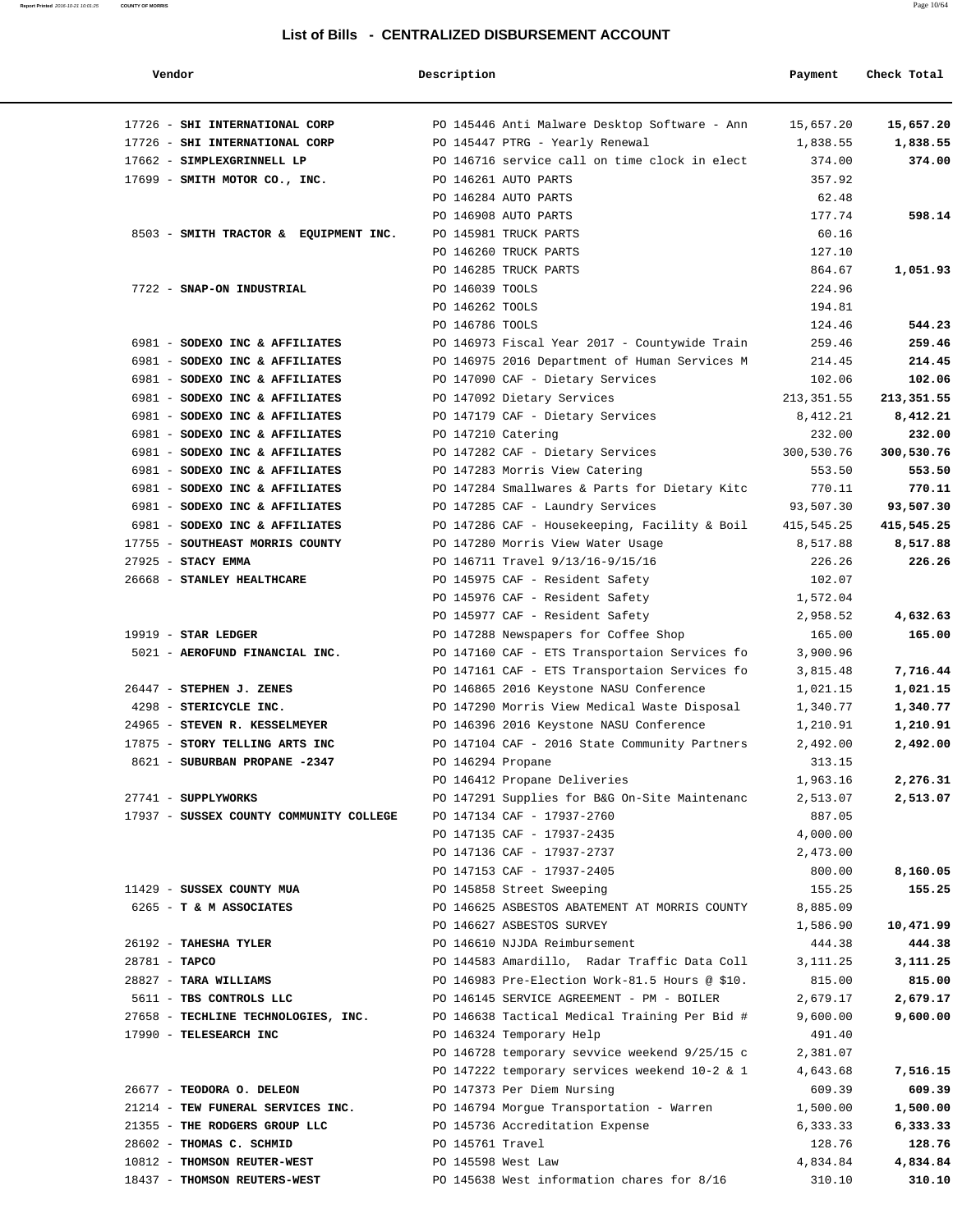| Vendor                                                           | Description       |                                                                                    | Payment                | Check Total             |
|------------------------------------------------------------------|-------------------|------------------------------------------------------------------------------------|------------------------|-------------------------|
| 17726 - SHI INTERNATIONAL CORP                                   |                   | PO 145446 Anti Malware Desktop Software - Ann                                      | 15,657.20              | 15,657.20               |
| 17726 - SHI INTERNATIONAL CORP                                   |                   | PO 145447 PTRG - Yearly Renewal                                                    | 1,838.55               | 1,838.55                |
| 17662 - SIMPLEXGRINNELL LP                                       |                   | PO 146716 service call on time clock in elect                                      | 374.00                 | 374.00                  |
| 17699 - SMITH MOTOR CO., INC.                                    |                   | PO 146261 AUTO PARTS                                                               | 357.92                 |                         |
|                                                                  |                   | PO 146284 AUTO PARTS                                                               | 62.48                  |                         |
|                                                                  |                   | PO 146908 AUTO PARTS                                                               | 177.74                 | 598.14                  |
| 8503 - SMITH TRACTOR & EQUIPMENT INC.                            |                   | PO 145981 TRUCK PARTS                                                              | 60.16                  |                         |
|                                                                  |                   | PO 146260 TRUCK PARTS                                                              | 127.10                 |                         |
|                                                                  |                   | PO 146285 TRUCK PARTS                                                              | 864.67                 | 1,051.93                |
| 7722 - SNAP-ON INDUSTRIAL                                        | PO 146039 TOOLS   |                                                                                    | 224.96                 |                         |
|                                                                  | PO 146262 TOOLS   |                                                                                    | 194.81                 |                         |
|                                                                  | PO 146786 TOOLS   |                                                                                    | 124.46                 | 544.23                  |
| 6981 - SODEXO INC & AFFILIATES                                   |                   | PO 146973 Fiscal Year 2017 - Countywide Train                                      | 259.46                 | 259.46                  |
| 6981 - SODEXO INC & AFFILIATES                                   |                   | PO 146975 2016 Department of Human Services M                                      | 214.45                 | 214.45                  |
| 6981 - SODEXO INC & AFFILIATES                                   |                   | PO 147090 CAF - Dietary Services                                                   | 102.06                 | 102.06                  |
| 6981 - SODEXO INC & AFFILIATES                                   |                   | PO 147092 Dietary Services                                                         | 213, 351.55            | 213,351.55              |
| 6981 - SODEXO INC & AFFILIATES                                   |                   | PO 147179 CAF - Dietary Services                                                   | 8,412.21               | 8,412.21                |
| 6981 - SODEXO INC & AFFILIATES                                   |                   | PO 147210 Catering                                                                 | 232.00                 | 232.00                  |
| 6981 - SODEXO INC & AFFILIATES                                   |                   | PO 147282 CAF - Dietary Services                                                   | 300,530.76             | 300,530.76              |
| 6981 - SODEXO INC & AFFILIATES                                   |                   | PO 147283 Morris View Catering                                                     | 553.50<br>770.11       | 553.50                  |
| 6981 - SODEXO INC & AFFILIATES                                   |                   | PO 147284 Smallwares & Parts for Dietary Kitc                                      |                        | 770.11                  |
| 6981 - SODEXO INC & AFFILIATES<br>6981 - SODEXO INC & AFFILIATES |                   | PO 147285 CAF - Laundry Services                                                   | 93,507.30              | 93,507.30<br>415,545.25 |
| 17755 - SOUTHEAST MORRIS COUNTY                                  |                   | PO 147286 CAF - Housekeeping, Facility & Boil<br>PO 147280 Morris View Water Usage | 415,545.25<br>8,517.88 | 8,517.88                |
| 27925 - STACY EMMA                                               |                   | PO 146711 Travel 9/13/16-9/15/16                                                   | 226.26                 | 226.26                  |
| 26668 - STANLEY HEALTHCARE                                       |                   | PO 145975 CAF - Resident Safety                                                    | 102.07                 |                         |
|                                                                  |                   | PO 145976 CAF - Resident Safety                                                    | 1,572.04               |                         |
|                                                                  |                   | PO 145977 CAF - Resident Safety                                                    | 2,958.52               | 4,632.63                |
| $19919$ - STAR LEDGER                                            |                   | PO 147288 Newspapers for Coffee Shop                                               | 165.00                 | 165.00                  |
| 5021 - AEROFUND FINANCIAL INC.                                   |                   | PO 147160 CAF - ETS Transportaion Services fo                                      | 3,900.96               |                         |
|                                                                  |                   | PO 147161 CAF - ETS Transportaion Services fo                                      | 3,815.48               | 7,716.44                |
| 26447 - STEPHEN J. ZENES                                         |                   | PO 146865 2016 Keystone NASU Conference                                            | 1,021.15               | 1,021.15                |
| 4298 - STERICYCLE INC.                                           |                   | PO 147290 Morris View Medical Waste Disposal                                       | 1,340.77               | 1,340.77                |
| 24965 - STEVEN R. KESSELMEYER                                    |                   | PO 146396 2016 Keystone NASU Conference                                            | 1,210.91               | 1,210.91                |
| 17875 - STORY TELLING ARTS INC                                   |                   | PO 147104 CAF - 2016 State Community Partners                                      | 2,492.00               | 2,492.00                |
| 8621 - SUBURBAN PROPANE -2347                                    | PO 146294 Propane |                                                                                    | 313.15                 |                         |
|                                                                  |                   | PO 146412 Propane Deliveries                                                       | 1,963.16               | 2,276.31                |
| 27741 - SUPPLYWORKS                                              |                   | PO 147291 Supplies for B&G On-Site Maintenanc                                      | 2,513.07               | 2,513.07                |
| 17937 - SUSSEX COUNTY COMMUNITY COLLEGE                          |                   | PO 147134 CAF - 17937-2760                                                         | 887.05                 |                         |
|                                                                  |                   | PO 147135 CAF - 17937-2435                                                         | 4,000.00               |                         |
|                                                                  |                   | PO 147136 CAF - 17937-2737                                                         | 2,473.00               |                         |
|                                                                  |                   | PO 147153 CAF - 17937-2405                                                         | 800.00                 | 8,160.05                |
| 11429 - SUSSEX COUNTY MUA                                        |                   | PO 145858 Street Sweeping                                                          | 155.25                 | 155.25                  |
| 6265 - T & M ASSOCIATES                                          |                   | PO 146625 ASBESTOS ABATEMENT AT MORRIS COUNTY                                      | 8,885.09               |                         |
|                                                                  |                   | PO 146627 ASBESTOS SURVEY                                                          | 1,586.90               | 10,471.99               |
| 26192 - TAHESHA TYLER                                            |                   | PO 146610 NJJDA Reimbursement                                                      | 444.38                 | 444.38                  |
| 28781 - TAPCO                                                    |                   | PO 144583 Amardillo, Radar Traffic Data Coll                                       | 3,111.25               | 3,111.25                |
| 28827 - TARA WILLIAMS                                            |                   | PO 146983 Pre-Election Work-81.5 Hours @ \$10.                                     | 815.00                 | 815.00                  |
| 5611 - TBS CONTROLS LLC                                          |                   | PO 146145 SERVICE AGREEMENT - PM - BOILER                                          | 2,679.17               | 2,679.17                |
| 27658 - TECHLINE TECHNOLOGIES, INC.                              |                   | PO 146638 Tactical Medical Training Per Bid #                                      | 9,600.00               | 9,600.00                |
| 17990 - TELESEARCH INC                                           |                   | PO 146324 Temporary Help                                                           | 491.40                 |                         |
|                                                                  |                   | PO 146728 temporary sevvice weekend 9/25/15 c                                      | 2,381.07               |                         |
|                                                                  |                   | PO 147222 temporary services weekend 10-2 & 1                                      | 4,643.68               | 7,516.15                |
| 26677 - TEODORA O. DELEON                                        |                   | PO 147373 Per Diem Nursing                                                         | 609.39                 | 609.39                  |
| 21214 - TEW FUNERAL SERVICES INC.                                |                   | PO 146794 Morgue Transportation - Warren                                           | 1,500.00               | 1,500.00                |
| 21355 - THE RODGERS GROUP LLC                                    |                   | PO 145736 Accreditation Expense                                                    | 6,333.33               | 6,333.33                |
| 28602 - THOMAS C. SCHMID                                         | PO 145761 Travel  |                                                                                    | 128.76                 | 128.76                  |
| 10812 - THOMSON REUTER-WEST                                      |                   | PO 145598 West Law                                                                 | 4,834.84               | 4,834.84                |
| 18437 - THOMSON REUTERS-WEST                                     |                   | PO 145638 West information chares for 8/16                                         | 310.10                 | 310.10                  |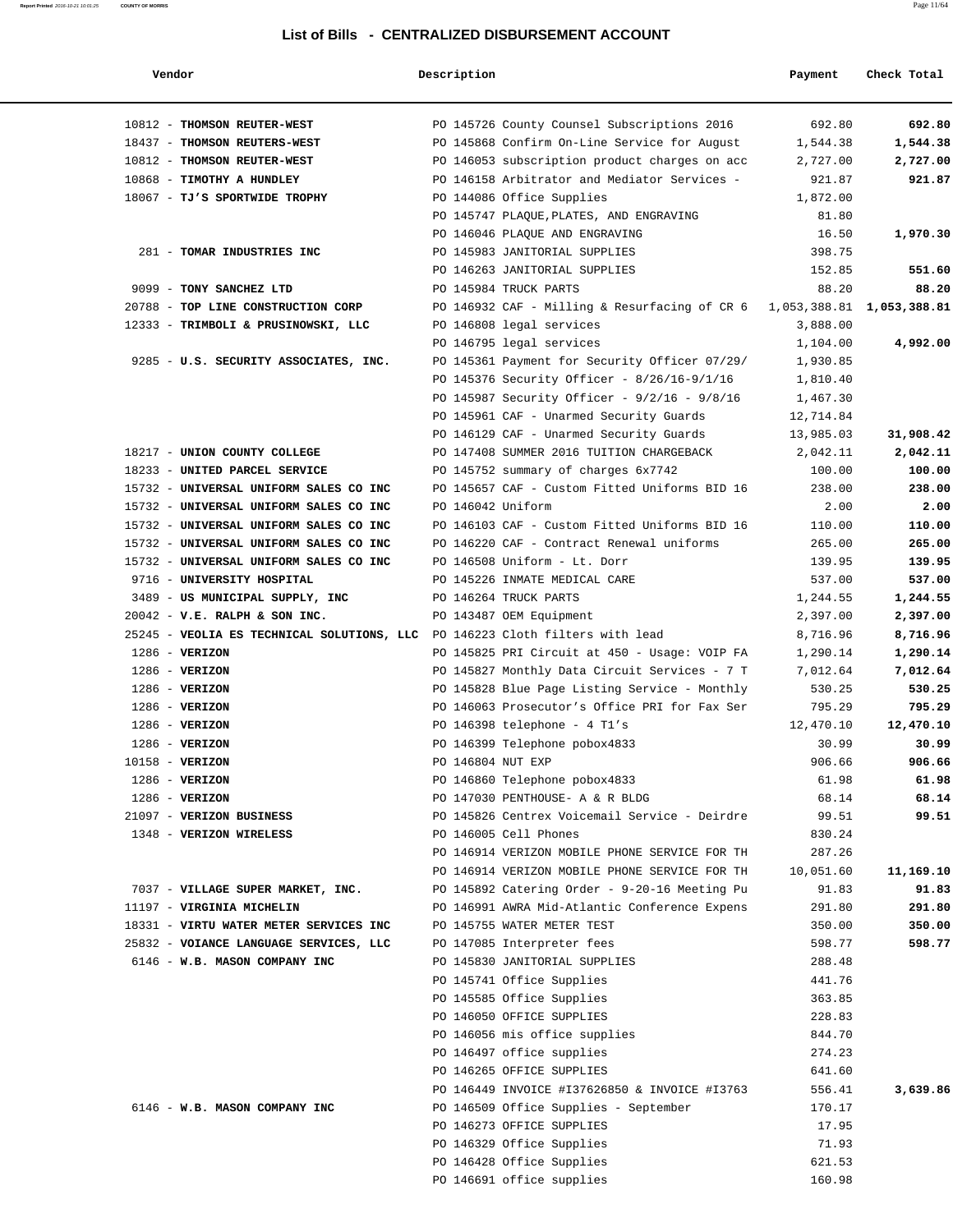| Report Printed 2016-10-21 10:01:25 | <b>COUNTY OF MORRIS</b> |                                                  | Page 11/64 |
|------------------------------------|-------------------------|--------------------------------------------------|------------|
|                                    |                         |                                                  |            |
|                                    |                         | List of Rills - CENTRALIZED DISRUPSEMENT ACCOUNT |            |

| Vendor                                                                       | Description       |                                                                            | Payment          | Check Total |
|------------------------------------------------------------------------------|-------------------|----------------------------------------------------------------------------|------------------|-------------|
| 10812 - THOMSON REUTER-WEST                                                  |                   | PO 145726 County Counsel Subscriptions 2016                                | 692.80           | 692.80      |
| 18437 - THOMSON REUTERS-WEST                                                 |                   | PO 145868 Confirm On-Line Service for August                               | 1,544.38         | 1,544.38    |
| 10812 - THOMSON REUTER-WEST                                                  |                   | PO 146053 subscription product charges on acc                              | 2,727.00         | 2,727.00    |
| 10868 - TIMOTHY A HUNDLEY                                                    |                   | PO 146158 Arbitrator and Mediator Services -                               | 921.87           | 921.87      |
| 18067 - TJ'S SPORTWIDE TROPHY                                                |                   | PO 144086 Office Supplies                                                  | 1,872.00         |             |
|                                                                              |                   | PO 145747 PLAQUE, PLATES, AND ENGRAVING                                    | 81.80            |             |
|                                                                              |                   | PO 146046 PLAQUE AND ENGRAVING                                             | 16.50            | 1,970.30    |
| 281 - TOMAR INDUSTRIES INC                                                   |                   | PO 145983 JANITORIAL SUPPLIES                                              | 398.75           |             |
|                                                                              |                   | PO 146263 JANITORIAL SUPPLIES                                              | 152.85           | 551.60      |
| 9099 - TONY SANCHEZ LTD                                                      |                   | PO 145984 TRUCK PARTS                                                      | 88.20            | 88.20       |
| 20788 - TOP LINE CONSTRUCTION CORP                                           |                   | PO 146932 CAF - Milling & Resurfacing of CR 6 1,053,388.81 1,053,388.81    |                  |             |
| 12333 - TRIMBOLI & PRUSINOWSKI, LLC                                          |                   | PO 146808 legal services                                                   | 3,888.00         |             |
|                                                                              |                   | PO 146795 legal services                                                   | 1,104.00         | 4,992.00    |
| 9285 - U.S. SECURITY ASSOCIATES, INC.                                        |                   | PO 145361 Payment for Security Officer 07/29/                              | 1,930.85         |             |
|                                                                              |                   | PO 145376 Security Officer - 8/26/16-9/1/16                                | 1,810.40         |             |
|                                                                              |                   | PO 145987 Security Officer - $9/2/16$ - $9/8/16$                           | 1,467.30         |             |
|                                                                              |                   | PO 145961 CAF - Unarmed Security Guards                                    | 12,714.84        |             |
|                                                                              |                   | PO 146129 CAF - Unarmed Security Guards                                    | 13,985.03        | 31,908.42   |
| 18217 - UNION COUNTY COLLEGE                                                 |                   | PO 147408 SUMMER 2016 TUITION CHARGEBACK                                   | 2,042.11         | 2,042.11    |
| 18233 - UNITED PARCEL SERVICE                                                |                   | PO 145752 summary of charges 6x7742                                        | 100.00           | 100.00      |
| 15732 - UNIVERSAL UNIFORM SALES CO INC                                       |                   | PO 145657 CAF - Custom Fitted Uniforms BID 16                              | 238.00           | 238.00      |
| 15732 - UNIVERSAL UNIFORM SALES CO INC                                       | PO 146042 Uniform |                                                                            | 2.00             | 2.00        |
| 15732 - UNIVERSAL UNIFORM SALES CO INC                                       |                   | PO 146103 CAF - Custom Fitted Uniforms BID 16                              | 110.00           | 110.00      |
| 15732 - UNIVERSAL UNIFORM SALES CO INC                                       |                   | PO 146220 CAF - Contract Renewal uniforms                                  | 265.00           | 265.00      |
| 15732 - UNIVERSAL UNIFORM SALES CO INC                                       |                   | PO 146508 Uniform - Lt. Dorr                                               | 139.95           | 139.95      |
| 9716 - UNIVERSITY HOSPITAL                                                   |                   | PO 145226 INMATE MEDICAL CARE                                              | 537.00           | 537.00      |
| 3489 - US MUNICIPAL SUPPLY, INC                                              |                   | PO 146264 TRUCK PARTS                                                      | 1,244.55         | 1,244.55    |
| $20042$ - V.E. RALPH & SON INC.                                              |                   | PO 143487 OEM Equipment                                                    | 2,397.00         | 2,397.00    |
| 25245 - VEOLIA ES TECHNICAL SOLUTIONS, LLC PO 146223 Cloth filters with lead |                   |                                                                            | 8,716.96         | 8,716.96    |
| $1286$ - VERIZON                                                             |                   | PO 145825 PRI Circuit at 450 - Usage: VOIP FA                              | 1,290.14         | 1,290.14    |
| $1286 - VERIZON$                                                             |                   | PO 145827 Monthly Data Circuit Services - 7 T                              | 7,012.64         | 7,012.64    |
| $1286$ - VERIZON                                                             |                   | PO 145828 Blue Page Listing Service - Monthly                              | 530.25           | 530.25      |
| $1286 - VERIZON$                                                             |                   | PO 146063 Prosecutor's Office PRI for Fax Ser                              | 795.29           | 795.29      |
| $1286 - VERIZON$                                                             |                   | PO 146398 telephone - 4 Tl's                                               | 12,470.10        | 12,470.10   |
| $1286$ - VERIZON                                                             |                   | PO 146399 Telephone pobox4833                                              | 30.99            | 30.99       |
| 10158 - VERIZON                                                              |                   | PO 146804 NUT EXP                                                          | 906.66           | 906.66      |
| $1286$ - VERIZON                                                             |                   | PO 146860 Telephone pobox4833                                              | 61.98            | 61.98       |
| $1286 - VERIZON$                                                             |                   | PO 147030 PENTHOUSE- A & R BLDG                                            | 68.14            | 68.14       |
| 21097 - VERIZON BUSINESS                                                     |                   | PO 145826 Centrex Voicemail Service - Deirdre                              | 99.51            | 99.51       |
| 1348 - VERIZON WIRELESS                                                      |                   | PO 146005 Cell Phones                                                      | 830.24           |             |
|                                                                              |                   | PO 146914 VERIZON MOBILE PHONE SERVICE FOR TH                              | 287.26           |             |
|                                                                              |                   | PO 146914 VERIZON MOBILE PHONE SERVICE FOR TH                              | 10,051.60        | 11,169.10   |
| 7037 - VILLAGE SUPER MARKET, INC.                                            |                   | PO 145892 Catering Order - 9-20-16 Meeting Pu                              | 91.83            | 91.83       |
| 11197 - VIRGINIA MICHELIN                                                    |                   | PO 146991 AWRA Mid-Atlantic Conference Expens                              | 291.80           | 291.80      |
| 18331 - VIRTU WATER METER SERVICES INC                                       |                   | PO 145755 WATER METER TEST                                                 | 350.00           | 350.00      |
| 25832 - VOIANCE LANGUAGE SERVICES, LLC                                       |                   | PO 147085 Interpreter fees                                                 | 598.77           | 598.77      |
| 6146 - W.B. MASON COMPANY INC                                                |                   | PO 145830 JANITORIAL SUPPLIES                                              | 288.48           |             |
|                                                                              |                   | PO 145741 Office Supplies                                                  | 441.76           |             |
|                                                                              |                   | PO 145585 Office Supplies                                                  | 363.85           |             |
|                                                                              |                   | PO 146050 OFFICE SUPPLIES                                                  | 228.83<br>844.70 |             |
|                                                                              |                   | PO 146056 mis office supplies<br>PO 146497 office supplies                 | 274.23           |             |
|                                                                              |                   |                                                                            |                  |             |
|                                                                              |                   | PO 146265 OFFICE SUPPLIES<br>PO 146449 INVOICE #I37626850 & INVOICE #I3763 | 641.60<br>556.41 | 3,639.86    |
| 6146 - W.B. MASON COMPANY INC                                                |                   | PO 146509 Office Supplies - September                                      | 170.17           |             |
|                                                                              |                   | PO 146273 OFFICE SUPPLIES                                                  |                  |             |
|                                                                              |                   | PO 146329 Office Supplies                                                  | 17.95<br>71.93   |             |
|                                                                              |                   | PO 146428 Office Supplies                                                  | 621.53           |             |
|                                                                              |                   | PO 146691 office supplies                                                  | 160.98           |             |
|                                                                              |                   |                                                                            |                  |             |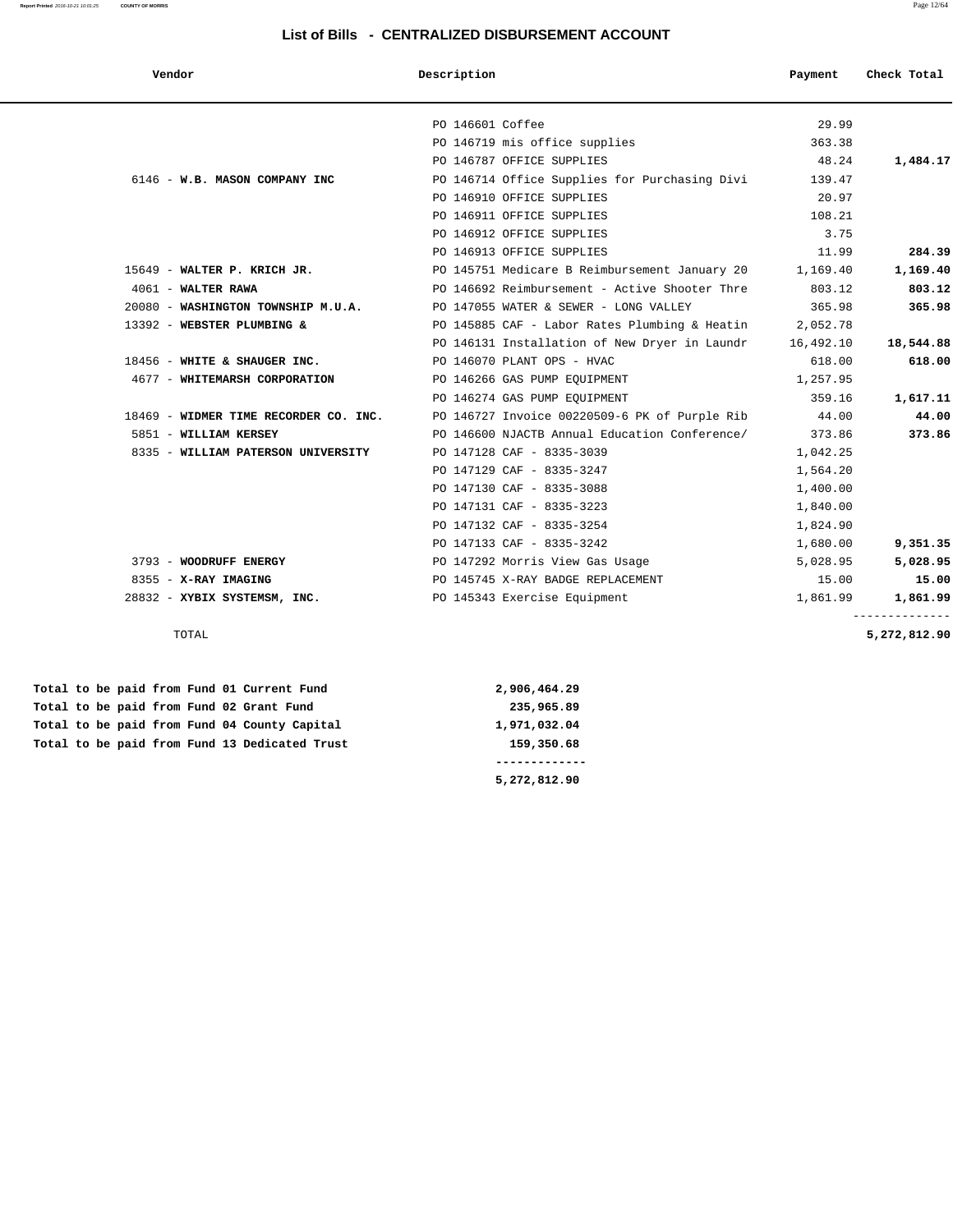| Vendor                                | Description                                   | Payment   | Check Total  |
|---------------------------------------|-----------------------------------------------|-----------|--------------|
|                                       |                                               |           |              |
|                                       | PO 146601 Coffee                              | 29.99     |              |
|                                       | PO 146719 mis office supplies                 | 363.38    |              |
|                                       | PO 146787 OFFICE SUPPLIES                     | 48.24     | 1,484.17     |
| 6146 - W.B. MASON COMPANY INC         | PO 146714 Office Supplies for Purchasing Divi | 139.47    |              |
|                                       | PO 146910 OFFICE SUPPLIES                     | 20.97     |              |
|                                       | PO 146911 OFFICE SUPPLIES                     | 108.21    |              |
|                                       | PO 146912 OFFICE SUPPLIES                     | 3.75      |              |
|                                       | PO 146913 OFFICE SUPPLIES                     | 11.99     | 284.39       |
| 15649 - WALTER P. KRICH JR.           | PO 145751 Medicare B Reimbursement January 20 | 1,169.40  | 1,169.40     |
| 4061 - WALTER RAWA                    | PO 146692 Reimbursement - Active Shooter Thre | 803.12    | 803.12       |
| 20080 - WASHINGTON TOWNSHIP M.U.A.    | PO 147055 WATER & SEWER - LONG VALLEY         | 365.98    | 365.98       |
| 13392 - WEBSTER PLUMBING &            | PO 145885 CAF - Labor Rates Plumbing & Heatin | 2,052.78  |              |
|                                       | PO 146131 Installation of New Dryer in Laundr | 16,492.10 | 18,544.88    |
| 18456 - WHITE & SHAUGER INC.          | PO 146070 PLANT OPS - HVAC                    | 618.00    | 618.00       |
| 4677 - WHITEMARSH CORPORATION         | PO 146266 GAS PUMP EQUIPMENT                  | 1,257.95  |              |
|                                       | PO 146274 GAS PUMP EOUIPMENT                  | 359.16    | 1,617.11     |
| 18469 - WIDMER TIME RECORDER CO. INC. | PO 146727 Invoice 00220509-6 PK of Purple Rib | 44.00     | 44.00        |
| 5851 - WILLIAM KERSEY                 | PO 146600 NJACTB Annual Education Conference/ | 373.86    | 373.86       |
| 8335 - WILLIAM PATERSON UNIVERSITY    | PO 147128 CAF - 8335-3039                     | 1,042.25  |              |
|                                       | PO 147129 CAF - 8335-3247                     | 1,564.20  |              |
|                                       | PO 147130 CAF - 8335-3088                     | 1,400.00  |              |
|                                       | PO 147131 CAF - 8335-3223                     | 1,840.00  |              |
|                                       | PO 147132 CAF - 8335-3254                     | 1,824.90  |              |
|                                       | PO 147133 CAF - 8335-3242                     | 1,680.00  | 9,351.35     |
| 3793 - WOODRUFF ENERGY                | PO 147292 Morris View Gas Usage               | 5,028.95  | 5,028.95     |
| 8355 - X-RAY IMAGING                  | PO 145745 X-RAY BADGE REPLACEMENT             | 15.00     | 15.00        |
| 28832 - XYBIX SYSTEMSM, INC.          | PO 145343 Exercise Equipment                  | 1,861.99  | 1,861.99     |
| TOTAL                                 |                                               |           | 5,272,812.90 |

 **Total to be paid from Fund 01 Current Fund 2,906,464.29 Total to be paid from Fund 02 Grant Fund 235,965.89** Total to be paid from Fund 04 County Capital 1,971,032.04  **Total to be paid from Fund 13 Dedicated Trust 159,350.68**

 **------------- 5,272,812.90**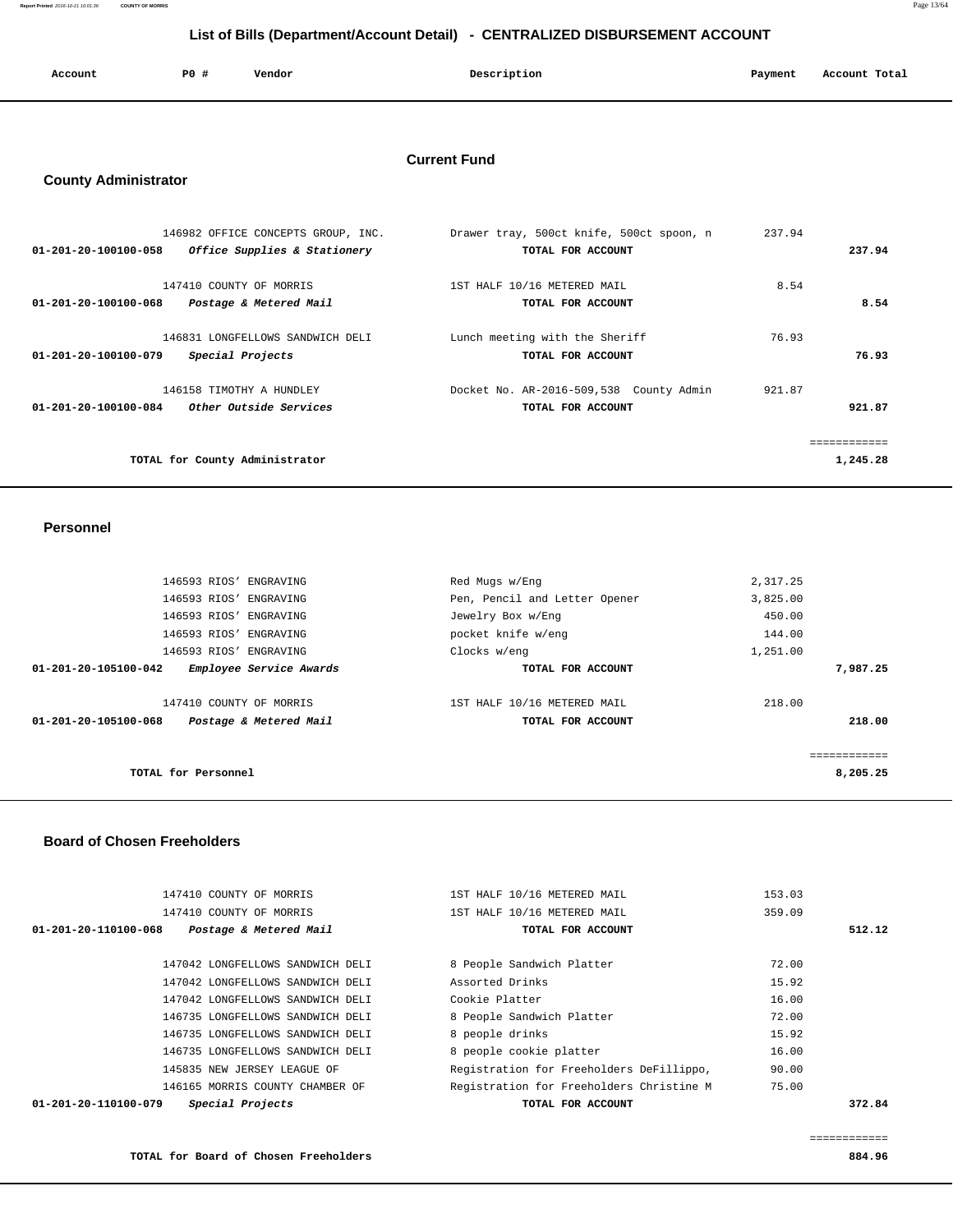**Report Printed** 2016-10-21 10:01:36 **COUNTY OF MORRIS** Page 13/64

# **List of Bills (Department/Account Detail) - CENTRALIZED DISBURSEMENT ACCOUNT**

| Account | P0 # | Vendor | Description | Payment | Account Total |
|---------|------|--------|-------------|---------|---------------|
|         |      |        |             |         |               |

# **Current Fund**

# **County Administrator**

| 01-201-20-100100-058 | 146982 OFFICE CONCEPTS GROUP, INC. | Drawer tray, 500ct knife, 500ct spoon, n | 237.94   |
|----------------------|------------------------------------|------------------------------------------|----------|
|                      | Office Supplies & Stationery       | TOTAL FOR ACCOUNT                        | 237.94   |
| 01-201-20-100100-068 | 147410 COUNTY OF MORRIS            | 1ST HALF 10/16 METERED MAIL              | 8.54     |
|                      | Postage & Metered Mail             | TOTAL FOR ACCOUNT                        | 8.54     |
| 01-201-20-100100-079 | 146831 LONGFELLOWS SANDWICH DELI   | Lunch meeting with the Sheriff           | 76.93    |
|                      | Special Projects                   | TOTAL FOR ACCOUNT                        | 76.93    |
| 01-201-20-100100-084 | 146158 TIMOTHY A HUNDLEY           | Docket No. AR-2016-509,538 County Admin  | 921.87   |
|                      | <i>Other Outside Services</i>      | TOTAL FOR ACCOUNT                        | 921.87   |
|                      | TOTAL for County Administrator     |                                          | 1,245.28 |

#### **Personnel**

|          | 2,317.25 | Red Mugs w/Eng                | 146593 RIOS' ENGRAVING  |                      |
|----------|----------|-------------------------------|-------------------------|----------------------|
|          | 3,825.00 | Pen, Pencil and Letter Opener | 146593 RIOS' ENGRAVING  |                      |
|          | 450.00   | Jewelry Box w/Eng             | 146593 RIOS' ENGRAVING  |                      |
|          | 144.00   | pocket knife w/eng            | 146593 RIOS' ENGRAVING  |                      |
|          | 1,251.00 | Clocks w/eng                  | 146593 RIOS' ENGRAVING  |                      |
| 7,987.25 |          | TOTAL FOR ACCOUNT             | Employee Service Awards | 01-201-20-105100-042 |
|          | 218.00   | 1ST HALF 10/16 METERED MAIL   | 147410 COUNTY OF MORRIS |                      |
| 218.00   |          | TOTAL FOR ACCOUNT             | Postage & Metered Mail  | 01-201-20-105100-068 |
|          |          |                               |                         |                      |
| 8,205.25 |          |                               | TOTAL for Personnel     |                      |

#### **Board of Chosen Freeholders**

| Special Projects<br>01-201-20-110100-079       | TOTAL FOR ACCOUNT                        |        | 372.84 |
|------------------------------------------------|------------------------------------------|--------|--------|
| 146165 MORRIS COUNTY CHAMBER OF                | Registration for Freeholders Christine M | 75.00  |        |
| 145835 NEW JERSEY LEAGUE OF                    | Registration for Freeholders DeFillippo, | 90.00  |        |
| 146735 LONGFELLOWS SANDWICH DELI               | 8 people cookie platter                  | 16.00  |        |
| 146735 LONGFELLOWS SANDWICH DELI               | 8 people drinks                          | 15.92  |        |
| 146735 LONGFELLOWS SANDWICH DELI               | 8 People Sandwich Platter                | 72.00  |        |
| 147042 LONGFELLOWS SANDWICH DELI               | Cookie Platter                           | 16.00  |        |
| 147042 LONGFELLOWS SANDWICH DELI               | Assorted Drinks                          | 15.92  |        |
| 147042 LONGFELLOWS SANDWICH DELI               | 8 People Sandwich Platter                | 72.00  |        |
| 01-201-20-110100-068<br>Postage & Metered Mail | TOTAL FOR ACCOUNT                        |        | 512.12 |
| 147410 COUNTY OF MORRIS                        | 1ST HALF 10/16 METERED MAIL              | 359.09 |        |
| 147410 COUNTY OF MORRIS                        | 1ST HALF 10/16 METERED MAIL              | 153.03 |        |
|                                                |                                          |        |        |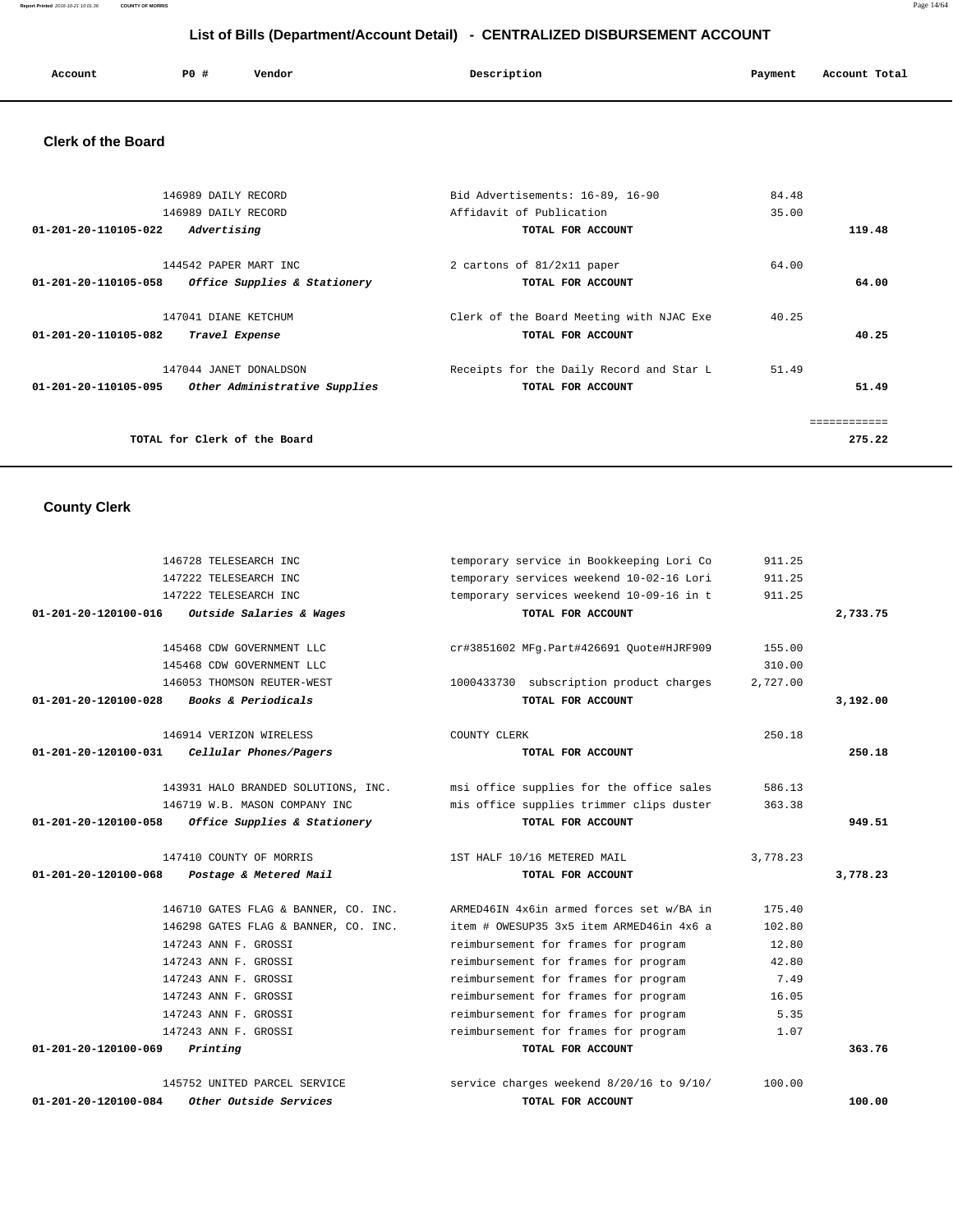**Report Printed** 2016-10-21 10:01:36 **COUNTY OF MORRIS** Page 14/64

# **List of Bills (Department/Account Detail) - CENTRALIZED DISBURSEMENT ACCOUNT**

|  | Account | P0 # | Vendor | Description | Payment | Account Total |
|--|---------|------|--------|-------------|---------|---------------|
|--|---------|------|--------|-------------|---------|---------------|

# **Clerk of the Board**

| 146989 DAILY RECORD                                   | Bid Advertisements: 16-89, 16-90         | 84.48 |        |
|-------------------------------------------------------|------------------------------------------|-------|--------|
| 146989 DAILY RECORD                                   | Affidavit of Publication                 | 35.00 |        |
| Advertising<br>01-201-20-110105-022                   | TOTAL FOR ACCOUNT                        |       | 119.48 |
| 144542 PAPER MART INC                                 | 2 cartons of 81/2x11 paper               | 64.00 |        |
| Office Supplies & Stationery<br>01-201-20-110105-058  | TOTAL FOR ACCOUNT                        |       | 64.00  |
| 147041 DIANE KETCHUM                                  | Clerk of the Board Meeting with NJAC Exe | 40.25 |        |
| Travel Expense<br>01-201-20-110105-082                | TOTAL FOR ACCOUNT                        |       | 40.25  |
| 147044 JANET DONALDSON                                | Receipts for the Daily Record and Star L | 51.49 |        |
| 01-201-20-110105-095<br>Other Administrative Supplies | TOTAL FOR ACCOUNT                        |       | 51.49  |
|                                                       |                                          |       |        |
| TOTAL for Clerk of the Board                          |                                          |       | 275.22 |
|                                                       |                                          |       |        |

# **County Clerk**

| 01-201-20-120100-084           | <i><b>Other Outside Services</b></i>                                 | TOTAL FOR ACCOUNT                                             |          | 100.00   |
|--------------------------------|----------------------------------------------------------------------|---------------------------------------------------------------|----------|----------|
|                                | 145752 UNITED PARCEL SERVICE                                         | service charges weekend 8/20/16 to 9/10/                      | 100.00   |          |
| 01-201-20-120100-069           | Printing                                                             | TOTAL FOR ACCOUNT                                             |          | 363.76   |
|                                | 147243 ANN F. GROSSI                                                 | reimbursement for frames for program                          | 1.07     |          |
|                                | 147243 ANN F. GROSSI                                                 | reimbursement for frames for program                          | 5.35     |          |
|                                | 147243 ANN F. GROSSI                                                 | reimbursement for frames for program                          | 16.05    |          |
|                                | 147243 ANN F. GROSSI                                                 | reimbursement for frames for program                          | 7.49     |          |
|                                | 147243 ANN F. GROSSI                                                 | reimbursement for frames for program                          | 42.80    |          |
|                                | 147243 ANN F. GROSSI                                                 | reimbursement for frames for program                          | 12.80    |          |
|                                | 146298 GATES FLAG & BANNER, CO. INC.                                 | item # OWESUP35 3x5 item ARMED46in 4x6 a                      | 102.80   |          |
|                                | 146710 GATES FLAG & BANNER, CO. INC.                                 | ARMED46IN 4x6in armed forces set w/BA in                      | 175.40   |          |
| 01-201-20-120100-068           | Postage & Metered Mail                                               | TOTAL FOR ACCOUNT                                             |          | 3,778.23 |
|                                | 147410 COUNTY OF MORRIS                                              | 1ST HALF 10/16 METERED MAIL                                   | 3,778.23 |          |
|                                |                                                                      |                                                               |          |          |
| $01 - 201 - 20 - 120100 - 058$ | Office Supplies & Stationery                                         | mis office supplies trimmer clips duster<br>TOTAL FOR ACCOUNT | 363.38   | 949.51   |
|                                | 143931 HALO BRANDED SOLUTIONS, INC.<br>146719 W.B. MASON COMPANY INC | msi office supplies for the office sales                      |          |          |
|                                |                                                                      |                                                               | 586.13   |          |
| $01 - 201 - 20 - 120100 - 031$ | Cellular Phones/Pagers                                               | TOTAL FOR ACCOUNT                                             |          | 250.18   |
|                                | 146914 VERIZON WIRELESS                                              | COUNTY CLERK                                                  | 250.18   |          |
| $01 - 201 - 20 - 120100 - 028$ | Books & Periodicals                                                  | TOTAL FOR ACCOUNT                                             |          | 3,192.00 |
|                                | 146053 THOMSON REUTER-WEST                                           | 1000433730 subscription product charges                       | 2,727.00 |          |
|                                | 145468 CDW GOVERNMENT LLC                                            |                                                               | 310.00   |          |
|                                | 145468 CDW GOVERNMENT LLC                                            | cr#3851602 MFg.Part#426691 Quote#HJRF909                      | 155.00   |          |
|                                |                                                                      |                                                               |          |          |
| 01-201-20-120100-016           | Outside Salaries & Wages                                             | TOTAL FOR ACCOUNT                                             |          | 2,733.75 |
|                                | 147222 TELESEARCH INC                                                | temporary services weekend 10-09-16 in t                      | 911.25   |          |
|                                | 147222 TELESEARCH INC                                                | temporary services weekend 10-02-16 Lori                      | 911.25   |          |
|                                | 146728 TELESEARCH INC                                                | temporary service in Bookkeeping Lori Co                      | 911.25   |          |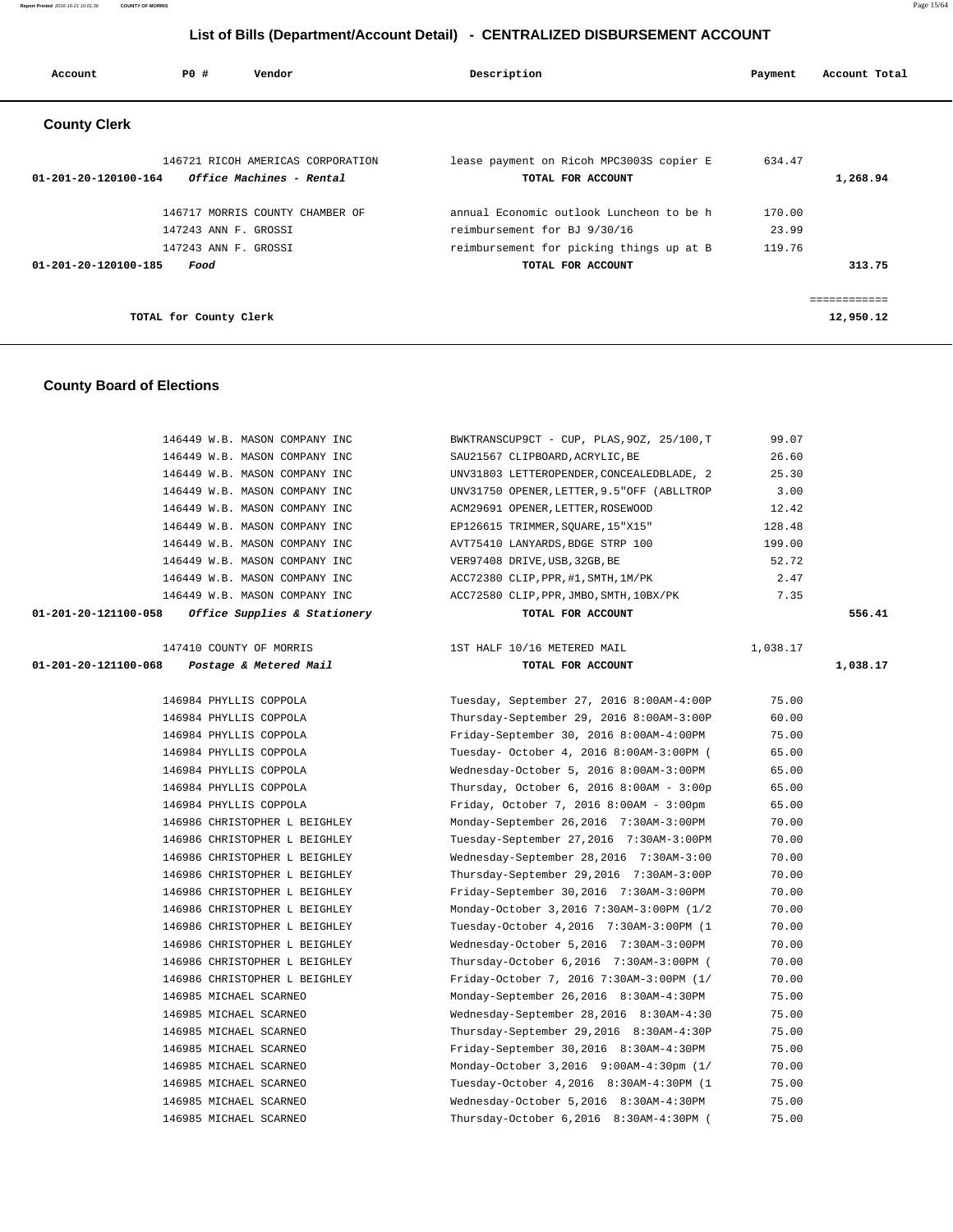| Account                        | PO#                    | Vendor                            | Description                              | Payment | Account Total |
|--------------------------------|------------------------|-----------------------------------|------------------------------------------|---------|---------------|
| <b>County Clerk</b>            |                        |                                   |                                          |         |               |
|                                |                        | 146721 RICOH AMERICAS CORPORATION | lease payment on Ricoh MPC3003S copier E | 634.47  |               |
| $01 - 201 - 20 - 120100 - 164$ |                        | Office Machines - Rental          | TOTAL FOR ACCOUNT                        |         | 1,268.94      |
|                                |                        | 146717 MORRIS COUNTY CHAMBER OF   | annual Economic outlook Luncheon to be h | 170.00  |               |
|                                | 147243 ANN F. GROSSI   |                                   | reimbursement for BJ 9/30/16             | 23.99   |               |
|                                | 147243 ANN F. GROSSI   |                                   | reimbursement for picking things up at B | 119.76  |               |
| $01 - 201 - 20 - 120100 - 185$ | Food                   |                                   | TOTAL FOR ACCOUNT                        |         | 313.75        |
|                                |                        |                                   |                                          |         |               |
|                                |                        |                                   |                                          |         | .             |
|                                | TOTAL for County Clerk |                                   |                                          |         | 12,950.12     |

# **County Board of Elections**

| 146449 W.B. MASON COMPANY INC                         | BWKTRANSCUP9CT - CUP, PLAS, 90Z, 25/100, T  | 99.07    |          |
|-------------------------------------------------------|---------------------------------------------|----------|----------|
| 146449 W.B. MASON COMPANY INC                         | SAU21567 CLIPBOARD, ACRYLIC, BE             | 26.60    |          |
| 146449 W.B. MASON COMPANY INC                         | UNV31803 LETTEROPENDER, CONCEALEDBLADE, 2   | 25.30    |          |
| 146449 W.B. MASON COMPANY INC                         | UNV31750 OPENER, LETTER, 9.5" OFF (ABLLTROP | 3.00     |          |
| 146449 W.B. MASON COMPANY INC                         | ACM29691 OPENER, LETTER, ROSEWOOD           | 12.42    |          |
| 146449 W.B. MASON COMPANY INC                         | EP126615 TRIMMER, SOUARE, 15"X15"           | 128.48   |          |
| 146449 W.B. MASON COMPANY INC                         | AVT75410 LANYARDS, BDGE STRP 100            | 199.00   |          |
| 146449 W.B. MASON COMPANY INC                         | VER97408 DRIVE, USB, 32GB, BE               | 52.72    |          |
| 146449 W.B. MASON COMPANY INC                         | ACC72380 CLIP, PPR, #1, SMTH, 1M/PK         | 2.47     |          |
| 146449 W.B. MASON COMPANY INC                         | ACC72580 CLIP, PPR, JMBO, SMTH, 10BX/PK     | 7.35     |          |
| 01-201-20-121100-058<br>Office Supplies & Stationery  | TOTAL FOR ACCOUNT                           |          | 556.41   |
| 147410 COUNTY OF MORRIS                               | 1ST HALF 10/16 METERED MAIL                 | 1,038.17 |          |
| $01 - 201 - 20 - 121100 - 068$ Postage & Metered Mail | TOTAL FOR ACCOUNT                           |          | 1,038.17 |
|                                                       |                                             |          |          |
| 146984 PHYLLIS COPPOLA                                | Tuesday, September 27, 2016 8:00AM-4:00P    | 75.00    |          |
| 146984 PHYLLIS COPPOLA                                | Thursday-September 29, 2016 8:00AM-3:00P    | 60.00    |          |
| 146984 PHYLLIS COPPOLA                                | Friday-September 30, 2016 8:00AM-4:00PM     | 75.00    |          |
| 146984 PHYLLIS COPPOLA                                | Tuesday- October 4, 2016 8:00AM-3:00PM (    | 65.00    |          |
| 146984 PHYLLIS COPPOLA                                | Wednesday-October 5, 2016 8:00AM-3:00PM     | 65.00    |          |
| 146984 PHYLLIS COPPOLA                                | Thursday, October 6, 2016 8:00AM - 3:00p    | 65.00    |          |
| 146984 PHYLLIS COPPOLA                                | Friday, October 7, 2016 8:00AM - 3:00pm     | 65.00    |          |
| 146986 CHRISTOPHER L BEIGHLEY                         | Monday-September 26,2016 7:30AM-3:00PM      | 70.00    |          |
| 146986 CHRISTOPHER L BEIGHLEY                         | Tuesday-September 27,2016 7:30AM-3:00PM     | 70.00    |          |
| 146986 CHRISTOPHER L BEIGHLEY                         | Wednesday-September 28,2016 7:30AM-3:00     | 70.00    |          |
| 146986 CHRISTOPHER L BEIGHLEY                         | Thursday-September 29,2016 7:30AM-3:00P     | 70.00    |          |
| 146986 CHRISTOPHER L BEIGHLEY                         | Friday-September 30,2016 7:30AM-3:00PM      | 70.00    |          |
| 146986 CHRISTOPHER L BEIGHLEY                         | Monday-October 3,2016 7:30AM-3:00PM (1/2    | 70.00    |          |
| 146986 CHRISTOPHER L BEIGHLEY                         | Tuesday-October 4, 2016 7:30AM-3:00PM (1    | 70.00    |          |
| 146986 CHRISTOPHER L BEIGHLEY                         | Wednesday-October 5,2016 7:30AM-3:00PM      | 70.00    |          |
| 146986 CHRISTOPHER L BEIGHLEY                         | Thursday-October 6,2016 7:30AM-3:00PM (     | 70.00    |          |
| 146986 CHRISTOPHER L BEIGHLEY                         | Friday-October 7, 2016 7:30AM-3:00PM (1/    | 70.00    |          |
| 146985 MICHAEL SCARNEO                                | Monday-September 26,2016 8:30AM-4:30PM      | 75.00    |          |
| 146985 MICHAEL SCARNEO                                | Wednesday-September 28,2016 8:30AM-4:30     | 75.00    |          |
| 146985 MICHAEL SCARNEO                                | Thursday-September 29,2016 8:30AM-4:30P     | 75.00    |          |
| 146985 MICHAEL SCARNEO                                | Friday-September 30,2016 8:30AM-4:30PM      | 75.00    |          |
| 146985 MICHAEL SCARNEO                                | Monday-October 3,2016 9:00AM-4:30pm (1/     | 70.00    |          |
| 146985 MICHAEL SCARNEO                                | Tuesday-October 4, 2016 8:30AM-4:30PM (1    | 75.00    |          |
| 146985 MICHAEL SCARNEO                                | Wednesday-October 5,2016 8:30AM-4:30PM      | 75.00    |          |
| 146985 MICHAEL SCARNEO                                | Thursday-October 6,2016 8:30AM-4:30PM (     | 75.00    |          |
|                                                       |                                             |          |          |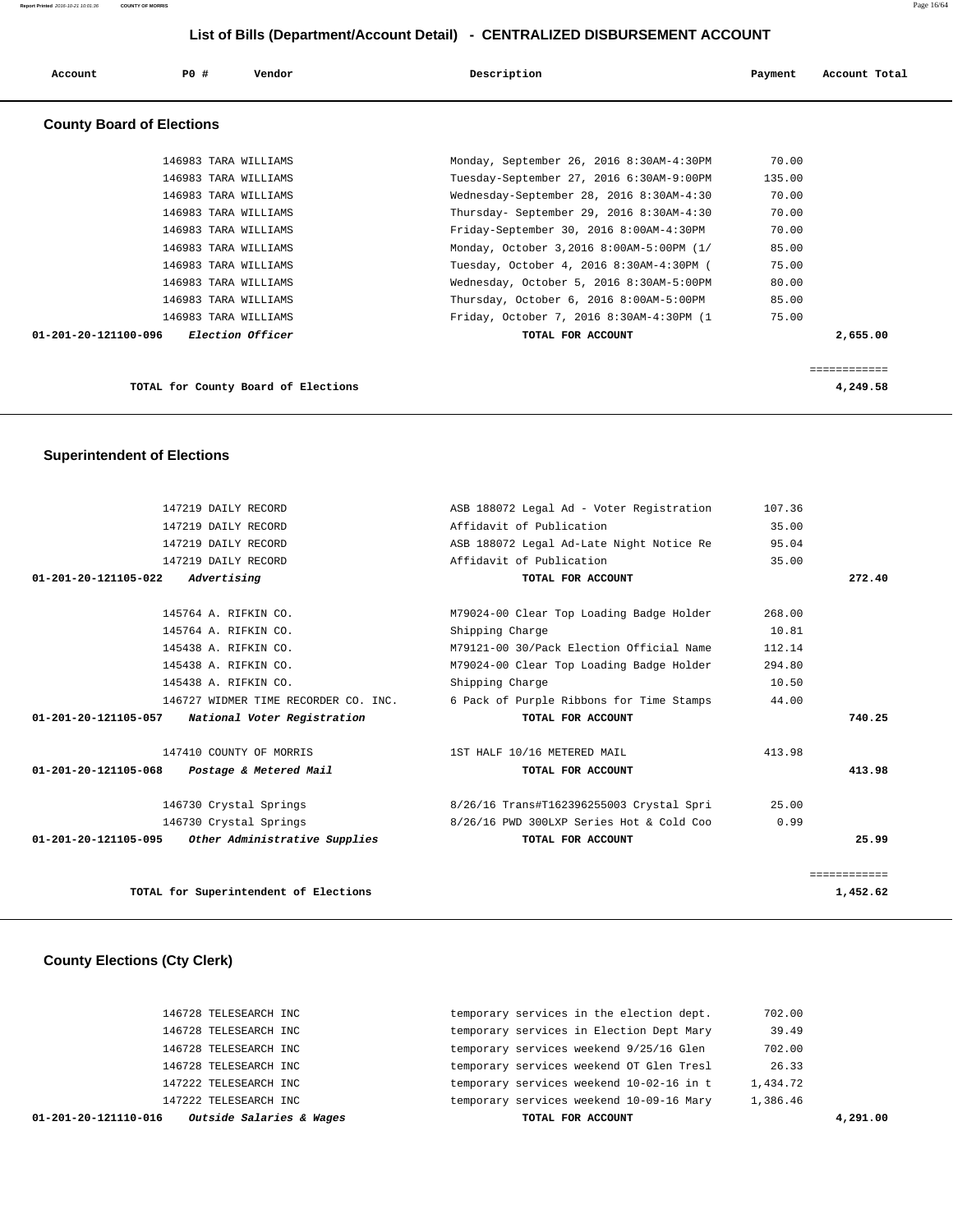| Account                          | PO#                  | Vendor                  | Description                              | Payment | Account Total |
|----------------------------------|----------------------|-------------------------|------------------------------------------|---------|---------------|
| <b>County Board of Elections</b> |                      |                         |                                          |         |               |
|                                  | 146983 TARA WILLIAMS |                         | Monday, September 26, 2016 8:30AM-4:30PM | 70.00   |               |
|                                  | 146983 TARA WILLIAMS |                         | Tuesday-September 27, 2016 6:30AM-9:00PM | 135.00  |               |
|                                  | 146983 TARA WILLIAMS |                         | Wednesday-September 28, 2016 8:30AM-4:30 | 70.00   |               |
|                                  | 146983 TARA WILLIAMS |                         | Thursday- September 29, 2016 8:30AM-4:30 | 70.00   |               |
|                                  | 146983 TARA WILLIAMS |                         | Friday-September 30, 2016 8:00AM-4:30PM  | 70.00   |               |
|                                  | 146983 TARA WILLIAMS |                         | Monday, October 3,2016 8:00AM-5:00PM (1/ | 85.00   |               |
|                                  | 146983 TARA WILLIAMS |                         | Tuesday, October 4, 2016 8:30AM-4:30PM ( | 75.00   |               |
|                                  | 146983 TARA WILLIAMS |                         | Wednesday, October 5, 2016 8:30AM-5:00PM | 80.00   |               |
|                                  | 146983 TARA WILLIAMS |                         | Thursday, October 6, 2016 8:00AM-5:00PM  | 85.00   |               |
|                                  | 146983 TARA WILLIAMS |                         | Friday, October 7, 2016 8:30AM-4:30PM (1 | 75.00   |               |
| 01-201-20-121100-096             |                      | <i>Election Officer</i> | TOTAL FOR ACCOUNT                        |         | 2,655.00      |
|                                  |                      |                         |                                          |         | ============  |

**TOTAL for County Board of Elections 4,249.58**

 **Superintendent of Elections**

|              | 107.36 | ASB 188072 Legal Ad - Voter Registration | 147219 DAILY RECORD                         |                      |
|--------------|--------|------------------------------------------|---------------------------------------------|----------------------|
|              | 35.00  | Affidavit of Publication                 | 147219 DAILY RECORD                         |                      |
|              | 95.04  | ASB 188072 Legal Ad-Late Night Notice Re | 147219 DAILY RECORD                         |                      |
|              | 35.00  | Affidavit of Publication                 | 147219 DAILY RECORD                         |                      |
| 272.40       |        | TOTAL FOR ACCOUNT                        | Advertising                                 | 01-201-20-121105-022 |
|              | 268.00 | M79024-00 Clear Top Loading Badge Holder | 145764 A. RIFKIN CO.                        |                      |
|              | 10.81  | Shipping Charge                          | 145764 A. RIFKIN CO.                        |                      |
|              | 112.14 | M79121-00 30/Pack Election Official Name | 145438 A. RIFKIN CO.                        |                      |
|              | 294.80 | M79024-00 Clear Top Loading Badge Holder | 145438 A. RIFKIN CO.                        |                      |
|              | 10.50  | Shipping Charge                          | 145438 A. RIFKIN CO.                        |                      |
|              | 44.00  | 6 Pack of Purple Ribbons for Time Stamps | 146727 WIDMER TIME RECORDER CO. INC.        |                      |
| 740.25       |        | TOTAL FOR ACCOUNT                        | National Voter Registration                 | 01-201-20-121105-057 |
|              | 413.98 | 1ST HALF 10/16 METERED MAIL              | 147410 COUNTY OF MORRIS                     |                      |
| 413.98       |        | TOTAL FOR ACCOUNT                        | 01-201-20-121105-068 Postage & Metered Mail |                      |
|              | 25.00  | 8/26/16 Trans#T162396255003 Crystal Spri | 146730 Crystal Springs                      |                      |
|              | 0.99   | 8/26/16 PWD 300LXP Series Hot & Cold Coo | 146730 Crystal Springs                      |                      |
| 25.99        |        | TOTAL FOR ACCOUNT                        | Other Administrative Supplies               | 01-201-20-121105-095 |
| ============ |        |                                          |                                             |                      |
| 1,452.62     |        |                                          | TOTAL for Superintendent of Elections       |                      |

# **County Elections (Cty Clerk)**

| 1,386.46 |
|----------|
|          |
| 1,434.72 |
| 26.33    |
| 702.00   |
| 39.49    |
| 702.00   |
|          |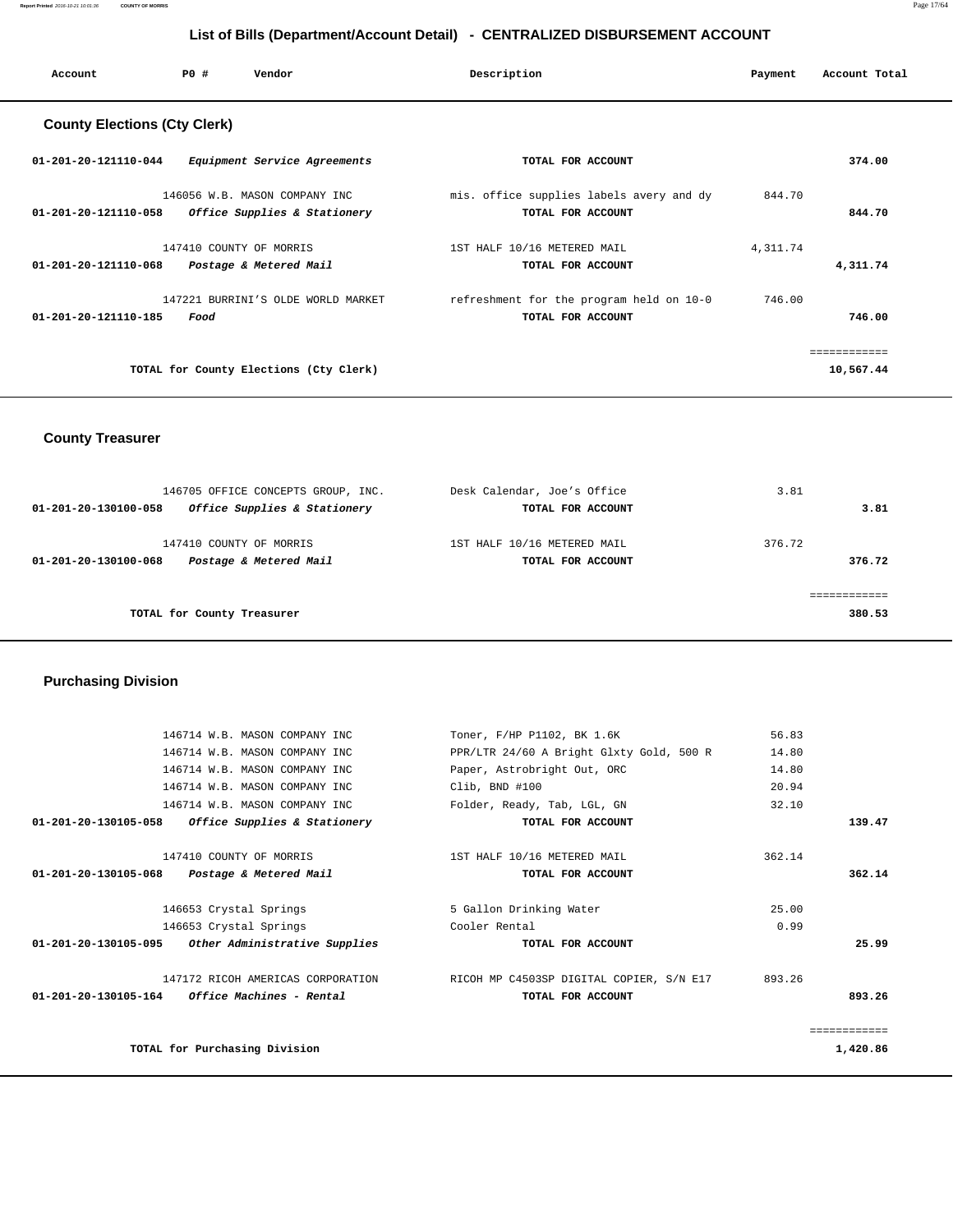**Report Printed** 2016-10-21 10:01:36 **COUNTY OF MORRIS** Page 17/64

# **List of Bills (Department/Account Detail) - CENTRALIZED DISBURSEMENT ACCOUNT**

| Account                             | PO#  | Vendor                                                        | Description                                                   | Payment  | Account Total             |
|-------------------------------------|------|---------------------------------------------------------------|---------------------------------------------------------------|----------|---------------------------|
| <b>County Elections (Cty Clerk)</b> |      |                                                               |                                                               |          |                           |
| 01-201-20-121110-044                |      | Equipment Service Agreements                                  | TOTAL FOR ACCOUNT                                             |          | 374.00                    |
| 01-201-20-121110-058                |      | 146056 W.B. MASON COMPANY INC<br>Office Supplies & Stationery | mis. office supplies labels avery and dy<br>TOTAL FOR ACCOUNT | 844.70   | 844.70                    |
| 01-201-20-121110-068                |      | 147410 COUNTY OF MORRIS<br>Postage & Metered Mail             | 1ST HALF 10/16 METERED MAIL<br>TOTAL FOR ACCOUNT              | 4,311.74 | 4,311.74                  |
| $01 - 201 - 20 - 121110 - 185$      | Food | 147221 BURRINI'S OLDE WORLD MARKET                            | refreshment for the program held on 10-0<br>TOTAL FOR ACCOUNT | 746.00   | 746.00                    |
|                                     |      | TOTAL for County Elections (Cty Clerk)                        |                                                               |          | ------------<br>10,567.44 |

# **County Treasurer**

| 146705 OFFICE CONCEPTS GROUP, INC.                   | Desk Calendar, Joe's Office | 3.81   |
|------------------------------------------------------|-----------------------------|--------|
| Office Supplies & Stationery<br>01-201-20-130100-058 | TOTAL FOR ACCOUNT           | 3.81   |
|                                                      |                             |        |
| 147410 COUNTY OF MORRIS                              | 1ST HALF 10/16 METERED MAIL | 376.72 |
| Postage & Metered Mail<br>01-201-20-130100-068       | TOTAL FOR ACCOUNT           | 376.72 |
|                                                      |                             |        |
|                                                      |                             |        |
| TOTAL for County Treasurer                           |                             | 380.53 |

# **Purchasing Division**

|                      | 146714 W.B. MASON COMPANY INC                      | Toner, F/HP P1102, BK 1.6K               | 56.83  |          |
|----------------------|----------------------------------------------------|------------------------------------------|--------|----------|
|                      | 146714 W.B. MASON COMPANY INC                      | PPR/LTR 24/60 A Bright Glxty Gold, 500 R | 14.80  |          |
|                      | 146714 W.B. MASON COMPANY INC                      | Paper, Astrobright Out, ORC              | 14.80  |          |
|                      | 146714 W.B. MASON COMPANY INC                      | Clib, BND #100                           | 20.94  |          |
|                      | 146714 W.B. MASON COMPANY INC                      | Folder, Ready, Tab, LGL, GN              | 32.10  |          |
| 01-201-20-130105-058 | Office Supplies & Stationery                       | TOTAL FOR ACCOUNT                        |        | 139.47   |
|                      | 147410 COUNTY OF MORRIS                            | 1ST HALF 10/16 METERED MAIL              | 362.14 |          |
|                      | 01-201-20-130105-068 Postage & Metered Mail        | TOTAL FOR ACCOUNT                        |        | 362.14   |
|                      | 146653 Crystal Springs                             | 5 Gallon Drinking Water                  | 25.00  |          |
|                      | 146653 Crystal Springs                             | Cooler Rental                            | 0.99   |          |
|                      | 01-201-20-130105-095 Other Administrative Supplies | TOTAL FOR ACCOUNT                        |        | 25.99    |
|                      | 147172 RICOH AMERICAS CORPORATION                  | RICOH MP C4503SP DIGITAL COPIER, S/N E17 | 893.26 |          |
|                      | $01-201-20-130105-164$ Office Machines - Rental    | TOTAL FOR ACCOUNT                        |        | 893.26   |
|                      |                                                    |                                          |        |          |
|                      | TOTAL for Purchasing Division                      |                                          |        | 1,420.86 |
|                      |                                                    |                                          |        |          |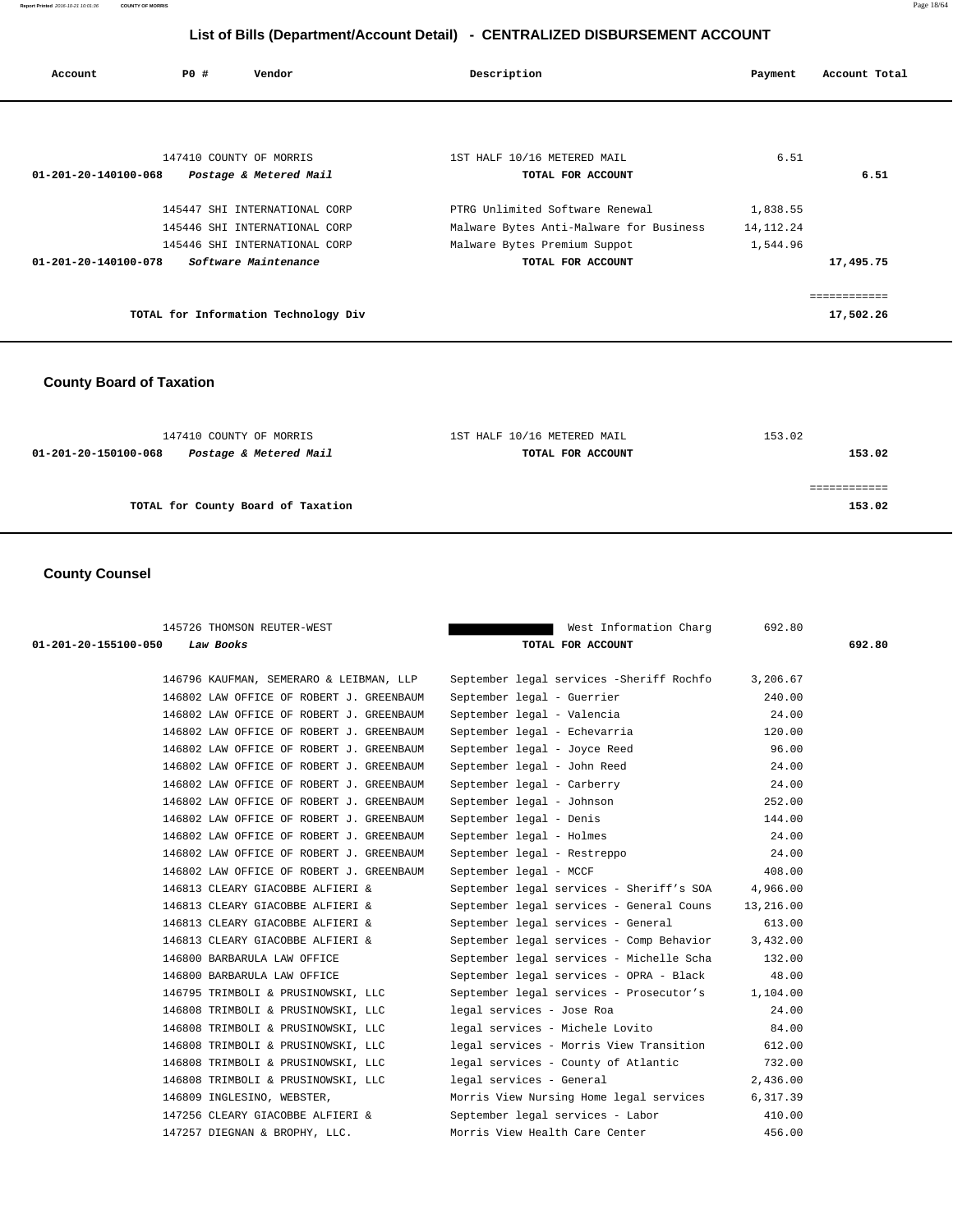| Account                        | PO# | Vendor                               | Description                             | Payment     | Account Total |
|--------------------------------|-----|--------------------------------------|-----------------------------------------|-------------|---------------|
|                                |     |                                      |                                         |             |               |
|                                |     |                                      |                                         |             |               |
|                                |     | 147410 COUNTY OF MORRIS              | 1ST HALF 10/16 METERED MAIL             | 6.51        |               |
| $01 - 201 - 20 - 140100 - 068$ |     | Postage & Metered Mail               | TOTAL FOR ACCOUNT                       |             | 6.51          |
|                                |     | 145447 SHI INTERNATIONAL CORP        | PTRG Unlimited Software Renewal         | 1,838.55    |               |
|                                |     | 145446 SHI INTERNATIONAL CORP        | Malware Bytes Anti-Malware for Business | 14, 112. 24 |               |
|                                |     | 145446 SHI INTERNATIONAL CORP        | Malware Bytes Premium Suppot            | 1,544.96    |               |
| 01-201-20-140100-078           |     | Software Maintenance                 | TOTAL FOR ACCOUNT                       |             | 17,495.75     |
|                                |     |                                      |                                         |             | ============  |
|                                |     | TOTAL for Information Technology Div |                                         |             | 17,502.26     |
|                                |     |                                      |                                         |             |               |

# **County Board of Taxation**

| 147410 COUNTY OF MORRIS                        | 1ST HALF 10/16 METERED MAIL | 153.02 |
|------------------------------------------------|-----------------------------|--------|
| Postage & Metered Mail<br>01-201-20-150100-068 | TOTAL FOR ACCOUNT           | 153.02 |
|                                                |                             |        |
|                                                |                             |        |
| TOTAL for County Board of Taxation             |                             | 153.02 |
|                                                |                             |        |

# **County Counsel**

| 145726 THOMSON REUTER-WEST               | West Information Charg                   | 692.80    |        |
|------------------------------------------|------------------------------------------|-----------|--------|
| 01-201-20-155100-050<br>Law Books        | TOTAL FOR ACCOUNT                        |           | 692.80 |
| 146796 KAUFMAN, SEMERARO & LEIBMAN, LLP  | September legal services -Sheriff Rochfo | 3,206.67  |        |
| 146802 LAW OFFICE OF ROBERT J. GREENBAUM | September legal - Guerrier               | 240.00    |        |
| 146802 LAW OFFICE OF ROBERT J. GREENBAUM | September legal - Valencia               | 24.00     |        |
| 146802 LAW OFFICE OF ROBERT J. GREENBAUM | September legal - Echevarria             | 120.00    |        |
| 146802 LAW OFFICE OF ROBERT J. GREENBAUM | September legal - Joyce Reed             | 96.00     |        |
| 146802 LAW OFFICE OF ROBERT J. GREENBAUM | September legal - John Reed              | 24.00     |        |
| 146802 LAW OFFICE OF ROBERT J. GREENBAUM | September legal - Carberry               | 24.00     |        |
| 146802 LAW OFFICE OF ROBERT J. GREENBAUM | September legal - Johnson                | 252.00    |        |
| 146802 LAW OFFICE OF ROBERT J. GREENBAUM | September legal - Denis                  | 144.00    |        |
| 146802 LAW OFFICE OF ROBERT J. GREENBAUM | September legal - Holmes                 | 24.00     |        |
| 146802 LAW OFFICE OF ROBERT J. GREENBAUM | September legal - Restreppo              | 24.00     |        |
| 146802 LAW OFFICE OF ROBERT J. GREENBAUM | September legal - MCCF                   | 408.00    |        |
| 146813 CLEARY GIACOBBE ALFIERI &         | September legal services - Sheriff's SOA | 4,966.00  |        |
| 146813 CLEARY GIACOBBE ALFIERI &         | September legal services - General Couns | 13,216.00 |        |
| 146813 CLEARY GIACOBBE ALFIERI &         | September legal services - General       | 613.00    |        |
| 146813 CLEARY GIACOBBE ALFIERI &         | September legal services - Comp Behavior | 3,432.00  |        |
| 146800 BARBARULA LAW OFFICE              | September legal services - Michelle Scha | 132.00    |        |
| 146800 BARBARULA LAW OFFICE              | September legal services - OPRA - Black  | 48.00     |        |
| 146795 TRIMBOLI & PRUSINOWSKI, LLC       | September legal services - Prosecutor's  | 1,104.00  |        |
| 146808 TRIMBOLI & PRUSINOWSKI, LLC       | legal services - Jose Roa                | 24.00     |        |
| 146808 TRIMBOLI & PRUSINOWSKI, LLC       | legal services - Michele Lovito          | 84.00     |        |
| 146808 TRIMBOLI & PRUSINOWSKI, LLC       | legal services - Morris View Transition  | 612.00    |        |
| 146808 TRIMBOLI & PRUSINOWSKI, LLC       | legal services - County of Atlantic      | 732.00    |        |
| 146808 TRIMBOLI & PRUSINOWSKI, LLC       | legal services - General                 | 2,436.00  |        |
| 146809 INGLESINO, WEBSTER,               | Morris View Nursing Home legal services  | 6,317.39  |        |
| 147256 CLEARY GIACOBBE ALFIERI &         | September legal services - Labor         | 410.00    |        |
| 147257 DIEGNAN & BROPHY, LLC.            | Morris View Health Care Center           | 456.00    |        |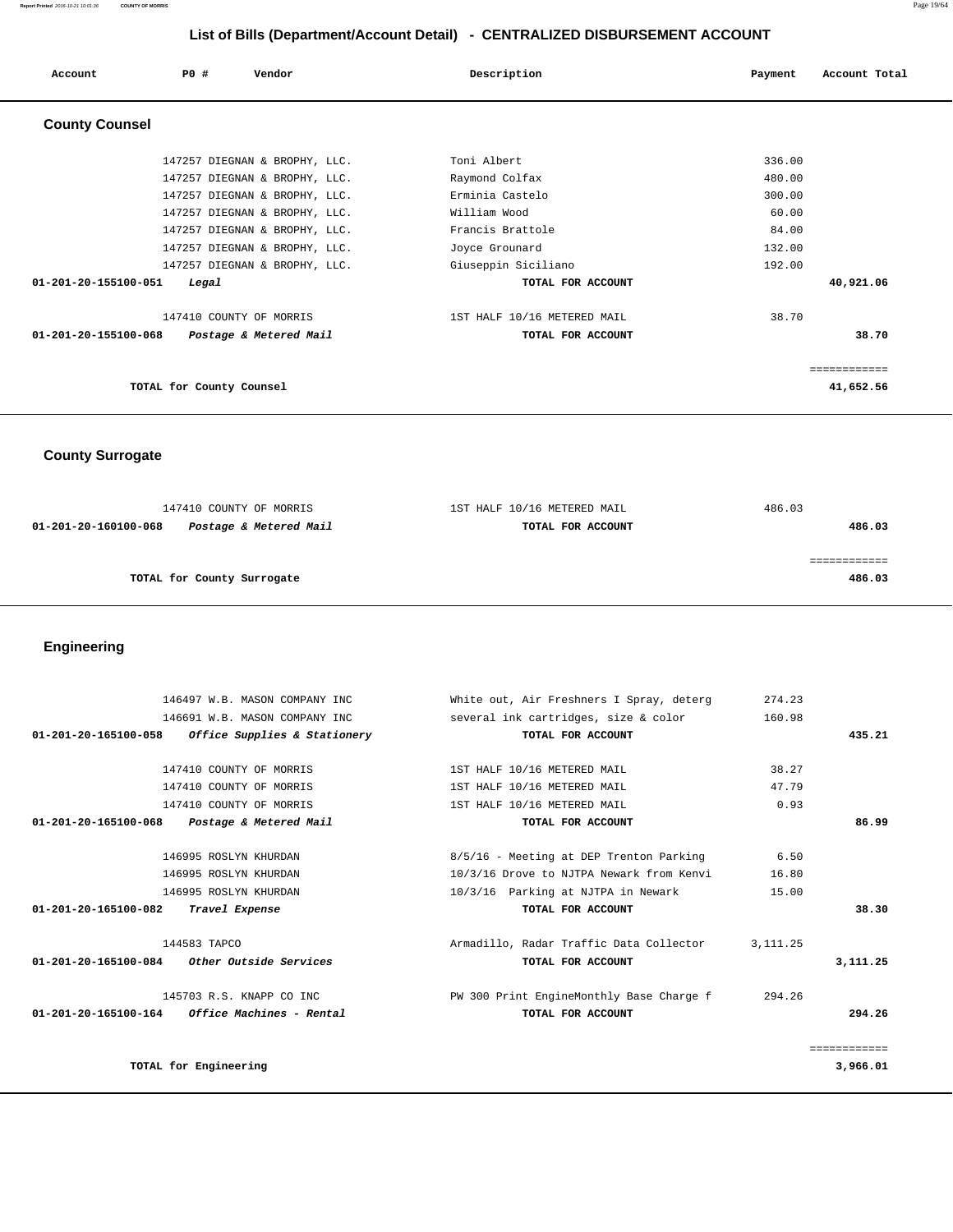**Report Printed** 2016-10-21 10:01:36 **COUNTY OF MORRIS** Page 19/64

# **List of Bills (Department/Account Detail) - CENTRALIZED DISBURSEMENT ACCOUNT**

| Account                        | PO#                      | Vendor                        | Description                 | Account Total<br>Payment |
|--------------------------------|--------------------------|-------------------------------|-----------------------------|--------------------------|
| <b>County Counsel</b>          |                          |                               |                             |                          |
|                                |                          | 147257 DIEGNAN & BROPHY, LLC. | Toni Albert                 | 336.00                   |
|                                |                          | 147257 DIEGNAN & BROPHY, LLC. | Raymond Colfax              | 480.00                   |
|                                |                          | 147257 DIEGNAN & BROPHY, LLC. | Erminia Castelo             | 300.00                   |
|                                |                          | 147257 DIEGNAN & BROPHY, LLC. | William Wood                | 60.00                    |
|                                |                          | 147257 DIEGNAN & BROPHY, LLC. | Francis Brattole            | 84.00                    |
|                                |                          | 147257 DIEGNAN & BROPHY, LLC. | Joyce Grounard              | 132.00                   |
|                                |                          | 147257 DIEGNAN & BROPHY, LLC. | Giuseppin Siciliano         | 192.00                   |
| $01 - 201 - 20 - 155100 - 051$ | Legal                    |                               | TOTAL FOR ACCOUNT           | 40,921.06                |
|                                |                          | 147410 COUNTY OF MORRIS       | 1ST HALF 10/16 METERED MAIL | 38.70                    |
| $01 - 201 - 20 - 155100 - 068$ |                          | Postage & Metered Mail        | TOTAL FOR ACCOUNT           | 38.70                    |
|                                |                          |                               |                             | ============             |
|                                | TOTAL for County Counsel |                               |                             | 41,652.56                |

 **County Surrogate** 

| 147410 COUNTY OF MORRIS                        | 1ST HALF 10/16 METERED MAIL | 486.03 |
|------------------------------------------------|-----------------------------|--------|
| Postage & Metered Mail<br>01-201-20-160100-068 | TOTAL FOR ACCOUNT           | 486.03 |
|                                                |                             |        |
|                                                |                             |        |
| TOTAL for County Surrogate                     |                             | 486.03 |
|                                                |                             |        |

 **Engineering** 

|              | 274.23    | White out, Air Freshners I Spray, deterg | 146497 W.B. MASON COMPANY INC                         |  |
|--------------|-----------|------------------------------------------|-------------------------------------------------------|--|
|              | 160.98    | several ink cartridges, size & color     | 146691 W.B. MASON COMPANY INC                         |  |
| 435.21       |           | TOTAL FOR ACCOUNT                        | Office Supplies & Stationery<br>01-201-20-165100-058  |  |
|              |           |                                          |                                                       |  |
|              | 38.27     | 1ST HALF 10/16 METERED MAIL              | 147410 COUNTY OF MORRIS                               |  |
|              | 47.79     | 1ST HALF 10/16 METERED MAIL              | 147410 COUNTY OF MORRIS                               |  |
|              | 0.93      | 1ST HALF 10/16 METERED MAIL              | 147410 COUNTY OF MORRIS                               |  |
| 86.99        |           | TOTAL FOR ACCOUNT                        | 01-201-20-165100-068<br>Postage & Metered Mail        |  |
|              |           |                                          |                                                       |  |
|              | 6.50      | 8/5/16 - Meeting at DEP Trenton Parking  | 146995 ROSLYN KHURDAN                                 |  |
|              | 16.80     | 10/3/16 Drove to NJTPA Newark from Kenvi | 146995 ROSLYN KHURDAN                                 |  |
|              | 15.00     | 10/3/16 Parking at NJTPA in Newark       | 146995 ROSLYN KHURDAN                                 |  |
| 38.30        |           | TOTAL FOR ACCOUNT                        | 01-201-20-165100-082<br>Travel Expense                |  |
|              | 3, 111.25 | Armadillo, Radar Traffic Data Collector  | 144583 TAPCO                                          |  |
| 3,111.25     |           | TOTAL FOR ACCOUNT                        | <i>Other Outside Services</i><br>01-201-20-165100-084 |  |
|              | 294.26    | PW 300 Print EngineMonthly Base Charge f | 145703 R.S. KNAPP CO INC                              |  |
| 294.26       |           | TOTAL FOR ACCOUNT                        | $01-201-20-165100-164$ Office Machines - Rental       |  |
| ============ |           |                                          |                                                       |  |
| 3,966.01     |           |                                          | TOTAL for Engineering                                 |  |
|              |           |                                          |                                                       |  |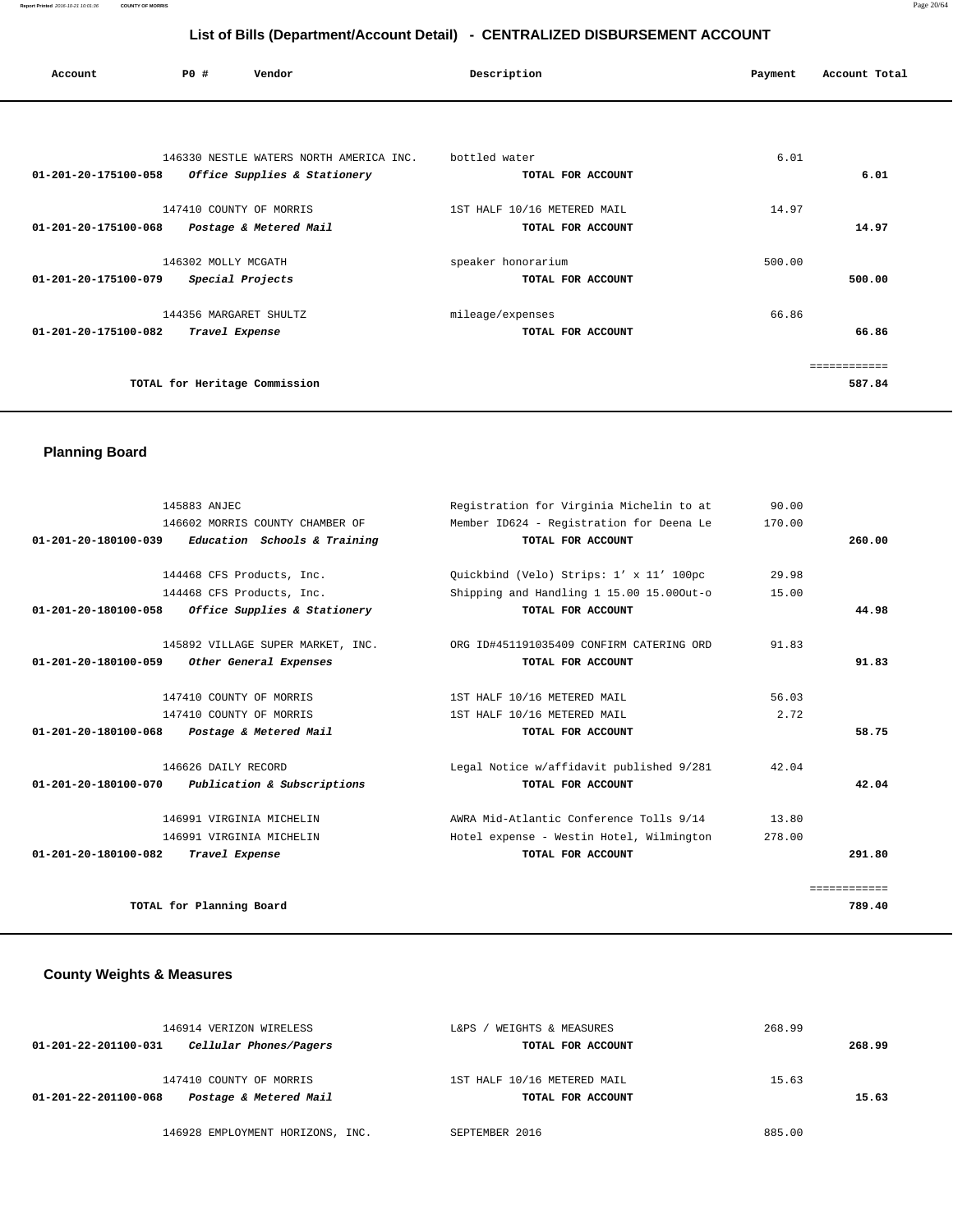| Account                        | PO#                    | Vendor                                  | Description                 | Payment | Account Total |
|--------------------------------|------------------------|-----------------------------------------|-----------------------------|---------|---------------|
|                                |                        |                                         |                             |         |               |
|                                |                        | 146330 NESTLE WATERS NORTH AMERICA INC. | bottled water               | 6.01    |               |
| $01 - 201 - 20 - 175100 - 058$ |                        | Office Supplies & Stationery            | TOTAL FOR ACCOUNT           |         | 6.01          |
|                                |                        | 147410 COUNTY OF MORRIS                 | 1ST HALF 10/16 METERED MAIL | 14.97   |               |
| $01 - 201 - 20 - 175100 - 068$ |                        | Postage & Metered Mail                  | TOTAL FOR ACCOUNT           |         | 14.97         |
|                                | 146302 MOLLY MCGATH    |                                         | speaker honorarium          | 500.00  |               |
| 01-201-20-175100-079           |                        | Special Projects                        | TOTAL FOR ACCOUNT           |         | 500.00        |
|                                | 144356 MARGARET SHULTZ |                                         | mileage/expenses            | 66.86   |               |
| 01-201-20-175100-082           |                        | Travel Expense                          | TOTAL FOR ACCOUNT           |         | 66.86         |
|                                |                        |                                         |                             |         | ------------  |
|                                |                        | TOTAL for Heritage Commission           |                             |         | 587.84        |
|                                |                        |                                         |                             |         |               |

# **Planning Board**

| 145883 ANJEC                                                   | Registration for Virginia Michelin to at | 90.00  |              |
|----------------------------------------------------------------|------------------------------------------|--------|--------------|
| 146602 MORRIS COUNTY CHAMBER OF                                | Member ID624 - Registration for Deena Le | 170.00 |              |
| 01-201-20-180100-039 Education Schools & Training              | TOTAL FOR ACCOUNT                        |        | 260.00       |
|                                                                |                                          |        |              |
| 144468 CFS Products, Inc.                                      | Quickbind (Velo) Strips: 1' x 11' 100pc  | 29.98  |              |
| 144468 CFS Products, Inc.                                      | Shipping and Handling 1 15.00 15.000ut-o | 15.00  |              |
| $01 - 201 - 20 - 180100 - 058$<br>Office Supplies & Stationery | TOTAL FOR ACCOUNT                        |        | 44.98        |
|                                                                |                                          |        |              |
| 145892 VILLAGE SUPER MARKET, INC.                              | ORG ID#451191035409 CONFIRM CATERING ORD | 91.83  |              |
| Other General Expenses<br>01-201-20-180100-059                 | TOTAL FOR ACCOUNT                        |        | 91.83        |
|                                                                |                                          |        |              |
| 147410 COUNTY OF MORRIS                                        | 1ST HALF 10/16 METERED MAIL              | 56.03  |              |
| 147410 COUNTY OF MORRIS                                        | 1ST HALF 10/16 METERED MAIL              | 2.72   |              |
| $01 - 201 - 20 - 180100 - 068$<br>Postage & Metered Mail       | TOTAL FOR ACCOUNT                        |        | 58.75        |
| 146626 DAILY RECORD                                            | Legal Notice w/affidavit published 9/281 | 42.04  |              |
| 01-201-20-180100-070<br>Publication & Subscriptions            | TOTAL FOR ACCOUNT                        |        | 42.04        |
| 146991 VIRGINIA MICHELIN                                       | AWRA Mid-Atlantic Conference Tolls 9/14  | 13.80  |              |
| 146991 VIRGINIA MICHELIN                                       | Hotel expense - Westin Hotel, Wilmington | 278.00 |              |
| 01-201-20-180100-082<br>Travel Expense                         | TOTAL FOR ACCOUNT                        |        | 291.80       |
|                                                                |                                          |        |              |
|                                                                |                                          |        | ============ |
| TOTAL for Planning Board                                       |                                          |        | 789.40       |

# **County Weights & Measures**

| 146914 VERIZON WIRELESS<br>Cellular Phones/Pagers<br>01-201-22-201100-031 | WEIGHTS & MEASURES<br>L&PS.<br>TOTAL FOR ACCOUNT | 268.99<br>268.99 |
|---------------------------------------------------------------------------|--------------------------------------------------|------------------|
| 147410 COUNTY OF MORRIS<br>Postage & Metered Mail<br>01-201-22-201100-068 | 1ST HALF 10/16 METERED MAIL<br>TOTAL FOR ACCOUNT | 15.63<br>15.63   |
| 146928 EMPLOYMENT HORIZONS, INC.                                          | SEPTEMBER 2016                                   | 885.00           |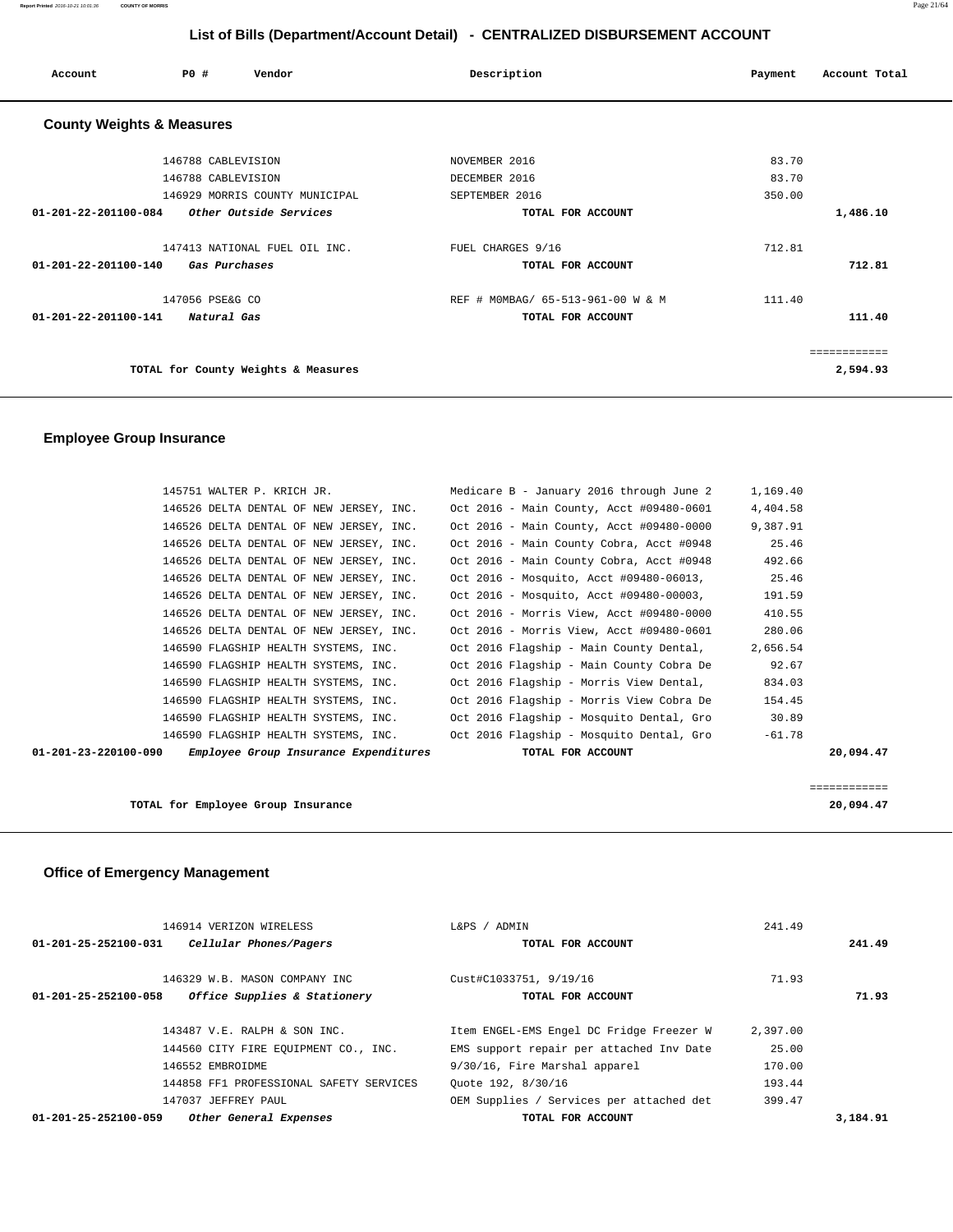**Report Printed** 2016-10-21 10:01:36 **COUNTY OF MORRIS** Page 21/64

# **List of Bills (Department/Account Detail) - CENTRALIZED DISBURSEMENT ACCOUNT**

| Account                              | PO#                | Vendor                              | Description                       | Account Total<br>Payment |
|--------------------------------------|--------------------|-------------------------------------|-----------------------------------|--------------------------|
| <b>County Weights &amp; Measures</b> |                    |                                     |                                   |                          |
|                                      | 146788 CABLEVISION |                                     | NOVEMBER 2016                     | 83.70                    |
|                                      | 146788 CABLEVISION |                                     | DECEMBER 2016                     | 83.70                    |
|                                      |                    | 146929 MORRIS COUNTY MUNICIPAL      | SEPTEMBER 2016                    | 350.00                   |
| $01 - 201 - 22 - 201100 - 084$       |                    | Other Outside Services              | TOTAL FOR ACCOUNT                 | 1,486.10                 |
|                                      |                    | 147413 NATIONAL FUEL OIL INC.       | FUEL CHARGES 9/16                 | 712.81                   |
| 01-201-22-201100-140                 |                    | Gas Purchases                       | TOTAL FOR ACCOUNT                 | 712.81                   |
|                                      | 147056 PSE&G CO    |                                     | REF # MOMBAG/ 65-513-961-00 W & M | 111.40                   |
| $01 - 201 - 22 - 201100 - 141$       | Natural Gas        |                                     | TOTAL FOR ACCOUNT                 | 111.40                   |
|                                      |                    |                                     |                                   | ============             |
|                                      |                    | TOTAL for County Weights & Measures |                                   | 2,594.93                 |

# **Employee Group Insurance**

| 145751 WALTER P. KRICH JR.                                    | Medicare B - January 2016 through June 2 | 1,169.40     |
|---------------------------------------------------------------|------------------------------------------|--------------|
| 146526 DELTA DENTAL OF NEW JERSEY, INC.                       | Oct 2016 - Main County, Acct #09480-0601 | 4,404.58     |
| 146526 DELTA DENTAL OF NEW JERSEY, INC.                       | Oct 2016 - Main County, Acct #09480-0000 | 9,387.91     |
| 146526 DELTA DENTAL OF NEW JERSEY, INC.                       | Oct 2016 - Main County Cobra, Acct #0948 | 25.46        |
| 146526 DELTA DENTAL OF NEW JERSEY, INC.                       | Oct 2016 - Main County Cobra, Acct #0948 | 492.66       |
| 146526 DELTA DENTAL OF NEW JERSEY, INC.                       | Oct 2016 - Mosquito, Acct #09480-06013,  | 25.46        |
| 146526 DELTA DENTAL OF NEW JERSEY, INC.                       | Oct 2016 - Mosquito, Acct #09480-00003,  | 191.59       |
| 146526 DELTA DENTAL OF NEW JERSEY, INC.                       | Oct 2016 - Morris View, Acct #09480-0000 | 410.55       |
| 146526 DELTA DENTAL OF NEW JERSEY, INC.                       | Oct 2016 - Morris View, Acct #09480-0601 | 280.06       |
| 146590 FLAGSHIP HEALTH SYSTEMS, INC.                          | Oct 2016 Flagship - Main County Dental,  | 2,656.54     |
| 146590 FLAGSHIP HEALTH SYSTEMS, INC.                          | Oct 2016 Flagship - Main County Cobra De | 92.67        |
| 146590 FLAGSHIP HEALTH SYSTEMS, INC.                          | Oct 2016 Flagship - Morris View Dental,  | 834.03       |
| 146590 FLAGSHIP HEALTH SYSTEMS, INC.                          | Oct 2016 Flagship - Morris View Cobra De | 154.45       |
| 146590 FLAGSHIP HEALTH SYSTEMS, INC.                          | Oct 2016 Flagship - Mosquito Dental, Gro | 30.89        |
| 146590 FLAGSHIP HEALTH SYSTEMS, INC.                          | Oct 2016 Flagship - Mosquito Dental, Gro | $-61.78$     |
| Employee Group Insurance Expenditures<br>01-201-23-220100-090 | TOTAL FOR ACCOUNT                        | 20,094.47    |
|                                                               |                                          |              |
|                                                               |                                          | ============ |

|                                    | _____________<br>____________ |
|------------------------------------|-------------------------------|
| TOTAL for Employee Group Insurance | 20,094.47                     |
|                                    |                               |

# **Office of Emergency Management**

| 146914 VERIZON WIRELESS                                  | L&PS / ADMIN                  | 241.49                                               |          |
|----------------------------------------------------------|-------------------------------|------------------------------------------------------|----------|
| Cellular Phones/Pagers<br>$01 - 201 - 25 - 252100 - 031$ |                               | TOTAL FOR ACCOUNT                                    | 241.49   |
| 146329 W.B. MASON COMPANY INC                            | Cust#C1033751, 9/19/16        | 71.93                                                |          |
| Office Supplies & Stationery<br>01-201-25-252100-058     |                               | TOTAL FOR ACCOUNT                                    | 71.93    |
|                                                          |                               |                                                      |          |
| 143487 V.E. RALPH & SON INC.                             |                               | Item ENGEL-EMS Engel DC Fridge Freezer W<br>2,397.00 |          |
| 144560 CITY FIRE EOUIPMENT CO., INC.                     |                               | 25.00<br>EMS support repair per attached Inv Date    |          |
| 146552 EMBROIDME                                         | 9/30/16, Fire Marshal apparel | 170.00                                               |          |
| 144858 FF1 PROFESSIONAL SAFETY SERVICES                  | Ouote 192, 8/30/16            | 193.44                                               |          |
| 147037 JEFFREY PAUL                                      |                               | OEM Supplies / Services per attached det<br>399.47   |          |
| 01-201-25-252100-059<br>Other General Expenses           |                               | TOTAL FOR ACCOUNT                                    | 3,184.91 |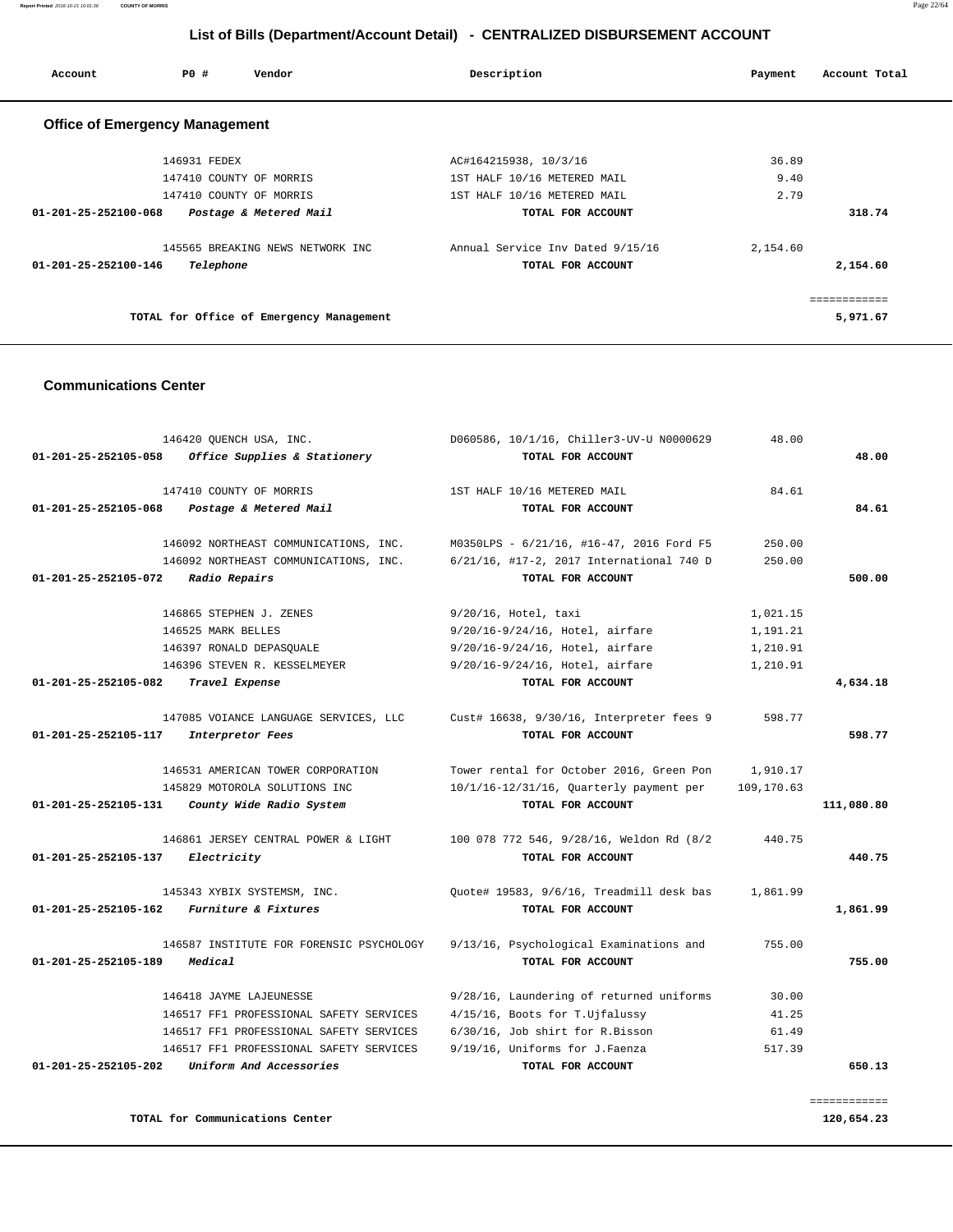**Report Printed** 2016-10-21 10:01:36 **COUNTY OF MORRIS** Page 22/64

# **List of Bills (Department/Account Detail) - CENTRALIZED DISBURSEMENT ACCOUNT**

| Account                               | PO#          | Vendor                                   | Description                      | Account Total<br>Payment |
|---------------------------------------|--------------|------------------------------------------|----------------------------------|--------------------------|
| <b>Office of Emergency Management</b> |              |                                          |                                  |                          |
|                                       | 146931 FEDEX |                                          | AC#164215938, 10/3/16            | 36.89                    |
|                                       |              | 147410 COUNTY OF MORRIS                  | 1ST HALF 10/16 METERED MAIL      | 9.40                     |
|                                       |              | 147410 COUNTY OF MORRIS                  | 1ST HALF 10/16 METERED MAIL      | 2.79                     |
| $01 - 201 - 25 - 252100 - 068$        |              | Postage & Metered Mail                   | TOTAL FOR ACCOUNT                | 318.74                   |
|                                       |              | 145565 BREAKING NEWS NETWORK INC         | Annual Service Inv Dated 9/15/16 | 2,154.60                 |
| 01-201-25-252100-146                  | Telephone    |                                          | TOTAL FOR ACCOUNT                | 2,154.60                 |
|                                       |              |                                          |                                  | ============             |
|                                       |              | TOTAL for Office of Emergency Management |                                  | 5,971.67                 |

#### **Communications Center**

|                                | 146420 QUENCH USA, INC.                  | D060586, 10/1/16, Chiller3-UV-U N0000629 | 48.00      |              |
|--------------------------------|------------------------------------------|------------------------------------------|------------|--------------|
| 01-201-25-252105-058           | Office Supplies & Stationery             | TOTAL FOR ACCOUNT                        |            | 48.00        |
|                                | 147410 COUNTY OF MORRIS                  | 1ST HALF 10/16 METERED MAIL              | 84.61      |              |
| $01 - 201 - 25 - 252105 - 068$ | Postage & Metered Mail                   | TOTAL FOR ACCOUNT                        |            | 84.61        |
|                                | 146092 NORTHEAST COMMUNICATIONS, INC.    | M0350LPS - 6/21/16, #16-47, 2016 Ford F5 | 250.00     |              |
|                                | 146092 NORTHEAST COMMUNICATIONS, INC.    | 6/21/16, #17-2, 2017 International 740 D | 250.00     |              |
| 01-201-25-252105-072           | Radio Repairs                            | TOTAL FOR ACCOUNT                        |            | 500.00       |
|                                | 146865 STEPHEN J. ZENES                  | 9/20/16, Hotel, taxi                     | 1,021.15   |              |
|                                | 146525 MARK BELLES                       | 9/20/16-9/24/16, Hotel, airfare          | 1,191.21   |              |
|                                | 146397 RONALD DEPASQUALE                 | 9/20/16-9/24/16, Hotel, airfare          | 1,210.91   |              |
|                                | 146396 STEVEN R. KESSELMEYER             | 9/20/16-9/24/16, Hotel, airfare          | 1,210.91   |              |
| 01-201-25-252105-082           | Travel Expense                           | TOTAL FOR ACCOUNT                        |            | 4,634.18     |
|                                | 147085 VOIANCE LANGUAGE SERVICES, LLC    | Cust# 16638, 9/30/16, Interpreter fees 9 | 598.77     |              |
| 01-201-25-252105-117           | Interpretor Fees                         | TOTAL FOR ACCOUNT                        |            | 598.77       |
|                                | 146531 AMERICAN TOWER CORPORATION        | Tower rental for October 2016, Green Pon | 1,910.17   |              |
|                                | 145829 MOTOROLA SOLUTIONS INC            | 10/1/16-12/31/16, Quarterly payment per  | 109,170.63 |              |
| 01-201-25-252105-131           | County Wide Radio System                 | TOTAL FOR ACCOUNT                        |            | 111,080.80   |
|                                | 146861 JERSEY CENTRAL POWER & LIGHT      | 100 078 772 546, 9/28/16, Weldon Rd (8/2 | 440.75     |              |
| 01-201-25-252105-137           | Electricity                              | TOTAL FOR ACCOUNT                        |            | 440.75       |
|                                | 145343 XYBIX SYSTEMSM, INC.              | Quote# 19583, 9/6/16, Treadmill desk bas | 1,861.99   |              |
| 01-201-25-252105-162           | Furniture & Fixtures                     | TOTAL FOR ACCOUNT                        |            | 1,861.99     |
|                                | 146587 INSTITUTE FOR FORENSIC PSYCHOLOGY | 9/13/16, Psychological Examinations and  | 755.00     |              |
| 01-201-25-252105-189           | Medical                                  | TOTAL FOR ACCOUNT                        |            | 755.00       |
|                                | 146418 JAYME LAJEUNESSE                  | 9/28/16, Laundering of returned uniforms | 30.00      |              |
|                                | 146517 FF1 PROFESSIONAL SAFETY SERVICES  | 4/15/16, Boots for T.Ujfalussy           | 41.25      |              |
|                                | 146517 FF1 PROFESSIONAL SAFETY SERVICES  | 6/30/16, Job shirt for R.Bisson          | 61.49      |              |
|                                | 146517 FF1 PROFESSIONAL SAFETY SERVICES  | 9/19/16, Uniforms for J.Faenza           | 517.39     |              |
| 01-201-25-252105-202           | Uniform And Accessories                  | TOTAL FOR ACCOUNT                        |            | 650.13       |
|                                |                                          |                                          |            | ============ |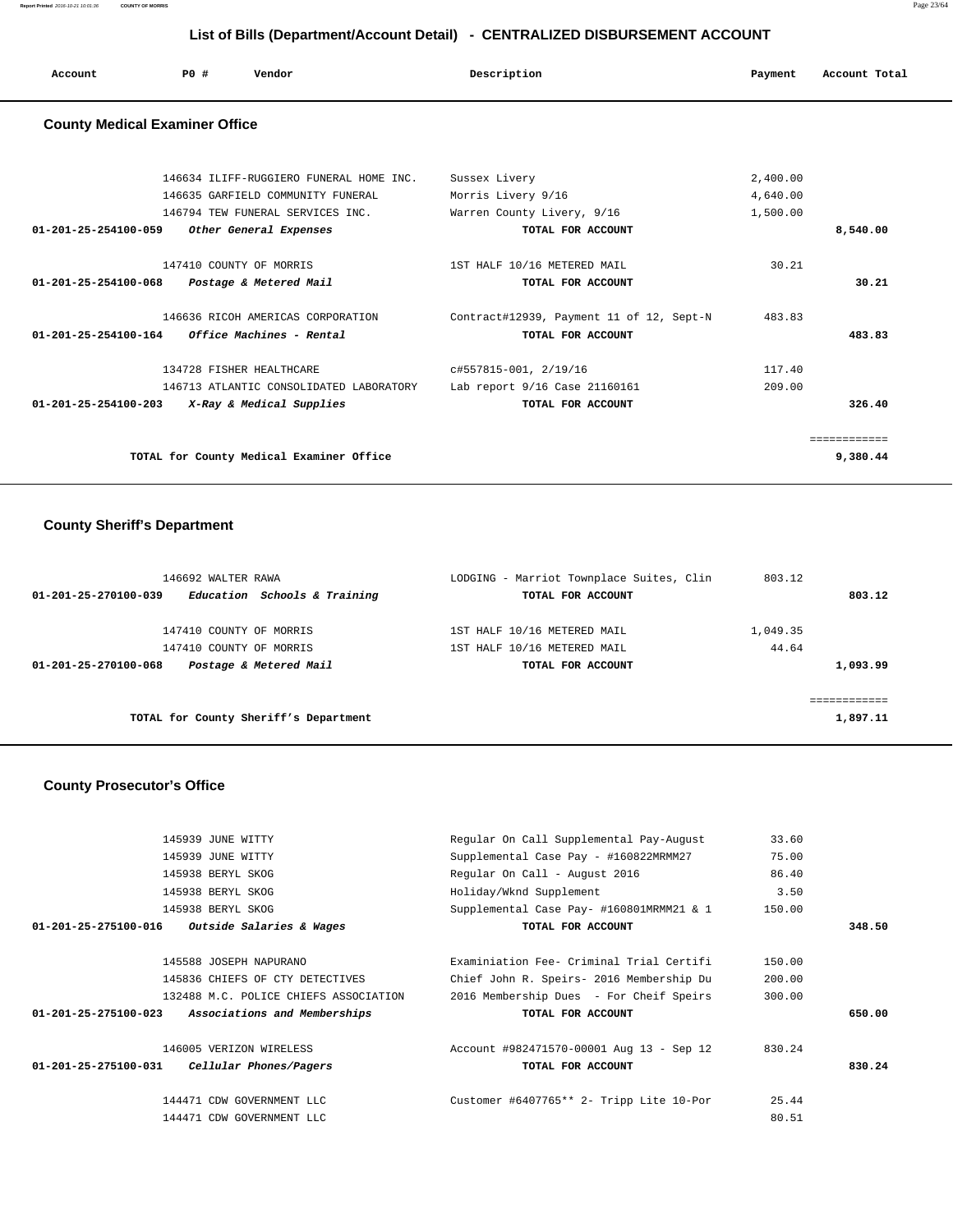**Report Printed** 2016-10-21 10:01:36 **COUNTY OF MORRIS** Page 23/64

# **List of Bills (Department/Account Detail) - CENTRALIZED DISBURSEMENT ACCOUNT**

| Account<br>. | PO# | Vendor | Description<br>$\sim$ $\sim$<br>. | Payment | Account Total<br>.<br>. |
|--------------|-----|--------|-----------------------------------|---------|-------------------------|
|              |     |        |                                   |         |                         |

# **County Medical Examiner Office**

|                                | 146634 ILIFF-RUGGIERO FUNERAL HOME INC.  | Sussex Livery                            | 2,400.00 |          |
|--------------------------------|------------------------------------------|------------------------------------------|----------|----------|
|                                | 146635 GARFIELD COMMUNITY FUNERAL        | Morris Livery 9/16                       | 4,640.00 |          |
|                                | 146794 TEW FUNERAL SERVICES INC.         | Warren County Livery, 9/16               | 1,500.00 |          |
| $01 - 201 - 25 - 254100 - 059$ | Other General Expenses                   | TOTAL FOR ACCOUNT                        |          | 8,540.00 |
|                                | 147410 COUNTY OF MORRIS                  | 1ST HALF 10/16 METERED MAIL              | 30.21    |          |
| 01-201-25-254100-068           | Postage & Metered Mail                   | TOTAL FOR ACCOUNT                        |          | 30.21    |
|                                | 146636 RICOH AMERICAS CORPORATION        | Contract#12939, Payment 11 of 12, Sept-N | 483.83   |          |
| 01-201-25-254100-164           | <i>Office Machines - Rental</i>          | TOTAL FOR ACCOUNT                        |          | 483.83   |
|                                | 134728 FISHER HEALTHCARE                 | c#557815-001, 2/19/16                    | 117.40   |          |
|                                | 146713 ATLANTIC CONSOLIDATED LABORATORY  | Lab report 9/16 Case 21160161            | 209.00   |          |
| $01 - 201 - 25 - 254100 - 203$ | X-Ray & Medical Supplies                 | TOTAL FOR ACCOUNT                        |          | 326.40   |
|                                |                                          |                                          |          |          |
|                                | TOTAL for County Medical Examiner Office |                                          |          | 9,380.44 |
|                                |                                          |                                          |          |          |

# **County Sheriff's Department**

| 146692 WALTER RAWA<br>Education Schools & Training<br>01-201-25-270100-039                           | LODGING - Marriot Townplace Suites, Clin<br>TOTAL FOR ACCOUNT                   | 803.12<br>803.12              |
|------------------------------------------------------------------------------------------------------|---------------------------------------------------------------------------------|-------------------------------|
| 147410 COUNTY OF MORRIS<br>147410 COUNTY OF MORRIS<br>Postage & Metered Mail<br>01-201-25-270100-068 | 1ST HALF 10/16 METERED MAIL<br>1ST HALF 10/16 METERED MAIL<br>TOTAL FOR ACCOUNT | 1,049.35<br>44.64<br>1,093.99 |
| TOTAL for County Sheriff's Department                                                                |                                                                                 | ============<br>1,897.11      |

# **County Prosecutor's Office**

| 145939 JUNE WITTY                                              | Regular On Call Supplemental Pay-August  | 33.60  |        |
|----------------------------------------------------------------|------------------------------------------|--------|--------|
| 145939 JUNE WITTY                                              | Supplemental Case Pay - #160822MRMM27    | 75.00  |        |
| 145938 BERYL SKOG                                              | Regular On Call - August 2016            | 86.40  |        |
| 145938 BERYL SKOG                                              | Holiday/Wknd Supplement                  | 3.50   |        |
| 145938 BERYL SKOG                                              | Supplemental Case Pay- #160801MRMM21 & 1 | 150.00 |        |
| 01-201-25-275100-016<br><i>Outside Salaries &amp; Wages</i>    | TOTAL FOR ACCOUNT                        |        | 348.50 |
| 145588 JOSEPH NAPURANO                                         | Examiniation Fee- Criminal Trial Certifi | 150.00 |        |
| 145836 CHIEFS OF CTY DETECTIVES                                | Chief John R. Speirs- 2016 Membership Du | 200.00 |        |
| 132488 M.C. POLICE CHIEFS ASSOCIATION                          | 2016 Membership Dues - For Cheif Speirs  | 300.00 |        |
| Associations and Memberships<br>$01 - 201 - 25 - 275100 - 023$ | TOTAL FOR ACCOUNT                        |        | 650.00 |
| 146005 VERIZON WIRELESS                                        | Account #982471570-00001 Aug 13 - Sep 12 | 830.24 |        |
| 01-201-25-275100-031<br>Cellular Phones/Pagers                 | TOTAL FOR ACCOUNT                        |        | 830.24 |
| 144471 CDW GOVERNMENT LLC                                      | Customer #6407765** 2- Tripp Lite 10-Por | 25.44  |        |
| 144471 CDW GOVERNMENT LLC                                      |                                          | 80.51  |        |
|                                                                |                                          |        |        |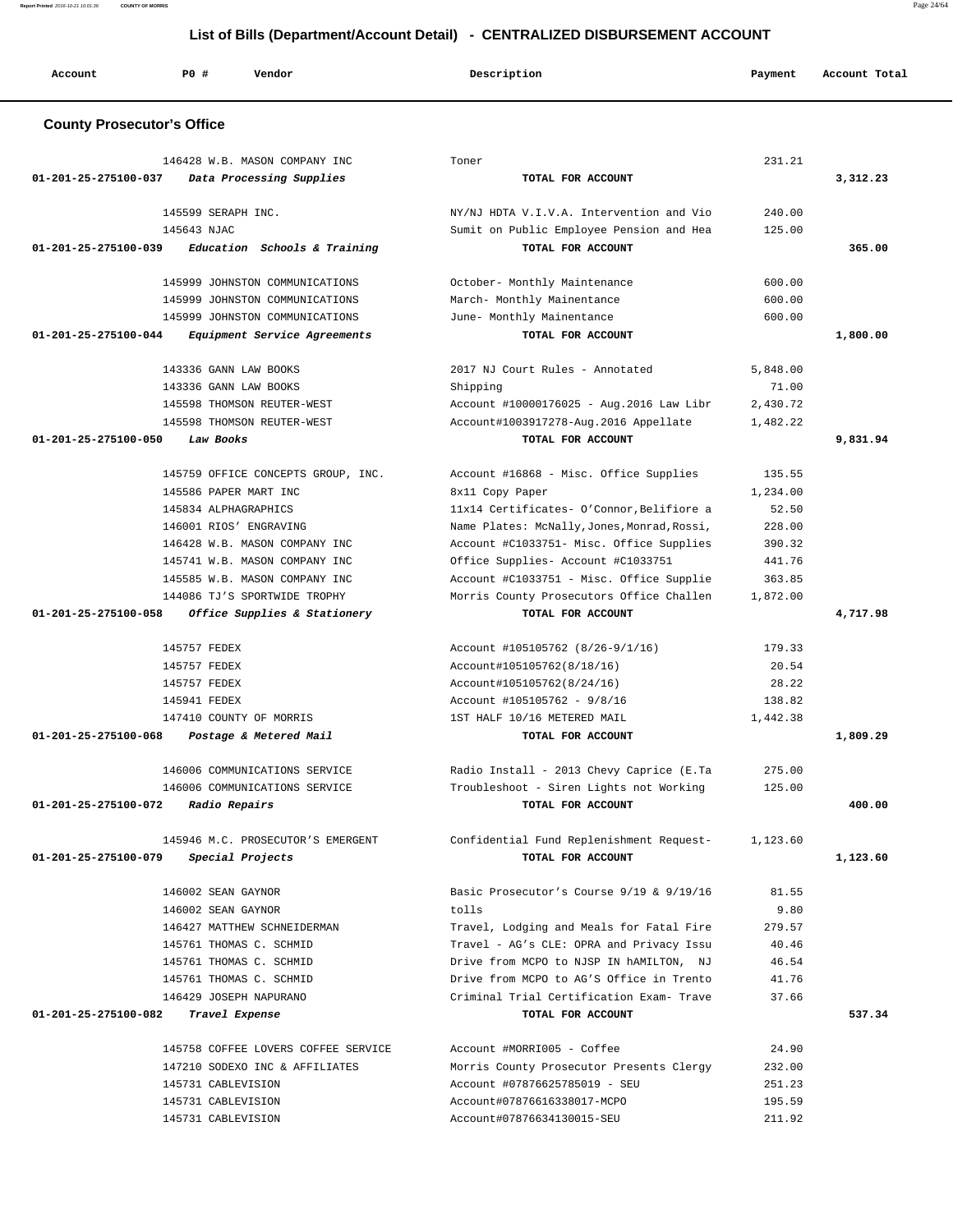| Account                           | PO#<br>Vendor                                     | Description                                                                          | Payment        | Account Total |
|-----------------------------------|---------------------------------------------------|--------------------------------------------------------------------------------------|----------------|---------------|
| <b>County Prosecutor's Office</b> |                                                   |                                                                                      |                |               |
|                                   | 146428 W.B. MASON COMPANY INC                     | Toner                                                                                | 231.21         |               |
| 01-201-25-275100-037              | Data Processing Supplies                          | TOTAL FOR ACCOUNT                                                                    |                | 3,312.23      |
|                                   | 145599 SERAPH INC.                                | NY/NJ HDTA V.I.V.A. Intervention and Vio                                             | 240.00         |               |
|                                   | 145643 NJAC                                       | Sumit on Public Employee Pension and Hea                                             | 125.00         |               |
| 01-201-25-275100-039              | Education Schools & Training                      | TOTAL FOR ACCOUNT                                                                    |                | 365.00        |
|                                   | 145999 JOHNSTON COMMUNICATIONS                    | October- Monthly Maintenance                                                         | 600.00         |               |
|                                   | 145999 JOHNSTON COMMUNICATIONS                    | March- Monthly Mainentance                                                           | 600.00         |               |
|                                   | 145999 JOHNSTON COMMUNICATIONS                    | June- Monthly Mainentance                                                            | 600.00         |               |
| 01-201-25-275100-044              | Equipment Service Agreements                      | TOTAL FOR ACCOUNT                                                                    |                | 1,800.00      |
|                                   |                                                   |                                                                                      |                |               |
|                                   | 143336 GANN LAW BOOKS                             | 2017 NJ Court Rules - Annotated                                                      | 5,848.00       |               |
|                                   | 143336 GANN LAW BOOKS                             | Shipping                                                                             | 71.00          |               |
|                                   | 145598 THOMSON REUTER-WEST                        | Account #10000176025 - Aug. 2016 Law Libr                                            | 2,430.72       |               |
| 01-201-25-275100-050              | 145598 THOMSON REUTER-WEST<br>Law Books           | Account#1003917278-Aug.2016 Appellate<br>TOTAL FOR ACCOUNT                           | 1,482.22       | 9,831.94      |
|                                   |                                                   |                                                                                      |                |               |
|                                   | 145759 OFFICE CONCEPTS GROUP, INC.                | Account #16868 - Misc. Office Supplies                                               | 135.55         |               |
|                                   | 145586 PAPER MART INC                             | 8x11 Copy Paper                                                                      | 1,234.00       |               |
|                                   | 145834 ALPHAGRAPHICS                              | 11x14 Certificates- O'Connor, Belifiore a                                            | 52.50          |               |
|                                   | 146001 RIOS' ENGRAVING                            | Name Plates: McNally, Jones, Monrad, Rossi,                                          | 228.00         |               |
|                                   | 146428 W.B. MASON COMPANY INC                     | Account #C1033751- Misc. Office Supplies                                             | 390.32         |               |
|                                   | 145741 W.B. MASON COMPANY INC                     | Office Supplies- Account #C1033751                                                   | 441.76         |               |
|                                   | 145585 W.B. MASON COMPANY INC                     | Account #C1033751 - Misc. Office Supplie                                             | 363.85         |               |
|                                   | 144086 TJ'S SPORTWIDE TROPHY                      | Morris County Prosecutors Office Challen                                             | 1,872.00       |               |
| 01-201-25-275100-058              | Office Supplies & Stationery                      | TOTAL FOR ACCOUNT                                                                    |                | 4,717.98      |
|                                   | 145757 FEDEX                                      | Account #105105762 (8/26-9/1/16)                                                     | 179.33         |               |
|                                   | 145757 FEDEX                                      | Account#105105762(8/18/16)                                                           | 20.54          |               |
|                                   | 145757 FEDEX                                      | Account#105105762(8/24/16)                                                           | 28.22          |               |
|                                   | 145941 FEDEX                                      | Account #105105762 - 9/8/16                                                          | 138.82         |               |
|                                   | 147410 COUNTY OF MORRIS                           | 1ST HALF 10/16 METERED MAIL                                                          | 1,442.38       |               |
| $01 - 201 - 25 - 275100 - 068$    | Postage & Metered Mail                            | TOTAL FOR ACCOUNT                                                                    |                | 1,809.29      |
|                                   | 146006 COMMUNICATIONS SERVICE                     | Radio Install - 2013 Chevy Caprice (E.Ta                                             | 275.00         |               |
|                                   | 146006 COMMUNICATIONS SERVICE                     | Troubleshoot - Siren Lights not Working                                              | 125.00         |               |
| 01-201-25-275100-072              | Radio Repairs                                     | TOTAL FOR ACCOUNT                                                                    |                | 400.00        |
|                                   | 145946 M.C. PROSECUTOR'S EMERGENT                 |                                                                                      | 1,123.60       |               |
| 01-201-25-275100-079              | Special Projects                                  | Confidential Fund Replenishment Request-<br>TOTAL FOR ACCOUNT                        |                | 1,123.60      |
|                                   |                                                   |                                                                                      |                |               |
|                                   | 146002 SEAN GAYNOR                                | Basic Prosecutor's Course 9/19 & 9/19/16                                             | 81.55          |               |
|                                   | 146002 SEAN GAYNOR                                | tolls                                                                                | 9.80           |               |
|                                   | 146427 MATTHEW SCHNEIDERMAN                       | Travel, Lodging and Meals for Fatal Fire                                             | 279.57         |               |
|                                   | 145761 THOMAS C. SCHMID                           | Travel - AG's CLE: OPRA and Privacy Issu                                             | 40.46          |               |
|                                   | 145761 THOMAS C. SCHMID                           | Drive from MCPO to NJSP IN hAMILTON, NJ                                              | 46.54          |               |
|                                   | 145761 THOMAS C. SCHMID<br>146429 JOSEPH NAPURANO | Drive from MCPO to AG'S Office in Trento<br>Criminal Trial Certification Exam- Trave | 41.76<br>37.66 |               |
| 01-201-25-275100-082              | Travel Expense                                    | TOTAL FOR ACCOUNT                                                                    |                | 537.34        |
|                                   |                                                   |                                                                                      |                |               |
|                                   | 145758 COFFEE LOVERS COFFEE SERVICE               | Account #MORRI005 - Coffee                                                           | 24.90          |               |
|                                   | 147210 SODEXO INC & AFFILIATES                    | Morris County Prosecutor Presents Clergy                                             | 232.00         |               |
|                                   | 145731 CABLEVISION                                | Account #07876625785019 - SEU                                                        | 251.23         |               |
|                                   | 145731 CABLEVISION                                | Account#07876616338017-MCPO                                                          | 195.59         |               |
|                                   | 145731 CABLEVISION                                | Account#07876634130015-SEU                                                           | 211.92         |               |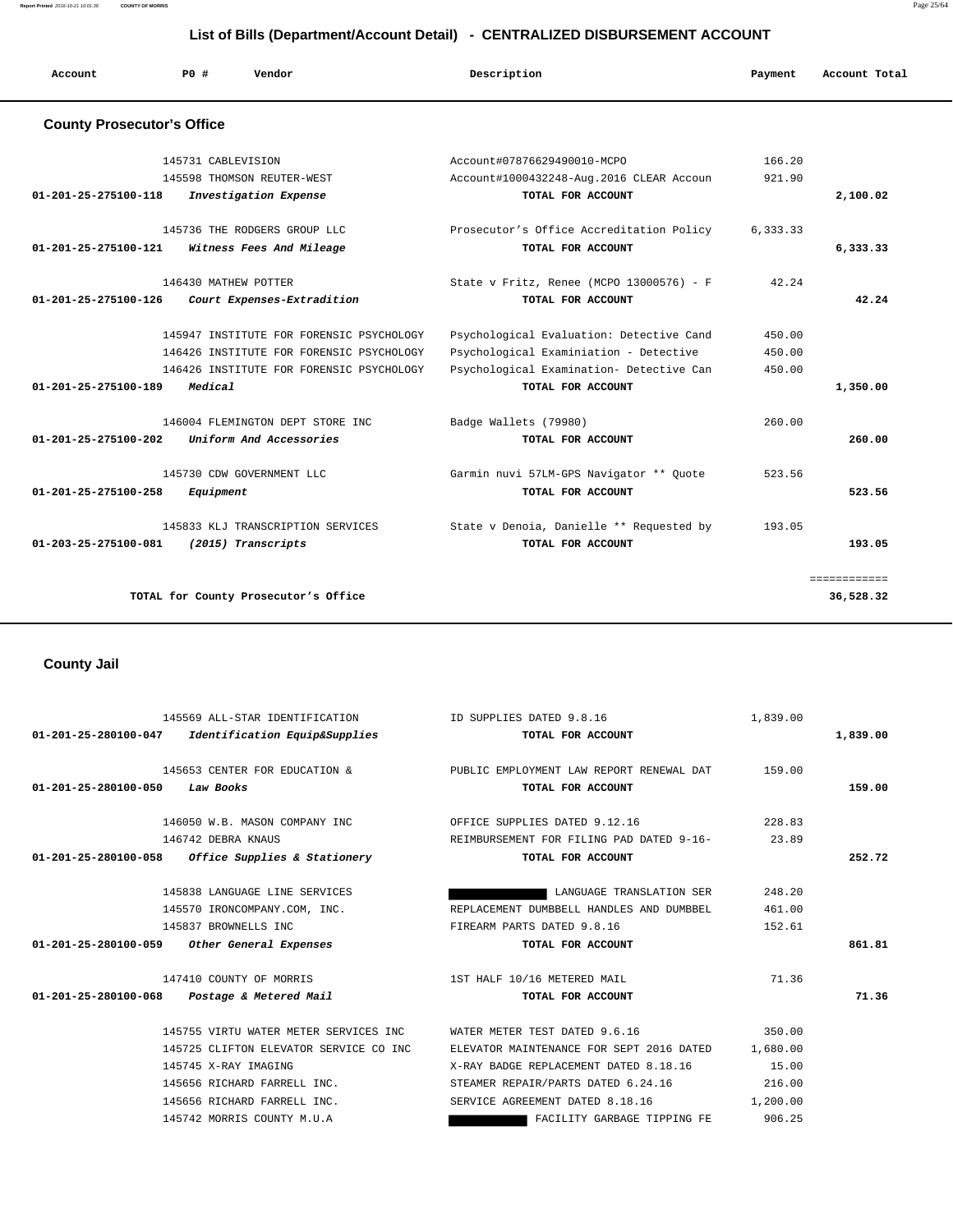| Account                           | PO#<br>Vendor                            | Description                              | Payment  | Account Total |
|-----------------------------------|------------------------------------------|------------------------------------------|----------|---------------|
| <b>County Prosecutor's Office</b> |                                          |                                          |          |               |
|                                   | 145731 CABLEVISION                       | Account#07876629490010-MCPO              | 166.20   |               |
|                                   | 145598 THOMSON REUTER-WEST               | Account#1000432248-Aug.2016 CLEAR Accoun | 921.90   |               |
| $01 - 201 - 25 - 275100 - 118$    | Investigation Expense                    | TOTAL FOR ACCOUNT                        |          | 2,100.02      |
|                                   | 145736 THE RODGERS GROUP LLC             | Prosecutor's Office Accreditation Policy | 6,333.33 |               |
| 01-201-25-275100-121              | Witness Fees And Mileage                 | TOTAL FOR ACCOUNT                        |          | 6,333.33      |
|                                   | 146430 MATHEW POTTER                     | State v Fritz, Renee (MCPO 13000576) - F | 42.24    |               |
| $01 - 201 - 25 - 275100 - 126$    | Court Expenses-Extradition               | TOTAL FOR ACCOUNT                        |          | 42.24         |
|                                   | 145947 INSTITUTE FOR FORENSIC PSYCHOLOGY | Psychological Evaluation: Detective Cand | 450.00   |               |
|                                   | 146426 INSTITUTE FOR FORENSIC PSYCHOLOGY | Psychological Examiniation - Detective   | 450.00   |               |
|                                   | 146426 INSTITUTE FOR FORENSIC PSYCHOLOGY | Psychological Examination- Detective Can | 450.00   |               |
| 01-201-25-275100-189              | Medical                                  | TOTAL FOR ACCOUNT                        |          | 1,350.00      |
|                                   | 146004 FLEMINGTON DEPT STORE INC         | Badge Wallets (79980)                    | 260.00   |               |
| 01-201-25-275100-202              | Uniform And Accessories                  | TOTAL FOR ACCOUNT                        |          | 260.00        |
|                                   | 145730 CDW GOVERNMENT LLC                | Garmin nuvi 57LM-GPS Navigator ** Ouote  | 523.56   |               |
| 01-201-25-275100-258              | Equipment                                | TOTAL FOR ACCOUNT                        |          | 523.56        |
|                                   | 145833 KLJ TRANSCRIPTION SERVICES        | State v Denoia, Danielle ** Requested by | 193.05   |               |
| 01-203-25-275100-081              | (2015) Transcripts                       | TOTAL FOR ACCOUNT                        |          | 193.05        |
|                                   |                                          |                                          |          | ============  |
|                                   | TOTAL for County Prosecutor's Office     |                                          |          | 36,528.32     |

# **County Jail**

|                      | 145569 ALL-STAR IDENTIFICATION TO THE SUPPLIES DATED 9.8.16 |                                                                        | 1,839.00 |          |
|----------------------|-------------------------------------------------------------|------------------------------------------------------------------------|----------|----------|
|                      | 01-201-25-280100-047 Identification Equip&Supplies          | TOTAL FOR ACCOUNT                                                      |          | 1,839.00 |
|                      |                                                             | 145653 CENTER FOR EDUCATION & PUBLIC EMPLOYMENT LAW REPORT RENEWAL DAT | 159.00   |          |
| 01-201-25-280100-050 | Law Books                                                   | TOTAL FOR ACCOUNT                                                      |          | 159.00   |
|                      |                                                             |                                                                        |          |          |
|                      | 146050 W.B. MASON COMPANY INC                               | OFFICE SUPPLIES DATED 9.12.16                                          | 228.83   |          |
|                      | 146742 DEBRA KNAUS                                          | REIMBURSEMENT FOR FILING PAD DATED 9-16- 23.89                         |          |          |
|                      | $01-201-25-280100-058$ Office Supplies & Stationery         | TOTAL FOR ACCOUNT                                                      |          | 252.72   |
|                      |                                                             |                                                                        |          |          |
|                      | 145838 LANGUAGE LINE SERVICES                               | LANGUAGE TRANSLATION SER                                               | 248.20   |          |
|                      | 145570 IRONCOMPANY.COM, INC.                                | REPLACEMENT DUMBBELL HANDLES AND DUMBBEL                               | 461.00   |          |
|                      | 145837 BROWNELLS INC                                        | FIREARM PARTS DATED 9.8.16                                             | 152.61   |          |
|                      | $01-201-25-280100-059$ Other General Expenses               | TOTAL FOR ACCOUNT                                                      |          | 861.81   |
|                      | 147410 COUNTY OF MORRIS 1ST HALF 10/16 METERED MAIL         |                                                                        | 71.36    |          |
|                      | $01 - 201 - 25 - 280100 - 068$ Postage & Metered Mail       | TOTAL FOR ACCOUNT                                                      |          | 71.36    |
|                      |                                                             | 145755 VIRTU WATER METER SERVICES INC WATER METER TEST DATED 9.6.16    | 350.00   |          |
|                      | 145725 CLIFTON ELEVATOR SERVICE CO INC                      | ELEVATOR MAINTENANCE FOR SEPT 2016 DATED 1,680.00                      |          |          |
|                      | 145745 X-RAY IMAGING                                        | X-RAY BADGE REPLACEMENT DATED 8.18.16 15.00                            |          |          |
|                      | 145656 RICHARD FARRELL INC.                                 | STEAMER REPAIR/PARTS DATED 6.24.16 216.00                              |          |          |
|                      | 145656 RICHARD FARRELL INC.                                 | SERVICE AGREEMENT DATED 8.18.16                                        | 1,200.00 |          |
|                      | 145742 MORRIS COUNTY M.U.A                                  | FACILITY GARBAGE TIPPING FE                                            | 906.25   |          |
|                      |                                                             |                                                                        |          |          |

**Report Printed** 2016-10-21 10:01:36 **COUNTY OF MORRIS** Page 25/64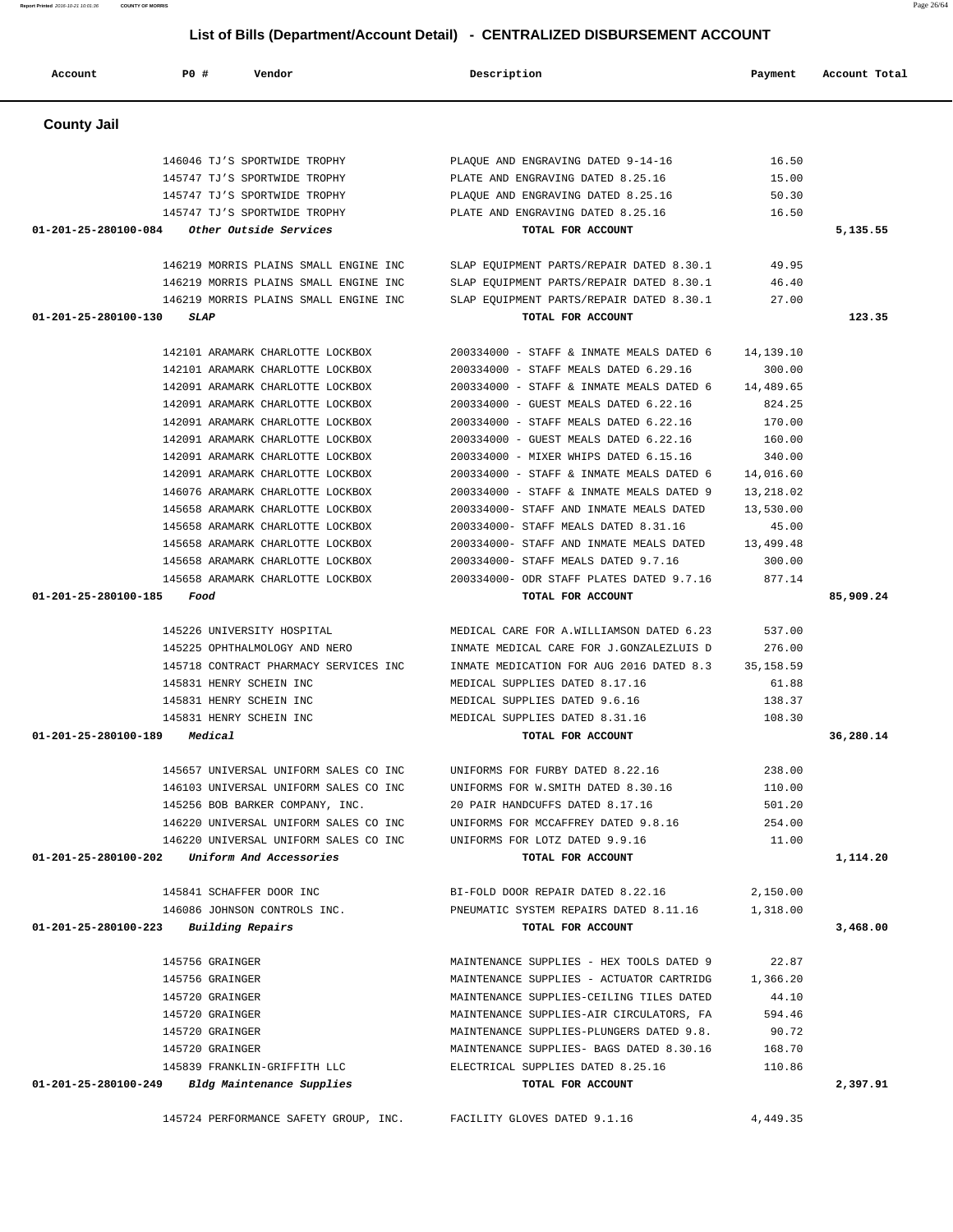| Account              | PO#<br>Vendor                                  | Description                              | Payment    | Account Total |
|----------------------|------------------------------------------------|------------------------------------------|------------|---------------|
| <b>County Jail</b>   |                                                |                                          |            |               |
|                      | 146046 TJ'S SPORTWIDE TROPHY                   | PLAQUE AND ENGRAVING DATED 9-14-16       | 16.50      |               |
|                      | 145747 TJ'S SPORTWIDE TROPHY                   | PLATE AND ENGRAVING DATED 8.25.16        | 15.00      |               |
|                      | 145747 TJ'S SPORTWIDE TROPHY                   | PLAQUE AND ENGRAVING DATED 8.25.16       | 50.30      |               |
|                      | 145747 TJ'S SPORTWIDE TROPHY                   | PLATE AND ENGRAVING DATED 8.25.16        | 16.50      |               |
| 01-201-25-280100-084 | Other Outside Services                         | TOTAL FOR ACCOUNT                        |            | 5,135.55      |
|                      | 146219 MORRIS PLAINS SMALL ENGINE INC          | SLAP EQUIPMENT PARTS/REPAIR DATED 8.30.1 | 49.95      |               |
|                      | 146219 MORRIS PLAINS SMALL ENGINE INC          | SLAP EQUIPMENT PARTS/REPAIR DATED 8.30.1 | 46.40      |               |
|                      | 146219 MORRIS PLAINS SMALL ENGINE INC          | SLAP EQUIPMENT PARTS/REPAIR DATED 8.30.1 | 27.00      |               |
| 01-201-25-280100-130 | <b>SLAP</b>                                    | TOTAL FOR ACCOUNT                        |            | 123.35        |
|                      | 142101 ARAMARK CHARLOTTE LOCKBOX               | 200334000 - STAFF & INMATE MEALS DATED 6 | 14,139.10  |               |
|                      | 142101 ARAMARK CHARLOTTE LOCKBOX               | 200334000 - STAFF MEALS DATED 6.29.16    | 300.00     |               |
|                      | 142091 ARAMARK CHARLOTTE LOCKBOX               | 200334000 - STAFF & INMATE MEALS DATED 6 | 14,489.65  |               |
|                      | 142091 ARAMARK CHARLOTTE LOCKBOX               | 200334000 - GUEST MEALS DATED 6.22.16    | 824.25     |               |
|                      | 142091 ARAMARK CHARLOTTE LOCKBOX               | 200334000 - STAFF MEALS DATED 6.22.16    | 170.00     |               |
|                      | 142091 ARAMARK CHARLOTTE LOCKBOX               | 200334000 - GUEST MEALS DATED 6.22.16    | 160.00     |               |
|                      | 142091 ARAMARK CHARLOTTE LOCKBOX               | 200334000 - MIXER WHIPS DATED 6.15.16    | 340.00     |               |
|                      | 142091 ARAMARK CHARLOTTE LOCKBOX               | 200334000 - STAFF & INMATE MEALS DATED 6 | 14,016.60  |               |
|                      | 146076 ARAMARK CHARLOTTE LOCKBOX               | 200334000 - STAFF & INMATE MEALS DATED 9 | 13,218.02  |               |
|                      | 145658 ARAMARK CHARLOTTE LOCKBOX               | 200334000- STAFF AND INMATE MEALS DATED  | 13,530.00  |               |
|                      | 145658 ARAMARK CHARLOTTE LOCKBOX               | 200334000- STAFF MEALS DATED 8.31.16     | 45.00      |               |
|                      | 145658 ARAMARK CHARLOTTE LOCKBOX               | 200334000- STAFF AND INMATE MEALS DATED  | 13,499.48  |               |
|                      | 145658 ARAMARK CHARLOTTE LOCKBOX               | 200334000- STAFF MEALS DATED 9.7.16      | 300.00     |               |
|                      | 145658 ARAMARK CHARLOTTE LOCKBOX               | 200334000- ODR STAFF PLATES DATED 9.7.16 | 877.14     |               |
| 01-201-25-280100-185 | Food                                           | TOTAL FOR ACCOUNT                        |            | 85,909.24     |
|                      | 145226 UNIVERSITY HOSPITAL                     | MEDICAL CARE FOR A.WILLIAMSON DATED 6.23 | 537.00     |               |
|                      | 145225 OPHTHALMOLOGY AND NERO                  | INMATE MEDICAL CARE FOR J.GONZALEZLUIS D | 276.00     |               |
|                      | 145718 CONTRACT PHARMACY SERVICES INC          | INMATE MEDICATION FOR AUG 2016 DATED 8.3 | 35, 158.59 |               |
|                      | 145831 HENRY SCHEIN INC                        | MEDICAL SUPPLIES DATED 8.17.16           | 61.88      |               |
|                      | 145831 HENRY SCHEIN INC                        | MEDICAL SUPPLIES DATED 9.6.16            | 138.37     |               |
|                      | 145831 HENRY SCHEIN INC                        | MEDICAL SUPPLIES DATED 8.31.16           | 108.30     |               |
| 01-201-25-280100-189 | Medical                                        | TOTAL FOR ACCOUNT                        |            | 36,280.14     |
|                      | 145657 UNIVERSAL UNIFORM SALES CO INC          | UNIFORMS FOR FURBY DATED 8.22.16         | 238.00     |               |
|                      | 146103 UNIVERSAL UNIFORM SALES CO INC          | UNIFORMS FOR W. SMITH DATED 8.30.16      | 110.00     |               |
|                      | 145256 BOB BARKER COMPANY, INC.                | 20 PAIR HANDCUFFS DATED 8.17.16          | 501.20     |               |
|                      | 146220 UNIVERSAL UNIFORM SALES CO INC          | UNIFORMS FOR MCCAFFREY DATED 9.8.16      | 254.00     |               |
|                      | 146220 UNIVERSAL UNIFORM SALES CO INC          | UNIFORMS FOR LOTZ DATED 9.9.16           | 11.00      |               |
| 01-201-25-280100-202 | Uniform And Accessories                        | TOTAL FOR ACCOUNT                        |            | 1,114.20      |
|                      | 145841 SCHAFFER DOOR INC                       | BI-FOLD DOOR REPAIR DATED 8.22.16        | 2,150.00   |               |
|                      | 146086 JOHNSON CONTROLS INC.                   | PNEUMATIC SYSTEM REPAIRS DATED 8.11.16   | 1,318.00   |               |
| 01-201-25-280100-223 | Building Repairs                               | TOTAL FOR ACCOUNT                        |            | 3,468.00      |
|                      |                                                |                                          |            |               |
|                      | 145756 GRAINGER                                | MAINTENANCE SUPPLIES - HEX TOOLS DATED 9 | 22.87      |               |
|                      | 145756 GRAINGER                                | MAINTENANCE SUPPLIES - ACTUATOR CARTRIDG | 1,366.20   |               |
|                      | 145720 GRAINGER                                | MAINTENANCE SUPPLIES-CEILING TILES DATED | 44.10      |               |
|                      | 145720 GRAINGER                                | MAINTENANCE SUPPLIES-AIR CIRCULATORS, FA | 594.46     |               |
|                      | 145720 GRAINGER                                | MAINTENANCE SUPPLIES-PLUNGERS DATED 9.8. | 90.72      |               |
|                      | 145720 GRAINGER                                | MAINTENANCE SUPPLIES- BAGS DATED 8.30.16 | 168.70     |               |
|                      | 145839 FRANKLIN-GRIFFITH LLC                   | ELECTRICAL SUPPLIES DATED 8.25.16        | 110.86     |               |
|                      | 01-201-25-280100-249 Bldg Maintenance Supplies | TOTAL FOR ACCOUNT                        |            | 2,397.91      |
|                      | 145724 PERFORMANCE SAFETY GROUP, INC.          | FACILITY GLOVES DATED 9.1.16             | 4,449.35   |               |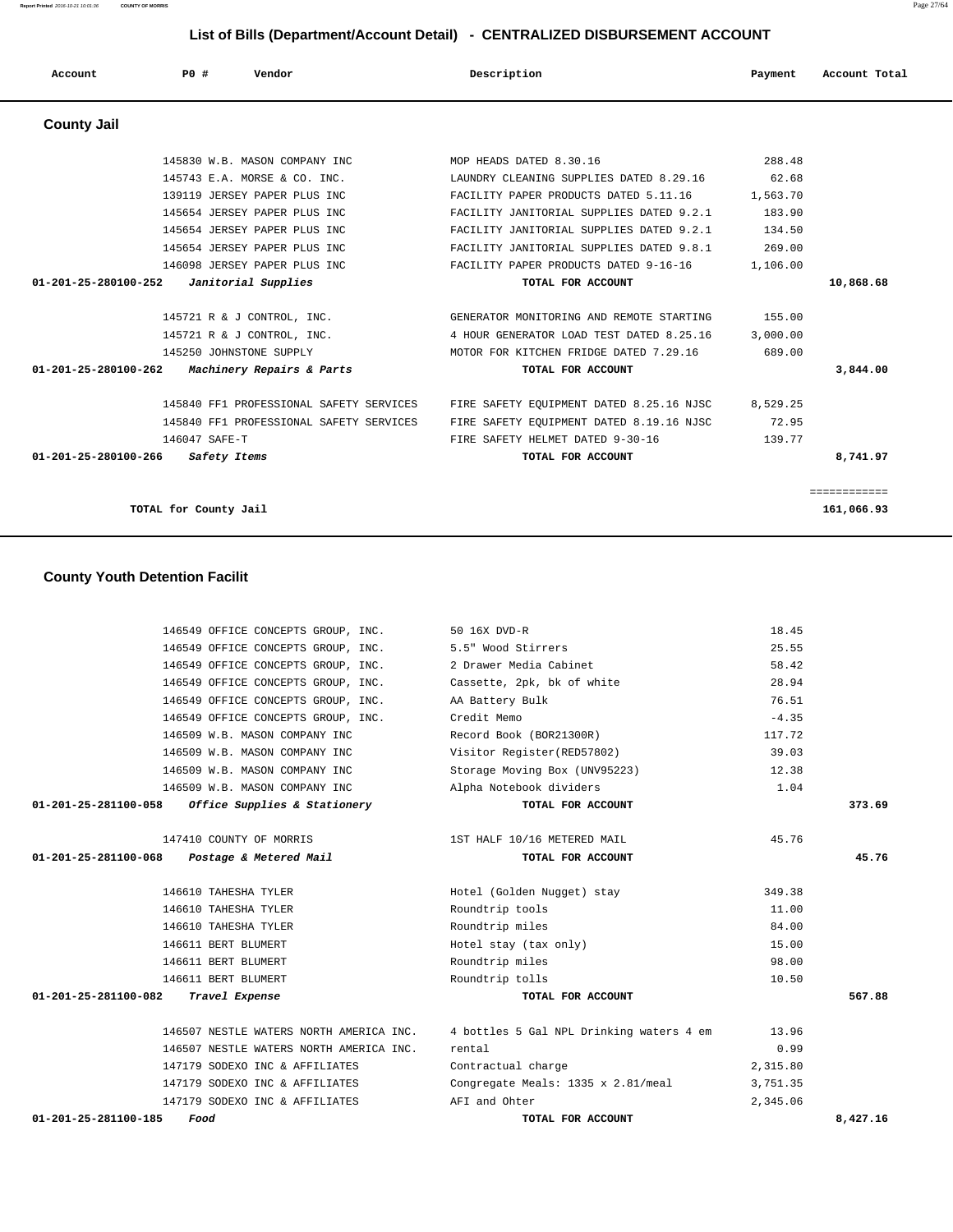**Report Printed** 2016-10-21 10:01:36 **COUNTY OF MORRIS** Page 27/64

# **List of Bills (Department/Account Detail) - CENTRALIZED DISBURSEMENT ACCOUNT**

| Account              | <b>PO #</b>                           | Vendor                                  | Description                              | Payment  | Account Total |
|----------------------|---------------------------------------|-----------------------------------------|------------------------------------------|----------|---------------|
| <b>County Jail</b>   |                                       |                                         |                                          |          |               |
|                      |                                       |                                         |                                          |          |               |
|                      |                                       | 145830 W.B. MASON COMPANY INC           | MOP HEADS DATED 8.30.16                  | 288.48   |               |
|                      |                                       | 145743 E.A. MORSE & CO. INC.            | LAUNDRY CLEANING SUPPLIES DATED 8.29.16  | 62.68    |               |
|                      |                                       | 139119 JERSEY PAPER PLUS INC            | FACILITY PAPER PRODUCTS DATED 5.11.16    | 1,563.70 |               |
|                      |                                       | 145654 JERSEY PAPER PLUS INC            | FACILITY JANITORIAL SUPPLIES DATED 9.2.1 | 183.90   |               |
|                      |                                       | 145654 JERSEY PAPER PLUS INC            | FACILITY JANITORIAL SUPPLIES DATED 9.2.1 | 134.50   |               |
|                      |                                       | 145654 JERSEY PAPER PLUS INC            | FACILITY JANITORIAL SUPPLIES DATED 9.8.1 | 269.00   |               |
|                      |                                       | 146098 JERSEY PAPER PLUS INC            | FACILITY PAPER PRODUCTS DATED 9-16-16    | 1,106.00 |               |
| 01-201-25-280100-252 |                                       | Janitorial Supplies                     | TOTAL FOR ACCOUNT                        |          | 10,868.68     |
|                      |                                       | 145721 R & J CONTROL, INC.              | GENERATOR MONITORING AND REMOTE STARTING | 155.00   |               |
|                      |                                       | 145721 R & J CONTROL, INC.              | 4 HOUR GENERATOR LOAD TEST DATED 8.25.16 | 3,000.00 |               |
|                      |                                       | 145250 JOHNSTONE SUPPLY                 | MOTOR FOR KITCHEN FRIDGE DATED 7.29.16   | 689.00   |               |
| 01-201-25-280100-262 |                                       | Machinery Repairs & Parts               | TOTAL FOR ACCOUNT                        |          | 3,844.00      |
|                      |                                       | 145840 FF1 PROFESSIONAL SAFETY SERVICES | FIRE SAFETY EQUIPMENT DATED 8.25.16 NJSC | 8,529.25 |               |
|                      |                                       | 145840 FF1 PROFESSIONAL SAFETY SERVICES | FIRE SAFETY EQUIPMENT DATED 8.19.16 NJSC | 72.95    |               |
|                      | 146047 SAFE-T                         |                                         | FIRE SAFETY HELMET DATED 9-30-16         | 139.77   |               |
| 01-201-25-280100-266 | Safety Items                          |                                         | TOTAL FOR ACCOUNT                        |          | 8,741.97      |
|                      |                                       |                                         |                                          |          | ============  |
|                      | TOTAL for County Jail                 |                                         |                                          |          | 161,066.93    |
|                      |                                       |                                         |                                          |          |               |
|                      | <b>County Youth Detention Facilit</b> |                                         |                                          |          |               |
|                      |                                       | 146549 OFFICE CONCEPTS GROUP, INC.      | 50 16X DVD-R                             | 18.45    |               |
|                      |                                       | 146549 OFFICE CONCEPTS GROUP, INC.      | 5.5" Wood Stirrers                       | 25.55    |               |
|                      |                                       | 146549 OFFICE CONCEPTS GROUP, INC.      | 2 Drawer Media Cabinet                   | 58.42    |               |

|                                | 146549 OFFICE CONCEPTS GROUP, INC. 50 16X DVD-R           |                                          | 18.45    |          |
|--------------------------------|-----------------------------------------------------------|------------------------------------------|----------|----------|
|                                | 146549 OFFICE CONCEPTS GROUP, INC. 5.5" Wood Stirrers     |                                          | 25.55    |          |
|                                | 146549 OFFICE CONCEPTS GROUP, INC. 2 Drawer Media Cabinet |                                          | 58.42    |          |
|                                | 146549 OFFICE CONCEPTS GROUP, INC.                        | Cassette, 2pk, bk of white               | 28.94    |          |
|                                | 146549 OFFICE CONCEPTS GROUP, INC.                        | AA Battery Bulk                          | 76.51    |          |
|                                | 146549 OFFICE CONCEPTS GROUP, INC.                        | Credit Memo                              | $-4.35$  |          |
|                                | 146509 W.B. MASON COMPANY INC                             | Record Book (BOR21300R)                  | 117.72   |          |
|                                | 146509 W.B. MASON COMPANY INC                             | Visitor Register(RED57802)               | 39.03    |          |
|                                | 146509 W.B. MASON COMPANY INC                             | Storage Moving Box (UNV95223)            | 12.38    |          |
|                                | 146509 W.B. MASON COMPANY INC                             | Alpha Notebook dividers                  | 1.04     |          |
|                                | $01-201-25-281100-058$ Office Supplies & Stationery       | TOTAL FOR ACCOUNT                        |          | 373.69   |
|                                |                                                           |                                          |          |          |
|                                | 147410 COUNTY OF MORRIS                                   | 1ST HALF 10/16 METERED MAIL              | 45.76    |          |
|                                | 01-201-25-281100-068 Postage & Metered Mail               | TOTAL FOR ACCOUNT                        |          | 45.76    |
|                                |                                                           |                                          |          |          |
|                                | 146610 TAHESHA TYLER                                      | Hotel (Golden Nugget) stay               | 349.38   |          |
|                                | 146610 TAHESHA TYLER                                      | Roundtrip tools                          | 11.00    |          |
|                                | 146610 TAHESHA TYLER                                      | Roundtrip miles                          | 84.00    |          |
|                                | 146611 BERT BLUMERT                                       | Hotel stay (tax only)                    | 15.00    |          |
|                                | 146611 BERT BLUMERT                                       | Roundtrip miles                          | 98.00    |          |
|                                | 146611 BERT BLUMERT                                       | Roundtrip tolls                          | 10.50    |          |
|                                | 01-201-25-281100-082 Travel Expense                       | TOTAL FOR ACCOUNT                        |          | 567.88   |
|                                |                                                           |                                          |          |          |
|                                | 146507 NESTLE WATERS NORTH AMERICA INC.                   | 4 bottles 5 Gal NPL Drinking waters 4 em | 13.96    |          |
|                                | 146507 NESTLE WATERS NORTH AMERICA INC.                   | rental                                   | 0.99     |          |
|                                | 147179 SODEXO INC & AFFILIATES                            | Contractual charge                       | 2,315.80 |          |
|                                | 147179 SODEXO INC & AFFILIATES                            | Congregate Meals: 1335 x 2.81/meal       | 3,751.35 |          |
|                                | 147179 SODEXO INC & AFFILIATES                            | AFI and Ohter                            | 2,345.06 |          |
| $01 - 201 - 25 - 281100 - 185$ | Food                                                      | TOTAL FOR ACCOUNT                        |          | 8,427.16 |
|                                |                                                           |                                          |          |          |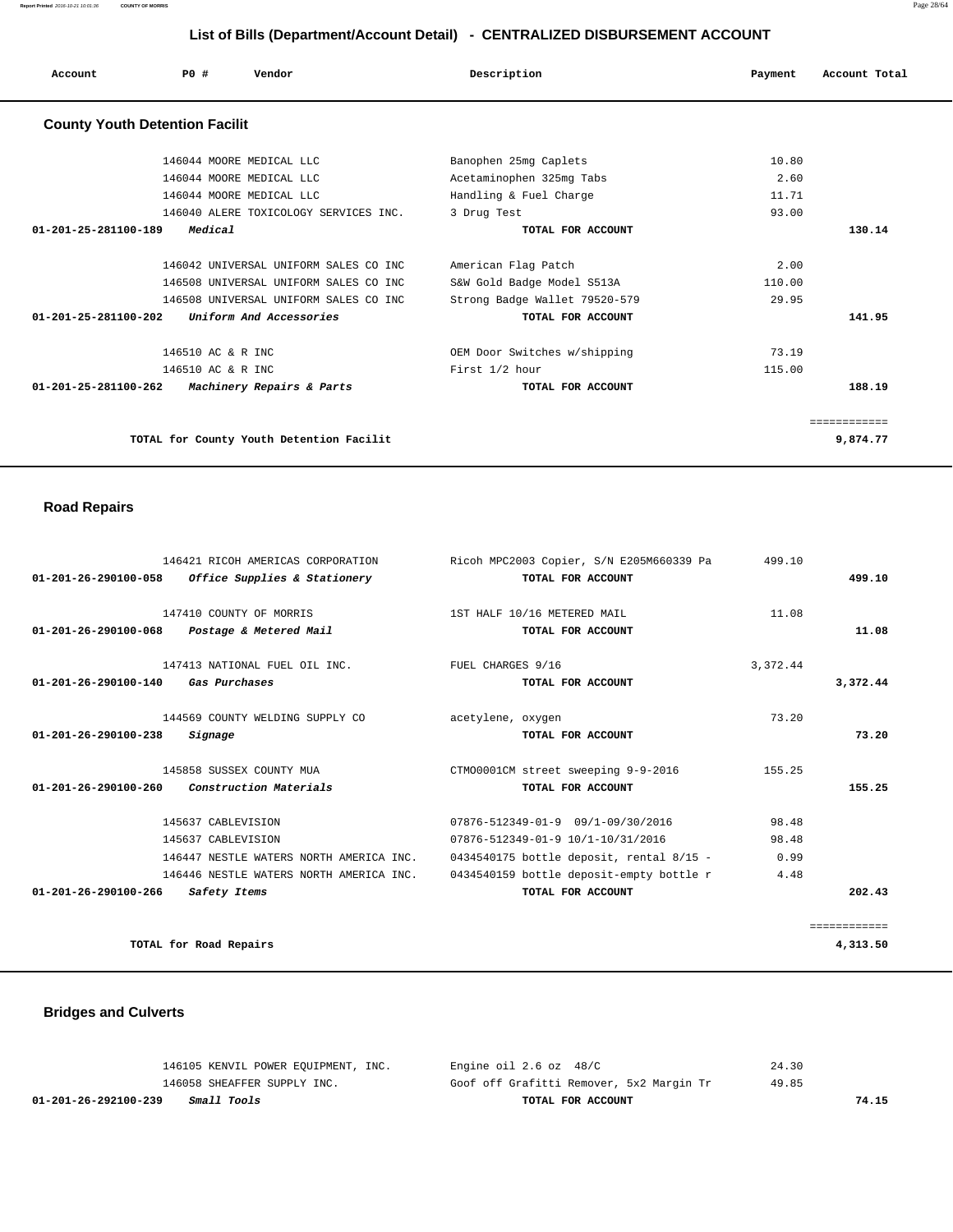| Account              | Vendor<br>PO#                                                                  | Description                                       | Account Total<br>Payment |
|----------------------|--------------------------------------------------------------------------------|---------------------------------------------------|--------------------------|
|                      | <b>County Youth Detention Facilit</b>                                          |                                                   |                          |
|                      | 146044 MOORE MEDICAL LLC                                                       | Banophen 25mg Caplets                             | 10.80                    |
|                      | 146044 MOORE MEDICAL LLC                                                       | Acetaminophen 325mg Tabs                          | 2.60                     |
|                      | 146044 MOORE MEDICAL LLC                                                       | Handling & Fuel Charge                            | 11.71                    |
|                      | 146040 ALERE TOXICOLOGY SERVICES INC.                                          | 3 Drug Test                                       | 93.00                    |
| 01-201-25-281100-189 | Medical                                                                        | TOTAL FOR ACCOUNT                                 | 130.14                   |
|                      | 146042 UNIVERSAL UNIFORM SALES CO INC<br>146508 UNIVERSAL UNIFORM SALES CO INC | American Flag Patch<br>S&W Gold Badge Model S513A | 2.00<br>110.00           |
|                      | 146508 UNIVERSAL UNIFORM SALES CO INC                                          | Strong Badge Wallet 79520-579                     | 29.95                    |
| 01-201-25-281100-202 | Uniform And Accessories                                                        | TOTAL FOR ACCOUNT                                 | 141.95                   |
|                      | 146510 AC & R INC                                                              | OEM Door Switches w/shipping                      | 73.19                    |
|                      | 146510 AC & R INC                                                              | First 1/2 hour                                    | 115.00                   |
| 01-201-25-281100-262 | Machinery Repairs & Parts                                                      | TOTAL FOR ACCOUNT                                 | 188.19                   |
|                      |                                                                                |                                                   | ============             |
|                      | TOTAL for County Youth Detention Facilit                                       |                                                   | 9,874.77                 |
|                      |                                                                                |                                                   |                          |

# **Road Repairs**

|                                | 146421 RICOH AMERICAS CORPORATION       | Ricoh MPC2003 Copier, S/N E205M660339 Pa | 499.10   |              |
|--------------------------------|-----------------------------------------|------------------------------------------|----------|--------------|
| 01-201-26-290100-058           | Office Supplies & Stationery            | TOTAL FOR ACCOUNT                        |          | 499.10       |
|                                | 147410 COUNTY OF MORRIS                 | 1ST HALF 10/16 METERED MAIL              | 11.08    |              |
| $01 - 201 - 26 - 290100 - 068$ | Postage & Metered Mail                  | TOTAL FOR ACCOUNT                        |          | 11.08        |
|                                | 147413 NATIONAL FUEL OIL INC.           | FUEL CHARGES 9/16                        | 3,372.44 |              |
| $01 - 201 - 26 - 290100 - 140$ | Gas Purchases                           | TOTAL FOR ACCOUNT                        |          | 3,372.44     |
|                                | 144569 COUNTY WELDING SUPPLY CO         | acetylene, oxygen                        | 73.20    |              |
| $01 - 201 - 26 - 290100 - 238$ | Signage                                 | TOTAL FOR ACCOUNT                        |          | 73.20        |
|                                | 145858 SUSSEX COUNTY MUA                | CTM00001CM street sweeping 9-9-2016      | 155.25   |              |
| 01-201-26-290100-260           | Construction Materials                  | TOTAL FOR ACCOUNT                        |          | 155.25       |
|                                | 145637 CABLEVISION                      | 07876-512349-01-9 09/1-09/30/2016        | 98.48    |              |
|                                | 145637 CABLEVISION                      | 07876-512349-01-9 10/1-10/31/2016        | 98.48    |              |
|                                | 146447 NESTLE WATERS NORTH AMERICA INC. | 0434540175 bottle deposit, rental 8/15 - | 0.99     |              |
|                                | 146446 NESTLE WATERS NORTH AMERICA INC. | 0434540159 bottle deposit-empty bottle r | 4.48     |              |
| $01 - 201 - 26 - 290100 - 266$ | Safety Items                            | TOTAL FOR ACCOUNT                        |          | 202.43       |
|                                |                                         |                                          |          | ============ |
|                                | TOTAL for Road Repairs                  |                                          |          | 4,313.50     |

# **Bridges and Culverts**

| TOTAL FOR ACCOUNT                        | 74.15 |
|------------------------------------------|-------|
| Goof off Grafitti Remover, 5x2 Margin Tr | 49.85 |
| Engine oil 2.6 oz 48/C                   | 24.30 |
|                                          |       |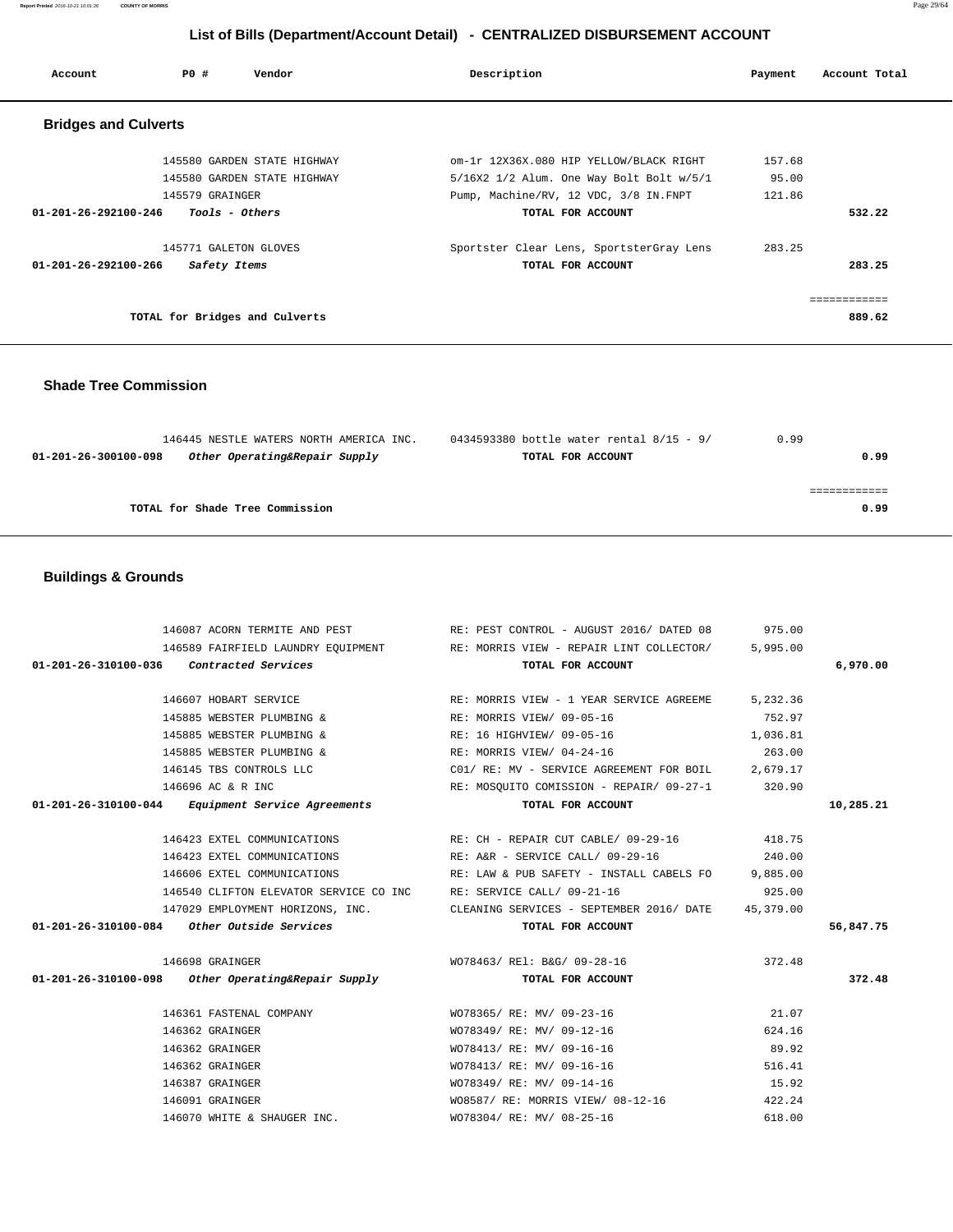**Report Printed** 2016-10-21 10:01:36 **COUNTY OF MORRIS** Page 29/64

# **List of Bills (Department/Account Detail) - CENTRALIZED DISBURSEMENT ACCOUNT**

| Account                        | PO#<br>Vendor                  | Description                              | Payment | Account Total |
|--------------------------------|--------------------------------|------------------------------------------|---------|---------------|
| <b>Bridges and Culverts</b>    |                                |                                          |         |               |
|                                | 145580 GARDEN STATE HIGHWAY    | om-1r 12X36X.080 HIP YELLOW/BLACK RIGHT  | 157.68  |               |
|                                | 145580 GARDEN STATE HIGHWAY    | 5/16X2 1/2 Alum. One Way Bolt Bolt w/5/1 | 95.00   |               |
|                                | 145579 GRAINGER                | Pump, Machine/RV, 12 VDC, 3/8 IN.FNPT    | 121.86  |               |
| $01 - 201 - 26 - 292100 - 246$ | Tools - Others                 | TOTAL FOR ACCOUNT                        |         | 532.22        |
|                                | 145771 GALETON GLOVES          | Sportster Clear Lens, SportsterGray Lens | 283.25  |               |
| $01 - 201 - 26 - 292100 - 266$ | Safety Items                   | TOTAL FOR ACCOUNT                        |         | 283.25        |
|                                |                                |                                          |         | ------------  |
|                                | TOTAL for Bridges and Culverts |                                          |         | 889.62        |

# **Shade Tree Commission**

| 146445 NESTLE WATERS NORTH AMERICA INC.               | 0434593380 bottle water rental 8/15 - 9/ | 0.99 |
|-------------------------------------------------------|------------------------------------------|------|
| Other Operating&Repair Supply<br>01-201-26-300100-098 | TOTAL FOR ACCOUNT                        | 0.99 |
|                                                       |                                          |      |
|                                                       |                                          |      |
| TOTAL for Shade Tree Commission                       |                                          | 0.99 |
|                                                       |                                          |      |

# **Buildings & Grounds**

|                                                      | 146087 ACORN TERMITE AND PEST THEST PEST CONTROL - AUGUST 2016/DATED 08 975.00       |        |           |
|------------------------------------------------------|--------------------------------------------------------------------------------------|--------|-----------|
|                                                      | 146589 FAIRFIELD LAUNDRY EQUIPMENT RE: MORRIS VIEW - REPAIR LINT COLLECTOR/ 5,995.00 |        |           |
| $01-201-26-310100-036$ Contracted Services           | TOTAL FOR ACCOUNT                                                                    |        | 6,970.00  |
|                                                      |                                                                                      |        |           |
|                                                      | 146607 HOBART SERVICE THE RE: MORRIS VIEW - 1 YEAR SERVICE AGREEME 5,232.36          |        |           |
|                                                      | 145885 WEBSTER PLUMBING & RE: MORRIS VIEW/09-05-16                                   | 752.97 |           |
|                                                      | 145885 WEBSTER PLUMBING & RE: 16 HIGHVIEW/ 09-05-16 1,036.81                         |        |           |
| 145885 WEBSTER PLUMBING &                            | RE: MORRIS VIEW/ 04-24-16                                                            | 263.00 |           |
|                                                      | 146145 TBS CONTROLS LLC CO1/ RE: MV - SERVICE AGREEMENT FOR BOIL 2.679.17            |        |           |
| 146696 AC & R INC                                    | RE: MOSQUITO COMISSION - REPAIR/ 09-27-1 320.90                                      |        |           |
| $01-201-26-310100-044$ Equipment Service Agreements  | TOTAL FOR ACCOUNT                                                                    |        | 10,285.21 |
|                                                      |                                                                                      |        |           |
|                                                      | 146423 EXTEL COMMUNICATIONS RE: CH - REPAIR CUT CABLE/ 09-29-16 418.75               |        |           |
|                                                      | 146423 EXTEL COMMUNICATIONS RE: A&R - SERVICE CALL/ 09-29-16 240.00                  |        |           |
|                                                      | 146606 EXTEL COMMUNICATIONS RE: LAW & PUB SAFETY - INSTALL CABELS FO 9,885.00        |        |           |
|                                                      | 146540 CLIFTON ELEVATOR SERVICE CO INC RE: SERVICE CALL/ 09-21-16                    | 925.00 |           |
|                                                      | 147029 EMPLOYMENT HORIZONS, INC. CLEANING SERVICES - SEPTEMBER 2016/ DATE 45,379.00  |        |           |
| $01-201-26-310100-084$ Other Outside Services        | TOTAL FOR ACCOUNT                                                                    |        | 56,847.75 |
| 146698 GRAINGER                                      | WO78463/ REl: B&G/ 09-28-16                                                          | 372.48 |           |
| $01-201-26-310100-098$ Other Operating&Repair Supply | TOTAL FOR ACCOUNT                                                                    |        | 372.48    |
|                                                      |                                                                                      | 21.07  |           |
| 146362 GRAINGER                                      | WO78349/ RE: MV/ 09-12-16                                                            | 624.16 |           |
| 146362 GRAINGER                                      | WO78413/ RE: MV/ 09-16-16                                                            | 89.92  |           |
| 146362 GRAINGER                                      | WO78413/ RE: MV/ 09-16-16                                                            | 516.41 |           |
| 146387 GRAINGER                                      | WO78349/ RE: MV/ 09-14-16                                                            | 15.92  |           |
| 146091 GRAINGER                                      | WO8587/ RE: MORRIS VIEW/ 08-12-16                                                    | 422.24 |           |
| 146070 WHITE & SHAUGER INC.                          | WO78304/ RE: MV/ 08-25-16                                                            | 618.00 |           |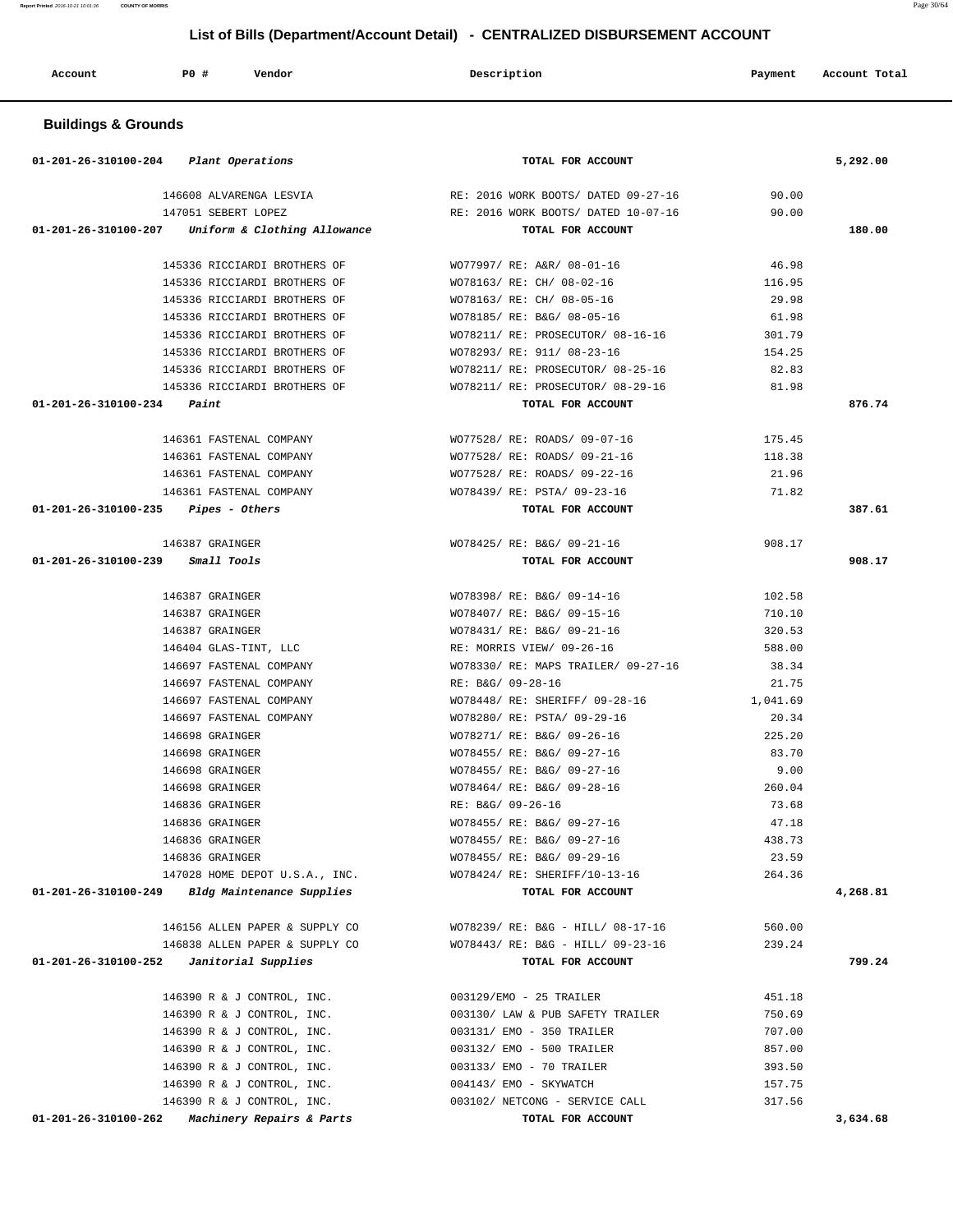**Report Printed** 2016-10-21 10:01:36 **COUNTY OF MORRIS** Page 30/64

# **List of Bills (Department/Account Detail) - CENTRALIZED DISBURSEMENT ACCOUNT**

| Account                        | <b>PO #</b><br>Vendor   | Description                         | Account Total<br>Payment |
|--------------------------------|-------------------------|-------------------------------------|--------------------------|
| <b>Buildings &amp; Grounds</b> |                         |                                     |                          |
| 01-201-26-310100-204           | Plant Operations        | TOTAL FOR ACCOUNT                   | 5,292.00                 |
|                                | 146608 ALVARENGA LESVIA | RE: 2016 WORK BOOTS/ DATED 09-27-16 | 90.00                    |

| 147051 SEBERT LOPEZ                                 | RE: 2016 WORK BOOTS/ DATED 10-07-16                          | 90.00             |          |
|-----------------------------------------------------|--------------------------------------------------------------|-------------------|----------|
| $01-201-26-310100-207$ Uniform & Clothing Allowance | TOTAL FOR ACCOUNT                                            |                   | 180.00   |
| 145336 RICCIARDI BROTHERS OF                        | WO77997/ RE: A&R/ 08-01-16                                   | 46.98             |          |
| 145336 RICCIARDI BROTHERS OF                        | WO78163/ RE: CH/ 08-02-16                                    | 116.95            |          |
| 145336 RICCIARDI BROTHERS OF                        | WO78163/ RE: CH/ 08-05-16                                    | 29.98             |          |
| 145336 RICCIARDI BROTHERS OF                        | WO78185/ RE: B&G/ 08-05-16                                   | 61.98             |          |
| 145336 RICCIARDI BROTHERS OF                        | WO78211/ RE: PROSECUTOR/ 08-16-16                            | 301.79            |          |
| 145336 RICCIARDI BROTHERS OF                        | WO78293/ RE: 911/ 08-23-16                                   | 154.25            |          |
| 145336 RICCIARDI BROTHERS OF                        | WO78211/ RE: PROSECUTOR/ 08-25-16                            | 82.83             |          |
| 145336 RICCIARDI BROTHERS OF                        | WO78211/ RE: PROSECUTOR/ 08-29-16                            | 81.98             |          |
| $01 - 201 - 26 - 310100 - 234$ Paint                | TOTAL FOR ACCOUNT                                            |                   | 876.74   |
|                                                     |                                                              |                   |          |
| 146361 FASTENAL COMPANY                             | WO77528/ RE: ROADS/ 09-07-16                                 | 175.45            |          |
| 146361 FASTENAL COMPANY                             | WO77528/ RE: ROADS/ 09-21-16                                 | 118.38            |          |
| 146361 FASTENAL COMPANY                             | WO77528/ RE: ROADS/ 09-22-16                                 | 21.96             |          |
| 146361 FASTENAL COMPANY                             | WO78439/ RE: PSTA/ 09-23-16                                  | 71.82             |          |
| $01-201-26-310100-235$ Pipes - Others               | TOTAL FOR ACCOUNT                                            |                   | 387.61   |
| 146387 GRAINGER                                     | WO78425/ RE: B&G/ 09-21-16                                   | 908.17            |          |
| 01-201-26-310100-239 Small Tools                    | TOTAL FOR ACCOUNT                                            |                   | 908.17   |
|                                                     |                                                              |                   |          |
| 146387 GRAINGER                                     | WO78398/ RE: B&G/ 09-14-16                                   | 102.58            |          |
| 146387 GRAINGER                                     | WO78407/ RE: B&G/ 09-15-16                                   | 710.10            |          |
| 146387 GRAINGER                                     | WO78431/ RE: B&G/ 09-21-16                                   | 320.53            |          |
| 146404 GLAS-TINT, LLC                               | RE: MORRIS VIEW/ 09-26-16                                    | 588.00            |          |
| 146697 FASTENAL COMPANY                             | WO78330/ RE: MAPS TRAILER/ 09-27-16                          | 38.34             |          |
| 146697 FASTENAL COMPANY                             | RE: B&G/ 09-28-16                                            | 21.75             |          |
| 146697 FASTENAL COMPANY                             | WO78448/ RE: SHERIFF/ 09-28-16                               | 1,041.69<br>20.34 |          |
| 146697 FASTENAL COMPANY                             | WO78280/ RE: PSTA/ 09-29-16                                  | 225.20            |          |
| 146698 GRAINGER                                     | WO78271/ RE: B&G/ 09-26-16<br>WO78455/ RE: B&G/ 09-27-16     | 83.70             |          |
| 146698 GRAINGER                                     |                                                              |                   |          |
| 146698 GRAINGER<br>146698 GRAINGER                  | WO78455/ RE: B&G/ 09-27-16<br>WO78464/ RE: B&G/ 09-28-16     | 9.00<br>260.04    |          |
| 146836 GRAINGER                                     | RE: B&G/ 09-26-16                                            | 73.68             |          |
| 146836 GRAINGER                                     | WO78455/ RE: B&G/ 09-27-16                                   | 47.18             |          |
| 146836 GRAINGER                                     | WO78455/ RE: B&G/ 09-27-16                                   | 438.73            |          |
| 146836 GRAINGER                                     | WO78455/ RE: B&G/ 09-29-16                                   | 23.59             |          |
|                                                     | 147028 HOME DEPOT U.S.A., INC. WO78424/ RE: SHERIFF/10-13-16 | 264.36            |          |
| 01-201-26-310100-249 Bldg Maintenance Supplies      | TOTAL FOR ACCOUNT                                            |                   | 4,268.81 |
|                                                     |                                                              |                   |          |
| 146156 ALLEN PAPER & SUPPLY CO                      | WO78239/ RE: B&G - HILL/ 08-17-16                            | 560.00            |          |
| 146838 ALLEN PAPER & SUPPLY CO                      | WO78443/ RE: B&G - HILL/ 09-23-16                            | 239.24            |          |
| 01-201-26-310100-252<br>Janitorial Supplies         | TOTAL FOR ACCOUNT                                            |                   | 799.24   |
| 146390 R & J CONTROL, INC.                          | 003129/EMO - 25 TRAILER                                      | 451.18            |          |
| 146390 R & J CONTROL, INC.                          | 003130/ LAW & PUB SAFETY TRAILER                             | 750.69            |          |
| 146390 R & J CONTROL, INC.                          | 003131/ EMO - 350 TRAILER                                    | 707.00            |          |
| 146390 R & J CONTROL, INC.                          | 003132/ EMO - 500 TRAILER                                    | 857.00            |          |
| 146390 R & J CONTROL, INC.                          | 003133/ EMO - 70 TRAILER                                     | 393.50            |          |
| 146390 R & J CONTROL, INC.                          | 004143/ EMO - SKYWATCH                                       | 157.75            |          |

146390 R & J CONTROL, INC. 003102/ NETCONG - SERVICE CALL 317.56

 **01-201-26-310100-262 Machinery Repairs & Parts TOTAL FOR ACCOUNT 3,634.68**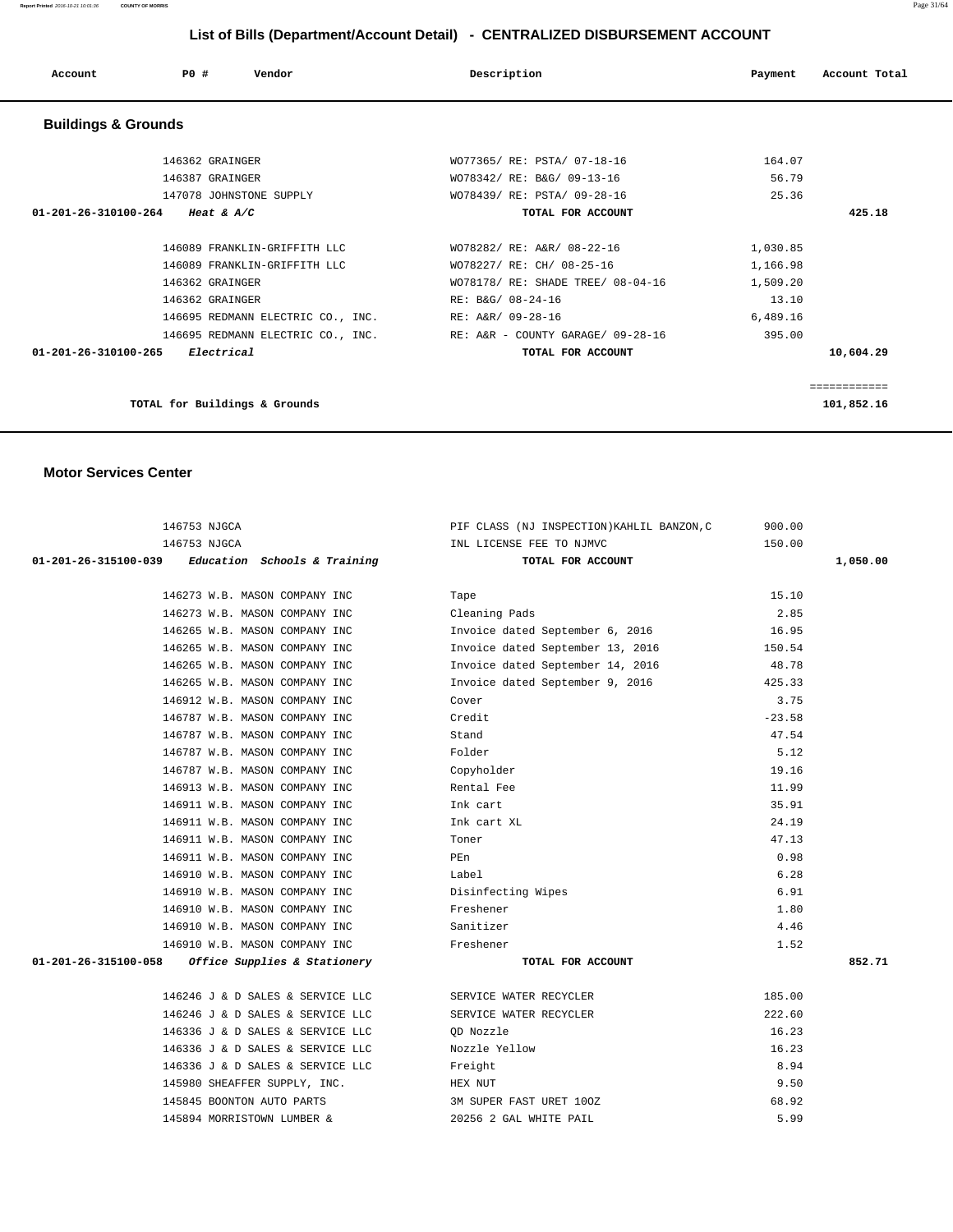#### **Report Printed** 2016-10-21 10:01:36 **COUNTY OF MORRIS** Page 31/64

# **List of Bills (Department/Account Detail) - CENTRALIZED DISBURSEMENT ACCOUNT**

| Account                        | Vendor<br>PO#                     | Description                       | Payment  | Account Total |
|--------------------------------|-----------------------------------|-----------------------------------|----------|---------------|
| <b>Buildings &amp; Grounds</b> |                                   |                                   |          |               |
|                                | 146362 GRAINGER                   | WO77365/ RE: PSTA/ 07-18-16       | 164.07   |               |
|                                | 146387 GRAINGER                   | WO78342/ RE: B&G/ 09-13-16        | 56.79    |               |
|                                | 147078 JOHNSTONE SUPPLY           | WO78439/ RE: PSTA/ 09-28-16       | 25.36    |               |
| 01-201-26-310100-264           | Heat & $A/C$                      | TOTAL FOR ACCOUNT                 |          | 425.18        |
|                                |                                   |                                   |          |               |
|                                | 146089 FRANKLIN-GRIFFITH LLC      | WO78282/ RE: A&R/ 08-22-16        | 1,030.85 |               |
|                                | 146089 FRANKLIN-GRIFFITH LLC      | WO78227/ RE: CH/ 08-25-16         | 1,166.98 |               |
|                                | 146362 GRAINGER                   | WO78178/ RE: SHADE TREE/ 08-04-16 | 1,509.20 |               |
|                                | 146362 GRAINGER                   | RE: B&G/ 08-24-16                 | 13.10    |               |
|                                | 146695 REDMANN ELECTRIC CO., INC. | RE: A&R/ 09-28-16                 | 6,489.16 |               |
|                                | 146695 REDMANN ELECTRIC CO., INC. | RE: A&R - COUNTY GARAGE/ 09-28-16 | 395.00   |               |
| $01 - 201 - 26 - 310100 - 265$ | Electrical                        | TOTAL FOR ACCOUNT                 |          | 10,604.29     |
|                                |                                   |                                   |          |               |
|                                |                                   |                                   |          | ============  |
|                                | TOTAL for Buildings & Grounds     |                                   |          | 101,852.16    |

#### **Motor Services Center**

|                      | 146753 NJGCA                                        | PIF CLASS (NJ INSPECTION) KAHLIL BANZON, C | 900.00   |          |
|----------------------|-----------------------------------------------------|--------------------------------------------|----------|----------|
|                      | 146753 NJGCA                                        | INL LICENSE FEE TO NJMVC                   | 150.00   |          |
|                      | $01-201-26-315100-039$ Education Schools & Training | TOTAL FOR ACCOUNT                          |          | 1,050.00 |
|                      |                                                     |                                            |          |          |
|                      | 146273 W.B. MASON COMPANY INC                       | Tape                                       | 15.10    |          |
|                      | 146273 W.B. MASON COMPANY INC                       | Cleaning Pads                              | 2.85     |          |
|                      | 146265 W.B. MASON COMPANY INC                       | Invoice dated September 6, 2016            | 16.95    |          |
|                      | 146265 W.B. MASON COMPANY INC                       | Invoice dated September 13, 2016           | 150.54   |          |
|                      | 146265 W.B. MASON COMPANY INC                       | Invoice dated September 14, 2016           | 48.78    |          |
|                      | 146265 W.B. MASON COMPANY INC                       | Invoice dated September 9, 2016            | 425.33   |          |
|                      | 146912 W.B. MASON COMPANY INC                       | Cover                                      | 3.75     |          |
|                      | 146787 W.B. MASON COMPANY INC                       | Credit                                     | $-23.58$ |          |
|                      | 146787 W.B. MASON COMPANY INC                       | Stand                                      | 47.54    |          |
|                      | 146787 W.B. MASON COMPANY INC                       | Folder                                     | 5.12     |          |
|                      | 146787 W.B. MASON COMPANY INC                       | Copyholder                                 | 19.16    |          |
|                      | 146913 W.B. MASON COMPANY INC                       | Rental Fee                                 | 11.99    |          |
|                      | 146911 W.B. MASON COMPANY INC                       | Ink cart                                   | 35.91    |          |
|                      | 146911 W.B. MASON COMPANY INC                       | Ink cart XL                                | 24.19    |          |
|                      | 146911 W.B. MASON COMPANY INC                       | Toner                                      | 47.13    |          |
|                      | 146911 W.B. MASON COMPANY INC                       | PEn                                        | 0.98     |          |
|                      | 146910 W.B. MASON COMPANY INC                       | Label                                      | 6.28     |          |
|                      | 146910 W.B. MASON COMPANY INC                       | Disinfecting Wipes                         | 6.91     |          |
|                      | 146910 W.B. MASON COMPANY INC                       | Freshener                                  | 1.80     |          |
|                      | 146910 W.B. MASON COMPANY INC                       | Sanitizer                                  | 4.46     |          |
|                      | 146910 W.B. MASON COMPANY INC                       | Freshener                                  | 1.52     |          |
| 01-201-26-315100-058 | Office Supplies & Stationery                        | TOTAL FOR ACCOUNT                          |          | 852.71   |
|                      | 146246 J & D SALES & SERVICE LLC                    | SERVICE WATER RECYCLER                     | 185.00   |          |
|                      | 146246 J & D SALES & SERVICE LLC                    | SERVICE WATER RECYCLER                     | 222.60   |          |
|                      | 146336 J & D SALES & SERVICE LLC                    | QD Nozzle                                  | 16.23    |          |
|                      | 146336 J & D SALES & SERVICE LLC                    | Nozzle Yellow                              | 16.23    |          |
|                      | 146336 J & D SALES & SERVICE LLC                    | Freight                                    | 8.94     |          |
|                      | 145980 SHEAFFER SUPPLY, INC.                        | HEX NUT                                    | 9.50     |          |
|                      | 145845 BOONTON AUTO PARTS                           | 3M SUPER FAST URET 100Z                    | 68.92    |          |
|                      | 145894 MORRISTOWN LUMBER &                          | 20256 2 GAL WHITE PAIL                     | 5.99     |          |
|                      |                                                     |                                            |          |          |
|                      |                                                     |                                            |          |          |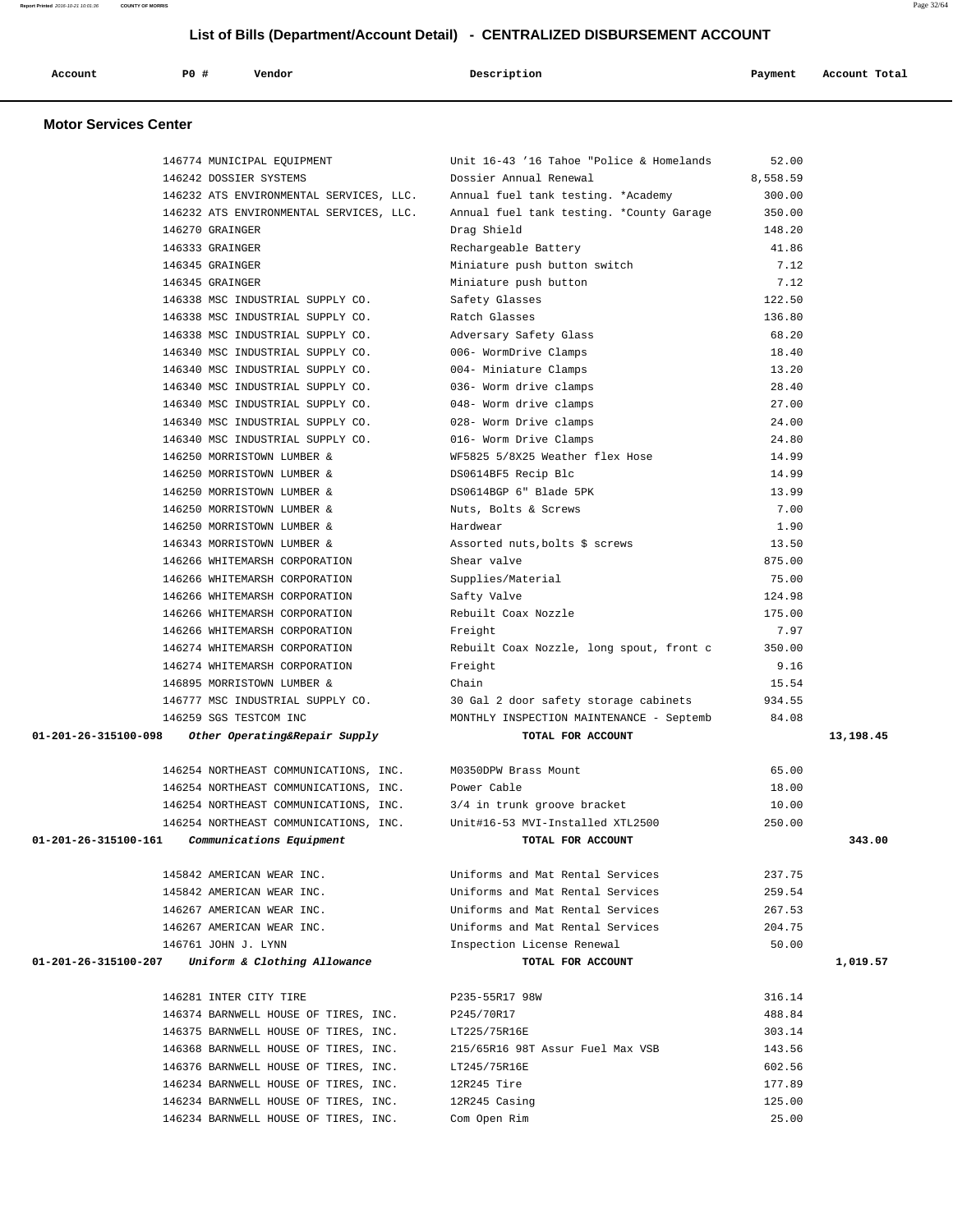| Account | P0 # | Vendor | Description | Payment | Account Total |
|---------|------|--------|-------------|---------|---------------|
|         |      |        |             |         |               |

# **Motor Services Center**

|                      | 146774 MUNICIPAL EQUIPMENT                         | Unit 16-43 '16 Tahoe "Police & Homelands | 52.00    |           |
|----------------------|----------------------------------------------------|------------------------------------------|----------|-----------|
|                      | 146242 DOSSIER SYSTEMS                             | Dossier Annual Renewal                   | 8,558.59 |           |
|                      | 146232 ATS ENVIRONMENTAL SERVICES, LLC.            | Annual fuel tank testing, *Academy       | 300.00   |           |
|                      | 146232 ATS ENVIRONMENTAL SERVICES, LLC.            | Annual fuel tank testing. *County Garage | 350.00   |           |
|                      | 146270 GRAINGER                                    | Drag Shield                              | 148.20   |           |
|                      | 146333 GRAINGER                                    | Rechargeable Battery                     | 41.86    |           |
|                      | 146345 GRAINGER                                    | Miniature push button switch             | 7.12     |           |
|                      | 146345 GRAINGER                                    | Miniature push button                    | 7.12     |           |
|                      | 146338 MSC INDUSTRIAL SUPPLY CO.                   | Safety Glasses                           | 122.50   |           |
|                      | 146338 MSC INDUSTRIAL SUPPLY CO.                   | Ratch Glasses                            | 136.80   |           |
|                      | 146338 MSC INDUSTRIAL SUPPLY CO.                   | Adversary Safety Glass                   | 68.20    |           |
|                      | 146340 MSC INDUSTRIAL SUPPLY CO.                   | 006- WormDrive Clamps                    | 18.40    |           |
|                      | 146340 MSC INDUSTRIAL SUPPLY CO.                   | 004- Miniature Clamps                    | 13.20    |           |
|                      | 146340 MSC INDUSTRIAL SUPPLY CO.                   | 036- Worm drive clamps                   | 28.40    |           |
|                      | 146340 MSC INDUSTRIAL SUPPLY CO.                   | 048- Worm drive clamps                   | 27.00    |           |
|                      | 146340 MSC INDUSTRIAL SUPPLY CO.                   | 028- Worm Drive clamps                   | 24.00    |           |
|                      | 146340 MSC INDUSTRIAL SUPPLY CO.                   | 016- Worm Drive Clamps                   | 24.80    |           |
|                      | 146250 MORRISTOWN LUMBER &                         | WF5825 5/8X25 Weather flex Hose          | 14.99    |           |
|                      | 146250 MORRISTOWN LUMBER &                         | DS0614BF5 Recip Blc                      | 14.99    |           |
|                      | 146250 MORRISTOWN LUMBER &                         | DS0614BGP 6" Blade 5PK                   | 13.99    |           |
|                      | 146250 MORRISTOWN LUMBER &                         | Nuts, Bolts & Screws                     | 7.00     |           |
|                      | 146250 MORRISTOWN LUMBER &                         | Hardwear                                 | 1.90     |           |
|                      | 146343 MORRISTOWN LUMBER &                         | Assorted nuts, bolts \$ screws           | 13.50    |           |
|                      | 146266 WHITEMARSH CORPORATION                      | Shear valve                              | 875.00   |           |
|                      | 146266 WHITEMARSH CORPORATION                      | Supplies/Material                        | 75.00    |           |
|                      | 146266 WHITEMARSH CORPORATION                      | Safty Valve                              | 124.98   |           |
|                      | 146266 WHITEMARSH CORPORATION                      | Rebuilt Coax Nozzle                      | 175.00   |           |
|                      | 146266 WHITEMARSH CORPORATION                      | Freight                                  | 7.97     |           |
|                      | 146274 WHITEMARSH CORPORATION                      | Rebuilt Coax Nozzle, long spout, front c | 350.00   |           |
|                      | 146274 WHITEMARSH CORPORATION                      | Freight                                  | 9.16     |           |
|                      | 146895 MORRISTOWN LUMBER &                         | Chain                                    | 15.54    |           |
|                      | 146777 MSC INDUSTRIAL SUPPLY CO.                   | 30 Gal 2 door safety storage cabinets    | 934.55   |           |
|                      | 146259 SGS TESTCOM INC                             | MONTHLY INSPECTION MAINTENANCE - Septemb | 84.08    |           |
|                      | 01-201-26-315100-098 Other Operating&Repair Supply | TOTAL FOR ACCOUNT                        |          | 13,198.45 |
|                      |                                                    |                                          |          |           |
|                      | 146254 NORTHEAST COMMUNICATIONS, INC.              | M0350DPW Brass Mount                     | 65.00    |           |
|                      | 146254 NORTHEAST COMMUNICATIONS, INC.              | Power Cable                              | 18.00    |           |
|                      | 146254 NORTHEAST COMMUNICATIONS, INC.              | 3/4 in trunk groove bracket              | 10.00    |           |
|                      | 146254 NORTHEAST COMMUNICATIONS, INC.              | Unit#16-53 MVI-Installed XTL2500         | 250.00   |           |
| 01-201-26-315100-161 | Communications Equipment                           | TOTAL FOR ACCOUNT                        |          | 343.00    |
|                      |                                                    |                                          |          |           |
|                      | 145842 AMERICAN WEAR INC.                          | Uniforms and Mat Rental Services         | 237.75   |           |
|                      | 145842 AMERICAN WEAR INC.                          | Uniforms and Mat Rental Services         | 259.54   |           |
|                      | 146267 AMERICAN WEAR INC.                          | Uniforms and Mat Rental Services         | 267.53   |           |
|                      | 146267 AMERICAN WEAR INC.                          | Uniforms and Mat Rental Services         | 204.75   |           |
|                      | 146761 JOHN J. LYNN                                | Inspection License Renewal               | 50.00    |           |
| 01-201-26-315100-207 | Uniform & Clothing Allowance                       | TOTAL FOR ACCOUNT                        |          | 1,019.57  |
|                      |                                                    |                                          |          |           |
|                      | 146281 INTER CITY TIRE                             | P235-55R17 98W                           | 316.14   |           |
|                      | 146374 BARNWELL HOUSE OF TIRES, INC.               | P245/70R17                               | 488.84   |           |
|                      | 146375 BARNWELL HOUSE OF TIRES, INC.               | LT225/75R16E                             | 303.14   |           |
|                      | 146368 BARNWELL HOUSE OF TIRES, INC.               | 215/65R16 98T Assur Fuel Max VSB         | 143.56   |           |
|                      | 146376 BARNWELL HOUSE OF TIRES, INC.               | LT245/75R16E                             | 602.56   |           |
|                      | 146234 BARNWELL HOUSE OF TIRES, INC.               | 12R245 Tire                              | 177.89   |           |
|                      | 146234 BARNWELL HOUSE OF TIRES, INC.               | 12R245 Casing                            | 125.00   |           |
|                      | 146234 BARNWELL HOUSE OF TIRES, INC.               | Com Open Rim                             | 25.00    |           |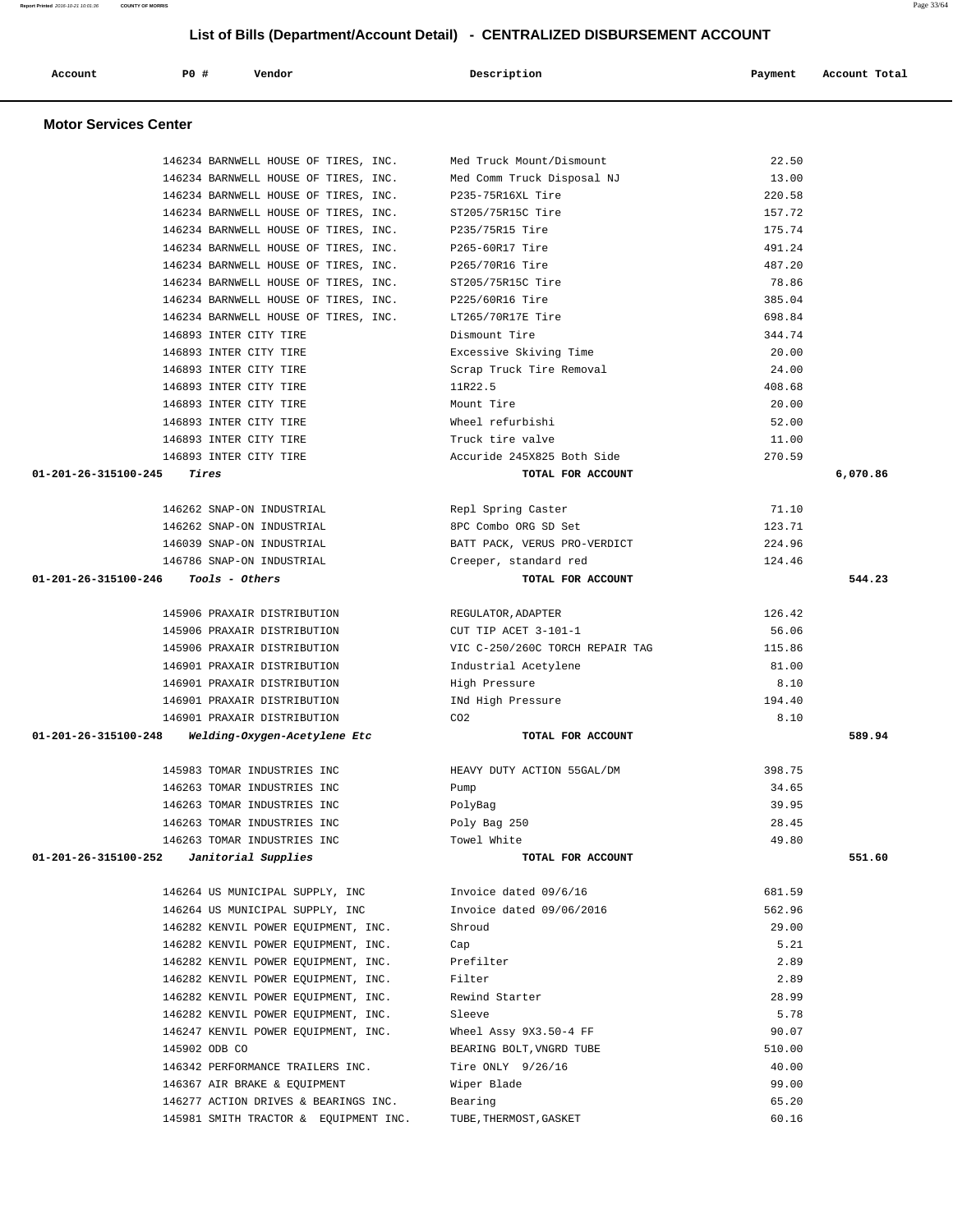**Account P0 # Vendor Description Payment Account Total Motor Services Center**  146234 BARNWELL HOUSE OF TIRES, INC. Med Truck Mount/Dismount 22.50 146234 BARNWELL HOUSE OF TIRES, INC. Med Comm Truck Disposal NJ 13.00 146234 BARNWELL HOUSE OF TIRES, INC. P235-75R16XL Tire 220.58 146234 BARNWELL HOUSE OF TIRES, INC. ST205/75R15C Tire 157.72 146234 BARNWELL HOUSE OF TIRES, INC. P235/75R15 Tire 175.74 146234 BARNWELL HOUSE OF TIRES, INC. P265-60R17 Tire 491.24 146234 BARNWELL HOUSE OF TIRES, INC. P265/70R16 Tire 487.20 146234 BARNWELL HOUSE OF TIRES, INC. ST205/75R15C Tire 78.86 146234 BARNWELL HOUSE OF TIRES, INC. P225/60R16 Tire 385.04 146234 BARNWELL HOUSE OF TIRES, INC. LT265/70R17E Tire 698.84 146893 INTER CITY TIRE Dismount Tire 344.74 146893 INTER CITY TIRE Excessive Skiving Time 20.00 146893 INTER CITY TIRE Scrap Truck Tire Removal 24.00 146893 INTER CITY TIRE 11R22.5 408.68 146893 INTER CITY TIRE Mount Tire 20.00 146893 INTER CITY TIRE Wheel refurbishi 52.00 146893 INTER CITY TIRE TRUCK tire valve 11.00 146893 INTER CITY TIRE Accuride 245X825 Both Side 270.59  **01-201-26-315100-245 Tires TOTAL FOR ACCOUNT 6,070.86** 146262 SNAP-ON INDUSTRIAL Repl Spring Caster 71.10 146262 SNAP-ON INDUSTRIAL 8PC Combo ORG SD Set 123.71 146039 SNAP-ON INDUSTRIAL BATT PACK, VERUS PRO-VERDICT 224.96 146786 SNAP-ON INDUSTRIAL Creeper, standard red 124.46  **01-201-26-315100-246 Tools - Others TOTAL FOR ACCOUNT 544.23** 145906 PRAXAIR DISTRIBUTION REGULATOR,ADAPTER 126.42 145906 PRAXAIR DISTRIBUTION CUT TIP ACET 3-101-1 56.06 145906 PRAXAIR DISTRIBUTION VIC C-250/260C TORCH REPAIR TAG 115.86 146901 PRAXAIR DISTRIBUTION Industrial Acetylene 81.00 146901 PRAXAIR DISTRIBUTION High Pressure 8.10 146901 PRAXAIR DISTRIBUTION INd High Pressure 194.40 146901 PRAXAIR DISTRIBUTION CO2 8.10  **01-201-26-315100-248 Welding-Oxygen-Acetylene Etc TOTAL FOR ACCOUNT 589.94** 145983 TOMAR INDUSTRIES INC HEAVY DUTY ACTION 55GAL/DM 398.75 146263 TOMAR INDUSTRIES INC Pump 34.65 146263 TOMAR INDUSTRIES INC PolyBag 39.95 146263 TOMAR INDUSTRIES INC Poly Bag 250 28.45 146263 TOMAR INDUSTRIES INC Towel White 49.80  **01-201-26-315100-252 Janitorial Supplies TOTAL FOR ACCOUNT 551.60** 146264 US MUNICIPAL SUPPLY, INC Invoice dated 09/6/16 681.59 146264 US MUNICIPAL SUPPLY, INC Invoice dated 09/06/2016 562.96 146282 KENVIL POWER EQUIPMENT, INC. Shroud 29.00 146282 KENVIL POWER EQUIPMENT, INC. Cap 5.21 146282 KENVIL POWER EQUIPMENT, INC. Prefilter 2.89 146282 KENVIL POWER EQUIPMENT, INC. Filter 2.89 146282 KENVIL POWER EQUIPMENT, INC. Rewind Starter 28.99 146282 KENVIL POWER EQUIPMENT, INC. Sleeve 5.78 146247 KENVIL POWER EQUIPMENT, INC. Wheel Assy 9X3.50-4 FF 90.07 145902 ODB CO BEARING BOLT,VNGRD TUBE 510.00 146342 PERFORMANCE TRAILERS INC. Tire ONLY 9/26/16 40.00 146367 AIR BRAKE & EQUIPMENT Wiper Blade 99.00 146277 ACTION DRIVES & BEARINGS INC. Bearing 65.20 145981 SMITH TRACTOR & EQUIPMENT INC. TUBE,THERMOST,GASKET 60.16

 **List of Bills (Department/Account Detail) - CENTRALIZED DISBURSEMENT ACCOUNT**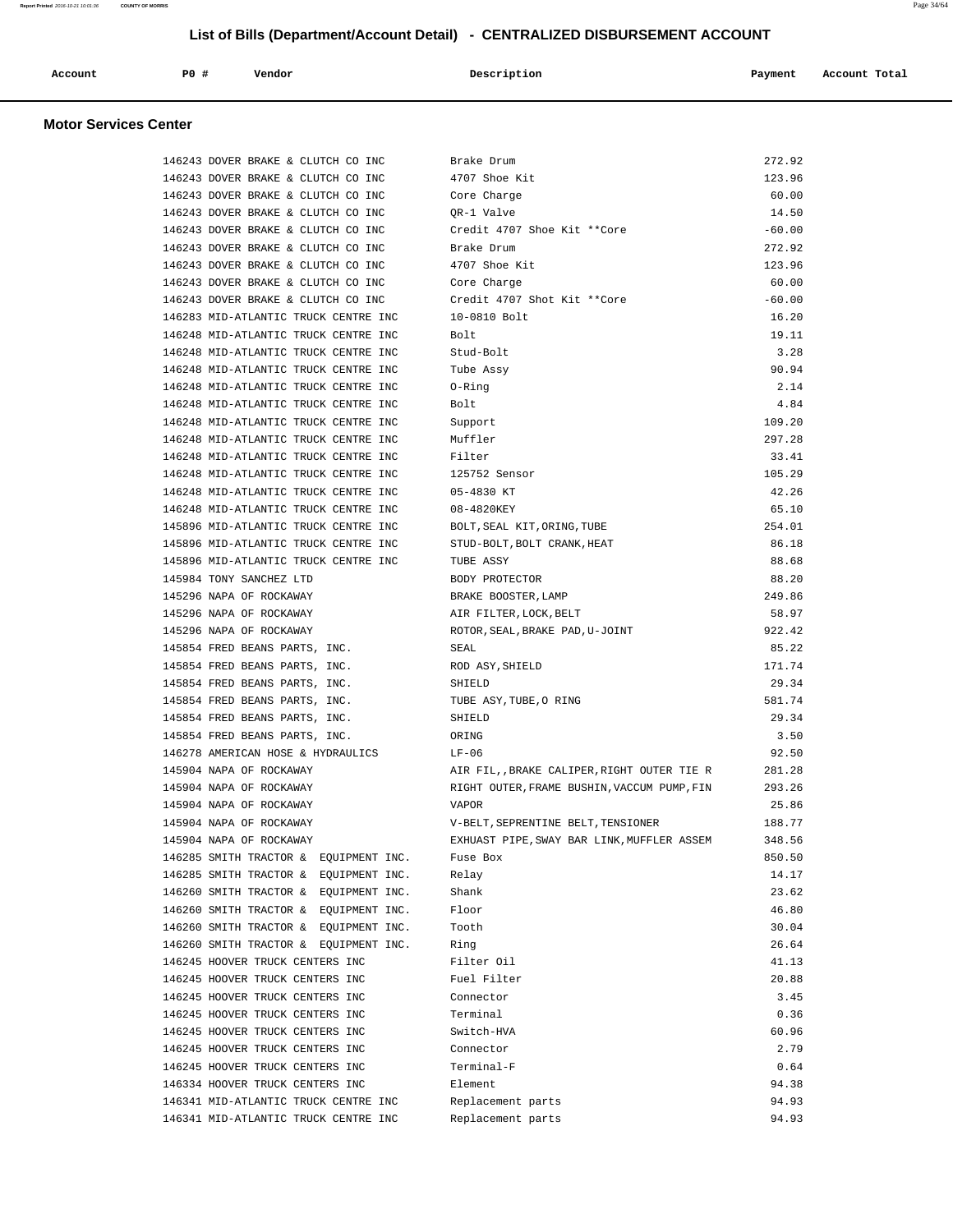| Account | P0 # | Vendor | Description | Payment | Account Total |
|---------|------|--------|-------------|---------|---------------|
|         |      |        |             |         |               |

# **Motor Services Center**

| 146243 DOVER BRAKE & CLUTCH CO INC                                 | Brake Drum                                  | 272.92         |
|--------------------------------------------------------------------|---------------------------------------------|----------------|
| 146243 DOVER BRAKE & CLUTCH CO INC                                 | 4707 Shoe Kit                               | 123.96         |
| 146243 DOVER BRAKE & CLUTCH CO INC                                 | Core Charge                                 | 60.00          |
| 146243 DOVER BRAKE & CLUTCH CO INC                                 | QR-1 Valve                                  | 14.50          |
| 146243 DOVER BRAKE & CLUTCH CO INC                                 | Credit 4707 Shoe Kit **Core                 | $-60.00$       |
| 146243 DOVER BRAKE & CLUTCH CO INC                                 | Brake Drum                                  | 272.92         |
| 146243 DOVER BRAKE & CLUTCH CO INC                                 | 4707 Shoe Kit                               | 123.96         |
| 146243 DOVER BRAKE & CLUTCH CO INC                                 | Core Charge                                 | 60.00          |
| 146243 DOVER BRAKE & CLUTCH CO INC                                 | Credit 4707 Shot Kit **Core                 | $-60.00$       |
| 146283 MID-ATLANTIC TRUCK CENTRE INC                               | 10-0810 Bolt                                | 16.20          |
| 146248 MID-ATLANTIC TRUCK CENTRE INC                               | Bolt                                        | 19.11          |
| 146248 MID-ATLANTIC TRUCK CENTRE INC                               | Stud-Bolt                                   | 3.28           |
| 146248 MID-ATLANTIC TRUCK CENTRE INC                               | Tube Assy                                   | 90.94          |
| 146248 MID-ATLANTIC TRUCK CENTRE INC                               | $0 -$ Ring                                  | 2.14           |
| 146248 MID-ATLANTIC TRUCK CENTRE INC                               | Bolt                                        | 4.84           |
| 146248 MID-ATLANTIC TRUCK CENTRE INC                               | Support                                     | 109.20         |
| 146248 MID-ATLANTIC TRUCK CENTRE INC                               | Muffler                                     | 297.28         |
| 146248 MID-ATLANTIC TRUCK CENTRE INC                               | Filter                                      | 33.41          |
| 146248 MID-ATLANTIC TRUCK CENTRE INC                               | 125752 Sensor                               | 105.29         |
| 146248 MID-ATLANTIC TRUCK CENTRE INC                               | 05-4830 KT                                  | 42.26          |
| 146248 MID-ATLANTIC TRUCK CENTRE INC                               | 08-4820KEY                                  | 65.10          |
| 145896 MID-ATLANTIC TRUCK CENTRE INC                               | BOLT, SEAL KIT, ORING, TUBE                 | 254.01         |
| 145896 MID-ATLANTIC TRUCK CENTRE INC                               | STUD-BOLT, BOLT CRANK, HEAT                 | 86.18          |
| 145896 MID-ATLANTIC TRUCK CENTRE INC                               | TUBE ASSY                                   | 88.68          |
| 145984 TONY SANCHEZ LTD                                            | BODY PROTECTOR                              | 88.20          |
| 145296 NAPA OF ROCKAWAY                                            | BRAKE BOOSTER, LAMP                         | 249.86         |
| 145296 NAPA OF ROCKAWAY                                            | AIR FILTER, LOCK, BELT                      | 58.97          |
| 145296 NAPA OF ROCKAWAY                                            | ROTOR, SEAL, BRAKE PAD, U-JOINT             | 922.42         |
| 145854 FRED BEANS PARTS, INC.                                      | SEAL                                        | 85.22          |
| 145854 FRED BEANS PARTS, INC.                                      | ROD ASY, SHIELD                             | 171.74         |
| 145854 FRED BEANS PARTS, INC.                                      | SHIELD                                      | 29.34          |
| 145854 FRED BEANS PARTS, INC.                                      | TUBE ASY, TUBE, O RING                      | 581.74         |
| 145854 FRED BEANS PARTS, INC.                                      | SHIELD                                      | 29.34          |
| 145854 FRED BEANS PARTS, INC.                                      | ORING                                       | 3.50           |
| 146278 AMERICAN HOSE & HYDRAULICS                                  | $LF-06$                                     | 92.50          |
| 145904 NAPA OF ROCKAWAY                                            | AIR FIL, BRAKE CALIPER, RIGHT OUTER TIE R   | 281.28         |
| 145904 NAPA OF ROCKAWAY                                            | RIGHT OUTER, FRAME BUSHIN, VACCUM PUMP, FIN | 293.26         |
| 145904 NAPA OF ROCKAWAY                                            | <b>VAPOR</b>                                | 25.86          |
| 145904 NAPA OF ROCKAWAY                                            | V-BELT, SEPRENTINE BELT, TENSIONER          | 188.77         |
| 145904 NAPA OF ROCKAWAY                                            | EXHUAST PIPE, SWAY BAR LINK, MUFFLER ASSEM  | 348.56         |
| 146285 SMITH TRACTOR &<br>EQUIPMENT INC.                           | Fuse Box                                    | 850.50         |
| 146285 SMITH TRACTOR &<br>EOUIPMENT INC.                           | Relay                                       | 14.17          |
| 146260 SMITH TRACTOR & EQUIPMENT INC.                              | Shank                                       | 23.62          |
| 146260 SMITH TRACTOR & EQUIPMENT INC.                              | Floor                                       | 46.80          |
| 146260 SMITH TRACTOR & EQUIPMENT INC.                              | Tooth                                       | 30.04          |
| 146260 SMITH TRACTOR & EQUIPMENT INC.                              | Ring                                        | 26.64<br>41.13 |
| 146245 HOOVER TRUCK CENTERS INC<br>146245 HOOVER TRUCK CENTERS INC | Filter Oil                                  |                |
| 146245 HOOVER TRUCK CENTERS INC                                    | Fuel Filter<br>Connector                    | 20.88<br>3.45  |
| 146245 HOOVER TRUCK CENTERS INC                                    | Terminal                                    | 0.36           |
| 146245 HOOVER TRUCK CENTERS INC                                    | Switch-HVA                                  | 60.96          |
| 146245 HOOVER TRUCK CENTERS INC                                    | Connector                                   | 2.79           |
| 146245 HOOVER TRUCK CENTERS INC                                    | Terminal-F                                  | 0.64           |
| 146334 HOOVER TRUCK CENTERS INC                                    | Element                                     | 94.38          |
| 146341 MID-ATLANTIC TRUCK CENTRE INC                               | Replacement parts                           | 94.93          |
| 146341 MID-ATLANTIC TRUCK CENTRE INC                               | Replacement parts                           | 94.93          |
|                                                                    |                                             |                |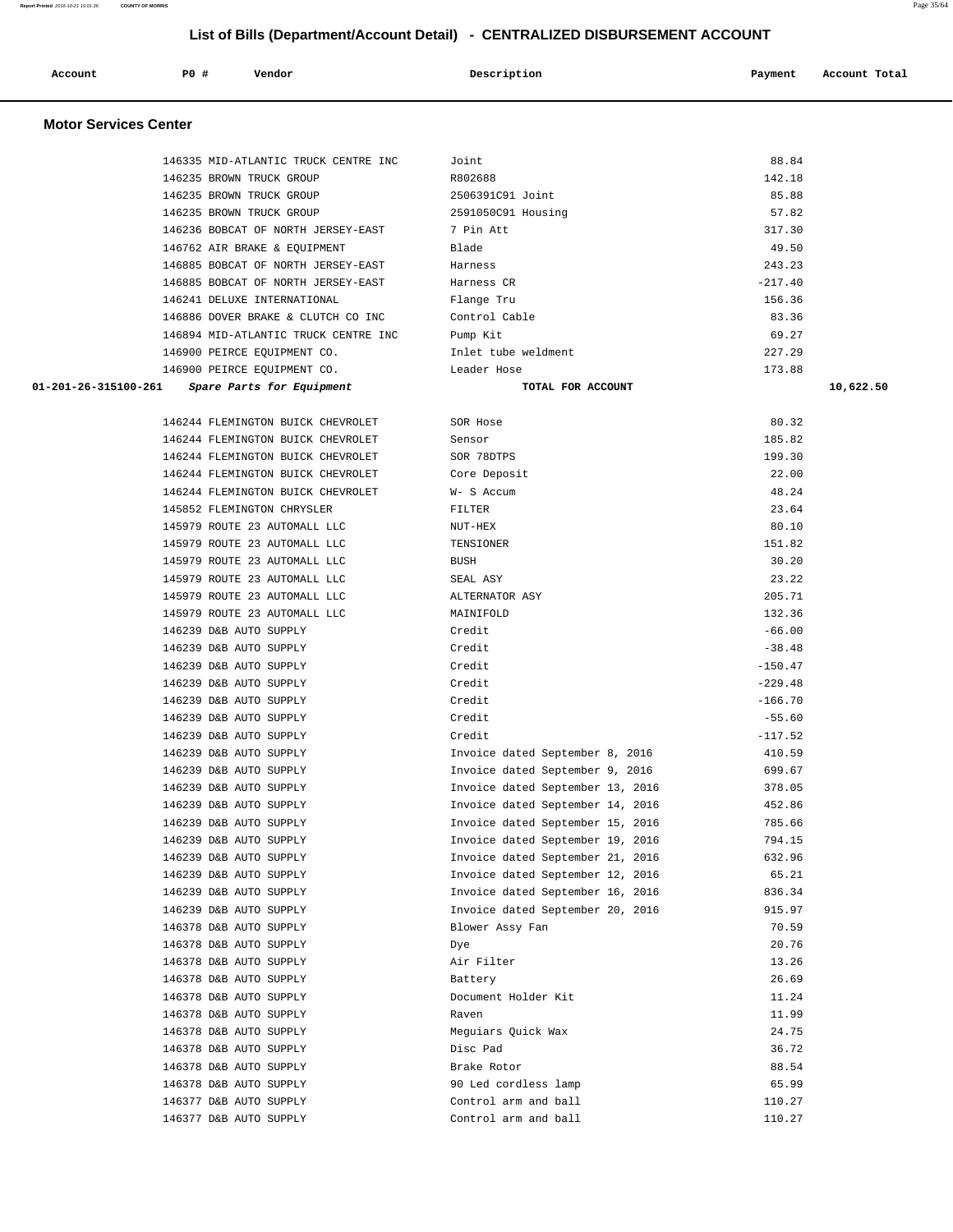| Account                      | P0 #<br>Vendor                       | Description                      | Payment   | Account Total |
|------------------------------|--------------------------------------|----------------------------------|-----------|---------------|
| <b>Motor Services Center</b> |                                      |                                  |           |               |
|                              |                                      |                                  |           |               |
|                              | 146335 MID-ATLANTIC TRUCK CENTRE INC | Joint                            | 88.84     |               |
|                              | 146235 BROWN TRUCK GROUP             | R802688                          | 142.18    |               |
|                              | 146235 BROWN TRUCK GROUP             | 2506391C91 Joint                 | 85.88     |               |
|                              | 146235 BROWN TRUCK GROUP             | 2591050C91 Housing               | 57.82     |               |
|                              | 146236 BOBCAT OF NORTH JERSEY-EAST   | 7 Pin Att                        | 317.30    |               |
|                              | 146762 AIR BRAKE & EQUIPMENT         | Blade                            | 49.50     |               |
|                              | 146885 BOBCAT OF NORTH JERSEY-EAST   | Harness                          | 243.23    |               |
|                              | 146885 BOBCAT OF NORTH JERSEY-EAST   | Harness CR                       | $-217.40$ |               |
|                              | 146241 DELUXE INTERNATIONAL          | Flange Tru                       | 156.36    |               |
|                              | 146886 DOVER BRAKE & CLUTCH CO INC   | Control Cable                    | 83.36     |               |
|                              | 146894 MID-ATLANTIC TRUCK CENTRE INC | Pump Kit                         | 69.27     |               |
|                              | 146900 PEIRCE EQUIPMENT CO.          | Inlet tube weldment              | 227.29    |               |
|                              | 146900 PEIRCE EQUIPMENT CO.          | Leader Hose                      | 173.88    |               |
| 01-201-26-315100-261         | Spare Parts for Equipment            | TOTAL FOR ACCOUNT                |           | 10,622.50     |
|                              | 146244 FLEMINGTON BUICK CHEVROLET    | SOR Hose                         | 80.32     |               |
|                              | 146244 FLEMINGTON BUICK CHEVROLET    | Sensor                           | 185.82    |               |
|                              | 146244 FLEMINGTON BUICK CHEVROLET    | SOR 78DTPS                       | 199.30    |               |
|                              | 146244 FLEMINGTON BUICK CHEVROLET    | Core Deposit                     | 22.00     |               |
|                              | 146244 FLEMINGTON BUICK CHEVROLET    | W- S Accum                       | 48.24     |               |
|                              | 145852 FLEMINGTON CHRYSLER           | FILTER                           | 23.64     |               |
|                              | 145979 ROUTE 23 AUTOMALL LLC         | $NUT-HEX$                        | 80.10     |               |
|                              | 145979 ROUTE 23 AUTOMALL LLC         | TENSIONER                        | 151.82    |               |
|                              | 145979 ROUTE 23 AUTOMALL LLC         | <b>BUSH</b>                      | 30.20     |               |
|                              | 145979 ROUTE 23 AUTOMALL LLC         | SEAL ASY                         | 23.22     |               |
|                              | 145979 ROUTE 23 AUTOMALL LLC         | ALTERNATOR ASY                   | 205.71    |               |
|                              | 145979 ROUTE 23 AUTOMALL LLC         | MAINIFOLD                        | 132.36    |               |
|                              | 146239 D&B AUTO SUPPLY               | Credit                           | $-66.00$  |               |
|                              | 146239 D&B AUTO SUPPLY               | Credit                           | $-38.48$  |               |
|                              | 146239 D&B AUTO SUPPLY               | Credit                           | $-150.47$ |               |
|                              | 146239 D&B AUTO SUPPLY               | Credit                           | $-229.48$ |               |
|                              | 146239 D&B AUTO SUPPLY               | Credit                           | $-166.70$ |               |
|                              | 146239 D&B AUTO SUPPLY               | Credit                           | $-55.60$  |               |
|                              | 146239 D&B AUTO SUPPLY               | Credit                           | $-117.52$ |               |
|                              | 146239 D&B AUTO SUPPLY               | Invoice dated September 8, 2016  | 410.59    |               |
|                              | 146239 D&B AUTO SUPPLY               | Invoice dated September 9, 2016  | 699.67    |               |
|                              | 146239 D&B AUTO SUPPLY               | Invoice dated September 13, 2016 | 378.05    |               |
|                              | 146239 D&B AUTO SUPPLY               | Invoice dated September 14, 2016 | 452.86    |               |
|                              | 146239 D&B AUTO SUPPLY               | Invoice dated September 15, 2016 | 785.66    |               |
|                              | 146239 D&B AUTO SUPPLY               | Invoice dated September 19, 2016 | 794.15    |               |
|                              | 146239 D&B AUTO SUPPLY               | Invoice dated September 21, 2016 | 632.96    |               |
|                              | 146239 D&B AUTO SUPPLY               | Invoice dated September 12, 2016 | 65.21     |               |
|                              | 146239 D&B AUTO SUPPLY               | Invoice dated September 16, 2016 | 836.34    |               |
|                              | 146239 D&B AUTO SUPPLY               | Invoice dated September 20, 2016 | 915.97    |               |
|                              | 146378 D&B AUTO SUPPLY               | Blower Assy Fan                  | 70.59     |               |
|                              | 146378 D&B AUTO SUPPLY               | Dye                              | 20.76     |               |
|                              | 146378 D&B AUTO SUPPLY               | Air Filter                       | 13.26     |               |
|                              | 146378 D&B AUTO SUPPLY               | Battery                          | 26.69     |               |

146378 D&B AUTO SUPPLY **Document Holder Kit** 11.24 146378 D&B AUTO SUPPLY Raven 11.99 146378 D&B AUTO SUPPLY Meguiars Quick Wax 24.75 146378 D&B AUTO SUPPLY Disc Pad 36.72 146378 D&B AUTO SUPPLY Brake Rotor 88.54 146378 D&B AUTO SUPPLY 90 Led cordless lamp 65.99 146377 D&B AUTO SUPPLY Control arm and ball 110.27 146377 D&B AUTO SUPPLY Control arm and ball 110.27

**Report Printed** 2016-10-21 10:01:36 **COUNTY OF MORRIS** Page 35/64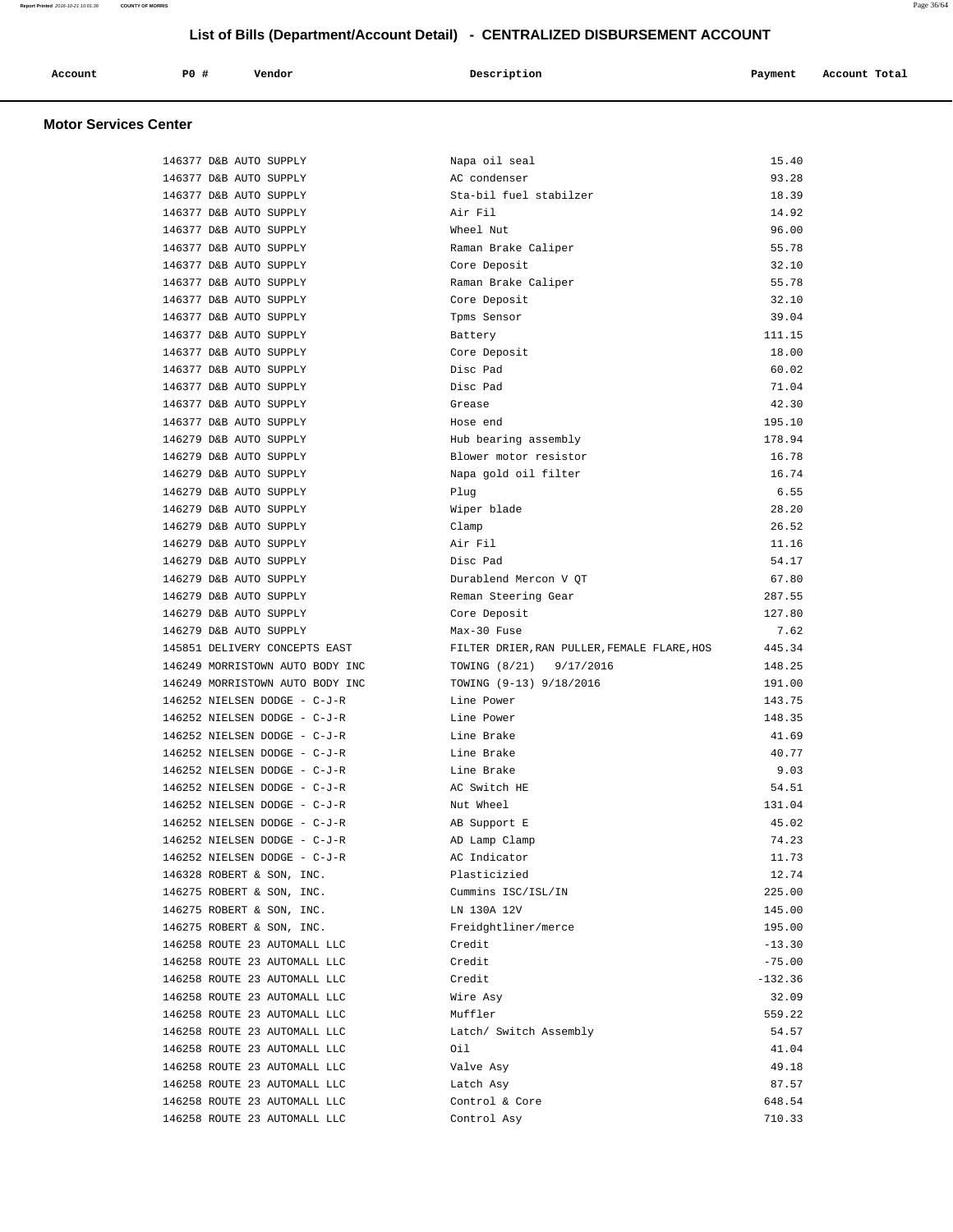| Account | P <sub>0</sub> | Vendor | Description | Payment | Account Total |  |
|---------|----------------|--------|-------------|---------|---------------|--|
|         |                |        |             |         |               |  |

# **Motor Services Center**

| 146377 D&B AUTO SUPPLY          | Napa oil seal                               | 15.40     |
|---------------------------------|---------------------------------------------|-----------|
| 146377 D&B AUTO SUPPLY          | AC condenser                                | 93.28     |
| 146377 D&B AUTO SUPPLY          | Sta-bil fuel stabilzer                      | 18.39     |
| 146377 D&B AUTO SUPPLY          | Air Fil                                     | 14.92     |
| 146377 D&B AUTO SUPPLY          | Wheel Nut                                   | 96.00     |
| 146377 D&B AUTO SUPPLY          | Raman Brake Caliper                         | 55.78     |
| 146377 D&B AUTO SUPPLY          | Core Deposit                                | 32.10     |
| 146377 D&B AUTO SUPPLY          | Raman Brake Caliper                         | 55.78     |
| 146377 D&B AUTO SUPPLY          | Core Deposit                                | 32.10     |
| 146377 D&B AUTO SUPPLY          | Tpms Sensor                                 | 39.04     |
| 146377 D&B AUTO SUPPLY          | Battery                                     | 111.15    |
| 146377 D&B AUTO SUPPLY          | Core Deposit                                | 18.00     |
| 146377 D&B AUTO SUPPLY          | Disc Pad                                    | 60.02     |
| 146377 D&B AUTO SUPPLY          | Disc Pad                                    | 71.04     |
| 146377 D&B AUTO SUPPLY          | Grease                                      | 42.30     |
| 146377 D&B AUTO SUPPLY          | Hose end                                    | 195.10    |
| 146279 D&B AUTO SUPPLY          | Hub bearing assembly                        | 178.94    |
| 146279 D&B AUTO SUPPLY          | Blower motor resistor                       | 16.78     |
| 146279 D&B AUTO SUPPLY          | Napa gold oil filter                        | 16.74     |
| 146279 D&B AUTO SUPPLY          | Plug                                        | 6.55      |
| 146279 D&B AUTO SUPPLY          | Wiper blade                                 | 28.20     |
| 146279 D&B AUTO SUPPLY          | Clamp                                       | 26.52     |
| 146279 D&B AUTO SUPPLY          | Air Fil                                     | 11.16     |
| 146279 D&B AUTO SUPPLY          | Disc Pad                                    | 54.17     |
| 146279 D&B AUTO SUPPLY          | Durablend Mercon V QT                       | 67.80     |
| 146279 D&B AUTO SUPPLY          | Reman Steering Gear                         | 287.55    |
| 146279 D&B AUTO SUPPLY          | Core Deposit                                | 127.80    |
| 146279 D&B AUTO SUPPLY          | Max-30 Fuse                                 | 7.62      |
| 145851 DELIVERY CONCEPTS EAST   | FILTER DRIER, RAN PULLER, FEMALE FLARE, HOS | 445.34    |
| 146249 MORRISTOWN AUTO BODY INC | TOWING (8/21) 9/17/2016                     | 148.25    |
| 146249 MORRISTOWN AUTO BODY INC | TOWING (9-13) 9/18/2016                     | 191.00    |
| 146252 NIELSEN DODGE - C-J-R    | Line Power                                  | 143.75    |
| 146252 NIELSEN DODGE - C-J-R    | Line Power                                  | 148.35    |
| 146252 NIELSEN DODGE - C-J-R    | Line Brake                                  | 41.69     |
| 146252 NIELSEN DODGE - C-J-R    | Line Brake                                  | 40.77     |
| 146252 NIELSEN DODGE - C-J-R    | Line Brake                                  | 9.03      |
| 146252 NIELSEN DODGE - C-J-R    | AC Switch HE                                | 54.51     |
| 146252 NIELSEN DODGE - C-J-R    | Nut Wheel                                   | 131.04    |
| 146252 NIELSEN DODGE - C-J-R    | AB Support E                                | 45.02     |
| 146252 NIELSEN DODGE - C-J-R    | AD Lamp Clamp                               | 74.23     |
| 146252 NIELSEN DODGE - C-J-R    | AC Indicator                                | 11.73     |
| 146328 ROBERT & SON, INC.       | Plasticizied                                | 12.74     |
| 146275 ROBERT & SON, INC.       | Cummins ISC/ISL/IN                          | 225.00    |
| 146275 ROBERT & SON, INC.       | LN 130A 12V                                 | 145.00    |
| 146275 ROBERT & SON, INC.       | Freidghtliner/merce                         | 195.00    |
| 146258 ROUTE 23 AUTOMALL LLC    | Credit                                      | $-13.30$  |
| 146258 ROUTE 23 AUTOMALL LLC    | Credit                                      | $-75.00$  |
| 146258 ROUTE 23 AUTOMALL LLC    | Credit                                      | $-132.36$ |
| 146258 ROUTE 23 AUTOMALL LLC    | Wire Asy                                    | 32.09     |
| 146258 ROUTE 23 AUTOMALL LLC    | Muffler                                     | 559.22    |
| 146258 ROUTE 23 AUTOMALL LLC    | Latch/ Switch Assembly                      | 54.57     |
| 146258 ROUTE 23 AUTOMALL LLC    | Oil                                         | 41.04     |
| 146258 ROUTE 23 AUTOMALL LLC    | Valve Asy                                   | 49.18     |
| 146258 ROUTE 23 AUTOMALL LLC    | Latch Asy                                   | 87.57     |
| 146258 ROUTE 23 AUTOMALL LLC    | Control & Core                              | 648.54    |
| 146258 ROUTE 23 AUTOMALL LLC    | Control Asy                                 | 710.33    |
|                                 |                                             |           |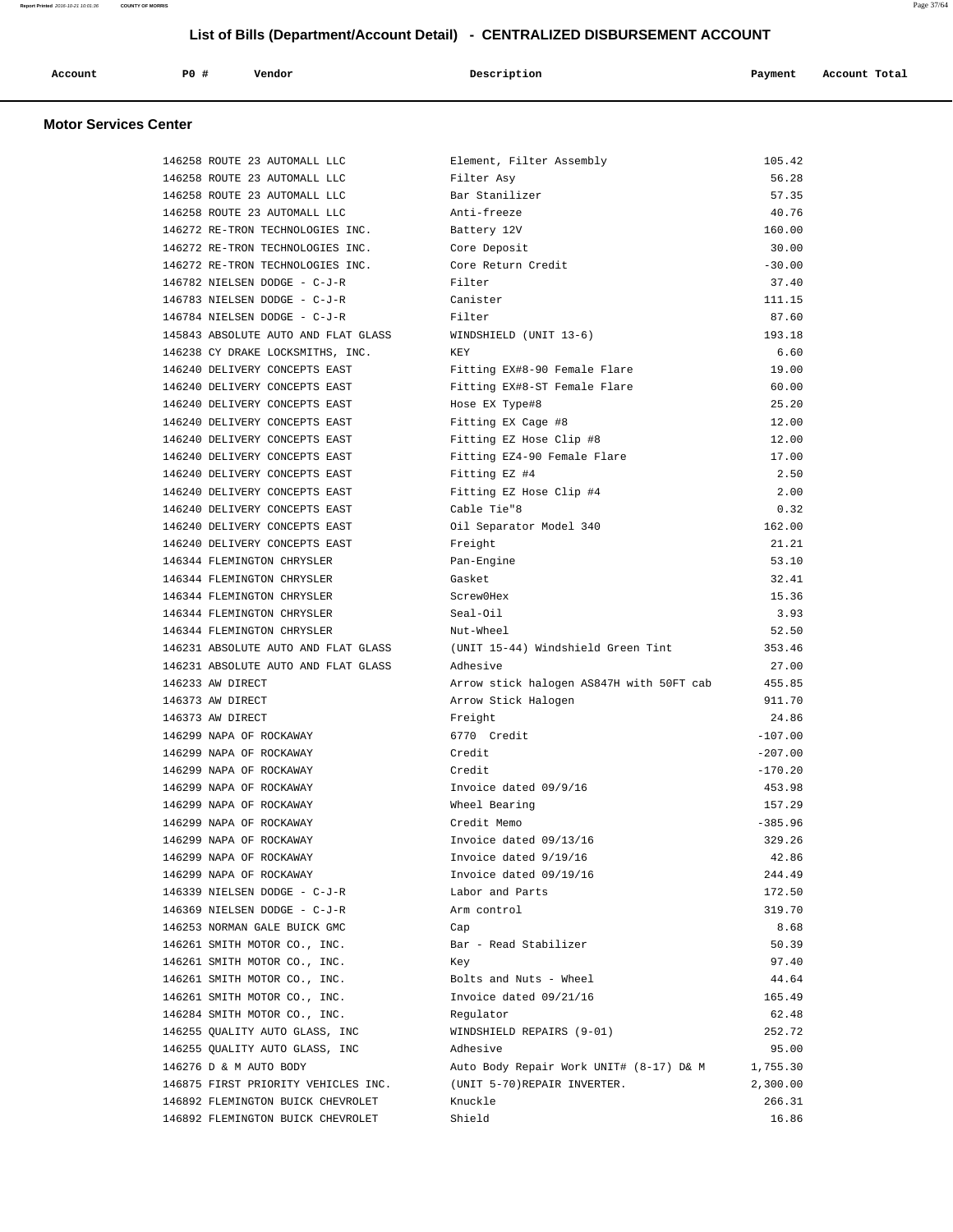| Account | P0 # | Vendor<br>. | Description | Payment | Account Total |
|---------|------|-------------|-------------|---------|---------------|
|         |      |             |             |         |               |

# **Motor Services Center**

| 146258 ROUTE 23 AUTOMALL LLC        | Element, Filter Assembly                 | 105.42    |
|-------------------------------------|------------------------------------------|-----------|
| 146258 ROUTE 23 AUTOMALL LLC        | Filter Asy                               | 56.28     |
| 146258 ROUTE 23 AUTOMALL LLC        | Bar Stanilizer                           | 57.35     |
| 146258 ROUTE 23 AUTOMALL LLC        | Anti-freeze                              | 40.76     |
| 146272 RE-TRON TECHNOLOGIES INC.    | Battery 12V                              | 160.00    |
| 146272 RE-TRON TECHNOLOGIES INC.    | Core Deposit                             | 30.00     |
| 146272 RE-TRON TECHNOLOGIES INC.    | Core Return Credit                       | $-30.00$  |
| 146782 NIELSEN DODGE - C-J-R        | Filter                                   | 37.40     |
| 146783 NIELSEN DODGE - C-J-R        | Canister                                 | 111.15    |
| 146784 NIELSEN DODGE - C-J-R        | Filter                                   | 87.60     |
| 145843 ABSOLUTE AUTO AND FLAT GLASS | WINDSHIELD (UNIT 13-6)                   | 193.18    |
| 146238 CY DRAKE LOCKSMITHS, INC.    | KEY                                      | 6.60      |
| 146240 DELIVERY CONCEPTS EAST       | Fitting EX#8-90 Female Flare             | 19.00     |
| 146240 DELIVERY CONCEPTS EAST       | Fitting EX#8-ST Female Flare             | 60.00     |
| 146240 DELIVERY CONCEPTS EAST       | Hose EX Type#8                           | 25.20     |
| 146240 DELIVERY CONCEPTS EAST       | Fitting EX Cage #8                       | 12.00     |
| 146240 DELIVERY CONCEPTS EAST       | Fitting EZ Hose Clip #8                  | 12.00     |
| 146240 DELIVERY CONCEPTS EAST       | Fitting EZ4-90 Female Flare              | 17.00     |
| 146240 DELIVERY CONCEPTS EAST       | Fitting EZ #4                            | 2.50      |
| 146240 DELIVERY CONCEPTS EAST       | Fitting EZ Hose Clip #4                  | 2.00      |
| 146240 DELIVERY CONCEPTS EAST       | Cable Tie"8                              | 0.32      |
| 146240 DELIVERY CONCEPTS EAST       | Oil Separator Model 340                  | 162.00    |
| 146240 DELIVERY CONCEPTS EAST       | Freight                                  | 21.21     |
| 146344 FLEMINGTON CHRYSLER          | Pan-Engine                               | 53.10     |
| 146344 FLEMINGTON CHRYSLER          | Gasket                                   | 32.41     |
| 146344 FLEMINGTON CHRYSLER          | Screw0Hex                                | 15.36     |
| 146344 FLEMINGTON CHRYSLER          | Seal-Oil                                 | 3.93      |
| 146344 FLEMINGTON CHRYSLER          | Nut-Wheel                                | 52.50     |
| 146231 ABSOLUTE AUTO AND FLAT GLASS | (UNIT 15-44) Windshield Green Tint       | 353.46    |
| 146231 ABSOLUTE AUTO AND FLAT GLASS | Adhesive                                 | 27.00     |
| 146233 AW DIRECT                    | Arrow stick halogen AS847H with 50FT cab | 455.85    |
| 146373 AW DIRECT                    | Arrow Stick Halogen                      | 911.70    |
| 146373 AW DIRECT                    | Freight                                  | 24.86     |
| 146299 NAPA OF ROCKAWAY             | 6770 Credit                              | $-107.00$ |
| 146299 NAPA OF ROCKAWAY             | Credit                                   | $-207.00$ |
| 146299 NAPA OF ROCKAWAY             | Credit                                   | $-170.20$ |
| 146299 NAPA OF ROCKAWAY             | Invoice dated 09/9/16                    | 453.98    |
| 146299 NAPA OF ROCKAWAY             | Wheel Bearing                            | 157.29    |
| 146299 NAPA OF ROCKAWAY             | Credit Memo                              | $-385.96$ |
| 146299 NAPA OF ROCKAWAY             | Invoice dated 09/13/16                   | 329.26    |
| 146299 NAPA OF ROCKAWAY             | Invoice dated 9/19/16                    | 42.86     |
| 146299 NAPA OF ROCKAWAY             | Invoice dated 09/19/16                   | 244.49    |
| 146339 NIELSEN DODGE - C-J-R        | Labor and Parts                          | 172.50    |
| 146369 NIELSEN DODGE - C-J-R        | Arm control                              | 319.70    |
| 146253 NORMAN GALE BUICK GMC        | Cap                                      | 8.68      |
| 146261 SMITH MOTOR CO., INC.        | Bar - Read Stabilizer                    | 50.39     |
| 146261 SMITH MOTOR CO., INC.        | Key                                      | 97.40     |
| 146261 SMITH MOTOR CO., INC.        | Bolts and Nuts - Wheel                   | 44.64     |
| 146261 SMITH MOTOR CO., INC.        | Invoice dated 09/21/16                   | 165.49    |
| 146284 SMITH MOTOR CO., INC.        | Regulator                                | 62.48     |
| 146255 QUALITY AUTO GLASS, INC      | WINDSHIELD REPAIRS (9-01)                | 252.72    |
| 146255 QUALITY AUTO GLASS, INC      | Adhesive                                 | 95.00     |
| 146276 D & M AUTO BODY              | Auto Body Repair Work UNIT# (8-17) D& M  | 1,755.30  |
| 146875 FIRST PRIORITY VEHICLES INC. | (UNIT 5-70)REPAIR INVERTER.              | 2,300.00  |
| 146892 FLEMINGTON BUICK CHEVROLET   | Knuckle                                  | 266.31    |
| 146892 FLEMINGTON BUICK CHEVROLET   | Shield                                   | 16.86     |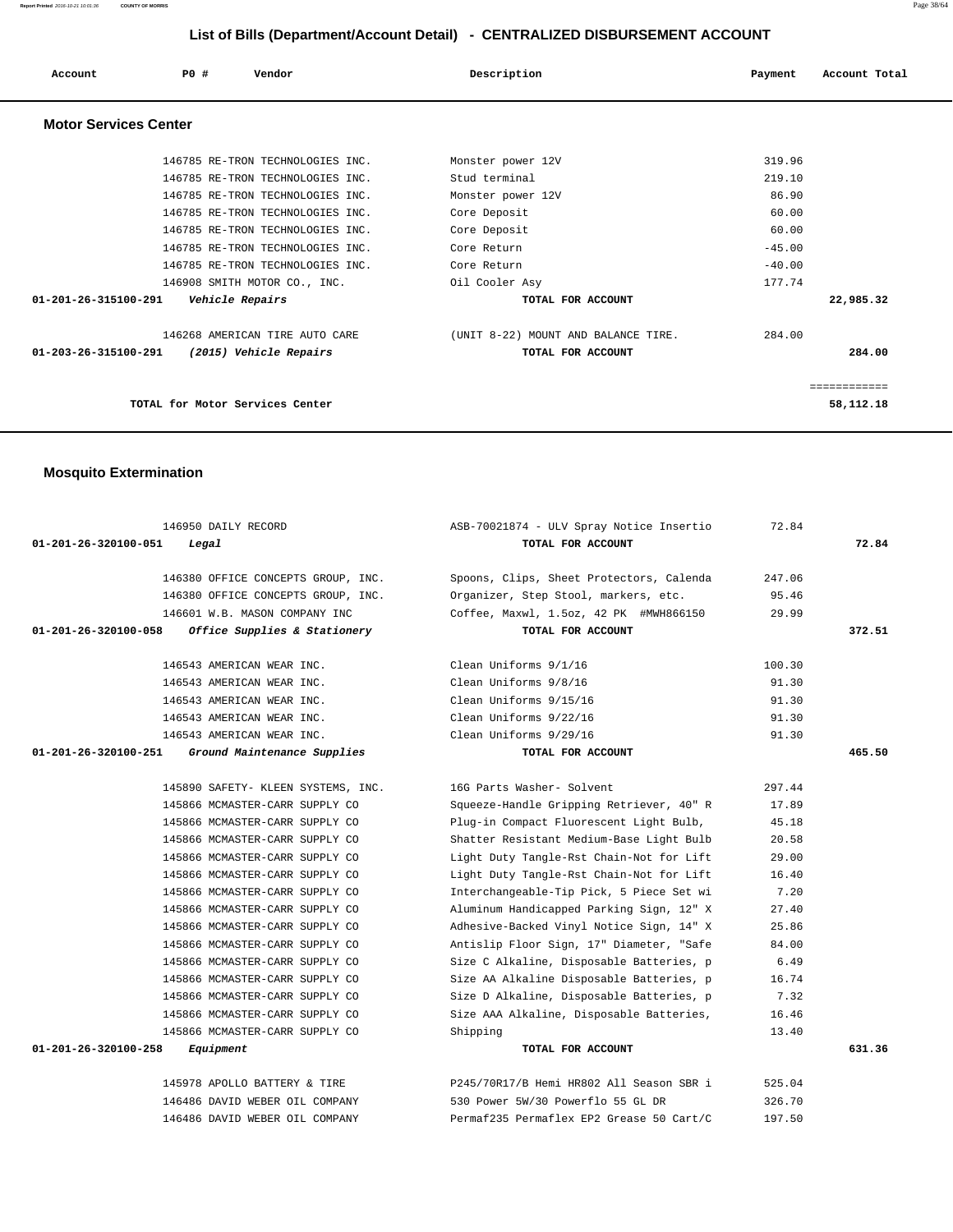**Report Printed** 2016-10-21 10:01:36 **COUNTY OF MORRIS** Page 38/64

# **List of Bills (Department/Account Detail) - CENTRALIZED DISBURSEMENT ACCOUNT**

| Account                        | PO#<br>Vendor                    | Description                         | Payment  | Account Total |
|--------------------------------|----------------------------------|-------------------------------------|----------|---------------|
| <b>Motor Services Center</b>   |                                  |                                     |          |               |
|                                | 146785 RE-TRON TECHNOLOGIES INC. | Monster power 12V                   | 319.96   |               |
|                                | 146785 RE-TRON TECHNOLOGIES INC. | Stud terminal                       | 219.10   |               |
|                                | 146785 RE-TRON TECHNOLOGIES INC. | Monster power 12V                   | 86.90    |               |
|                                | 146785 RE-TRON TECHNOLOGIES INC. | Core Deposit                        | 60.00    |               |
|                                | 146785 RE-TRON TECHNOLOGIES INC. | Core Deposit                        | 60.00    |               |
|                                | 146785 RE-TRON TECHNOLOGIES INC. | Core Return                         | $-45.00$ |               |
|                                | 146785 RE-TRON TECHNOLOGIES INC. | Core Return                         | $-40.00$ |               |
|                                | 146908 SMITH MOTOR CO., INC.     | Oil Cooler Asy                      | 177.74   |               |
| $01 - 201 - 26 - 315100 - 291$ | Vehicle Repairs                  | TOTAL FOR ACCOUNT                   |          | 22,985.32     |
|                                | 146268 AMERICAN TIRE AUTO CARE   | (UNIT 8-22) MOUNT AND BALANCE TIRE. | 284.00   |               |
| $01 - 203 - 26 - 315100 - 291$ | (2015) Vehicle Repairs           | TOTAL FOR ACCOUNT                   |          | 284.00        |
|                                |                                  |                                     |          | ============  |
|                                | TOTAL for Motor Services Center  |                                     |          | 58,112.18     |

# **Mosquito Extermination**

| 146950 DAILY RECORD                                  | ASB-70021874 - ULV Spray Notice Insertio | 72.84  |        |
|------------------------------------------------------|------------------------------------------|--------|--------|
| 01-201-26-320100-051<br>Legal                        | TOTAL FOR ACCOUNT                        |        | 72.84  |
| 146380 OFFICE CONCEPTS GROUP, INC.                   | Spoons, Clips, Sheet Protectors, Calenda | 247.06 |        |
| 146380 OFFICE CONCEPTS GROUP, INC.                   | Organizer, Step Stool, markers, etc.     | 95.46  |        |
| 146601 W.B. MASON COMPANY INC                        | Coffee, Maxwl, 1.5oz, 42 PK #MWH866150   | 29.99  |        |
| 01-201-26-320100-058<br>Office Supplies & Stationery | TOTAL FOR ACCOUNT                        |        | 372.51 |
|                                                      |                                          |        |        |
| 146543 AMERICAN WEAR INC.                            | Clean Uniforms 9/1/16                    | 100.30 |        |
| 146543 AMERICAN WEAR INC.                            | Clean Uniforms 9/8/16                    | 91.30  |        |
| 146543 AMERICAN WEAR INC.                            | Clean Uniforms 9/15/16                   | 91.30  |        |
| 146543 AMERICAN WEAR INC.                            | Clean Uniforms 9/22/16                   | 91.30  |        |
| 146543 AMERICAN WEAR INC.                            | Clean Uniforms 9/29/16                   | 91.30  |        |
| 01-201-26-320100-251<br>Ground Maintenance Supplies  | TOTAL FOR ACCOUNT                        |        | 465.50 |
|                                                      |                                          |        |        |
| 145890 SAFETY- KLEEN SYSTEMS, INC.                   | 16G Parts Washer- Solvent                | 297.44 |        |
| 145866 MCMASTER-CARR SUPPLY CO                       | Squeeze-Handle Gripping Retriever, 40" R | 17.89  |        |
| 145866 MCMASTER-CARR SUPPLY CO                       | Plug-in Compact Fluorescent Light Bulb,  | 45.18  |        |
| 145866 MCMASTER-CARR SUPPLY CO                       | Shatter Resistant Medium-Base Light Bulb | 20.58  |        |
| 145866 MCMASTER-CARR SUPPLY CO                       | Light Duty Tangle-Rst Chain-Not for Lift | 29.00  |        |
| 145866 MCMASTER-CARR SUPPLY CO                       | Light Duty Tangle-Rst Chain-Not for Lift | 16.40  |        |
| 145866 MCMASTER-CARR SUPPLY CO                       | Interchangeable-Tip Pick, 5 Piece Set wi | 7.20   |        |
| 145866 MCMASTER-CARR SUPPLY CO                       | Aluminum Handicapped Parking Sign, 12" X | 27.40  |        |
| 145866 MCMASTER-CARR SUPPLY CO                       | Adhesive-Backed Vinyl Notice Sign, 14" X | 25.86  |        |
| 145866 MCMASTER-CARR SUPPLY CO                       | Antislip Floor Sign, 17" Diameter, "Safe | 84.00  |        |
| 145866 MCMASTER-CARR SUPPLY CO                       | Size C Alkaline, Disposable Batteries, p | 6.49   |        |
| 145866 MCMASTER-CARR SUPPLY CO                       | Size AA Alkaline Disposable Batteries, p | 16.74  |        |
| 145866 MCMASTER-CARR SUPPLY CO                       | Size D Alkaline, Disposable Batteries, p | 7.32   |        |
| 145866 MCMASTER-CARR SUPPLY CO                       | Size AAA Alkaline, Disposable Batteries, | 16.46  |        |
| 145866 MCMASTER-CARR SUPPLY CO                       | Shipping                                 | 13.40  |        |
| 01-201-26-320100-258<br>Equipment                    | TOTAL FOR ACCOUNT                        |        | 631.36 |
|                                                      |                                          |        |        |
| 145978 APOLLO BATTERY & TIRE                         | P245/70R17/B Hemi HR802 All Season SBR i | 525.04 |        |
| 146486 DAVID WEBER OIL COMPANY                       | 530 Power 5W/30 Powerflo 55 GL DR        | 326.70 |        |
| 146486 DAVID WEBER OIL COMPANY                       | Permaf235 Permaflex EP2 Grease 50 Cart/C | 197.50 |        |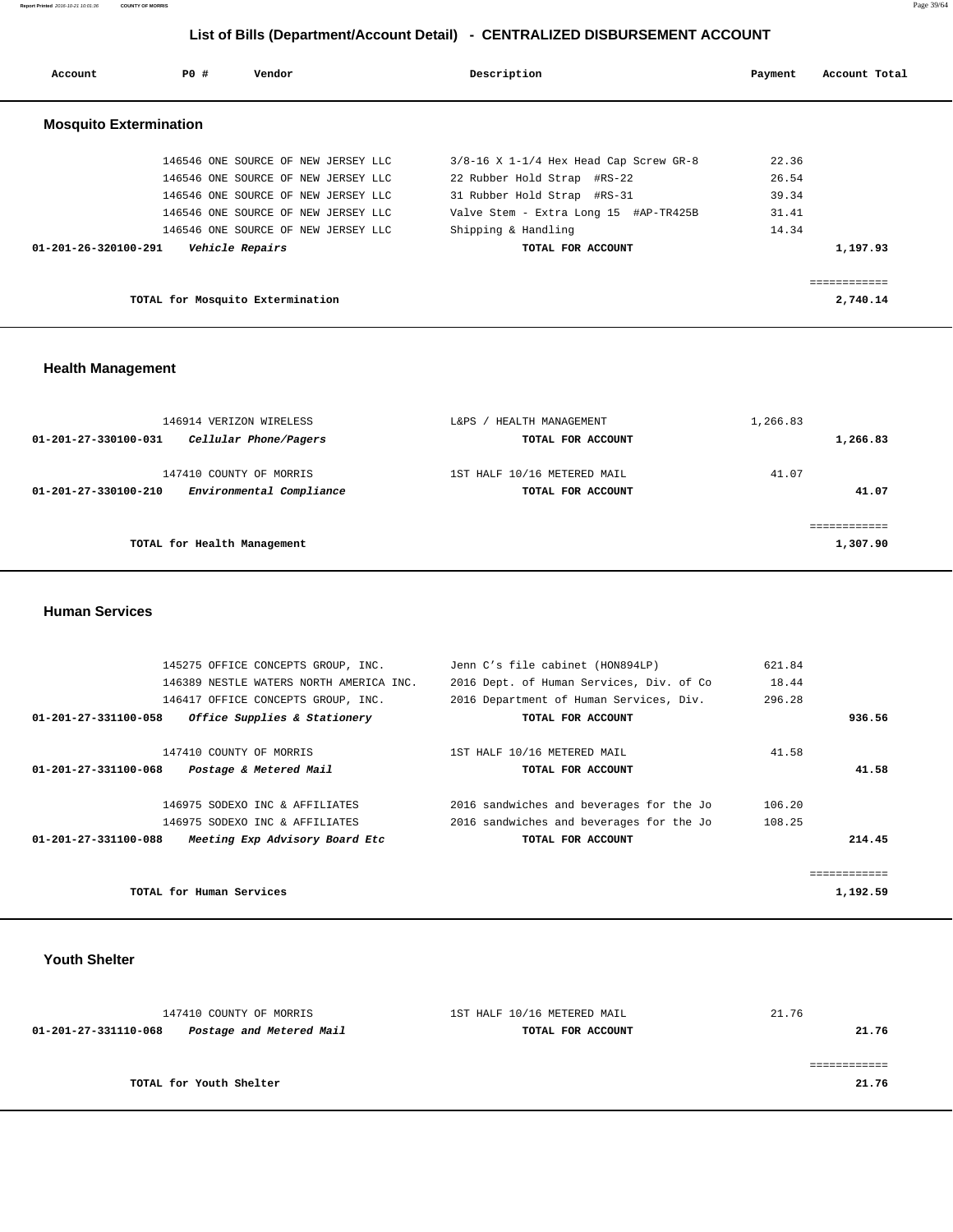**Report Printed** 2016-10-21 10:01:36 **COUNTY OF MORRIS** Page 39/64

# **List of Bills (Department/Account Detail) - CENTRALIZED DISBURSEMENT ACCOUNT**

| Account                        | PO#                              | Vendor                              | Description                                | Payment | Account Total |
|--------------------------------|----------------------------------|-------------------------------------|--------------------------------------------|---------|---------------|
| <b>Mosquito Extermination</b>  |                                  |                                     |                                            |         |               |
|                                |                                  | 146546 ONE SOURCE OF NEW JERSEY LLC | $3/8-16$ X $1-1/4$ Hex Head Cap Screw GR-8 | 22.36   |               |
|                                |                                  | 146546 ONE SOURCE OF NEW JERSEY LLC | 22 Rubber Hold Strap #RS-22                | 26.54   |               |
|                                |                                  | 146546 ONE SOURCE OF NEW JERSEY LLC | 31 Rubber Hold Strap #RS-31                | 39.34   |               |
|                                |                                  | 146546 ONE SOURCE OF NEW JERSEY LLC | Valve Stem - Extra Long 15 #AP-TR425B      | 31.41   |               |
|                                |                                  | 146546 ONE SOURCE OF NEW JERSEY LLC | Shipping & Handling                        | 14.34   |               |
| $01 - 201 - 26 - 320100 - 291$ |                                  | Vehicle Repairs                     | TOTAL FOR ACCOUNT                          |         | 1,197.93      |
|                                |                                  |                                     |                                            |         | :===========  |
|                                | TOTAL for Mosquito Extermination |                                     |                                            |         | 2,740.14      |

# **Health Management**

| 146914 VERIZON WIRELESS                          | L&PS<br>HEALTH MANAGEMENT   | 1,266.83 |
|--------------------------------------------------|-----------------------------|----------|
| Cellular Phone/Pagers<br>01-201-27-330100-031    | TOTAL FOR ACCOUNT           | 1,266.83 |
| 147410 COUNTY OF MORRIS                          | 1ST HALF 10/16 METERED MAIL | 41.07    |
| Environmental Compliance<br>01-201-27-330100-210 | TOTAL FOR ACCOUNT           | 41.07    |
|                                                  |                             |          |
| TOTAL for Health Management                      |                             | 1,307.90 |
|                                                  |                             |          |

 **Human Services** 

| 145275 OFFICE CONCEPTS GROUP, INC.                     | Jenn C's file cabinet (HON894LP)         | 621.84 |
|--------------------------------------------------------|------------------------------------------|--------|
| 146389 NESTLE WATERS NORTH AMERICA INC.                | 2016 Dept. of Human Services, Div. of Co | 18.44  |
| 146417 OFFICE CONCEPTS GROUP, INC.                     | 2016 Department of Human Services, Div.  | 296.28 |
| Office Supplies & Stationery<br>01-201-27-331100-058   | TOTAL FOR ACCOUNT                        | 936.56 |
| 147410 COUNTY OF MORRIS                                | 1ST HALF 10/16 METERED MAIL              | 41.58  |
| 01-201-27-331100-068<br>Postage & Metered Mail         | TOTAL FOR ACCOUNT                        | 41.58  |
| 146975 SODEXO INC & AFFILIATES                         | 2016 sandwiches and beverages for the Jo | 106.20 |
| 146975 SODEXO INC & AFFILIATES                         | 2016 sandwiches and beverages for the Jo | 108.25 |
| Meeting Exp Advisory Board Etc<br>01-201-27-331100-088 | TOTAL FOR ACCOUNT                        | 214.45 |
|                                                        |                                          |        |
| TOTAL for Human Services                               | 1,192.59                                 |        |

# **Youth Shelter**

| 147410 COUNTY OF MORRIS                          | 1ST HALF 10/16 METERED MAIL | 21.76 |
|--------------------------------------------------|-----------------------------|-------|
| Postage and Metered Mail<br>01-201-27-331110-068 | TOTAL FOR ACCOUNT           | 21.76 |
|                                                  |                             |       |
|                                                  |                             |       |
| TOTAL for Youth Shelter                          |                             | 21.76 |
|                                                  |                             |       |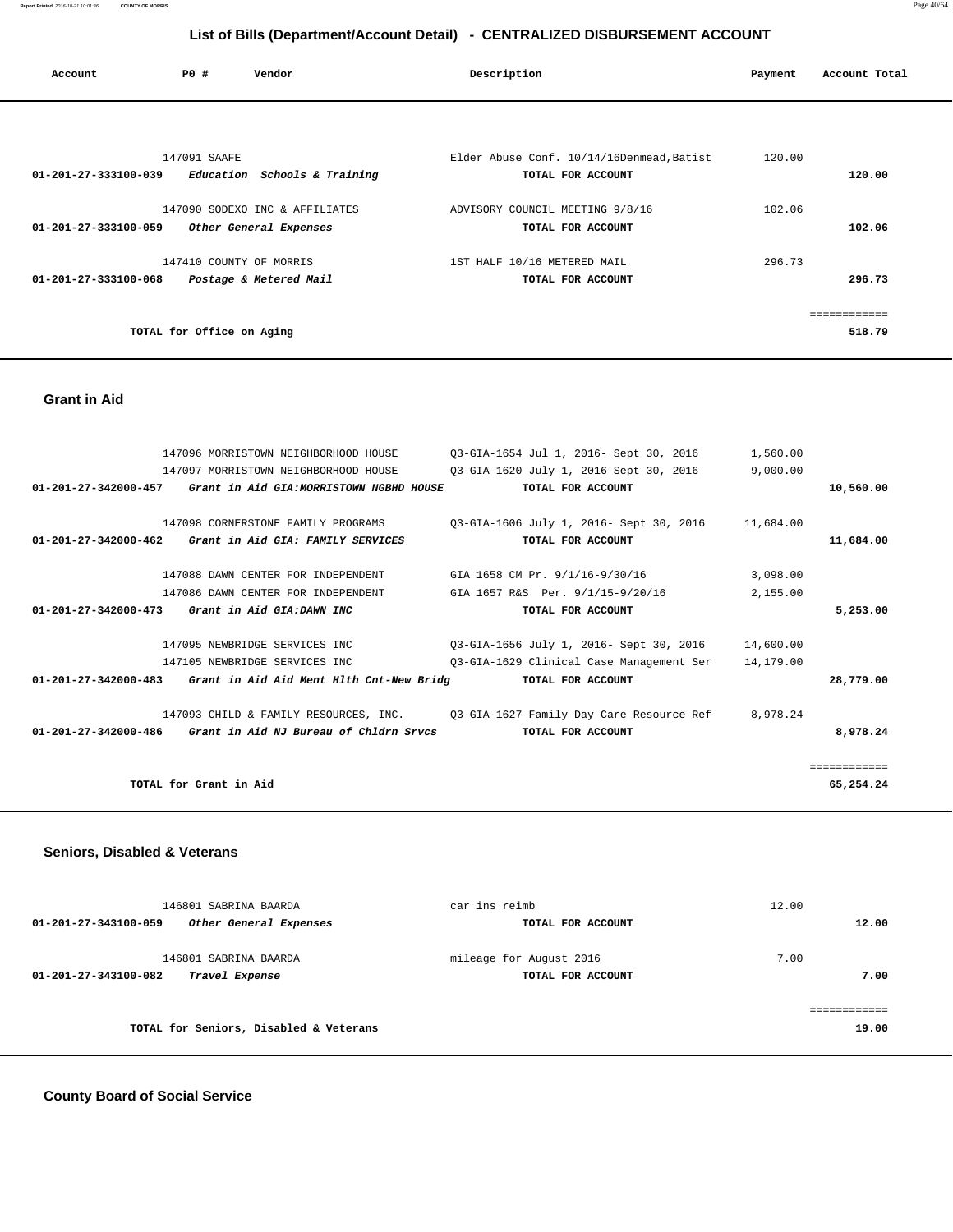**Report Printed** 2016-10-21 10:01:36 **COUNTY OF MORRIS** Page 40/64

# **List of Bills (Department/Account Detail) - CENTRALIZED DISBURSEMENT ACCOUNT**

| Account              | PO#                       | Vendor                         | Description                               | Payment | Account Total |
|----------------------|---------------------------|--------------------------------|-------------------------------------------|---------|---------------|
|                      |                           |                                |                                           |         |               |
|                      | 147091 SAAFE              |                                | Elder Abuse Conf. 10/14/16Denmead, Batist | 120.00  |               |
| 01-201-27-333100-039 |                           | Education Schools & Training   | TOTAL FOR ACCOUNT                         |         | 120.00        |
|                      |                           | 147090 SODEXO INC & AFFILIATES | ADVISORY COUNCIL MEETING 9/8/16           | 102.06  |               |
| 01-201-27-333100-059 |                           | Other General Expenses         | TOTAL FOR ACCOUNT                         |         | 102.06        |
|                      |                           | 147410 COUNTY OF MORRIS        | 1ST HALF 10/16 METERED MAIL               | 296.73  |               |
| 01-201-27-333100-068 |                           | Postage & Metered Mail         | TOTAL FOR ACCOUNT                         |         | 296.73        |
|                      |                           |                                |                                           |         | ============  |
|                      | TOTAL for Office on Aging |                                |                                           |         | 518.79        |

#### **Grant in Aid**

|                      | 147096 MORRISTOWN NEIGHBORHOOD HOUSE                                                  | 03-GIA-1654 Jul 1, 2016- Sept 30, 2016                                         | 1,560.00  |              |
|----------------------|---------------------------------------------------------------------------------------|--------------------------------------------------------------------------------|-----------|--------------|
|                      | 147097 MORRISTOWN NEIGHBORHOOD HOUSE                                                  | 03-GIA-1620 July 1, 2016-Sept 30, 2016                                         | 9,000.00  |              |
| 01-201-27-342000-457 | Grant in Aid GIA:MORRISTOWN NGBHD HOUSE                                               | TOTAL FOR ACCOUNT                                                              |           | 10,560.00    |
|                      |                                                                                       |                                                                                |           |              |
|                      | 147098 CORNERSTONE FAMILY PROGRAMS                                                    | 03-GIA-1606 July 1, 2016- Sept 30, 2016                                        | 11,684.00 |              |
|                      | 01-201-27-342000-462 Grant in Aid GIA: FAMILY SERVICES                                | TOTAL FOR ACCOUNT                                                              |           | 11,684.00    |
|                      | 147088 DAWN CENTER FOR INDEPENDENT                                                    | GIA 1658 CM Pr. 9/1/16-9/30/16                                                 | 3,098.00  |              |
|                      | 147086 DAWN CENTER FOR INDEPENDENT                                                    | GIA 1657 R&S Per. 9/1/15-9/20/16                                               | 2,155.00  |              |
|                      | $01 - 201 - 27 - 342000 - 473$ Grant in Aid GIA: DAWN INC                             | TOTAL FOR ACCOUNT                                                              |           | 5,253.00     |
|                      | 147095 NEWBRIDGE SERVICES INC                                                         | 03-GIA-1656 July 1, 2016- Sept 30, 2016 14,600.00                              |           |              |
|                      | 147105 NEWBRIDGE SERVICES INC                                                         | 03-GIA-1629 Clinical Case Management Ser                                       | 14,179.00 |              |
|                      | $01-201-27-342000-483$ Grant in Aid Aid Ment Hlth Cnt-New Bridg $0.201-27-342000-483$ |                                                                                |           | 28,779.00    |
|                      |                                                                                       | 147093 CHILD & FAMILY RESOURCES, INC. 03-GIA-1627 Family Day Care Resource Ref | 8,978.24  |              |
|                      | $01-201-27-342000-486$ Grant in Aid NJ Bureau of Chldrn Srvcs                         | TOTAL FOR ACCOUNT                                                              |           | 8,978.24     |
|                      |                                                                                       |                                                                                |           | ============ |
|                      | TOTAL for Grant in Aid                                                                |                                                                                |           | 65,254.24    |
|                      |                                                                                       |                                                                                |           |              |

# **Seniors, Disabled & Veterans**

| 146801 SABRINA BAARDA                          | car ins reimb           | 12.00 |
|------------------------------------------------|-------------------------|-------|
| Other General Expenses<br>01-201-27-343100-059 | TOTAL FOR ACCOUNT       | 12.00 |
| 146801 SABRINA BAARDA                          | mileage for August 2016 | 7.00  |
| Travel Expense<br>01-201-27-343100-082         | TOTAL FOR ACCOUNT       | 7.00  |
|                                                |                         |       |
| TOTAL for Seniors, Disabled & Veterans         |                         | 19.00 |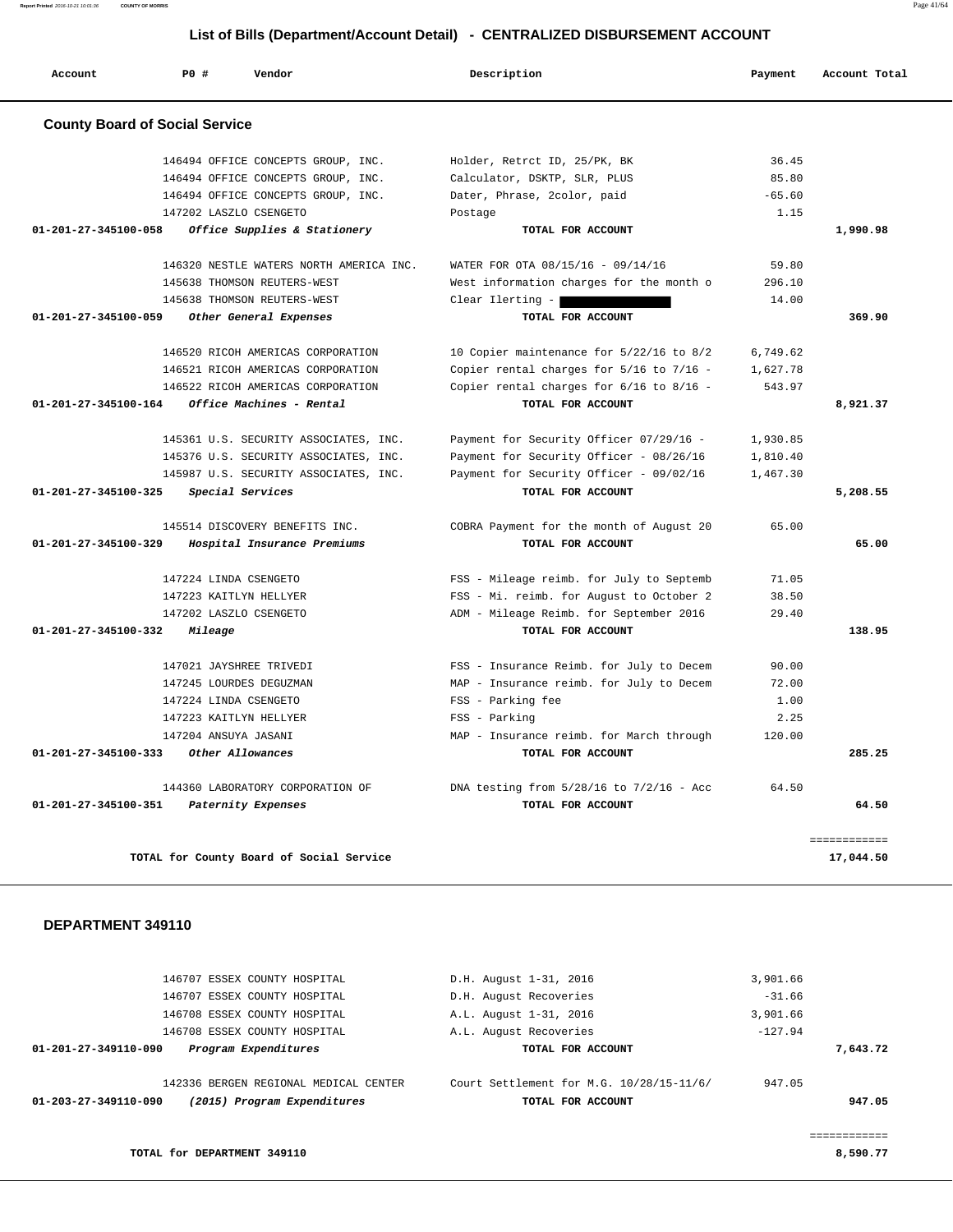**Report Printed** 2016-10-21 10:01:36 **COUNTY OF MORRIS** Page 41/64

# **List of Bills (Department/Account Detail) - CENTRALIZED DISBURSEMENT ACCOUNT**

| <b>County Board of Social Service</b><br>01-201-27-345100-058<br>01-201-27-345100-059<br>$01 - 201 - 27 - 345100 - 164$<br>01-201-27-345100-325 | 146494 OFFICE CONCEPTS GROUP, INC.<br>146494 OFFICE CONCEPTS GROUP, INC.<br>146494 OFFICE CONCEPTS GROUP, INC.<br>147202 LASZLO CSENGETO<br>Office Supplies & Stationery<br>146320 NESTLE WATERS NORTH AMERICA INC.<br>145638 THOMSON REUTERS-WEST<br>145638 THOMSON REUTERS-WEST<br>Other General Expenses | Holder, Retrct ID, 25/PK, BK<br>Calculator, DSKTP, SLR, PLUS<br>Dater, Phrase, 2color, paid<br>Postage<br>TOTAL FOR ACCOUNT<br>WATER FOR OTA 08/15/16 - 09/14/16<br>West information charges for the month o | 36.45<br>85.80<br>$-65.60$<br>1.15<br>59.80 | 1,990.98 |
|-------------------------------------------------------------------------------------------------------------------------------------------------|-------------------------------------------------------------------------------------------------------------------------------------------------------------------------------------------------------------------------------------------------------------------------------------------------------------|--------------------------------------------------------------------------------------------------------------------------------------------------------------------------------------------------------------|---------------------------------------------|----------|
|                                                                                                                                                 |                                                                                                                                                                                                                                                                                                             |                                                                                                                                                                                                              |                                             |          |
|                                                                                                                                                 |                                                                                                                                                                                                                                                                                                             |                                                                                                                                                                                                              |                                             |          |
|                                                                                                                                                 |                                                                                                                                                                                                                                                                                                             |                                                                                                                                                                                                              |                                             |          |
|                                                                                                                                                 |                                                                                                                                                                                                                                                                                                             |                                                                                                                                                                                                              |                                             |          |
|                                                                                                                                                 |                                                                                                                                                                                                                                                                                                             |                                                                                                                                                                                                              |                                             |          |
|                                                                                                                                                 |                                                                                                                                                                                                                                                                                                             |                                                                                                                                                                                                              |                                             |          |
|                                                                                                                                                 |                                                                                                                                                                                                                                                                                                             |                                                                                                                                                                                                              |                                             |          |
|                                                                                                                                                 |                                                                                                                                                                                                                                                                                                             |                                                                                                                                                                                                              | 296.10                                      |          |
|                                                                                                                                                 |                                                                                                                                                                                                                                                                                                             | Clear Ilerting -                                                                                                                                                                                             | 14.00                                       |          |
|                                                                                                                                                 |                                                                                                                                                                                                                                                                                                             | TOTAL FOR ACCOUNT                                                                                                                                                                                            |                                             | 369.90   |
|                                                                                                                                                 | 146520 RICOH AMERICAS CORPORATION                                                                                                                                                                                                                                                                           | 10 Copier maintenance for 5/22/16 to 8/2                                                                                                                                                                     | 6,749.62                                    |          |
|                                                                                                                                                 | 146521 RICOH AMERICAS CORPORATION                                                                                                                                                                                                                                                                           | Copier rental charges for 5/16 to 7/16 -                                                                                                                                                                     | 1,627.78                                    |          |
|                                                                                                                                                 | 146522 RICOH AMERICAS CORPORATION                                                                                                                                                                                                                                                                           | Copier rental charges for 6/16 to 8/16 -                                                                                                                                                                     | 543.97                                      |          |
|                                                                                                                                                 | Office Machines - Rental                                                                                                                                                                                                                                                                                    | TOTAL FOR ACCOUNT                                                                                                                                                                                            |                                             | 8,921.37 |
|                                                                                                                                                 | 145361 U.S. SECURITY ASSOCIATES, INC.                                                                                                                                                                                                                                                                       | Payment for Security Officer 07/29/16 -                                                                                                                                                                      | 1,930.85                                    |          |
|                                                                                                                                                 | 145376 U.S. SECURITY ASSOCIATES, INC.                                                                                                                                                                                                                                                                       | Payment for Security Officer - 08/26/16                                                                                                                                                                      | 1,810.40                                    |          |
|                                                                                                                                                 | 145987 U.S. SECURITY ASSOCIATES, INC.                                                                                                                                                                                                                                                                       | Payment for Security Officer - 09/02/16                                                                                                                                                                      | 1,467.30                                    |          |
|                                                                                                                                                 | Special Services                                                                                                                                                                                                                                                                                            | TOTAL FOR ACCOUNT                                                                                                                                                                                            |                                             | 5,208.55 |
|                                                                                                                                                 | 145514 DISCOVERY BENEFITS INC.                                                                                                                                                                                                                                                                              | COBRA Payment for the month of August 20                                                                                                                                                                     | 65.00                                       |          |
| 01-201-27-345100-329                                                                                                                            | Hospital Insurance Premiums                                                                                                                                                                                                                                                                                 | TOTAL FOR ACCOUNT                                                                                                                                                                                            |                                             | 65.00    |
|                                                                                                                                                 | 147224 LINDA CSENGETO                                                                                                                                                                                                                                                                                       | FSS - Mileage reimb. for July to Septemb                                                                                                                                                                     | 71.05                                       |          |
|                                                                                                                                                 | 147223 KAITLYN HELLYER                                                                                                                                                                                                                                                                                      | FSS - Mi. reimb. for August to October 2                                                                                                                                                                     | 38.50                                       |          |
|                                                                                                                                                 | 147202 LASZLO CSENGETO                                                                                                                                                                                                                                                                                      | ADM - Mileage Reimb. for September 2016                                                                                                                                                                      | 29.40                                       |          |
| 01-201-27-345100-332                                                                                                                            | Mileage                                                                                                                                                                                                                                                                                                     | TOTAL FOR ACCOUNT                                                                                                                                                                                            |                                             | 138.95   |
|                                                                                                                                                 | 147021 JAYSHREE TRIVEDI                                                                                                                                                                                                                                                                                     | FSS - Insurance Reimb. for July to Decem                                                                                                                                                                     | 90.00                                       |          |
|                                                                                                                                                 | 147245 LOURDES DEGUZMAN                                                                                                                                                                                                                                                                                     | MAP - Insurance reimb. for July to Decem                                                                                                                                                                     | 72.00                                       |          |
|                                                                                                                                                 | 147224 LINDA CSENGETO                                                                                                                                                                                                                                                                                       | FSS - Parking fee                                                                                                                                                                                            | 1.00                                        |          |
|                                                                                                                                                 | 147223 KAITLYN HELLYER                                                                                                                                                                                                                                                                                      | FSS - Parking                                                                                                                                                                                                | 2.25                                        |          |
|                                                                                                                                                 | 147204 ANSUYA JASANI                                                                                                                                                                                                                                                                                        | MAP - Insurance reimb. for March through                                                                                                                                                                     | 120.00                                      |          |
| 01-201-27-345100-333                                                                                                                            | Other Allowances                                                                                                                                                                                                                                                                                            | TOTAL FOR ACCOUNT                                                                                                                                                                                            |                                             | 285.25   |
|                                                                                                                                                 | 144360 LABORATORY CORPORATION OF                                                                                                                                                                                                                                                                            | DNA testing from $5/28/16$ to $7/2/16$ - Acc                                                                                                                                                                 | 64.50                                       |          |
| 01-201-27-345100-351                                                                                                                            | Paternity Expenses                                                                                                                                                                                                                                                                                          | TOTAL FOR ACCOUNT                                                                                                                                                                                            |                                             | 64.50    |

 **DEPARTMENT 349110** 

|          | 3,901.66  | D.H. August 1-31, 2016                   | 146707 ESSEX COUNTY HOSPITAL          |                      |
|----------|-----------|------------------------------------------|---------------------------------------|----------------------|
|          | $-31.66$  | D.H. August Recoveries                   | 146707 ESSEX COUNTY HOSPITAL          |                      |
|          | 3,901.66  | A.L. August 1-31, 2016                   | 146708 ESSEX COUNTY HOSPITAL          |                      |
|          | $-127.94$ | A.L. August Recoveries                   | 146708 ESSEX COUNTY HOSPITAL          |                      |
| 7,643.72 |           | TOTAL FOR ACCOUNT                        | Program Expenditures                  | 01-201-27-349110-090 |
|          |           |                                          |                                       |                      |
|          | 947.05    | Court Settlement for M.G. 10/28/15-11/6/ | 142336 BERGEN REGIONAL MEDICAL CENTER |                      |
| 947.05   |           | TOTAL FOR ACCOUNT                        | (2015) Program Expenditures           | 01-203-27-349110-090 |
|          |           |                                          |                                       |                      |
|          |           |                                          |                                       |                      |

**TOTAL for DEPARTMENT 349110** 8,590.77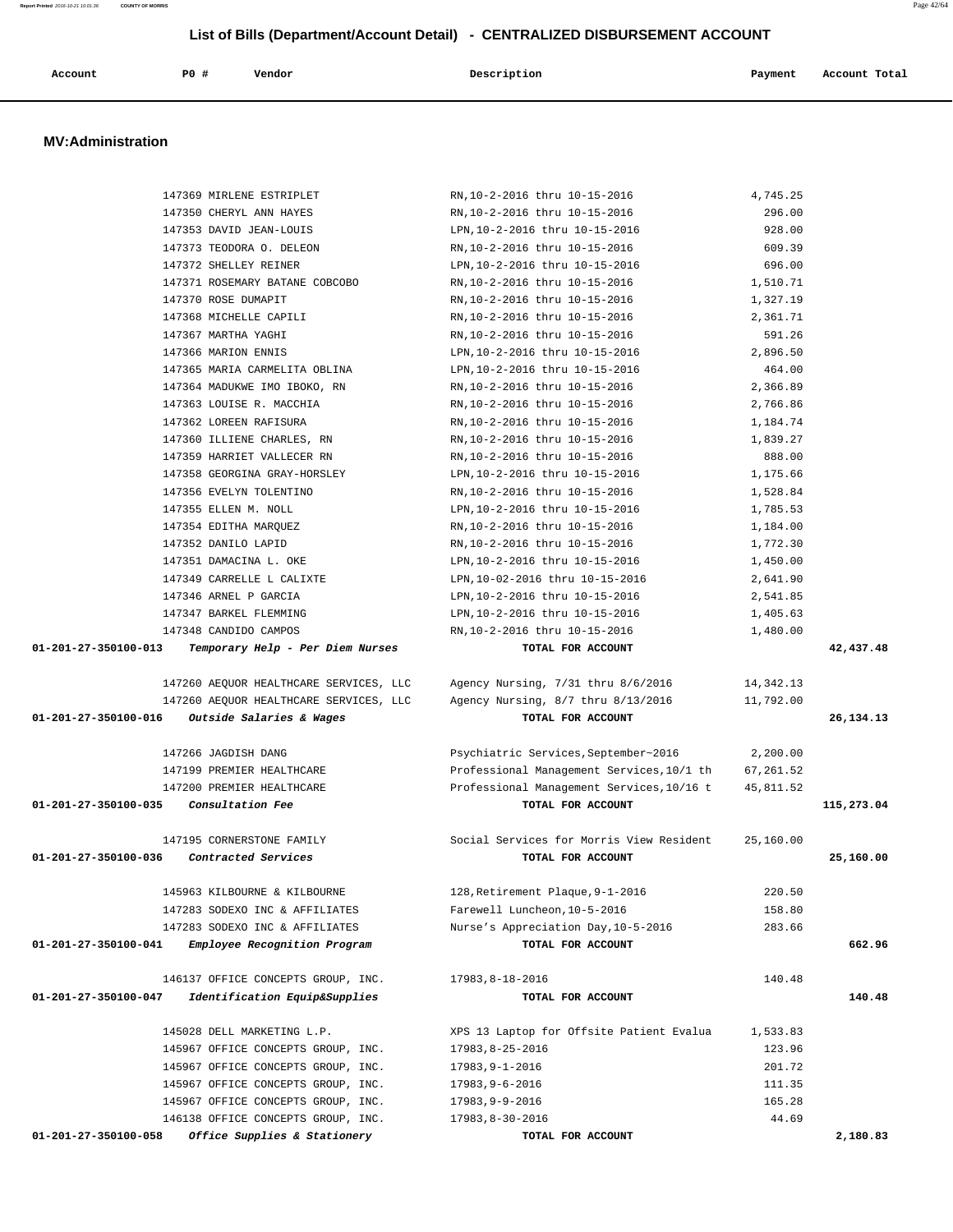| Account | P0 # | Vendor | Description | Payment | Account Total |
|---------|------|--------|-------------|---------|---------------|
|         |      |        |             |         |               |

# **MV:Administration**

|                                       | 147369 MIRLENE ESTRIPLET               | RN, 10-2-2016 thru 10-15-2016                  | 4,745.25  |             |
|---------------------------------------|----------------------------------------|------------------------------------------------|-----------|-------------|
|                                       | 147350 CHERYL ANN HAYES                | RN, 10-2-2016 thru 10-15-2016                  | 296.00    |             |
|                                       | 147353 DAVID JEAN-LOUIS                | LPN, 10-2-2016 thru 10-15-2016                 | 928.00    |             |
|                                       | 147373 TEODORA O. DELEON               | RN, 10-2-2016 thru 10-15-2016                  | 609.39    |             |
|                                       | 147372 SHELLEY REINER                  | LPN, 10-2-2016 thru 10-15-2016                 | 696.00    |             |
|                                       | 147371 ROSEMARY BATANE COBCOBO         | RN, 10-2-2016 thru 10-15-2016                  | 1,510.71  |             |
|                                       | 147370 ROSE DUMAPIT                    | RN, 10-2-2016 thru 10-15-2016                  | 1,327.19  |             |
|                                       | 147368 MICHELLE CAPILI                 | RN, 10-2-2016 thru 10-15-2016                  | 2,361.71  |             |
|                                       | 147367 MARTHA YAGHI                    | RN, 10-2-2016 thru 10-15-2016                  | 591.26    |             |
|                                       | 147366 MARION ENNIS                    | LPN, 10-2-2016 thru 10-15-2016                 | 2,896.50  |             |
|                                       | 147365 MARIA CARMELITA OBLINA          | LPN, 10-2-2016 thru 10-15-2016                 | 464.00    |             |
|                                       | 147364 MADUKWE IMO IBOKO, RN           | RN, 10-2-2016 thru 10-15-2016                  | 2,366.89  |             |
|                                       | 147363 LOUISE R. MACCHIA               | RN, 10-2-2016 thru 10-15-2016                  | 2,766.86  |             |
|                                       | 147362 LOREEN RAFISURA                 | RN, 10-2-2016 thru 10-15-2016                  | 1,184.74  |             |
|                                       | 147360 ILLIENE CHARLES, RN             | RN, 10-2-2016 thru 10-15-2016                  | 1,839.27  |             |
|                                       | 147359 HARRIET VALLECER RN             | RN, 10-2-2016 thru 10-15-2016                  | 888.00    |             |
|                                       | 147358 GEORGINA GRAY-HORSLEY           | LPN, 10-2-2016 thru 10-15-2016                 | 1,175.66  |             |
|                                       | 147356 EVELYN TOLENTINO                | RN, 10-2-2016 thru 10-15-2016                  | 1,528.84  |             |
|                                       | 147355 ELLEN M. NOLL                   | LPN, 10-2-2016 thru 10-15-2016                 | 1,785.53  |             |
|                                       | 147354 EDITHA MARQUEZ                  | RN, 10-2-2016 thru 10-15-2016                  | 1,184.00  |             |
|                                       | 147352 DANILO LAPID                    | RN, 10-2-2016 thru 10-15-2016                  | 1,772.30  |             |
|                                       | 147351 DAMACINA L. OKE                 | LPN, 10-2-2016 thru 10-15-2016                 | 1,450.00  |             |
|                                       | 147349 CARRELLE L CALIXTE              | LPN, 10-02-2016 thru 10-15-2016                | 2,641.90  |             |
|                                       | 147346 ARNEL P GARCIA                  | LPN, 10-2-2016 thru 10-15-2016                 | 2,541.85  |             |
|                                       | 147347 BARKEL FLEMMING                 | LPN, 10-2-2016 thru 10-15-2016                 | 1,405.63  |             |
|                                       | 147348 CANDIDO CAMPOS                  | RN, 10-2-2016 thru 10-15-2016                  | 1,480.00  |             |
| 01-201-27-350100-013                  | Temporary Help - Per Diem Nurses       | TOTAL FOR ACCOUNT                              |           | 42,437.48   |
|                                       |                                        |                                                |           |             |
|                                       | 147260 AEQUOR HEALTHCARE SERVICES, LLC | Agency Nursing, 7/31 thru 8/6/2016             | 14,342.13 |             |
|                                       | 147260 AEQUOR HEALTHCARE SERVICES, LLC | Agency Nursing, 8/7 thru 8/13/2016             | 11,792.00 |             |
| 01-201-27-350100-016                  | Outside Salaries & Wages               | TOTAL FOR ACCOUNT                              |           | 26, 134. 13 |
|                                       | 147266 JAGDISH DANG                    | Psychiatric Services, September~2016 2, 200.00 |           |             |
|                                       | 147199 PREMIER HEALTHCARE              | Professional Management Services, 10/1 th      | 67,261.52 |             |
|                                       | 147200 PREMIER HEALTHCARE              | Professional Management Services, 10/16 t      | 45,811.52 |             |
| 01-201-27-350100-035 Consultation Fee |                                        | TOTAL FOR ACCOUNT                              |           | 115,273.04  |
|                                       |                                        |                                                |           |             |
|                                       | 147195 CORNERSTONE FAMILY              | Social Services for Morris View Resident       | 25,160.00 |             |
| 01-201-27-350100-036                  | Contracted Services                    | TOTAL FOR ACCOUNT                              |           | 25,160.00   |
|                                       |                                        |                                                |           |             |
|                                       | 145963 KILBOURNE & KILBOURNE           | 128, Retirement Plaque, 9-1-2016               | 220.50    |             |
|                                       | 147283 SODEXO INC & AFFILIATES         | Farewell Luncheon, 10-5-2016                   | 158.80    |             |
|                                       | 147283 SODEXO INC & AFFILIATES         | Nurse's Appreciation Day, 10-5-2016            | 283.66    |             |
| 01-201-27-350100-041                  | Employee Recognition Program           | TOTAL FOR ACCOUNT                              |           | 662.96      |
|                                       | 146137 OFFICE CONCEPTS GROUP, INC.     | 17983,8-18-2016                                | 140.48    |             |
| 01-201-27-350100-047                  | Identification Equip&Supplies          | TOTAL FOR ACCOUNT                              |           | 140.48      |
|                                       | 145028 DELL MARKETING L.P.             | XPS 13 Laptop for Offsite Patient Evalua       | 1,533.83  |             |
|                                       | 145967 OFFICE CONCEPTS GROUP, INC.     | 17983,8-25-2016                                | 123.96    |             |
|                                       | 145967 OFFICE CONCEPTS GROUP, INC.     | 17983,9-1-2016                                 | 201.72    |             |
|                                       | 145967 OFFICE CONCEPTS GROUP, INC.     | $17983, 9 - 6 - 2016$                          | 111.35    |             |
|                                       | 145967 OFFICE CONCEPTS GROUP, INC.     | 17983,9-9-2016                                 | 165.28    |             |
|                                       | 146138 OFFICE CONCEPTS GROUP, INC.     | 17983,8-30-2016                                | 44.69     |             |
| 01-201-27-350100-058                  | Office Supplies & Stationery           | TOTAL FOR ACCOUNT                              |           | 2,180.83    |
|                                       |                                        |                                                |           |             |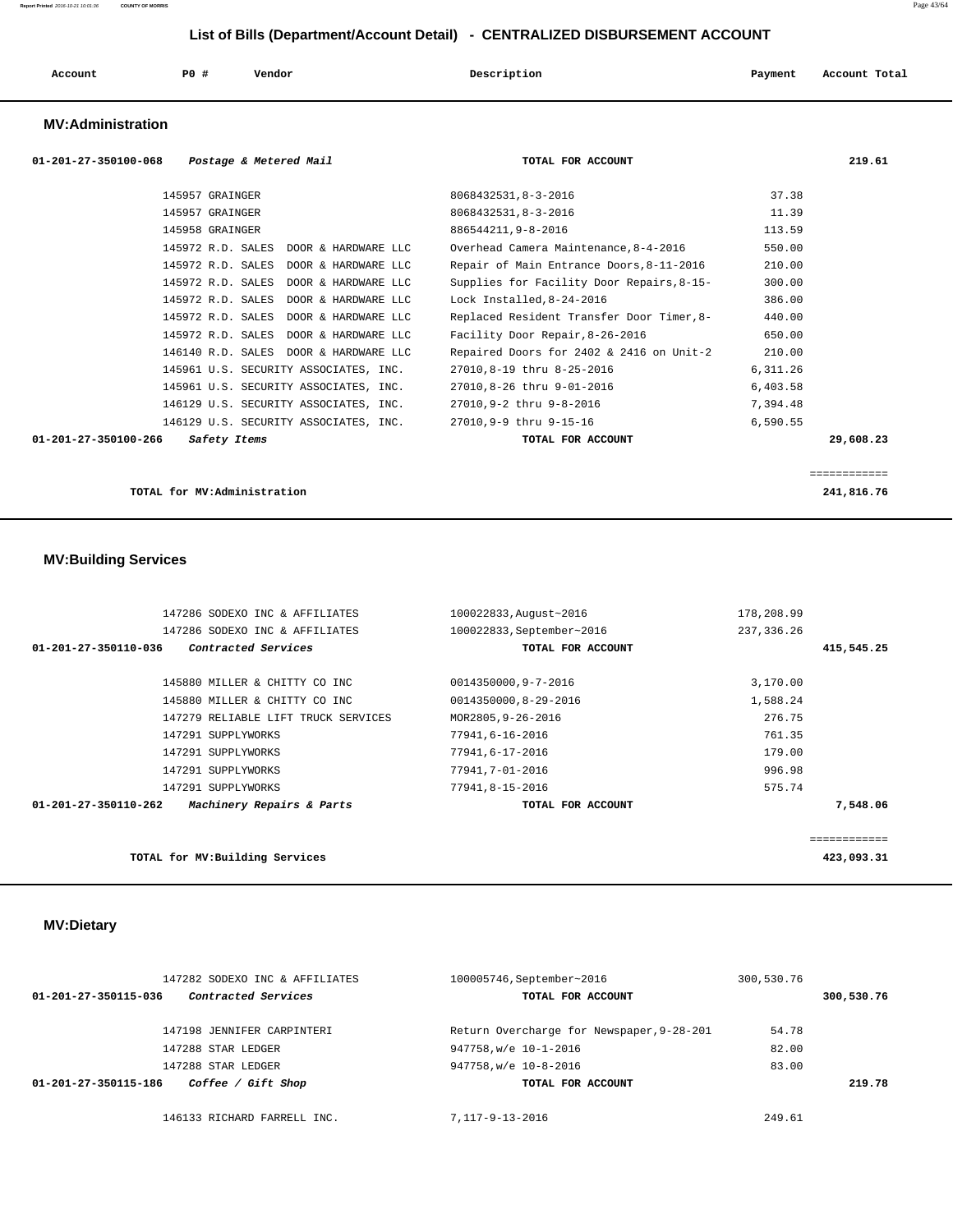| Account<br>. | <b>PO #</b> | Vendor<br>. | Description<br>$\sim$ $\sim$ | Payment | Account Total<br>. |
|--------------|-------------|-------------|------------------------------|---------|--------------------|
|              |             |             |                              |         |                    |

### **MV:Administration**

| $01 - 201 - 27 - 350100 - 068$<br>Postage & Metered Mail | TOTAL FOR ACCOUNT                         | 219.61       |
|----------------------------------------------------------|-------------------------------------------|--------------|
| 145957 GRAINGER                                          | 8068432531,8-3-2016                       | 37.38        |
| 145957 GRAINGER                                          | 8068432531,8-3-2016                       | 11.39        |
| 145958 GRAINGER                                          | 886544211, 9-8-2016                       | 113.59       |
| 145972 R.D. SALES<br>DOOR & HARDWARE LLC                 | Overhead Camera Maintenance, 8-4-2016     | 550.00       |
| 145972 R.D. SALES<br>DOOR & HARDWARE LLC                 | Repair of Main Entrance Doors, 8-11-2016  | 210.00       |
| 145972 R.D. SALES<br>DOOR & HARDWARE LLC                 | Supplies for Facility Door Repairs, 8-15- | 300.00       |
| 145972 R.D. SALES DOOR & HARDWARE LLC                    | Lock Installed.8-24-2016                  | 386.00       |
| 145972 R.D. SALES<br>DOOR & HARDWARE LLC                 | Replaced Resident Transfer Door Timer, 8- | 440.00       |
| 145972 R.D. SALES DOOR & HARDWARE LLC                    | Facility Door Repair, 8-26-2016           | 650.00       |
| 146140 R.D. SALES DOOR & HARDWARE LLC                    | Repaired Doors for 2402 & 2416 on Unit-2  | 210.00       |
| 145961 U.S. SECURITY ASSOCIATES, INC.                    | 27010,8-19 thru 8-25-2016                 | 6,311.26     |
| 145961 U.S. SECURITY ASSOCIATES, INC.                    | 27010,8-26 thru 9-01-2016                 | 6,403.58     |
| 146129 U.S. SECURITY ASSOCIATES, INC.                    | 27010,9-2 thru 9-8-2016                   | 7,394.48     |
| 146129 U.S. SECURITY ASSOCIATES, INC.                    | 27010.9-9 thru 9-15-16                    | 6,590.55     |
| 01-201-27-350100-266<br>Safety Items                     | TOTAL FOR ACCOUNT                         | 29,608.23    |
|                                                          |                                           |              |
|                                                          |                                           | ============ |
| TOTAL for MV:Administration                              |                                           | 241,816.76   |

# **MV:Building Services**

| 147286 SODEXO INC & AFFILIATES                              | 100022833, August~2016    | 178,208.99   |          |
|-------------------------------------------------------------|---------------------------|--------------|----------|
| 147286 SODEXO INC & AFFILIATES                              | 100022833, September~2016 | 237, 336.26  |          |
| Contracted Services<br>01-201-27-350110-036                 | TOTAL FOR ACCOUNT         | 415,545.25   |          |
|                                                             |                           |              |          |
| 145880 MILLER & CHITTY CO INC                               | 0014350000,9-7-2016       | 3,170.00     |          |
| 145880 MILLER & CHITTY CO INC                               | 0014350000,8-29-2016      | 1,588.24     |          |
| 147279 RELIABLE LIFT TRUCK SERVICES                         | MOR2805, 9-26-2016        | 276.75       |          |
| 147291 SUPPLYWORKS                                          | 77941,6-16-2016           | 761.35       |          |
| 147291 SUPPLYWORKS                                          | 77941,6-17-2016           | 179.00       |          |
| 147291 SUPPLYWORKS                                          | 77941,7-01-2016           | 996.98       |          |
| 147291 SUPPLYWORKS                                          | 77941,8-15-2016           | 575.74       |          |
| $01 - 201 - 27 - 350110 - 262$<br>Machinery Repairs & Parts | TOTAL FOR ACCOUNT         |              | 7,548.06 |
|                                                             |                           | :=========== |          |
| TOTAL for MV: Building Services                             |                           | 423,093.31   |          |

# **MV:Dietary**

| 147282 SODEXO INC & AFFILIATES              | 100005746, September~2016                 | 300,530.76 |            |  |
|---------------------------------------------|-------------------------------------------|------------|------------|--|
| Contracted Services<br>01-201-27-350115-036 | TOTAL FOR ACCOUNT                         |            | 300,530.76 |  |
| 147198 JENNIFER CARPINTERI                  | Return Overcharge for Newspaper, 9-28-201 | 54.78      |            |  |
| 147288 STAR LEDGER                          | 947758, w/e 10-1-2016                     | 82.00      |            |  |
| 147288 STAR LEDGER                          | 947758, w/e 10-8-2016                     | 83.00      |            |  |
| Coffee / Gift Shop<br>01-201-27-350115-186  | TOTAL FOR ACCOUNT                         |            | 219.78     |  |
| 146133 RICHARD FARRELL INC.                 | 7.117-9-13-2016                           | 249.61     |            |  |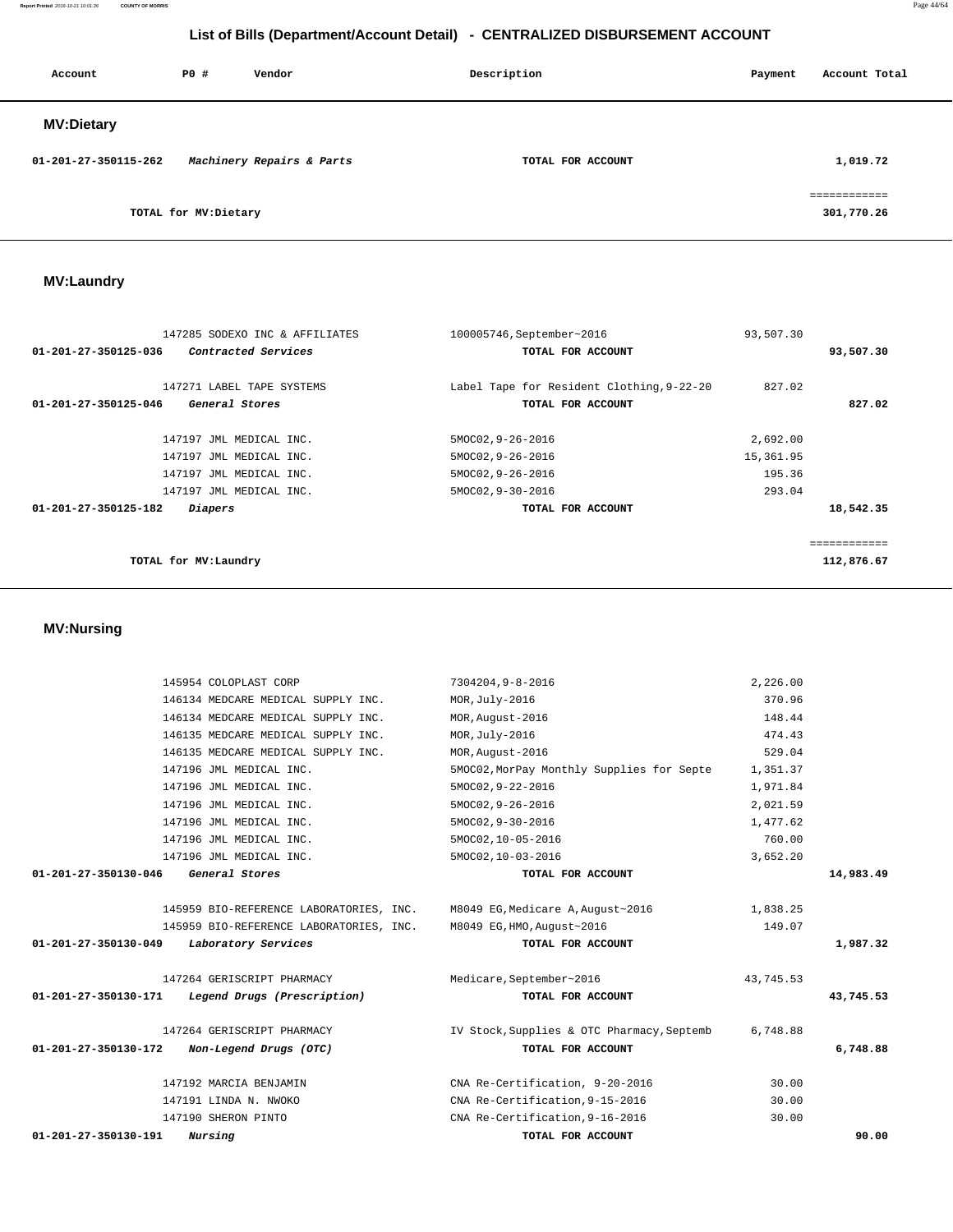**Report Printed** 2016-10-21 10:01:36 **COUNTY OF MORRIS** Page 44/64

# **List of Bills (Department/Account Detail) - CENTRALIZED DISBURSEMENT ACCOUNT**

| Account              | PO#                  | Vendor                    | Description       | Payment | Account Total             |
|----------------------|----------------------|---------------------------|-------------------|---------|---------------------------|
| <b>MV:Dietary</b>    |                      |                           |                   |         |                           |
| 01-201-27-350115-262 |                      | Machinery Repairs & Parts | TOTAL FOR ACCOUNT |         | 1,019.72                  |
|                      | TOTAL for MV:Dietary |                           |                   |         | -----------<br>301,770.26 |

# **MV:Laundry**

| 147285 SODEXO INC & AFFILIATES              | 100005746, September~2016                 | 93,507.30 |            |
|---------------------------------------------|-------------------------------------------|-----------|------------|
| Contracted Services<br>01-201-27-350125-036 | TOTAL FOR ACCOUNT                         |           | 93,507.30  |
| 147271 LABEL TAPE SYSTEMS                   | Label Tape for Resident Clothing, 9-22-20 | 827.02    |            |
| 01-201-27-350125-046<br>General Stores      | TOTAL FOR ACCOUNT                         |           | 827.02     |
| 147197 JML MEDICAL INC.                     | 5MOC02, 9-26-2016                         | 2,692.00  |            |
| 147197 JML MEDICAL INC.                     | 5MOC02, 9-26-2016                         | 15,361.95 |            |
| 147197 JML MEDICAL INC.                     | 5MOC02, 9-26-2016                         | 195.36    |            |
| 147197 JML MEDICAL INC.                     | 5MOC02, 9-30-2016                         | 293.04    |            |
| 01-201-27-350125-182<br>Diapers             | TOTAL FOR ACCOUNT                         |           | 18,542.35  |
|                                             |                                           |           |            |
| TOTAL for MV: Laundry                       |                                           |           | 112,876.67 |
|                                             |                                           |           |            |

# **MV:Nursing**

| 145954 COLOPLAST CORP                                                     | 7304204,9-8-2016                           | 2,226.00  |           |
|---------------------------------------------------------------------------|--------------------------------------------|-----------|-----------|
| 146134 MEDCARE MEDICAL SUPPLY INC.                                        | MOR, July-2016                             | 370.96    |           |
| 146134 MEDCARE MEDICAL SUPPLY INC.                                        | MOR, August-2016                           | 148.44    |           |
| 146135 MEDCARE MEDICAL SUPPLY INC.                                        | MOR, July-2016                             | 474.43    |           |
| 146135 MEDCARE MEDICAL SUPPLY INC.                                        | MOR, August-2016                           | 529.04    |           |
| 147196 JML MEDICAL INC.                                                   | 5MOC02, MorPay Monthly Supplies for Septe  | 1,351.37  |           |
| 147196 JML MEDICAL INC.                                                   | 5MOC02, 9-22-2016                          | 1,971.84  |           |
| 147196 JML MEDICAL INC.                                                   | 5MOC02, 9-26-2016                          | 2,021.59  |           |
| 147196 JML MEDICAL INC.                                                   | 5MOC02, 9-30-2016                          | 1,477.62  |           |
| 147196 JML MEDICAL INC.                                                   | 5MOC02,10-05-2016                          | 760.00    |           |
| 147196 JML MEDICAL INC.                                                   | 5MOC02,10-03-2016                          | 3,652.20  |           |
| $01 - 201 - 27 - 350130 - 046$<br>General Stores                          | TOTAL FOR ACCOUNT                          |           | 14,983.49 |
| 145959 BIO-REFERENCE LABORATORIES, INC. M8049 EG, Medicare A, August-2016 |                                            | 1,838.25  |           |
| 145959 BIO-REFERENCE LABORATORIES, INC.                                   | M8049 EG, HMO, August~2016                 | 149.07    |           |
| 01-201-27-350130-049<br>Laboratory Services                               | TOTAL FOR ACCOUNT                          |           | 1,987.32  |
| 147264 GERISCRIPT PHARMACY                                                | Medicare, September~2016                   | 43,745.53 |           |
| 01-201-27-350130-171<br>Legend Drugs (Prescription)                       | TOTAL FOR ACCOUNT                          |           | 43,745.53 |
| 147264 GERISCRIPT PHARMACY                                                | IV Stock, Supplies & OTC Pharmacy, Septemb | 6,748.88  |           |
| 01-201-27-350130-172<br>Non-Legend Drugs (OTC)                            | TOTAL FOR ACCOUNT                          |           | 6,748.88  |
| 147192 MARCIA BENJAMIN                                                    | CNA Re-Certification, 9-20-2016            | 30.00     |           |
| 147191 LINDA N. NWOKO                                                     | CNA Re-Certification, 9-15-2016            | 30.00     |           |
| 147190 SHERON PINTO                                                       | CNA Re-Certification, 9-16-2016            | 30.00     |           |
| 01-201-27-350130-191<br>Nursing                                           | TOTAL FOR ACCOUNT                          |           | 90.00     |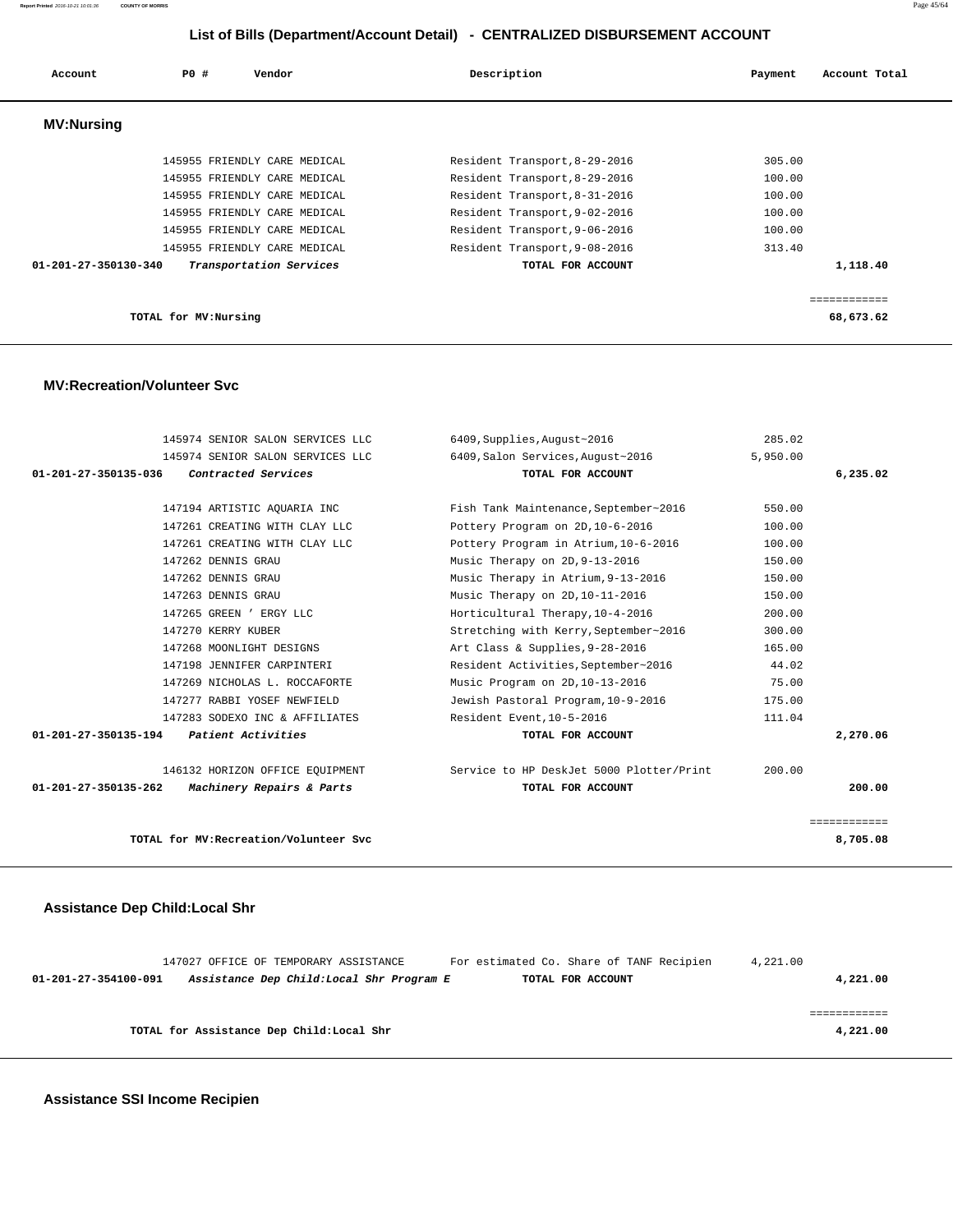| Account                        | PO#                   | Vendor                       | Description                   | Account Total<br>Payment |
|--------------------------------|-----------------------|------------------------------|-------------------------------|--------------------------|
| <b>MV:Nursing</b>              |                       |                              |                               |                          |
|                                |                       | 145955 FRIENDLY CARE MEDICAL | Resident Transport, 8-29-2016 | 305.00                   |
|                                |                       | 145955 FRIENDLY CARE MEDICAL | Resident Transport, 8-29-2016 | 100.00                   |
|                                |                       | 145955 FRIENDLY CARE MEDICAL | Resident Transport, 8-31-2016 | 100.00                   |
|                                |                       | 145955 FRIENDLY CARE MEDICAL | Resident Transport, 9-02-2016 | 100.00                   |
|                                |                       | 145955 FRIENDLY CARE MEDICAL | Resident Transport, 9-06-2016 | 100.00                   |
|                                |                       | 145955 FRIENDLY CARE MEDICAL | Resident Transport, 9-08-2016 | 313.40                   |
| $01 - 201 - 27 - 350130 - 340$ |                       | Transportation Services      | TOTAL FOR ACCOUNT             | 1,118.40                 |
|                                |                       |                              |                               | ===========              |
|                                | TOTAL for MV: Nursing |                              |                               | 68,673.62                |

#### **MV:Recreation/Volunteer Svc**

| 145974 SENIOR SALON SERVICES LLC                  | 6409, Supplies, August~2016              | 285.02   |              |
|---------------------------------------------------|------------------------------------------|----------|--------------|
| 145974 SENIOR SALON SERVICES LLC                  | 6409, Salon Services, August~2016        | 5,950.00 |              |
| Contracted Services<br>01-201-27-350135-036       | TOTAL FOR ACCOUNT                        |          | 6,235.02     |
|                                                   |                                          |          |              |
| 147194 ARTISTIC AQUARIA INC                       | Fish Tank Maintenance, September~2016    | 550.00   |              |
| 147261 CREATING WITH CLAY LLC                     | Pottery Program on 2D, 10-6-2016         | 100.00   |              |
| 147261 CREATING WITH CLAY LLC                     | Pottery Program in Atrium, 10-6-2016     | 100.00   |              |
| 147262 DENNIS GRAU                                | Music Therapy on 2D, 9-13-2016           | 150.00   |              |
| 147262 DENNIS GRAU                                | Music Therapy in Atrium, 9-13-2016       | 150.00   |              |
| 147263 DENNIS GRAU                                | Music Therapy on 2D, 10-11-2016          | 150.00   |              |
| 147265 GREEN ' ERGY LLC                           | Horticultural Therapy, 10-4-2016         | 200.00   |              |
| 147270 KERRY KUBER                                | Stretching with Kerry, September~2016    | 300.00   |              |
| 147268 MOONLIGHT DESIGNS                          | Art Class & Supplies, 9-28-2016          | 165.00   |              |
| 147198 JENNIFER CARPINTERI                        | Resident Activities, September~2016      | 44.02    |              |
| 147269 NICHOLAS L. ROCCAFORTE                     | Music Program on 2D, 10-13-2016          | 75.00    |              |
| 147277 RABBI YOSEF NEWFIELD                       | Jewish Pastoral Program, 10-9-2016       | 175.00   |              |
| 147283 SODEXO INC & AFFILIATES                    | Resident Event, 10-5-2016                | 111.04   |              |
| Patient Activities<br>01-201-27-350135-194        | TOTAL FOR ACCOUNT                        |          | 2,270.06     |
| 146132 HORIZON OFFICE EQUIPMENT                   | Service to HP DeskJet 5000 Plotter/Print | 200.00   |              |
| 01-201-27-350135-262<br>Machinery Repairs & Parts | TOTAL FOR ACCOUNT                        |          | 200.00       |
|                                                   |                                          |          | ============ |
| TOTAL for MV: Recreation/Volunteer Svc            |                                          |          | 8,705.08     |

# **Assistance Dep Child:Local Shr**

|                      | 147027 OFFICE OF TEMPORARY ASSISTANCE     |  | For estimated Co. Share of TANF Recipien |  | 4,221.00 |
|----------------------|-------------------------------------------|--|------------------------------------------|--|----------|
| 01-201-27-354100-091 | Assistance Dep Child:Local Shr Program E  |  | TOTAL FOR ACCOUNT                        |  | 4,221.00 |
|                      |                                           |  |                                          |  |          |
|                      |                                           |  |                                          |  |          |
|                      | TOTAL for Assistance Dep Child: Local Shr |  |                                          |  | 4,221.00 |
|                      |                                           |  |                                          |  |          |

 **Assistance SSI Income Recipien**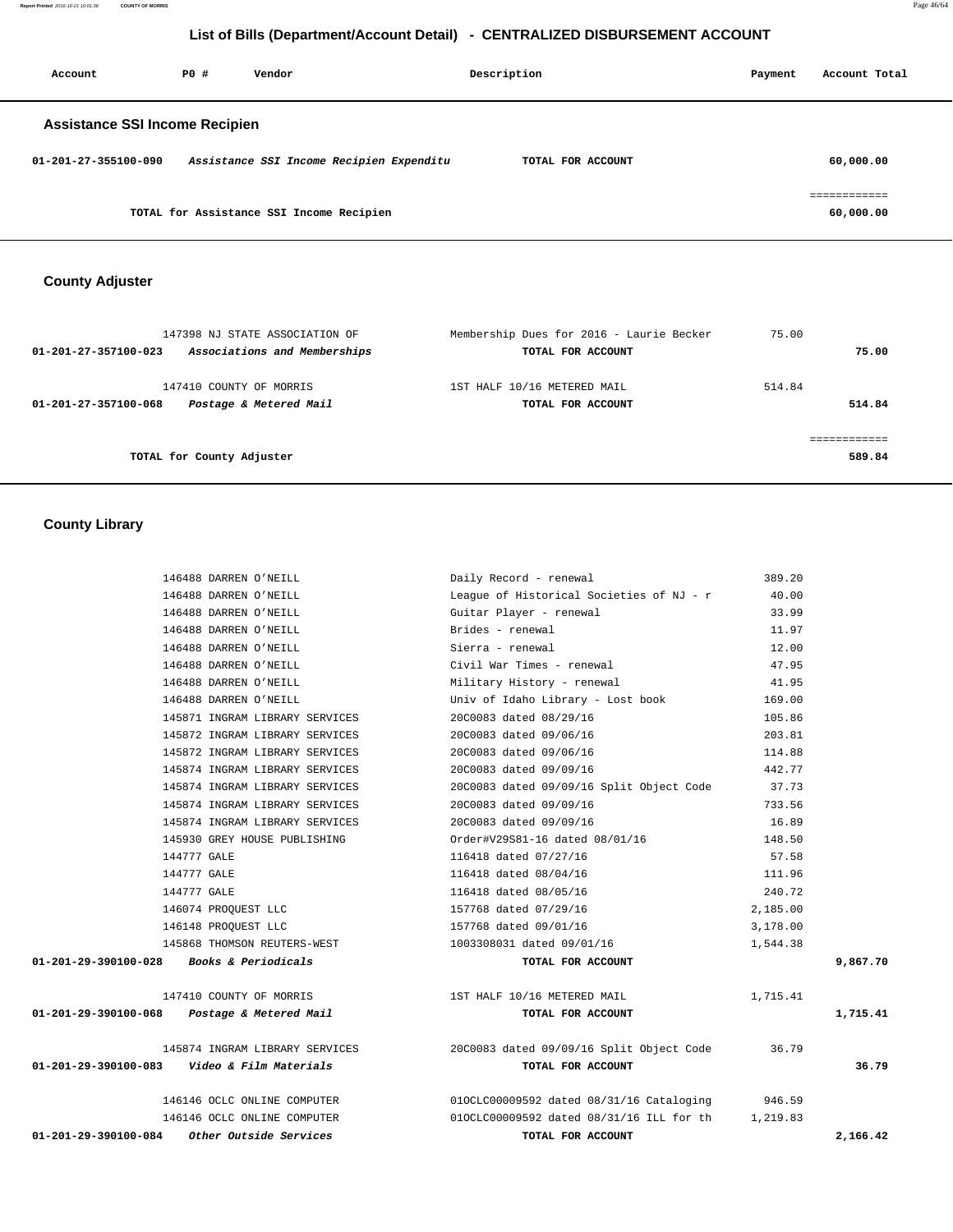**Report Printed** 2016-10-21 10:01:36 **COUNTY OF MORRIS** Page 46/64

# **List of Bills (Department/Account Detail) - CENTRALIZED DISBURSEMENT ACCOUNT**

| Account                               | PO# | Vendor                                   | Description       | Payment | Account Total             |
|---------------------------------------|-----|------------------------------------------|-------------------|---------|---------------------------|
| <b>Assistance SSI Income Recipien</b> |     |                                          |                   |         |                           |
| 01-201-27-355100-090                  |     | Assistance SSI Income Recipien Expenditu | TOTAL FOR ACCOUNT |         | 60,000.00                 |
|                                       |     | TOTAL for Assistance SSI Income Recipien |                   |         | eessessesses<br>60,000.00 |

# **County Adjuster**

| 147398 NJ STATE ASSOCIATION OF                       | Membership Dues for 2016 - Laurie Becker | 75.00  |        |
|------------------------------------------------------|------------------------------------------|--------|--------|
| Associations and Memberships<br>01-201-27-357100-023 | TOTAL FOR ACCOUNT                        |        | 75.00  |
| 147410 COUNTY OF MORRIS                              | 1ST HALF 10/16 METERED MAIL              | 514.84 |        |
| Postage & Metered Mail<br>01-201-27-357100-068       | TOTAL FOR ACCOUNT                        |        | 514.84 |
|                                                      |                                          |        |        |
| TOTAL for County Adjuster                            |                                          |        | 589.84 |
|                                                      |                                          |        |        |

 **County Library** 

|                                          | 146488 DARREN O'NEILL                                 | Daily Record - renewal                         | 389.20   |          |
|------------------------------------------|-------------------------------------------------------|------------------------------------------------|----------|----------|
|                                          | 146488 DARREN O'NEILL                                 | League of Historical Societies of NJ - r       | 40.00    |          |
|                                          | 146488 DARREN O'NEILL                                 | Guitar Player - renewal                        | 33.99    |          |
|                                          | 146488 DARREN O'NEILL                                 | Brides - renewal                               | 11.97    |          |
|                                          | 146488 DARREN O'NEILL                                 | Sierra - renewal                               | 12.00    |          |
|                                          | 146488 DARREN O'NEILL                                 | Civil War Times - renewal                      | 47.95    |          |
|                                          | 146488 DARREN O'NEILL                                 | Military History - renewal                     | 41.95    |          |
|                                          | 146488 DARREN O'NEILL                                 | Univ of Idaho Library - Lost book              | 169.00   |          |
|                                          | 145871 INGRAM LIBRARY SERVICES                        | 20C0083 dated 08/29/16                         | 105.86   |          |
|                                          | 145872 INGRAM LIBRARY SERVICES                        | 20C0083 dated 09/06/16                         | 203.81   |          |
|                                          | 145872 INGRAM LIBRARY SERVICES                        | 20C0083 dated 09/06/16                         | 114.88   |          |
|                                          | 145874 INGRAM LIBRARY SERVICES                        | 20C0083 dated 09/09/16                         | 442.77   |          |
|                                          | 145874 INGRAM LIBRARY SERVICES                        | 20C0083 dated 09/09/16 Split Object Code 37.73 |          |          |
|                                          | 145874 INGRAM LIBRARY SERVICES                        | 20C0083 dated 09/09/16                         | 733.56   |          |
|                                          | 145874 INGRAM LIBRARY SERVICES                        | 20C0083 dated 09/09/16                         | 16.89    |          |
|                                          | 145930 GREY HOUSE PUBLISHING                          | Order#V29S81-16 dated 08/01/16                 | 148.50   |          |
|                                          | 144777 GALE                                           | 116418 dated 07/27/16                          | 57.58    |          |
|                                          | 144777 GALE                                           | 116418 dated 08/04/16                          | 111.96   |          |
|                                          | 144777 GALE                                           | 116418 dated 08/05/16                          | 240.72   |          |
|                                          | 146074 PROOUEST LLC                                   | 157768 dated 07/29/16                          | 2,185.00 |          |
|                                          | 146148 PROQUEST LLC                                   | 157768 dated 09/01/16                          | 3,178.00 |          |
|                                          | 145868 THOMSON REUTERS-WEST                           | 1003308031 dated 09/01/16                      | 1,544.38 |          |
| 01-201-29-390100-028 Books & Periodicals |                                                       | TOTAL FOR ACCOUNT                              |          | 9,867.70 |
|                                          | 147410 COUNTY OF MORRIS                               | 1ST HALF 10/16 METERED MAIL                    | 1,715.41 |          |
|                                          | $01 - 201 - 29 - 390100 - 068$ Postage & Metered Mail | TOTAL FOR ACCOUNT                              |          | 1,715.41 |
|                                          | 145874 INGRAM LIBRARY SERVICES                        | 20C0083 dated 09/09/16 Split Object Code       | 36.79    |          |
|                                          | $01-201-29-390100-083$ Video & Film Materials         | TOTAL FOR ACCOUNT                              |          | 36.79    |
|                                          | 146146 OCLC ONLINE COMPUTER                           | $010CLC00009592$ dated $08/31/16$ Cataloging   | 946.59   |          |
|                                          | 146146 OCLC ONLINE COMPUTER                           | 010CLC00009592 dated 08/31/16 ILL for th       | 1,219.83 |          |
| 01-201-29-390100-084                     | Other Outside Services                                | TOTAL FOR ACCOUNT                              |          | 2,166.42 |
|                                          |                                                       |                                                |          |          |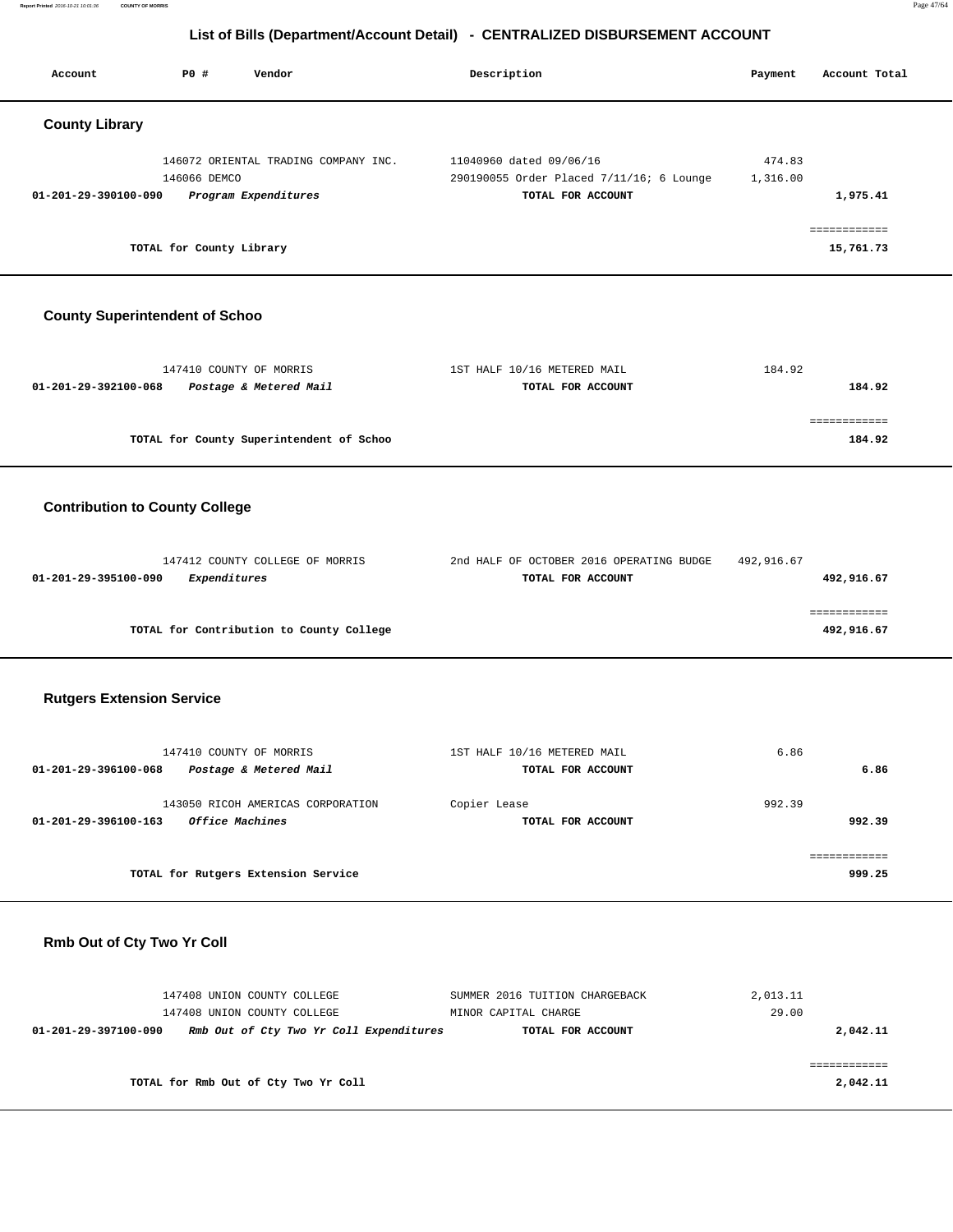**Report Printed** 2016-10-21 10:01:36 **COUNTY OF MORRIS** Page 47/64

# **List of Bills (Department/Account Detail) - CENTRALIZED DISBURSEMENT ACCOUNT**

Account **PO #** Vendor **Description Description Payment** Account Total

| <b>County Library</b>                 |                                                                                                       |                                                                                          |                    |                            |  |
|---------------------------------------|-------------------------------------------------------------------------------------------------------|------------------------------------------------------------------------------------------|--------------------|----------------------------|--|
| 01-201-29-390100-090                  | 146072 ORIENTAL TRADING COMPANY INC.<br>146066 DEMCO<br>Program Expenditures                          | 11040960 dated 09/06/16<br>290190055 Order Placed 7/11/16; 6 Lounge<br>TOTAL FOR ACCOUNT | 474.83<br>1,316.00 | 1,975.41                   |  |
|                                       | TOTAL for County Library                                                                              |                                                                                          |                    | ============<br>15,761.73  |  |
| <b>County Superintendent of Schoo</b> |                                                                                                       |                                                                                          |                    |                            |  |
| 01-201-29-392100-068                  | 147410 COUNTY OF MORRIS<br>Postage & Metered Mail                                                     | 1ST HALF 10/16 METERED MAIL<br>TOTAL FOR ACCOUNT                                         | 184.92             | 184.92                     |  |
|                                       | TOTAL for County Superintendent of Schoo                                                              |                                                                                          |                    | ============<br>184.92     |  |
| <b>Contribution to County College</b> |                                                                                                       |                                                                                          |                    |                            |  |
| 01-201-29-395100-090                  | 147412 COUNTY COLLEGE OF MORRIS<br>Expenditures                                                       | 2nd HALF OF OCTOBER 2016 OPERATING BUDGE<br>TOTAL FOR ACCOUNT                            | 492,916.67         | 492,916.67                 |  |
|                                       | TOTAL for Contribution to County College                                                              |                                                                                          |                    | ============<br>492,916.67 |  |
| <b>Rutgers Extension Service</b>      |                                                                                                       |                                                                                          |                    |                            |  |
| $01 - 201 - 29 - 396100 - 068$        | 147410 COUNTY OF MORRIS<br>Postage & Metered Mail                                                     | 1ST HALF 10/16 METERED MAIL<br>TOTAL FOR ACCOUNT                                         | 6.86               | 6.86                       |  |
| 01-201-29-396100-163                  | 143050 RICOH AMERICAS CORPORATION<br>Office Machines                                                  | Copier Lease<br>TOTAL FOR ACCOUNT                                                        | 992.39             | 992.39                     |  |
|                                       | TOTAL for Rutgers Extension Service                                                                   |                                                                                          |                    | ============<br>999.25     |  |
| Rmb Out of Cty Two Yr Coll            |                                                                                                       |                                                                                          |                    |                            |  |
| 01-201-29-397100-090                  | 147408 UNION COUNTY COLLEGE<br>147408 UNION COUNTY COLLEGE<br>Rmb Out of Cty Two Yr Coll Expenditures | SUMMER 2016 TUITION CHARGEBACK<br>MINOR CAPITAL CHARGE<br>TOTAL FOR ACCOUNT              | 2,013.11<br>29.00  | 2,042.11                   |  |
|                                       | TOTAL for Rmb Out of Cty Two Yr Coll                                                                  |                                                                                          |                    | ============<br>2,042.11   |  |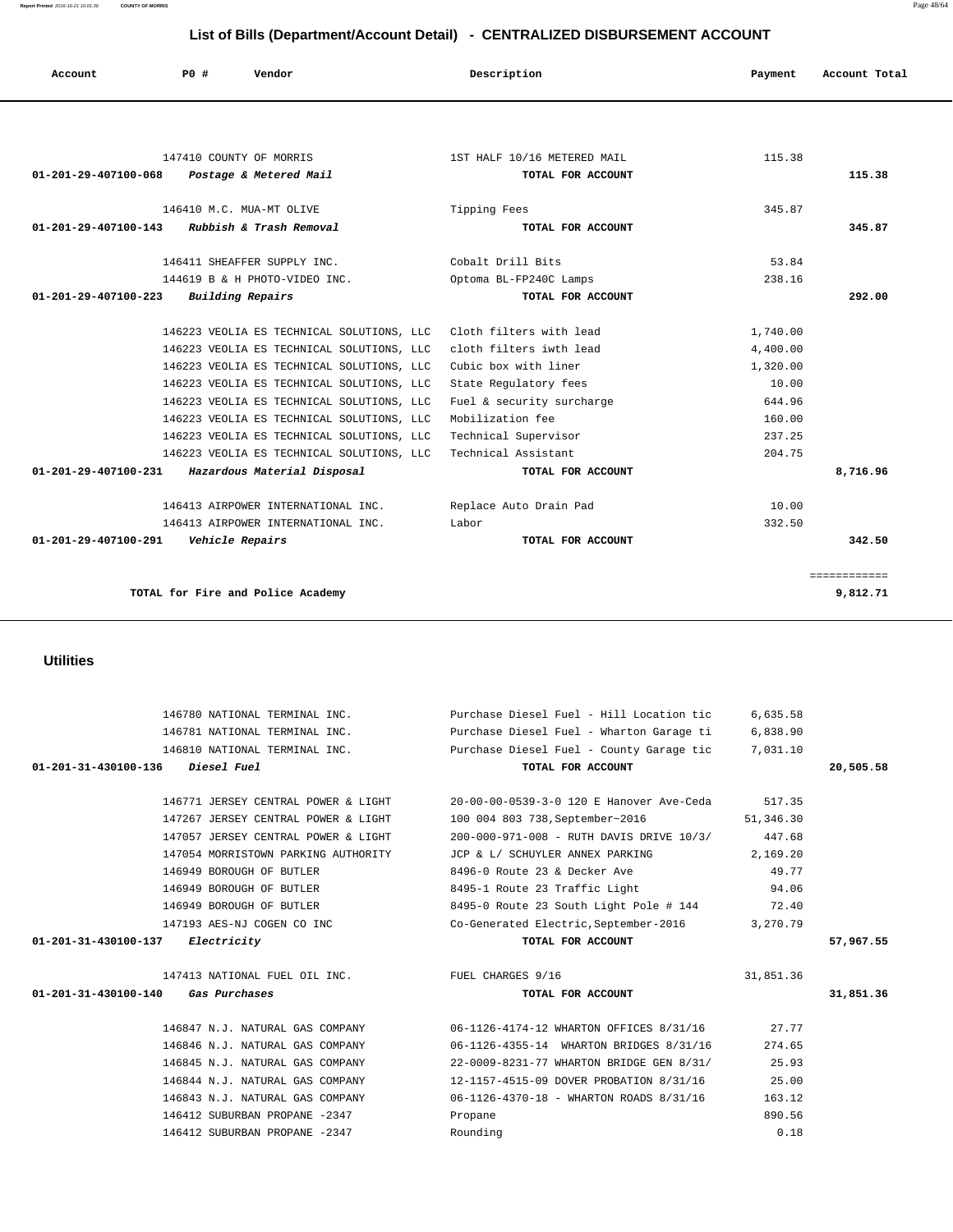146771 JERSEY CENTRAL POWER & LIGHT 20-00-00-0539-3-0 120 E Hanover Ave-Ceda 517.35 147267 JERSEY CENTRAL POWER & LIGHT 100 004 803 738,September~2016 51,346.30 147057 JERSEY CENTRAL POWER & LIGHT 200-000-971-008 - RUTH DAVIS DRIVE 10/3/ 447.68 147054 MORRISTOWN PARKING AUTHORITY JCP & L/ SCHUYLER ANNEX PARKING 2,169.20 146949 BOROUGH OF BUTLER 8496-0 Route 23 & Decker Ave 49.77 146949 BOROUGH OF BUTLER 8495-1 Route 23 Traffic Light 94.06 146949 BOROUGH OF BUTLER 8495-0 Route 23 South Light Pole # 144 72.40 147193 AES-NJ COGEN CO INC Co-Generated Electric,September-2016 3,270.79  **01-201-31-430100-137 Electricity TOTAL FOR ACCOUNT 57,967.55** 147413 NATIONAL FUEL OIL INC. FUEL CHARGES 9/16 31,851.36  **01-201-31-430100-140 Gas Purchases TOTAL FOR ACCOUNT 31,851.36** 146847 N.J. NATURAL GAS COMPANY 06-1126-4174-12 WHARTON OFFICES 8/31/16 27.77 146846 N.J. NATURAL GAS COMPANY 06-1126-4355-14 WHARTON BRIDGES 8/31/16 274.65 146845 N.J. NATURAL GAS COMPANY 22-0009-8231-77 WHARTON BRIDGE GEN 8/31/ 25.93 146844 N.J. NATURAL GAS COMPANY 12-1157-4515-09 DOVER PROBATION 8/31/16 25.00 146843 N.J. NATURAL GAS COMPANY 06-1126-4370-18 - WHARTON ROADS 8/31/16 163.12

> 146412 SUBURBAN PROPANE -2347 Propane 890.56 146412 SUBURBAN PROPANE -2347 Rounding 0.18

#### **Utilities**

|                                | 147410 COUNTY OF MORRIS                   | 1ST HALF 10/16 METERED MAIL | 115.38   |              |
|--------------------------------|-------------------------------------------|-----------------------------|----------|--------------|
| 01-201-29-407100-068           | Postage & Metered Mail                    | TOTAL FOR ACCOUNT           |          | 115.38       |
|                                | 146410 M.C. MUA-MT OLIVE                  | Tipping Fees                | 345.87   |              |
| $01 - 201 - 29 - 407100 - 143$ | Rubbish & Trash Removal                   | TOTAL FOR ACCOUNT           |          | 345.87       |
|                                | 146411 SHEAFFER SUPPLY INC.               | Cobalt Drill Bits           | 53.84    |              |
|                                | 144619 B & H PHOTO-VIDEO INC.             | Optoma BL-FP240C Lamps      | 238.16   |              |
| 01-201-29-407100-223           | Building Repairs                          | TOTAL FOR ACCOUNT           |          | 292.00       |
|                                | 146223 VEOLIA ES TECHNICAL SOLUTIONS, LLC | Cloth filters with lead     | 1,740.00 |              |
|                                | 146223 VEOLIA ES TECHNICAL SOLUTIONS, LLC | cloth filters iwth lead     | 4,400.00 |              |
|                                | 146223 VEOLIA ES TECHNICAL SOLUTIONS, LLC | Cubic box with liner        | 1,320.00 |              |
|                                | 146223 VEOLIA ES TECHNICAL SOLUTIONS, LLC | State Regulatory fees       | 10.00    |              |
|                                | 146223 VEOLIA ES TECHNICAL SOLUTIONS, LLC | Fuel & security surcharge   | 644.96   |              |
|                                | 146223 VEOLIA ES TECHNICAL SOLUTIONS, LLC | Mobilization fee            | 160.00   |              |
|                                | 146223 VEOLIA ES TECHNICAL SOLUTIONS, LLC | Technical Supervisor        | 237.25   |              |
|                                | 146223 VEOLIA ES TECHNICAL SOLUTIONS, LLC | Technical Assistant         | 204.75   |              |
| 01-201-29-407100-231           | Hazardous Material Disposal               | TOTAL FOR ACCOUNT           |          | 8,716.96     |
|                                | 146413 AIRPOWER INTERNATIONAL INC.        | Replace Auto Drain Pad      | 10.00    |              |
|                                | 146413 AIRPOWER INTERNATIONAL INC.        | Labor                       | 332.50   |              |
| 01-201-29-407100-291           | Vehicle Repairs                           | TOTAL FOR ACCOUNT           |          | 342.50       |
|                                |                                           |                             |          | ============ |
|                                | TOTAL for Fire and Police Academy         |                             |          | 9,812.71     |

 146780 NATIONAL TERMINAL INC. Purchase Diesel Fuel - Hill Location tic 6,635.58 146781 NATIONAL TERMINAL INC. Purchase Diesel Fuel - Wharton Garage ti 6,838.90 146810 NATIONAL TERMINAL INC. Purchase Diesel Fuel - County Garage tic 7,031.10  **01-201-31-430100-136 Diesel Fuel TOTAL FOR ACCOUNT 20,505.58**

 **Account P0 # Vendor Description Payment Account Total**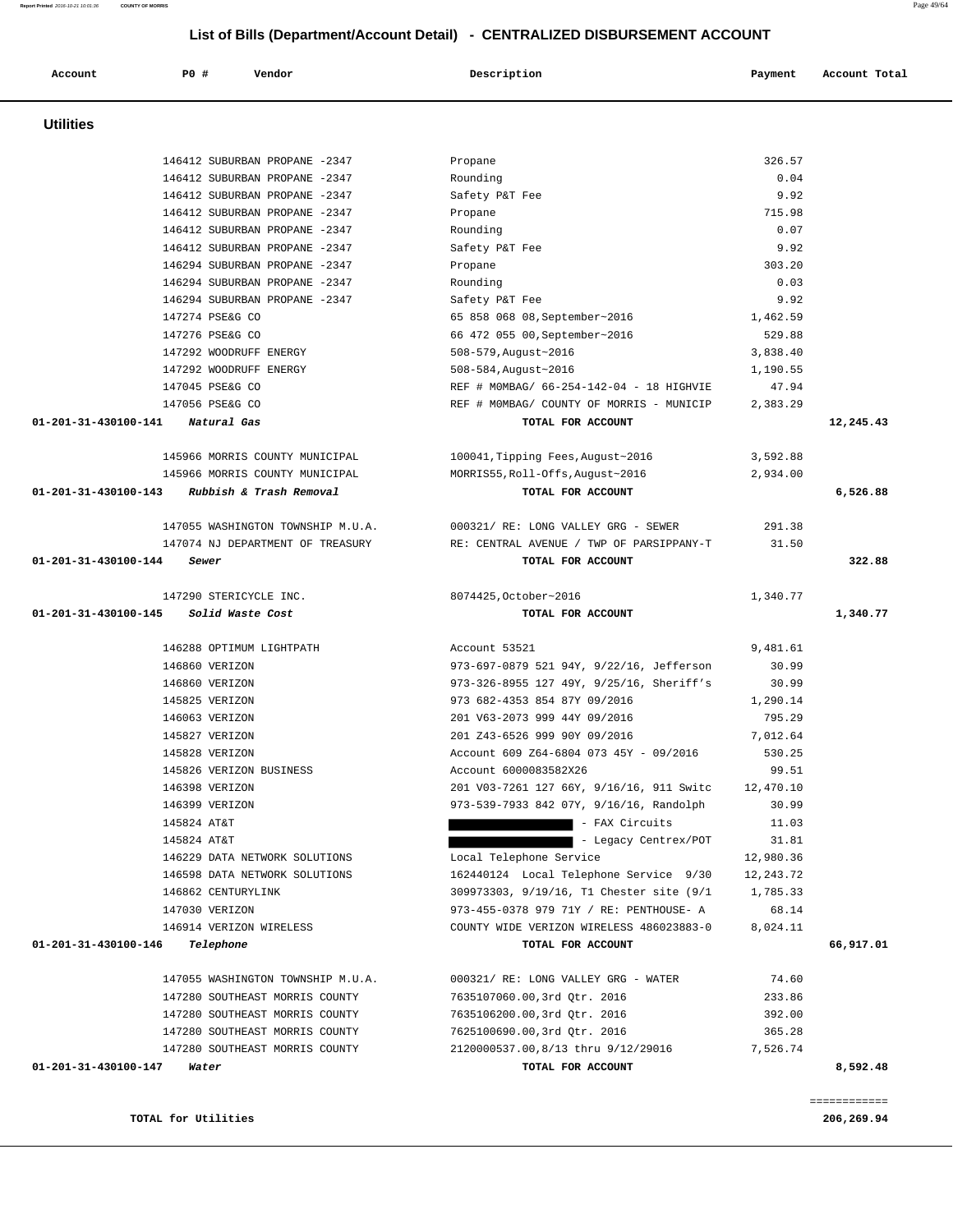**TOTAL for Utilities** 206,269.94

============

|  | 206,269. |  |
|--|----------|--|
|  |          |  |

| 146412 SUBURBAN PROPANE -2347                | Propane                                                                       | 715.98    |           |
|----------------------------------------------|-------------------------------------------------------------------------------|-----------|-----------|
| 146412 SUBURBAN PROPANE -2347                | Rounding                                                                      | 0.07      |           |
| 146412 SUBURBAN PROPANE -2347                | Safety P&T Fee                                                                | 9.92      |           |
| 146294 SUBURBAN PROPANE -2347                | Propane                                                                       | 303.20    |           |
| 146294 SUBURBAN PROPANE -2347                | Rounding                                                                      | 0.03      |           |
| 146294 SUBURBAN PROPANE -2347                | Safety P&T Fee                                                                | 9.92      |           |
| 147274 PSE&G CO                              | 65 858 068 08, September~2016                                                 | 1,462.59  |           |
| 147276 PSE&G CO                              | 66 472 055 00, September~2016                                                 | 529.88    |           |
| 147292 WOODRUFF ENERGY                       | 508-579, August~2016                                                          | 3,838.40  |           |
| 147292 WOODRUFF ENERGY                       | 508-584, August~2016                                                          | 1,190.55  |           |
| 147045 PSE&G CO                              | REF # MOMBAG/ 66-254-142-04 - 18 HIGHVIE                                      | 47.94     |           |
| 147056 PSE&G CO                              | REF # MOMBAG/ COUNTY OF MORRIS - MUNICIP                                      | 2,383.29  |           |
| 01-201-31-430100-141 Natural Gas             | TOTAL FOR ACCOUNT                                                             |           | 12,245.43 |
| 145966 MORRIS COUNTY MUNICIPAL               | 100041, Tipping Fees, August~2016                                             | 3,592.88  |           |
| 145966 MORRIS COUNTY MUNICIPAL               | MORRIS55, Roll-Offs, August~2016                                              | 2,934.00  |           |
| 01-201-31-430100-143 Rubbish & Trash Removal | TOTAL FOR ACCOUNT                                                             |           | 6,526.88  |
|                                              | 147055 WASHINGTON TOWNSHIP M.U.A. 000321/ RE: LONG VALLEY GRG - SEWER         | 291.38    |           |
|                                              | 147074 NJ DEPARTMENT OF TREASURY THE RE: CENTRAL AVENUE / TWP OF PARSIPPANY-T | 31.50     |           |
| 01-201-31-430100-144<br>Sewer                | TOTAL FOR ACCOUNT                                                             |           | 322.88    |
| 147290 STERICYCLE INC.                       | 8074425, October~2016                                                         | 1,340.77  |           |
| 01-201-31-430100-145 Solid Waste Cost        | TOTAL FOR ACCOUNT                                                             |           | 1,340.77  |
|                                              |                                                                               |           |           |
| 146288 OPTIMUM LIGHTPATH                     | Account 53521                                                                 | 9,481.61  |           |
| 146860 VERIZON                               | 973-697-0879 521 94Y, 9/22/16, Jefferson                                      | 30.99     |           |
| 146860 VERIZON                               | 973-326-8955 127 49Y, 9/25/16, Sheriff's                                      | 30.99     |           |
| 145825 VERIZON                               | 973 682-4353 854 87Y 09/2016                                                  | 1,290.14  |           |
| 146063 VERIZON                               | 201 V63-2073 999 44Y 09/2016                                                  | 795.29    |           |
| 145827 VERIZON                               | 201 Z43-6526 999 90Y 09/2016                                                  | 7,012.64  |           |
| 145828 VERIZON                               | Account 609 Z64-6804 073 45Y - 09/2016                                        | 530.25    |           |
| 145826 VERIZON BUSINESS                      | Account 6000083582X26                                                         | 99.51     |           |
| 146398 VERIZON                               | 201 V03-7261 127 66Y, 9/16/16, 911 Switc                                      | 12,470.10 |           |
| 146399 VERIZON                               | 973-539-7933 842 07Y, 9/16/16, Randolph                                       | 30.99     |           |
| 145824 AT&T                                  | - FAX Circuits                                                                | 11.03     |           |
| 145824 AT&T                                  | - Legacy Centrex/POT                                                          | 31.81     |           |
| 146229 DATA NETWORK SOLUTIONS                | Local Telephone Service                                                       | 12,980.36 |           |
| 146598 DATA NETWORK SOLUTIONS                | 162440124 Local Telephone Service 9/30 12,243.72                              |           |           |
| 146862 CENTURYLINK                           | 309973303, 9/19/16, T1 Chester site (9/1                                      | 1,785.33  |           |
| 147030 VERIZON                               | 973-455-0378 979 71Y / RE: PENTHOUSE- A                                       | 68.14     |           |
| 146914 VERIZON WIRELESS                      | COUNTY WIDE VERIZON WIRELESS 486023883-0                                      | 8,024.11  |           |
| 01-201-31-430100-146<br>Telephone            | TOTAL FOR ACCOUNT                                                             |           | 66,917.01 |
| 147055 WASHINGTON TOWNSHIP M.U.A.            | 000321/ RE: LONG VALLEY GRG - WATER                                           | 74.60     |           |
| 147280 SOUTHEAST MORRIS COUNTY               | 7635107060.00,3rd Qtr. 2016                                                   | 233.86    |           |
| 147280 SOUTHEAST MORRIS COUNTY               | 7635106200.00,3rd Qtr. 2016                                                   | 392.00    |           |
| 147280 SOUTHEAST MORRIS COUNTY               | 7625100690.00,3rd Qtr. 2016                                                   | 365.28    |           |
| 147280 SOUTHEAST MORRIS COUNTY               | 2120000537.00,8/13 thru 9/12/29016                                            | 7,526.74  |           |
| 01-201-31-430100-147<br>Water                | TOTAL FOR ACCOUNT                                                             |           | 8,592.48  |
|                                              |                                                                               |           |           |

 **Utilities** 

 **Account P0 # Vendor Description Payment Account Total**

 146412 SUBURBAN PROPANE -2347 Propane 326.57 146412 SUBURBAN PROPANE -2347 Rounding 0.04 146412 SUBURBAN PROPANE -2347 Safety P&T Fee 9.92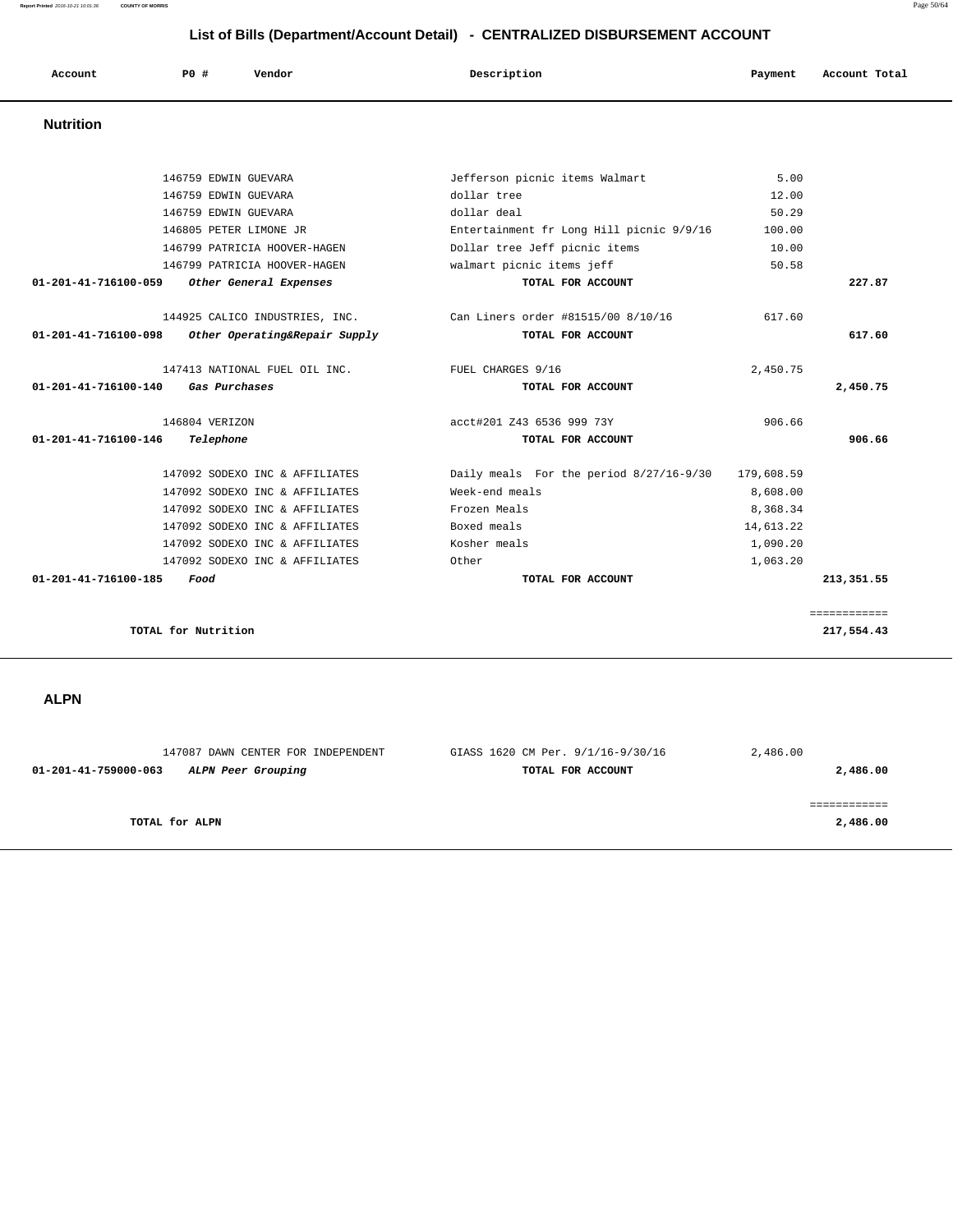**Report Printed** 2016-10-21 10:01:36 **COUNTY OF MORRIS** Page 50/64

# **List of Bills (Department/Account Detail) - CENTRALIZED DISBURSEMENT ACCOUNT**

| Account              | PO#                  | Vendor                         | Description                              | Payment | Account Total |
|----------------------|----------------------|--------------------------------|------------------------------------------|---------|---------------|
| <b>Nutrition</b>     |                      |                                |                                          |         |               |
|                      |                      |                                |                                          |         |               |
|                      | 146759 EDWIN GUEVARA |                                | Jefferson picnic items Walmart           | 5.00    |               |
|                      | 146759 EDWIN GUEVARA |                                | dollar tree                              | 12.00   |               |
|                      | 146759 EDWIN GUEVARA |                                | dollar deal                              | 50.29   |               |
|                      |                      | 146805 PETER LIMONE JR         | Entertainment fr Long Hill picnic 9/9/16 | 100.00  |               |
|                      |                      | 146799 PATRICIA HOOVER-HAGEN   | Dollar tree Jeff picnic items            | 10.00   |               |
|                      |                      | 146799 PATRICIA HOOVER-HAGEN   | walmart picnic items jeff                | 50.58   |               |
| 01-201-41-716100-059 |                      | Other General Expenses         | TOTAL FOR ACCOUNT                        |         | 227.87        |
|                      |                      | 144925 CALICO INDUSTRIES, INC. | Can Liners order #81515/00 8/10/16       | 617.60  |               |
| 01-201-41-716100-098 |                      | Other Operating&Repair Supply  | TOTAL FOR ACCOUNT                        |         | 617.60        |

 147413 NATIONAL FUEL OIL INC. FUEL CHARGES 9/16 2,450.75  **01-201-41-716100-140 Gas Purchases TOTAL FOR ACCOUNT 2,450.75**

 146804 VERIZON acct#201 Z43 6536 999 73Y 906.66  **01-201-41-716100-146 Telephone TOTAL FOR ACCOUNT 906.66**

 147092 SODEXO INC & AFFILIATES Daily meals For the period 8/27/16-9/30 179,608.59 147092 SODEXO INC & AFFILIATES Week-end meals 8,608.00 147092 SODEXO INC & AFFILIATES Frozen Meals From the state of  $\frac{8}{368.34}$  147092 SODEXO INC & AFFILIATES Boxed meals 14,613.22 147092 SODEXO INC & AFFILIATES Kosher meals 1,090.20 147092 SODEXO INC & AFFILIATES Other 1,063.20  **01-201-41-716100-185 Food TOTAL FOR ACCOUNT 213,351.55**

**TOTAL for Nutrition 217,554.43**

 **ALPN** 

 147087 DAWN CENTER FOR INDEPENDENT GIASS 1620 CM Per. 9/1/16-9/30/16 2,486.00  **01-201-41-759000-063 ALPN Peer Grouping TOTAL FOR ACCOUNT 2,486.00** ============ **TOTAL for ALPN** 2,486.00

============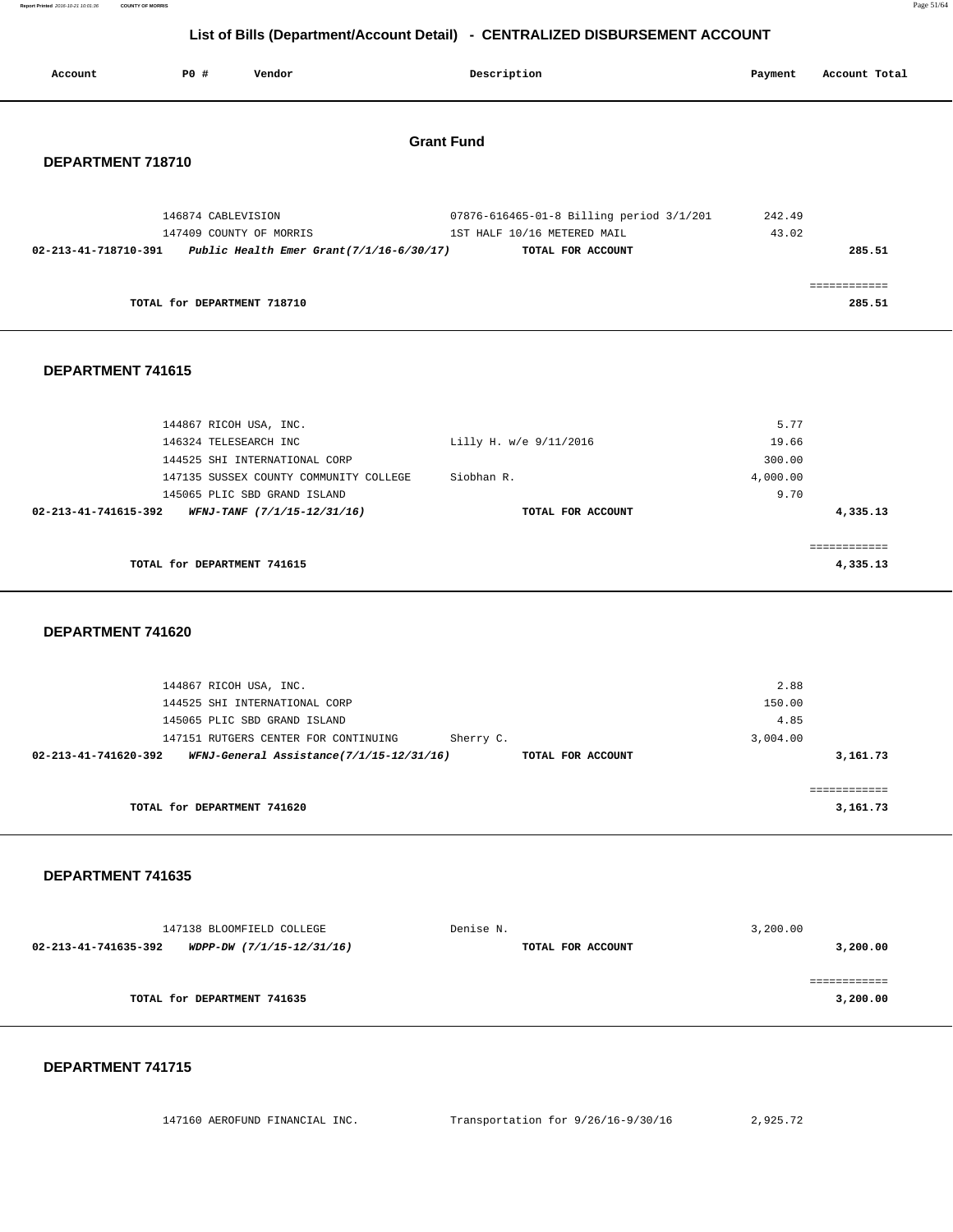| Report Printed 2016-10-21 10:01:36    COUNTY OF MORRIS | Page 51/64 |  |
|--------------------------------------------------------|------------|--|
|                                                        |            |  |

| List of Bills (Department/Account Detail) - CENTRALIZED DISBURSEMENT ACCOUNT |                             |                                                                                                                                                                             |                                                                                              |                                             |                          |
|------------------------------------------------------------------------------|-----------------------------|-----------------------------------------------------------------------------------------------------------------------------------------------------------------------------|----------------------------------------------------------------------------------------------|---------------------------------------------|--------------------------|
| Account                                                                      | P0 #                        | Vendor                                                                                                                                                                      | Description                                                                                  | Payment                                     | Account Total            |
|                                                                              |                             |                                                                                                                                                                             | <b>Grant Fund</b>                                                                            |                                             |                          |
| DEPARTMENT 718710                                                            |                             |                                                                                                                                                                             |                                                                                              |                                             |                          |
|                                                                              | 146874 CABLEVISION          | 147409 COUNTY OF MORRIS<br>02-213-41-718710-391 Public Health Emer Grant(7/1/16-6/30/17)                                                                                    | 07876-616465-01-8 Billing period 3/1/201<br>1ST HALF 10/16 METERED MAIL<br>TOTAL FOR ACCOUNT | 242.49<br>43.02                             | 285.51                   |
|                                                                              | TOTAL for DEPARTMENT 718710 |                                                                                                                                                                             |                                                                                              |                                             | ============<br>285.51   |
| DEPARTMENT 741615                                                            |                             |                                                                                                                                                                             |                                                                                              |                                             |                          |
|                                                                              | 146324 TELESEARCH INC       | 144867 RICOH USA, INC.<br>144525 SHI INTERNATIONAL CORP<br>147135 SUSSEX COUNTY COMMUNITY COLLEGE<br>145065 PLIC SBD GRAND ISLAND                                           | Lilly H. w/e 9/11/2016<br>Siobhan R.                                                         | 5.77<br>19.66<br>300.00<br>4,000.00<br>9.70 |                          |
| 02-213-41-741615-392                                                         |                             | WFNJ-TANF (7/1/15-12/31/16)                                                                                                                                                 | TOTAL FOR ACCOUNT                                                                            |                                             | 4,335.13<br>============ |
|                                                                              | TOTAL for DEPARTMENT 741615 |                                                                                                                                                                             |                                                                                              |                                             | 4,335.13                 |
| DEPARTMENT 741620                                                            |                             |                                                                                                                                                                             |                                                                                              |                                             |                          |
| 02-213-41-741620-392                                                         |                             | 144867 RICOH USA, INC.<br>144525 SHI INTERNATIONAL CORP<br>145065 PLIC SBD GRAND ISLAND<br>147151 RUTGERS CENTER FOR CONTINUING<br>WFNJ-General Assistance(7/1/15-12/31/16) | Sherry C.<br>TOTAL FOR ACCOUNT                                                               | 2.88<br>150.00<br>4.85<br>3,004.00          | 3,161.73                 |
|                                                                              | TOTAL for DEPARTMENT 741620 |                                                                                                                                                                             |                                                                                              |                                             | ============<br>3,161.73 |
| DEPARTMENT 741635                                                            |                             |                                                                                                                                                                             |                                                                                              |                                             |                          |
| 02-213-41-741635-392                                                         |                             | 147138 BLOOMFIELD COLLEGE<br>WDPP-DW (7/1/15-12/31/16)                                                                                                                      | Denise N.<br>TOTAL FOR ACCOUNT                                                               | 3,200.00                                    | 3,200.00                 |
|                                                                              | TOTAL for DEPARTMENT 741635 |                                                                                                                                                                             |                                                                                              |                                             | 3,200.00                 |

#### **DEPARTMENT 741715**

147160 AEROFUND FINANCIAL INC. Transportation for 9/26/16-9/30/16 2,925.72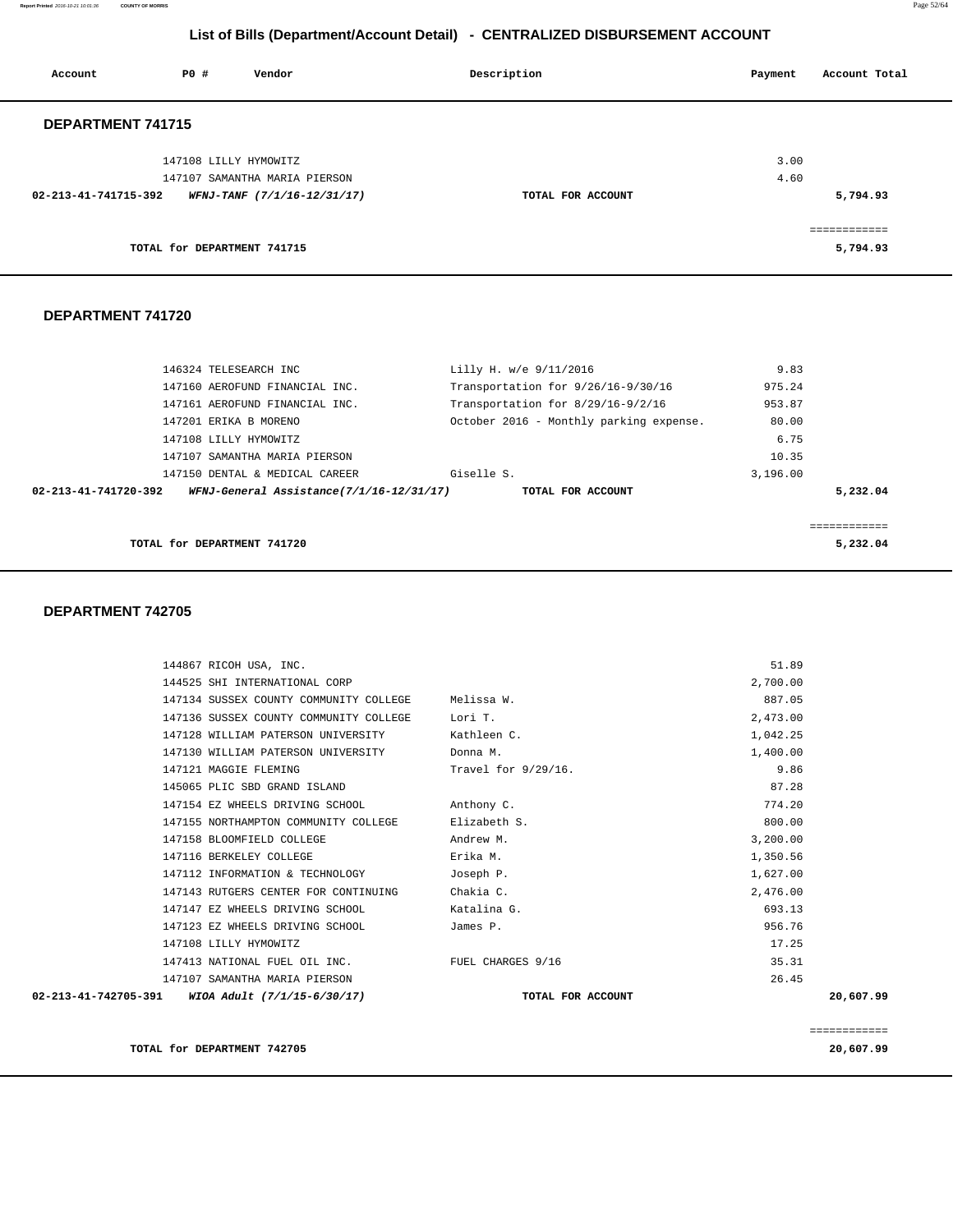**Report Printed** 2016-10-21 10:01:36 **COUNTY OF MORRIS** Page 52/64

# **List of Bills (Department/Account Detail) - CENTRALIZED DISBURSEMENT ACCOUNT**

| Account              | PO#                         | Vendor                        | Description       | Account Total<br>Payment |
|----------------------|-----------------------------|-------------------------------|-------------------|--------------------------|
| DEPARTMENT 741715    |                             |                               |                   |                          |
|                      | 147108 LILLY HYMOWITZ       |                               |                   | 3.00                     |
|                      |                             | 147107 SAMANTHA MARIA PIERSON |                   | 4.60                     |
| 02-213-41-741715-392 |                             | WFNJ-TANF (7/1/16-12/31/17)   | TOTAL FOR ACCOUNT | 5,794.93                 |
|                      |                             |                               |                   | ============             |
|                      | TOTAL for DEPARTMENT 741715 |                               |                   | 5,794.93                 |

#### **DEPARTMENT 741720**

| TOTAL for DEPARTMENT 741720                                      |                                         |          | 5,232.04 |
|------------------------------------------------------------------|-----------------------------------------|----------|----------|
| WFNJ-General Assistance(7/1/16-12/31/17)<br>02-213-41-741720-392 | TOTAL FOR ACCOUNT                       |          | 5,232.04 |
| 147150 DENTAL & MEDICAL CAREER                                   | Giselle S.                              | 3.196.00 |          |
| 147107 SAMANTHA MARIA PIERSON                                    |                                         | 10.35    |          |
| 147108 LILLY HYMOWITZ                                            |                                         | 6.75     |          |
| 147201 ERIKA B MORENO                                            | October 2016 - Monthly parking expense. | 80.00    |          |
| 147161 AEROFUND FINANCIAL INC.                                   | Transportation for 8/29/16-9/2/16       | 953.87   |          |
| 147160 AEROFUND FINANCIAL INC.                                   | Transportation for 9/26/16-9/30/16      | 975.24   |          |
| 146324 TELESEARCH INC                                            | Lilly H. w/e 9/11/2016                  | 9.83     |          |

| 144867 RICOH USA, INC.                           |                        | 51.89        |
|--------------------------------------------------|------------------------|--------------|
| 144525 SHI INTERNATIONAL CORP                    |                        | 2,700.00     |
| 147134 SUSSEX COUNTY COMMUNITY COLLEGE           | Melissa W.             | 887.05       |
| 147136 SUSSEX COUNTY COMMUNITY COLLEGE           | Lori T.                | 2,473.00     |
|                                                  |                        |              |
| 147128 WILLIAM PATERSON UNIVERSITY               | Kathleen C.            | 1,042.25     |
| 147130 WILLIAM PATERSON UNIVERSITY               | Donna M.               | 1,400.00     |
| 147121 MAGGIE FLEMING                            | Travel for $9/29/16$ . | 9.86         |
| 145065 PLIC SBD GRAND ISLAND                     |                        | 87.28        |
| 147154 EZ WHEELS DRIVING SCHOOL                  | Anthony C.             | 774.20       |
| 147155 NORTHAMPTON COMMUNITY COLLEGE             | Elizabeth S.           | 800.00       |
| 147158 BLOOMFIELD COLLEGE                        | Andrew M.              | 3,200.00     |
| 147116 BERKELEY COLLEGE                          | Erika M.               | 1,350.56     |
| 147112 INFORMATION & TECHNOLOGY                  | Joseph P.              | 1,627.00     |
| 147143 RUTGERS CENTER FOR CONTINUING             | Chakia C.              | 2,476.00     |
| 147147 EZ WHEELS DRIVING SCHOOL                  | Katalina G.            | 693.13       |
| 147123 EZ WHEELS DRIVING SCHOOL                  | James P.               | 956.76       |
| 147108 LILLY HYMOWITZ                            |                        | 17.25        |
| 147413 NATIONAL FUEL OIL INC. TUEL CHARGES 9/16  |                        | 35.31        |
| 147107 SAMANTHA MARIA PIERSON                    |                        | 26.45        |
| 02-213-41-742705-391 WIOA Adult (7/1/15-6/30/17) | TOTAL FOR ACCOUNT      | 20,607.99    |
|                                                  |                        |              |
|                                                  |                        | ============ |
| TOTAL for DEPARTMENT 742705                      |                        | 20,607.99    |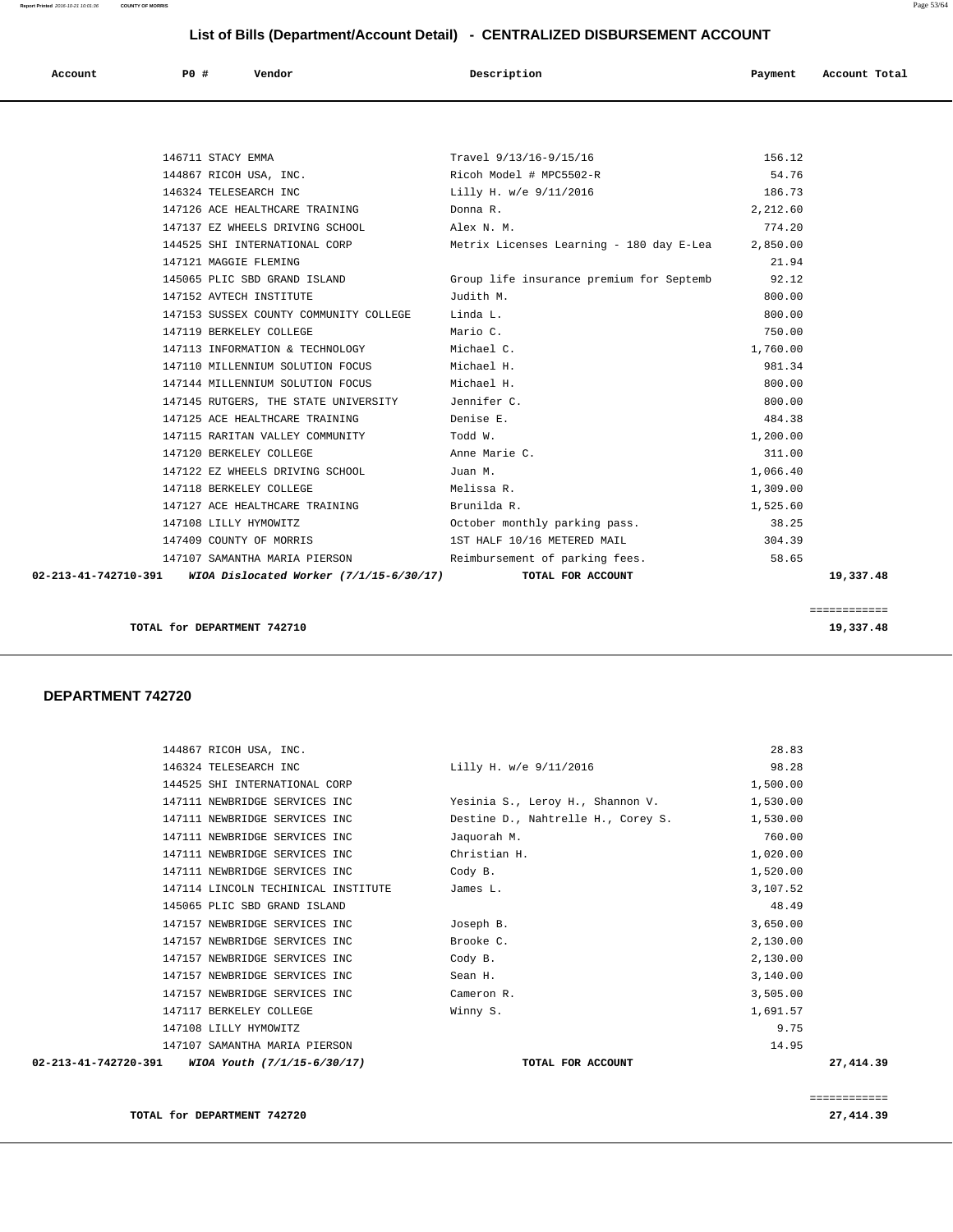| Account | <b>PO #</b> | Vendor<br>. | Description | Payment | Account Total |
|---------|-------------|-------------|-------------|---------|---------------|
|         |             |             |             |         |               |

| 147153 SUSSEX COUNTY COMMUNITY COLLEGE Linda L.<br>147119 BERKELEY COLLEGE                                                           | Mario C.                                                     | 800.00<br>750.00            |           |
|--------------------------------------------------------------------------------------------------------------------------------------|--------------------------------------------------------------|-----------------------------|-----------|
| 147113 INFORMATION & TECHNOLOGY<br>147110 MILLENNIUM SOLUTION FOCUS                                                                  | Michael C.<br>Michael H.                                     | 1,760.00<br>981.34          |           |
| 147144 MILLENNIUM SOLUTION FOCUS<br>147145 RUTGERS, THE STATE UNIVERSITY Jennifer C.<br>147125 ACE HEALTHCARE TRAINING THE Denise E. | Michael H.                                                   | 800.00<br>800.00<br>484.38  |           |
| 147115 RARITAN VALLEY COMMUNITY<br>147120 BERKELEY COLLEGE                                                                           | Todd W.<br>Anne Marie C.                                     | 1,200.00<br>311.00          |           |
| 147122 EZ WHEELS DRIVING SCHOOL<br>147118 BERKELEY COLLEGE                                                                           | Juan M.<br>Melissa R.                                        | 1,066.40<br>1,309.00        |           |
| 147127 ACE HEALTHCARE TRAINING Brunilda R.<br>147108 LILLY HYMOWITZ<br>147409 COUNTY OF MORRIS                                       | October monthly parking pass.<br>1ST HALF 10/16 METERED MAIL | 1,525.60<br>38.25<br>304.39 |           |
| 147107 SAMANTHA MARIA PIERSON<br>02-213-41-742710-391 WIOA Dislocated Worker (7/1/15-6/30/17)                                        | Reimbursement of parking fees.<br>TOTAL FOR ACCOUNT          | 58.65                       | 19,337.48 |

============

**TOTAL for DEPARTMENT 742710** 19,337.48

#### **DEPARTMENT 742720**

| $02 - 213 - 41 - 742720 - 391$<br>WIOA Youth (7/1/15-6/30/17) |              | TOTAL FOR ACCOUNT                         | 27, 414.39 |
|---------------------------------------------------------------|--------------|-------------------------------------------|------------|
| 147107 SAMANTHA MARIA PIERSON                                 |              |                                           | 14.95      |
| 147108 LILLY HYMOWITZ                                         |              |                                           | 9.75       |
| 147117 BERKELEY COLLEGE                                       | Winny S.     |                                           | 1,691.57   |
| 147157 NEWBRIDGE SERVICES INC                                 | Cameron R.   |                                           | 3,505.00   |
| 147157 NEWBRIDGE SERVICES INC                                 | Sean H.      |                                           | 3,140.00   |
| 147157 NEWBRIDGE SERVICES INC                                 | Cody B.      |                                           | 2,130.00   |
| 147157 NEWBRIDGE SERVICES INC                                 | Brooke C.    |                                           | 2,130.00   |
| 147157 NEWBRIDGE SERVICES INC                                 | Joseph B.    |                                           | 3,650.00   |
| 145065 PLIC SBD GRAND ISLAND                                  |              |                                           | 48.49      |
| 147114 LINCOLN TECHINICAL INSTITUTE                           | James L.     |                                           | 3,107.52   |
| 147111 NEWBRIDGE SERVICES INC                                 | Cody B.      |                                           | 1,520.00   |
| 147111 NEWBRIDGE SERVICES INC                                 | Christian H. |                                           | 1,020.00   |
| 147111 NEWBRIDGE SERVICES INC                                 | Jaquorah M.  |                                           | 760.00     |
| 147111 NEWBRIDGE SERVICES INC                                 |              | Destine D., Nahtrelle H., Corey S.        | 1,530.00   |
| 147111 NEWBRIDGE SERVICES INC                                 |              | Yesinia S., Leroy H., Shannon V. 1,530.00 |            |
| 144525 SHI INTERNATIONAL CORP                                 |              |                                           | 1,500.00   |
| 146324 TELESEARCH INC                                         |              | Lilly H. w/e 9/11/2016                    | 98.28      |
| 144867 RICOH USA, INC.                                        |              |                                           | 28.83      |

============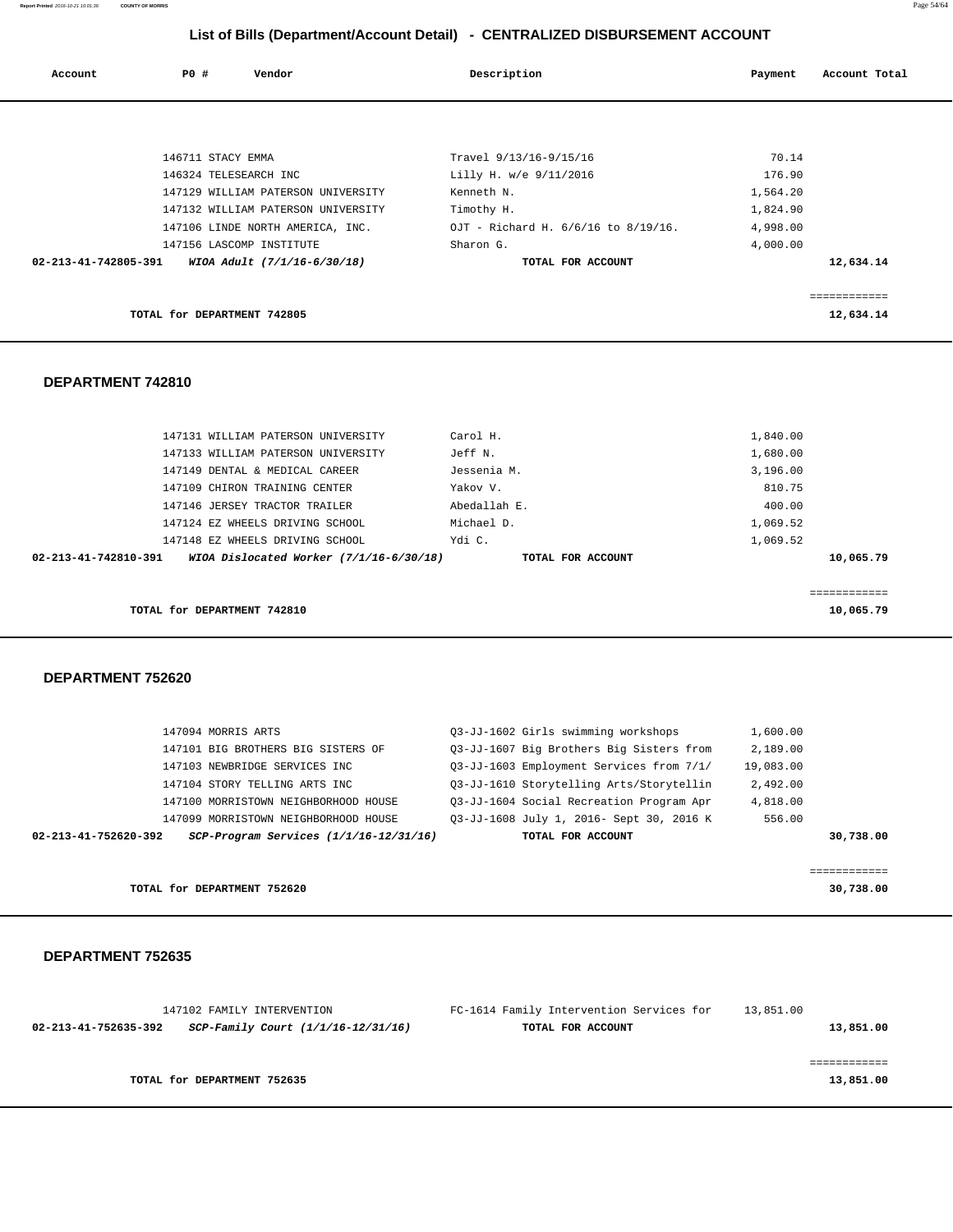**Report Printed** 2016-10-21 10:01:36 **COUNTY OF MORRIS** Page 54/64

# **List of Bills (Department/Account Detail) - CENTRALIZED DISBURSEMENT ACCOUNT**

| Account              | PO#                         | Vendor                             | Description                         | Payment  | Account Total |
|----------------------|-----------------------------|------------------------------------|-------------------------------------|----------|---------------|
|                      |                             |                                    |                                     |          |               |
|                      | 146711 STACY EMMA           |                                    | Travel 9/13/16-9/15/16              | 70.14    |               |
|                      | 146324 TELESEARCH INC       |                                    | Lilly H. w/e 9/11/2016              | 176.90   |               |
|                      |                             | 147129 WILLIAM PATERSON UNIVERSITY | Kenneth N.                          | 1,564.20 |               |
|                      |                             | 147132 WILLIAM PATERSON UNIVERSITY | Timothy H.                          | 1,824.90 |               |
|                      |                             | 147106 LINDE NORTH AMERICA, INC.   | OJT - Richard H. 6/6/16 to 8/19/16. | 4,998.00 |               |
|                      | 147156 LASCOMP INSTITUTE    |                                    | Sharon G.                           | 4,000.00 |               |
| 02-213-41-742805-391 |                             | WIOA Adult (7/1/16-6/30/18)        | TOTAL FOR ACCOUNT                   |          | 12,634.14     |
|                      |                             |                                    |                                     |          |               |
|                      |                             |                                    |                                     |          | ============  |
|                      | TOTAL for DEPARTMENT 742805 |                                    |                                     |          | 12,634.14     |

#### **DEPARTMENT 742810**

| TOTAL for DEPARTMENT 742810                                     |                   | 10,065.79 |
|-----------------------------------------------------------------|-------------------|-----------|
| 02-213-41-742810-391<br>WIOA Dislocated Worker (7/1/16-6/30/18) | TOTAL FOR ACCOUNT | 10,065.79 |
| 147148 EZ WHEELS DRIVING SCHOOL                                 | Ydi C.            | 1,069.52  |
| 147124 EZ WHEELS DRIVING SCHOOL                                 | Michael D.        | 1,069.52  |
| 147146 JERSEY TRACTOR TRAILER                                   | Abedallah E.      | 400.00    |
| 147109 CHIRON TRAINING CENTER                                   | Yakov V.          | 810.75    |
| 147149 DENTAL & MEDICAL CAREER                                  | Jessenia M.       | 3,196.00  |
| 147133 WILLIAM PATERSON UNIVERSITY                              | Jeff N.           | 1,680.00  |
| 147131 WILLIAM PATERSON UNIVERSITY                              | Carol H.          | 1,840.00  |
|                                                                 |                   |           |

### **DEPARTMENT 752620**

| 147094 MORRIS ARTS                                             | 03-JJ-1602 Girls swimming workshops      | 1,600.00  |
|----------------------------------------------------------------|------------------------------------------|-----------|
| 147101 BIG BROTHERS BIG SISTERS OF                             | 03-JJ-1607 Big Brothers Big Sisters from | 2,189.00  |
| 147103 NEWBRIDGE SERVICES INC                                  | 03-JJ-1603 Employment Services from 7/1/ | 19,083.00 |
| 147104 STORY TELLING ARTS INC                                  | 03-JJ-1610 Storytelling Arts/Storytellin | 2,492.00  |
| 147100 MORRISTOWN NEIGHBORHOOD HOUSE                           | 03-JJ-1604 Social Recreation Program Apr | 4,818.00  |
| 147099 MORRISTOWN NEIGHBORHOOD HOUSE                           | 03-JJ-1608 July 1, 2016- Sept 30, 2016 K | 556.00    |
| SCP-Program Services (1/1/16-12/31/16)<br>02-213-41-752620-392 | TOTAL FOR ACCOUNT                        | 30,738.00 |
|                                                                |                                          |           |
|                                                                |                                          |           |
| TOTAL for DEPARTMENT 752620                                    |                                          | 30,738.00 |

| 147102 FAMILY INTERVENTION  |                                    | FC-1614 Family Intervention Services for | 13,851.00 |
|-----------------------------|------------------------------------|------------------------------------------|-----------|
| 02-213-41-752635-392        | SCP-Family Court (1/1/16-12/31/16) | TOTAL FOR ACCOUNT                        | 13,851.00 |
|                             |                                    |                                          |           |
|                             |                                    |                                          |           |
| TOTAL for DEPARTMENT 752635 |                                    |                                          | 13,851.00 |
|                             |                                    |                                          |           |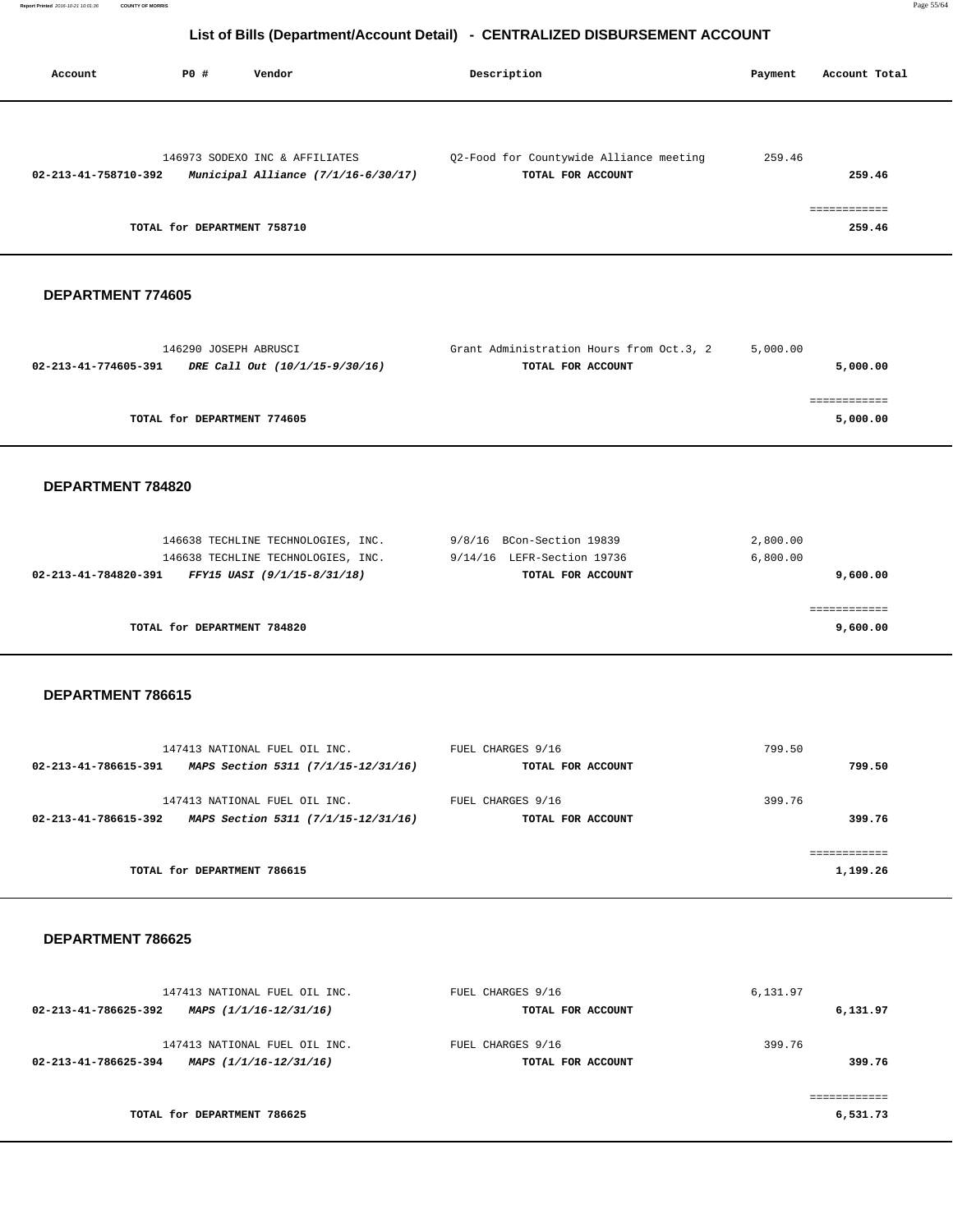|                      |                                                                                                                              | LIST OF DIIIS (Department/Account Detail) - CENTINALIZED DISDONSEMENT ACCOUNT |                      |                                  |
|----------------------|------------------------------------------------------------------------------------------------------------------------------|-------------------------------------------------------------------------------|----------------------|----------------------------------|
| Account              | <b>PO #</b><br>Vendor                                                                                                        | Description                                                                   | Payment              | Account Total                    |
| 02-213-41-758710-392 | 146973 SODEXO INC & AFFILIATES<br>Municipal Alliance (7/1/16-6/30/17)<br>TOTAL for DEPARTMENT 758710                         | Q2-Food for Countywide Alliance meeting<br>TOTAL FOR ACCOUNT                  | 259.46               | 259.46<br>============<br>259.46 |
| DEPARTMENT 774605    |                                                                                                                              |                                                                               |                      |                                  |
| 02-213-41-774605-391 | 146290 JOSEPH ABRUSCI<br>DRE Call Out (10/1/15-9/30/16)                                                                      | Grant Administration Hours from Oct.3, 2<br>TOTAL FOR ACCOUNT                 | 5,000.00             | 5,000.00                         |
|                      | TOTAL for DEPARTMENT 774605                                                                                                  |                                                                               |                      | ============<br>5,000.00         |
| DEPARTMENT 784820    |                                                                                                                              |                                                                               |                      |                                  |
|                      | 146638 TECHLINE TECHNOLOGIES, INC.<br>146638 TECHLINE TECHNOLOGIES, INC.<br>02-213-41-784820-391 FFY15 UASI (9/1/15-8/31/18) | 9/8/16 BCon-Section 19839<br>9/14/16 LEFR-Section 19736<br>TOTAL FOR ACCOUNT  | 2,800.00<br>6,800.00 | 9,600.00                         |
|                      | TOTAL for DEPARTMENT 784820                                                                                                  |                                                                               |                      | ============<br>9,600.00         |
| DEPARTMENT 786615    |                                                                                                                              |                                                                               |                      |                                  |
|                      | 147413 NATIONAL FUEL OIL INC.<br>02-213-41-786615-391 MAPS Section 5311 (7/1/15-12/31/16)                                    | FUEL CHARGES 9/16<br>TOTAL FOR ACCOUNT                                        | 799.50               | 799.50                           |
|                      | 147413 NATIONAL FUEL OIL INC.<br>02-213-41-786615-392 MAPS Section 5311 (7/1/15-12/31/16)                                    | FUEL CHARGES 9/16<br>TOTAL FOR ACCOUNT                                        | 399.76               | 399.76                           |
|                      | TOTAL for DEPARTMENT 786615                                                                                                  |                                                                               |                      | ============<br>1,199.26         |
| DEPARTMENT 786625    |                                                                                                                              |                                                                               |                      |                                  |
|                      | 147413 NATIONAL FUEL OIL INC.<br>02-213-41-786625-392 MAPS $(1/1/16 - 12/31/16)$                                             | FUEL CHARGES 9/16<br>TOTAL FOR ACCOUNT                                        | 6,131.97             | 6,131.97                         |
|                      | 147413 NATIONAL FUEL OIL INC.<br>02-213-41-786625-394 MAPS $(1/1/16 - 12/31/16)$                                             | FUEL CHARGES 9/16<br>TOTAL FOR ACCOUNT                                        | 399.76               | 399.76                           |

**TOTAL for DEPARTMENT 786625 6,531.73**

============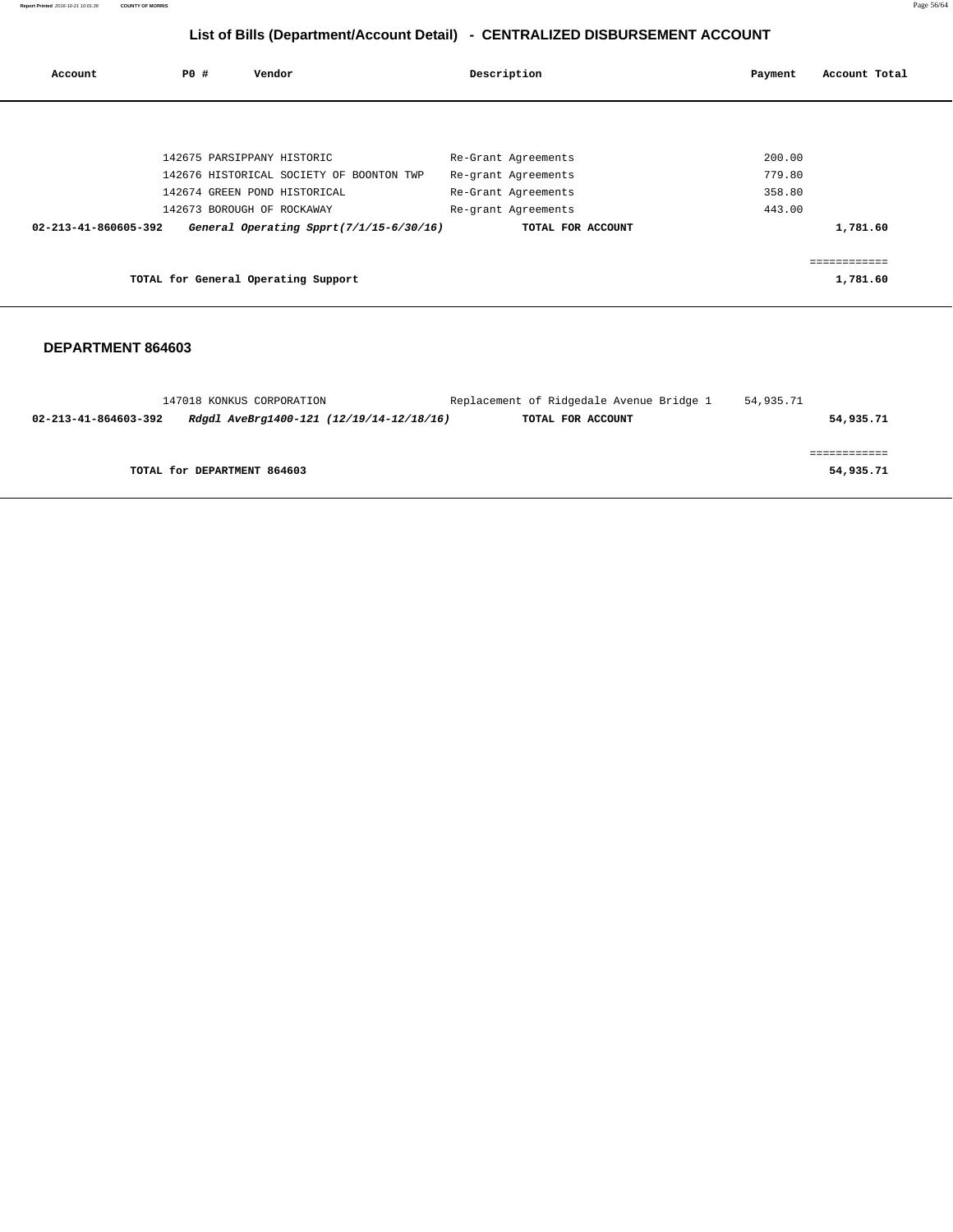**Report Printed** 2016-10-21 10:01:36 **COUNTY OF MORRIS** Page 56/64

# **List of Bills (Department/Account Detail) - CENTRALIZED DISBURSEMENT ACCOUNT**

| Account              | P0 # | Vendor                                   | Description         | Payment | Account Total |
|----------------------|------|------------------------------------------|---------------------|---------|---------------|
|                      |      |                                          |                     |         |               |
|                      |      | 142675 PARSIPPANY HISTORIC               | Re-Grant Agreements | 200.00  |               |
|                      |      | 142676 HISTORICAL SOCIETY OF BOONTON TWP | Re-grant Agreements | 779.80  |               |
|                      |      | 142674 GREEN POND HISTORICAL             | Re-Grant Agreements | 358.80  |               |
|                      |      | 142673 BOROUGH OF ROCKAWAY               | Re-grant Agreements | 443.00  |               |
| 02-213-41-860605-392 |      | General Operating Spprt(7/1/15-6/30/16)  | TOTAL FOR ACCOUNT   |         | 1,781.60      |
|                      |      |                                          |                     |         | ============  |
|                      |      | TOTAL for General Operating Support      |                     |         | 1,781.60      |
|                      |      |                                          |                     |         |               |

|                      | 147018 KONKUS CORPORATION                | Replacement of Ridgedale Avenue Bridge 1 | 54,935.71 |           |
|----------------------|------------------------------------------|------------------------------------------|-----------|-----------|
| 02-213-41-864603-392 | Rdgdl AveBrg1400-121 (12/19/14-12/18/16) | TOTAL FOR ACCOUNT                        |           | 54,935.71 |
|                      |                                          |                                          |           |           |
|                      |                                          |                                          |           |           |
|                      | TOTAL for DEPARTMENT 864603              |                                          |           | 54,935.71 |
|                      |                                          |                                          |           |           |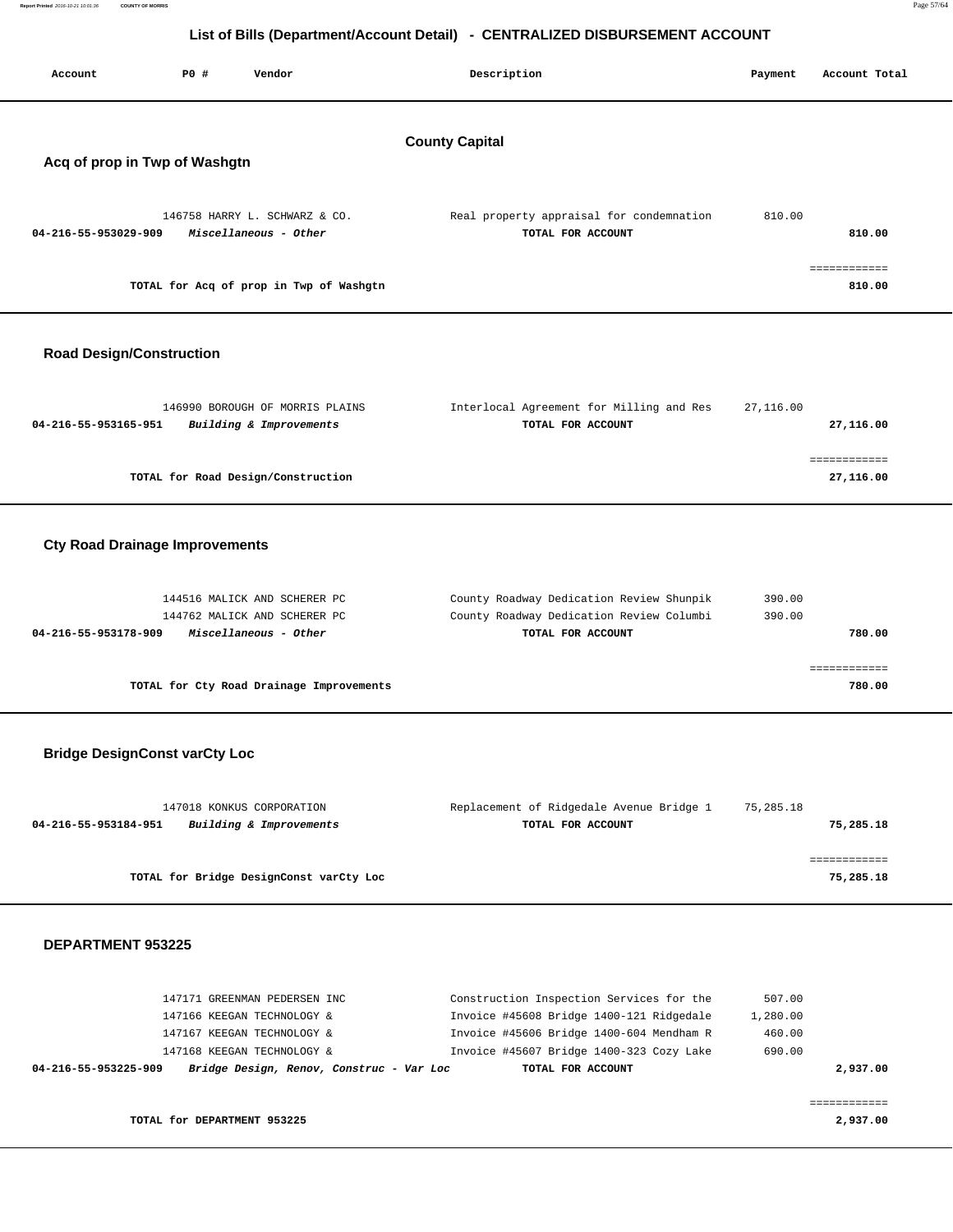| Report Printed 2016-10-21 10:01:36 | <b>COUNTY OF MORRIS</b>                                                      |  |
|------------------------------------|------------------------------------------------------------------------------|--|
|                                    |                                                                              |  |
|                                    | List of Bills (Department/Account Detail) - CENTRALIZED DISBURSEMENT ACCOUNT |  |

| List of Bills (Department/Account Detail) - CENTRALIZED DISBURSEMENT ACCOUNT |                       |                                          |                                          |           |                        |  |  |
|------------------------------------------------------------------------------|-----------------------|------------------------------------------|------------------------------------------|-----------|------------------------|--|--|
| Account                                                                      | PO#                   | Vendor                                   | Description                              | Payment   | Account Total          |  |  |
|                                                                              | <b>County Capital</b> |                                          |                                          |           |                        |  |  |
| Acq of prop in Twp of Washgtn                                                |                       |                                          |                                          |           |                        |  |  |
|                                                                              |                       |                                          |                                          |           |                        |  |  |
|                                                                              |                       | 146758 HARRY L. SCHWARZ & CO.            | Real property appraisal for condemnation | 810.00    |                        |  |  |
| 04-216-55-953029-909                                                         |                       | Miscellaneous - Other                    | TOTAL FOR ACCOUNT                        |           | 810.00                 |  |  |
|                                                                              |                       |                                          |                                          |           |                        |  |  |
|                                                                              |                       |                                          |                                          |           | ============           |  |  |
|                                                                              |                       | TOTAL for Acq of prop in Twp of Washgtn  |                                          |           | 810.00                 |  |  |
|                                                                              |                       |                                          |                                          |           |                        |  |  |
| <b>Road Design/Construction</b>                                              |                       |                                          |                                          |           |                        |  |  |
|                                                                              |                       | 146990 BOROUGH OF MORRIS PLAINS          | Interlocal Agreement for Milling and Res | 27,116.00 |                        |  |  |
| 04-216-55-953165-951                                                         |                       | Building & Improvements                  | TOTAL FOR ACCOUNT                        |           | 27,116.00              |  |  |
|                                                                              |                       |                                          |                                          |           | ============           |  |  |
|                                                                              |                       | TOTAL for Road Design/Construction       |                                          |           | 27,116.00              |  |  |
|                                                                              |                       |                                          |                                          |           |                        |  |  |
|                                                                              |                       |                                          |                                          |           |                        |  |  |
| <b>Cty Road Drainage Improvements</b>                                        |                       |                                          |                                          |           |                        |  |  |
|                                                                              |                       |                                          |                                          |           |                        |  |  |
|                                                                              |                       | 144516 MALICK AND SCHERER PC             | County Roadway Dedication Review Shunpik | 390.00    |                        |  |  |
|                                                                              |                       | 144762 MALICK AND SCHERER PC             | County Roadway Dedication Review Columbi | 390.00    |                        |  |  |
| 04-216-55-953178-909                                                         |                       | Miscellaneous - Other                    | TOTAL FOR ACCOUNT                        |           | 780.00                 |  |  |
|                                                                              |                       |                                          |                                          |           |                        |  |  |
|                                                                              |                       | TOTAL for Cty Road Drainage Improvements |                                          |           | ============<br>780.00 |  |  |
|                                                                              |                       |                                          |                                          |           |                        |  |  |

# **Bridge DesignConst varCty Loc**

| 147018 KONKUS CORPORATION                       | Replacement of Ridgedale Avenue Bridge 1 | 75,285.18 |
|-------------------------------------------------|------------------------------------------|-----------|
| Building & Improvements<br>04-216-55-953184-951 | TOTAL FOR ACCOUNT                        | 75,285.18 |
|                                                 |                                          |           |
|                                                 |                                          |           |
| TOTAL for Bridge DesignConst varCty Loc         |                                          | 75,285.18 |
|                                                 |                                          |           |

#### **DEPARTMENT 953225**

| Bridge Design, Renov, Construc - Var Loc<br>04-216-55-953225-909<br>TOTAL FOR ACCOUNT | 2,937,00 |
|---------------------------------------------------------------------------------------|----------|
| Invoice #45607 Bridge 1400-323 Cozy Lake<br>147168 KEEGAN TECHNOLOGY &<br>690.00      |          |
| Invoice #45606 Bridge 1400-604 Mendham R<br>147167 KEEGAN TECHNOLOGY &<br>460.00      |          |
| Invoice #45608 Bridge 1400-121 Ridgedale<br>147166 KEEGAN TECHNOLOGY &<br>1,280.00    |          |
| Construction Inspection Services for the<br>147171 GREENMAN PEDERSEN INC<br>507.00    |          |

============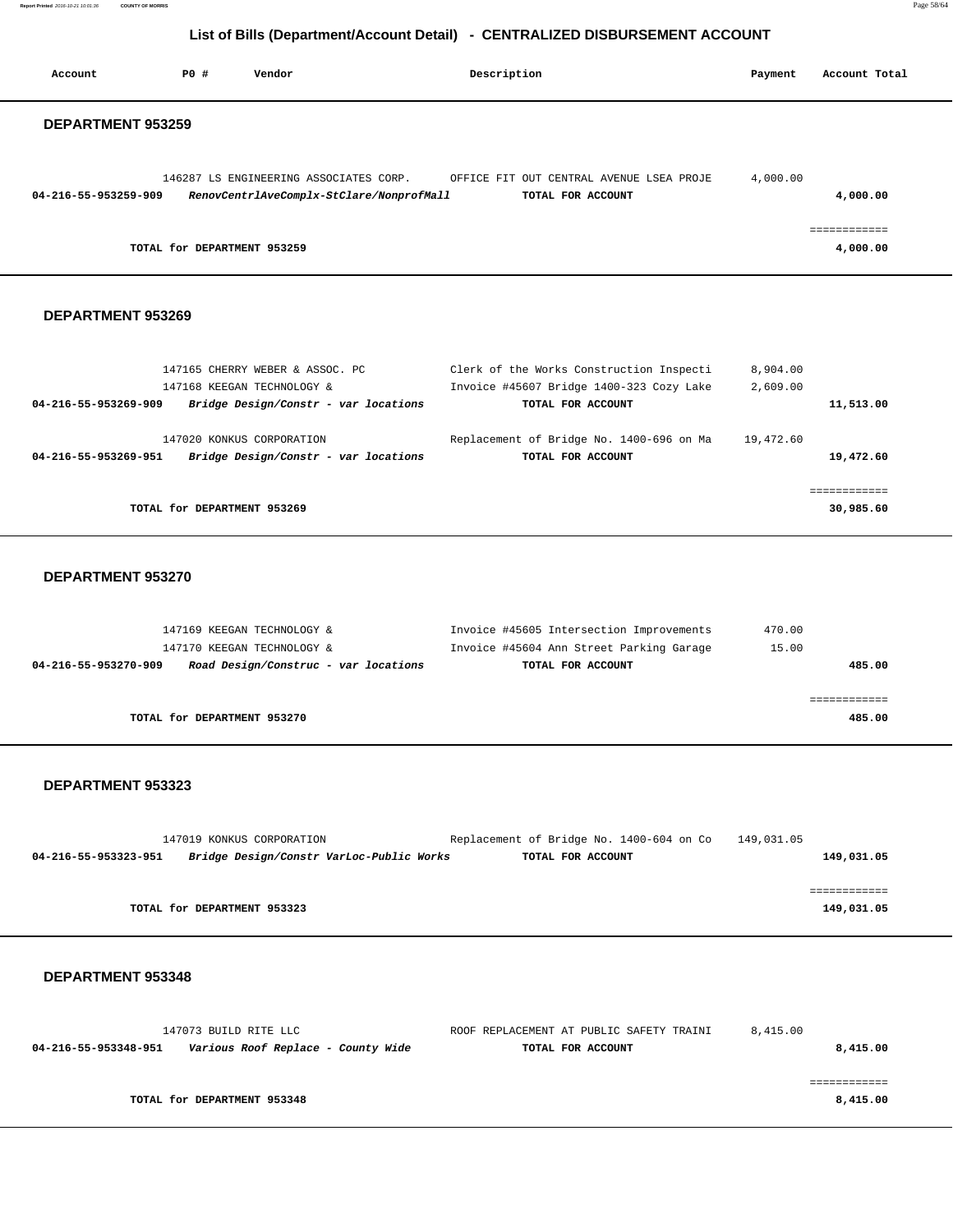**Report Printed** 2016-10-21 10:01:36 **COUNTY OF MORRIS** Page 58/64

# **List of Bills (Department/Account Detail) - CENTRALIZED DISBURSEMENT ACCOUNT**

| Account                  | PO# | Vendor                                                        |                                                                                    | Description                                                                                               | Payment              | Account Total            |
|--------------------------|-----|---------------------------------------------------------------|------------------------------------------------------------------------------------|-----------------------------------------------------------------------------------------------------------|----------------------|--------------------------|
| <b>DEPARTMENT 953259</b> |     |                                                               |                                                                                    |                                                                                                           |                      |                          |
| 04-216-55-953259-909     |     |                                                               | 146287 LS ENGINEERING ASSOCIATES CORP.<br>RenovCentrlAveComplx-StClare/NonprofMall | OFFICE FIT OUT CENTRAL AVENUE LSEA PROJE<br>TOTAL FOR ACCOUNT                                             | 4,000.00             | 4,000.00                 |
|                          |     | TOTAL for DEPARTMENT 953259                                   |                                                                                    |                                                                                                           |                      | ============<br>4,000.00 |
| DEPARTMENT 953269        |     |                                                               |                                                                                    |                                                                                                           |                      |                          |
| 04-216-55-953269-909     |     | 147165 CHERRY WEBER & ASSOC. PC<br>147168 KEEGAN TECHNOLOGY & | Bridge Design/Constr - var locations                                               | Clerk of the Works Construction Inspecti<br>Invoice #45607 Bridge 1400-323 Cozy Lake<br>TOTAL FOR ACCOUNT | 8,904.00<br>2,609.00 | 11,513.00                |
|                          |     |                                                               |                                                                                    |                                                                                                           |                      |                          |

| 04-216-55-953269-951 | Bridge Design/Constr - var locations | TOTAL FOR ACCOUNT | 19,472.60 |
|----------------------|--------------------------------------|-------------------|-----------|
|                      |                                      |                   |           |
|                      |                                      |                   |           |
|                      | TOTAL for DEPARTMENT 953269          |                   | 30,985.60 |

147020 KONKUS CORPORATION Replacement of Bridge No. 1400-696 on Ma 19,472.60

### **DEPARTMENT 953270**

| 147169 KEEGAN TECHNOLOGY &                                   | Invoice #45605 Intersection Improvements | 470.00 |
|--------------------------------------------------------------|------------------------------------------|--------|
| 147170 KEEGAN TECHNOLOGY &                                   | Invoice #45604 Ann Street Parking Garage | 15.00  |
| Road Design/Construc - var locations<br>04-216-55-953270-909 | TOTAL FOR ACCOUNT                        | 485.00 |
|                                                              |                                          |        |
|                                                              |                                          |        |
| TOTAL for DEPARTMENT 953270                                  |                                          | 485.00 |
|                                                              |                                          |        |

#### **DEPARTMENT 953323**

|                      | 147019 KONKUS CORPORATION                | Replacement of Bridge No. 1400-604 on Co | 149,031.05 |
|----------------------|------------------------------------------|------------------------------------------|------------|
| 04-216-55-953323-951 | Bridge Design/Constr VarLoc-Public Works | TOTAL FOR ACCOUNT                        | 149,031.05 |
|                      |                                          |                                          |            |
|                      |                                          |                                          |            |
|                      | TOTAL for DEPARTMENT 953323              |                                          | 149,031.05 |

| 8.415.00 | ROOF REPLACEMENT AT PUBLIC SAFETY TRAINI | 147073 BUILD RITE LLC              |                      |  |
|----------|------------------------------------------|------------------------------------|----------------------|--|
| 8,415.00 | TOTAL FOR ACCOUNT                        | Various Roof Replace - County Wide | 04-216-55-953348-951 |  |
|          |                                          |                                    |                      |  |
|          |                                          |                                    |                      |  |
| 8,415.00 |                                          | TOTAL for DEPARTMENT 953348        |                      |  |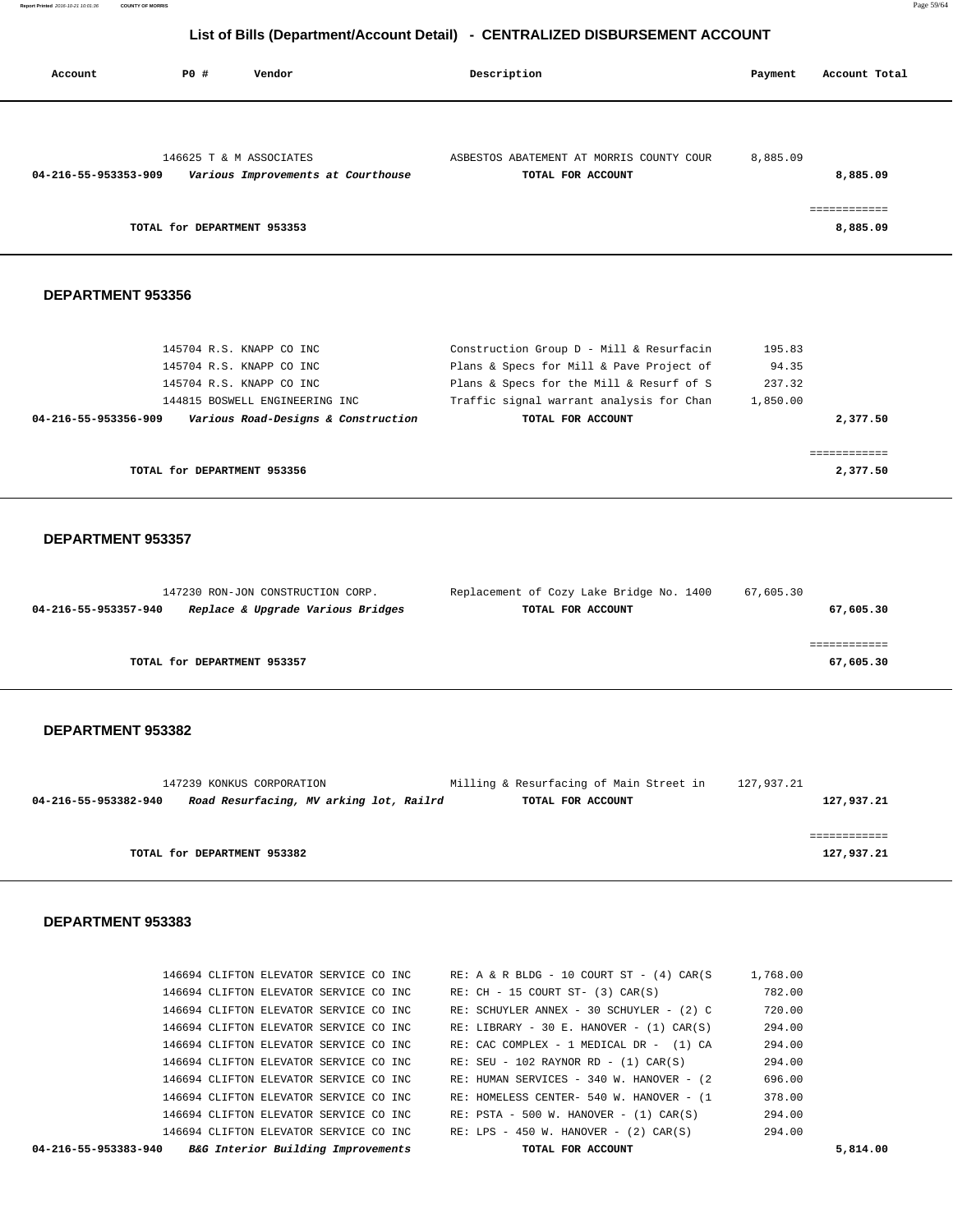**Report Printed** 2016-10-21 10:01:36 **COUNTY OF MORRIS** Page 59/64

# **List of Bills (Department/Account Detail) - CENTRALIZED DISBURSEMENT ACCOUNT**

| Account              | PO#<br>Vendor                                                                                                      | Description                                                                                                                                                                  | Account Total<br>Payment              |
|----------------------|--------------------------------------------------------------------------------------------------------------------|------------------------------------------------------------------------------------------------------------------------------------------------------------------------------|---------------------------------------|
| 04-216-55-953353-909 | 146625 T & M ASSOCIATES<br>Various Improvements at Courthouse                                                      | ASBESTOS ABATEMENT AT MORRIS COUNTY COUR<br>TOTAL FOR ACCOUNT                                                                                                                | 8,885.09<br>8,885.09                  |
|                      | TOTAL for DEPARTMENT 953353                                                                                        |                                                                                                                                                                              | ============<br>8,885.09              |
| DEPARTMENT 953356    |                                                                                                                    |                                                                                                                                                                              |                                       |
|                      | 145704 R.S. KNAPP CO INC<br>145704 R.S. KNAPP CO INC<br>145704 R.S. KNAPP CO INC<br>144815 BOSWELL ENGINEERING INC | Construction Group D - Mill & Resurfacin<br>Plans & Specs for Mill & Pave Project of<br>Plans & Specs for the Mill & Resurf of S<br>Traffic signal warrant analysis for Chan | 195.83<br>94.35<br>237.32<br>1,850.00 |
| 04-216-55-953356-909 | Various Road-Designs & Construction                                                                                | TOTAL FOR ACCOUNT                                                                                                                                                            | 2,377.50                              |

**TOTAL for DEPARTMENT 953356** 2,377.50

#### **DEPARTMENT 953357**

| 147230 RON-JON CONSTRUCTION CORP.                         | Replacement of Cozy Lake Bridge No. 1400 | 67,605.30 |
|-----------------------------------------------------------|------------------------------------------|-----------|
| Replace & Upgrade Various Bridges<br>04-216-55-953357-940 | TOTAL FOR ACCOUNT                        | 67,605.30 |
|                                                           |                                          |           |
|                                                           |                                          |           |
| TOTAL for DEPARTMENT 953357                               |                                          | 67,605.30 |
|                                                           |                                          |           |

============

### **DEPARTMENT 953382**

| 147239 KONKUS CORPORATION                                       | Milling & Resurfacing of Main Street in | 127,937.21 |
|-----------------------------------------------------------------|-----------------------------------------|------------|
| Road Resurfacing, MV arking lot, Railrd<br>04-216-55-953382-940 | TOTAL FOR ACCOUNT                       | 127,937.21 |
|                                                                 |                                         |            |
|                                                                 |                                         |            |
| TOTAL for DEPARTMENT 953382                                     |                                         | 127,937.21 |
|                                                                 |                                         |            |

| 04-216-55-953383-940 | <i>B&amp;G Interior Building Improvements</i> |  | TOTAL FOR ACCOUNT                              |          | 5,814.00 |
|----------------------|-----------------------------------------------|--|------------------------------------------------|----------|----------|
|                      | 146694 CLIFTON ELEVATOR SERVICE CO INC        |  | $RE: LPS - 450 W. HANOVER - (2) CAR(S)$        | 294.00   |          |
|                      | 146694 CLIFTON ELEVATOR SERVICE CO INC        |  | $RE: PSTA - 500 W. HANOVER - (1) CAR(S)$       | 294.00   |          |
|                      | 146694 CLIFTON ELEVATOR SERVICE CO INC        |  | RE: HOMELESS CENTER- 540 W. HANOVER - (1       | 378.00   |          |
|                      | 146694 CLIFTON ELEVATOR SERVICE CO INC        |  | RE: HUMAN SERVICES - 340 W. HANOVER - (2)      | 696.00   |          |
|                      | 146694 CLIFTON ELEVATOR SERVICE CO INC        |  | $RE: SEU - 102 RAYNOR RD - (1) CAR(S)$         | 294.00   |          |
|                      | 146694 CLIFTON ELEVATOR SERVICE CO INC        |  | RE: CAC COMPLEX - 1 MEDICAL DR - (1) CA        | 294.00   |          |
|                      | 146694 CLIFTON ELEVATOR SERVICE CO INC        |  | $RE: LIBRARY - 30 E. HANOVER - (1) CAR(S)$     | 294.00   |          |
|                      | 146694 CLIFTON ELEVATOR SERVICE CO INC        |  | RE: SCHUYLER ANNEX - 30 SCHUYLER - (2) C       | 720.00   |          |
|                      | 146694 CLIFTON ELEVATOR SERVICE CO INC        |  | $RE: CH - 15 COURT ST- (3) CAR(S)$             | 782.00   |          |
|                      | 146694 CLIFTON ELEVATOR SERVICE CO INC        |  | RE: A & R BLDG - 10 COURT ST - $(4)$ CAR $(S)$ | 1,768.00 |          |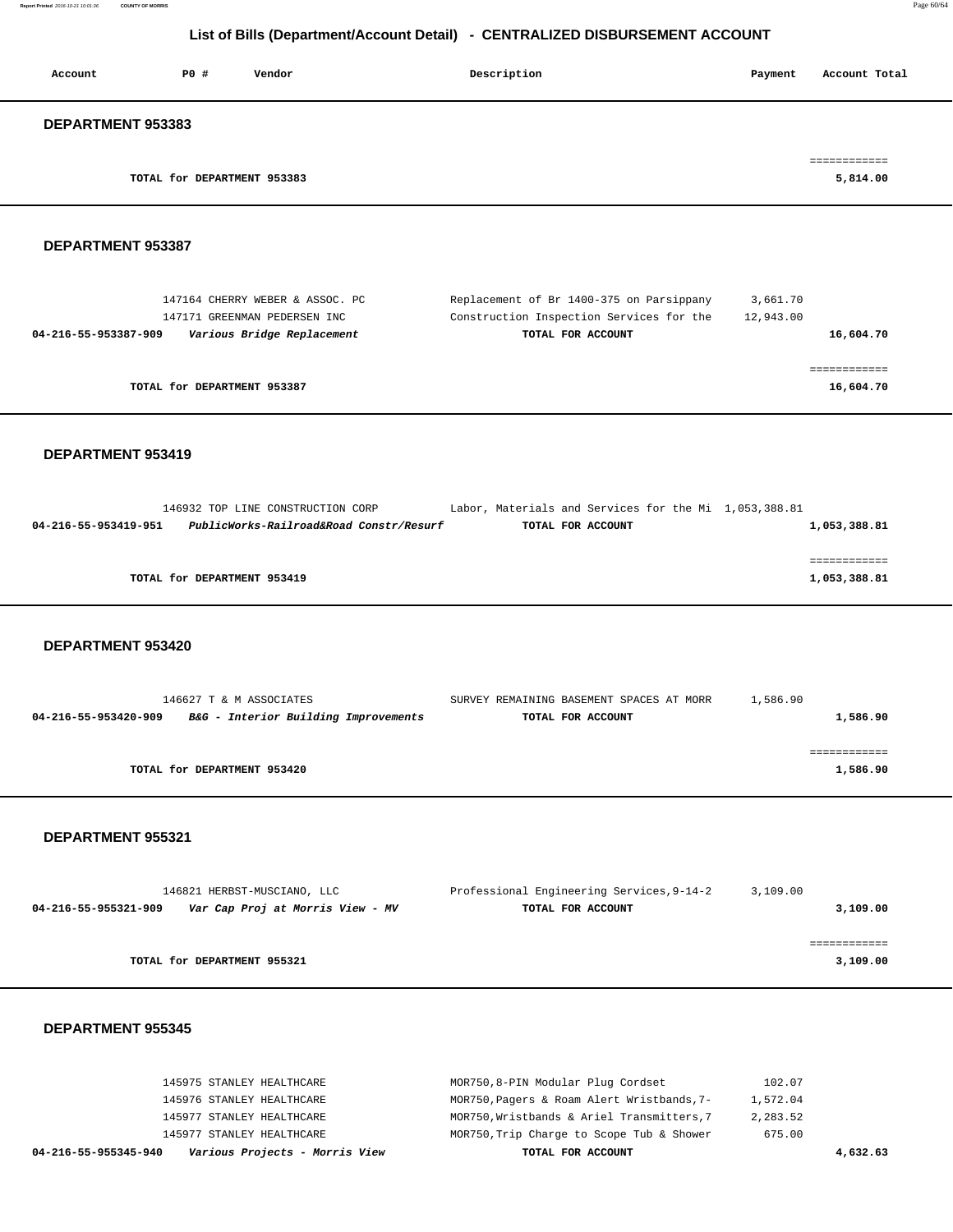| Account                  | PO#                         | Vendor | Description | Payment | Account Total            |
|--------------------------|-----------------------------|--------|-------------|---------|--------------------------|
| <b>DEPARTMENT 953383</b> |                             |        |             |         |                          |
|                          | TOTAL for DEPARTMENT 953383 |        |             |         | ------------<br>5,814.00 |

#### **DEPARTMENT 953387**

| 147164 CHERRY WEBER & ASSOC. PC                    | Replacement of Br 1400-375 on Parsippany | 3,661.70  |
|----------------------------------------------------|------------------------------------------|-----------|
| 147171 GREENMAN PEDERSEN INC                       | Construction Inspection Services for the | 12,943.00 |
| Various Bridge Replacement<br>04-216-55-953387-909 | TOTAL FOR ACCOUNT                        | 16,604.70 |
|                                                    |                                          |           |
|                                                    |                                          |           |
| TOTAL for DEPARTMENT 953387                        |                                          | 16,604.70 |
|                                                    |                                          |           |

### **DEPARTMENT 953419**

|                      | 146932 TOP LINE CONSTRUCTION CORP       | Labor, Materials and Services for the Mi 1,053,388.81 |              |
|----------------------|-----------------------------------------|-------------------------------------------------------|--------------|
| 04-216-55-953419-951 | PublicWorks-Railroad&Road Constr/Resurf | TOTAL FOR ACCOUNT                                     | 1,053,388.81 |
|                      |                                         |                                                       |              |
|                      |                                         |                                                       |              |
|                      | TOTAL for DEPARTMENT 953419             |                                                       | 1,053,388.81 |
|                      |                                         |                                                       |              |

#### **DEPARTMENT 953420**

| 146627 T & M ASSOCIATES                                      | SURVEY REMAINING BASEMENT SPACES AT MORR | 1,586.90 |
|--------------------------------------------------------------|------------------------------------------|----------|
| B&G - Interior Building Improvements<br>04-216-55-953420-909 | TOTAL FOR ACCOUNT                        | 1,586.90 |
|                                                              |                                          |          |
|                                                              |                                          |          |
| TOTAL for DEPARTMENT 953420                                  |                                          | 1,586.90 |
|                                                              |                                          |          |

#### **DEPARTMENT 955321**

| 146821 HERBST-MUSCIANO, LLC                              | Professional Engineering Services, 9-14-2 | 3,109.00 |
|----------------------------------------------------------|-------------------------------------------|----------|
| Var Cap Proj at Morris View - MV<br>04-216-55-955321-909 | TOTAL FOR ACCOUNT                         | 3,109.00 |
|                                                          |                                           |          |
|                                                          |                                           |          |
| TOTAL for DEPARTMENT 955321                              |                                           | 3,109.00 |
|                                                          |                                           |          |

| Various Projects - Morris View<br>04-216-55-955345-940 | TOTAL FOR ACCOUNT                          | 4,632.63 |
|--------------------------------------------------------|--------------------------------------------|----------|
| 145977 STANLEY HEALTHCARE                              | MOR750, Trip Charge to Scope Tub & Shower  | 675.00   |
| 145977 STANLEY HEALTHCARE                              | MOR750, Wristbands & Ariel Transmitters, 7 | 2,283.52 |
| 145976 STANLEY HEALTHCARE                              | MOR750, Pagers & Roam Alert Wristbands, 7- | 1,572.04 |
| 145975 STANLEY HEALTHCARE                              | MOR750,8-PIN Modular Plug Cordset          | 102.07   |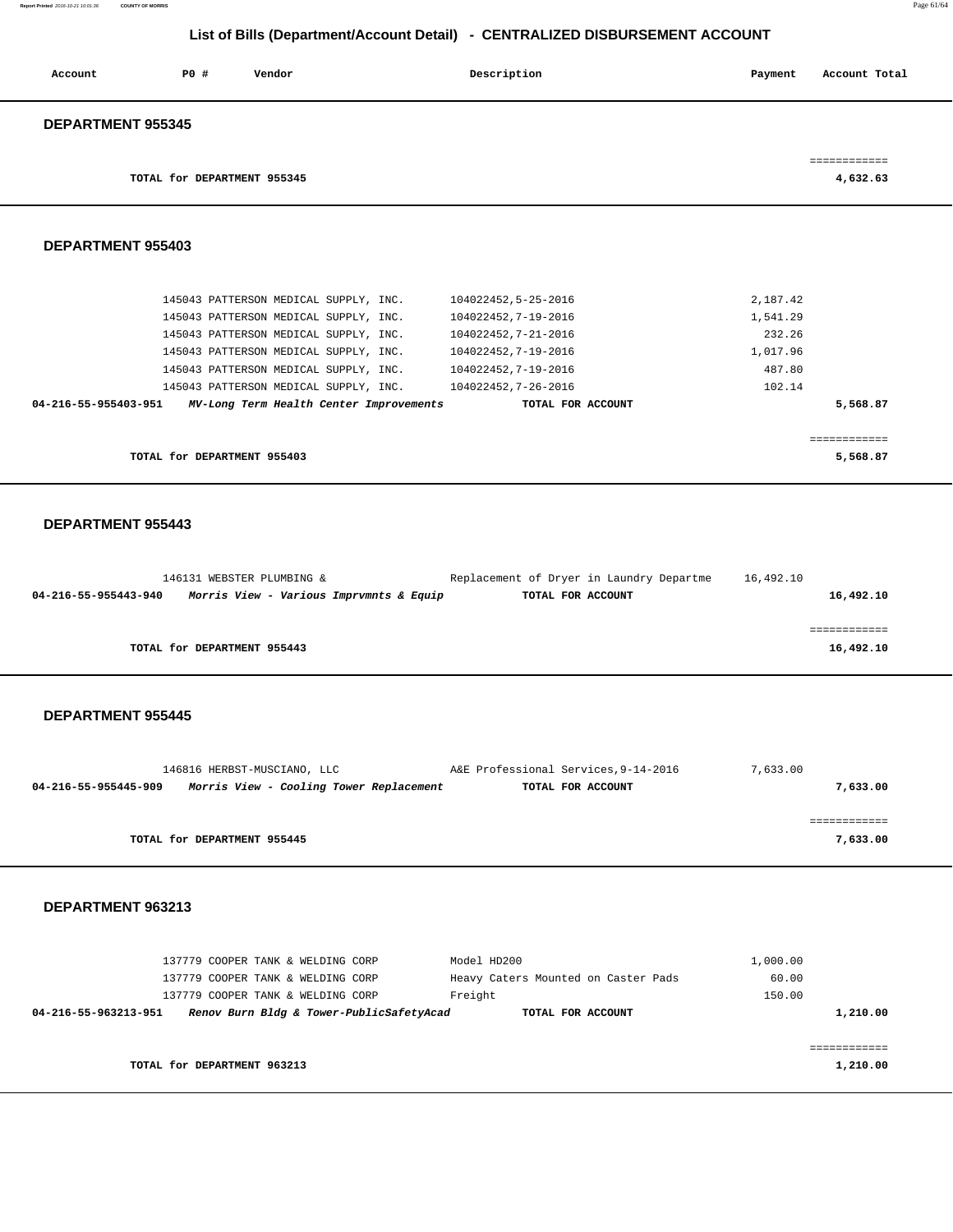**Report Printed** 2016-10-21 10:01:36 **COUNTY OF MORRIS** Page 61/64

# **List of Bills (Department/Account Detail) - CENTRALIZED DISBURSEMENT ACCOUNT**

| Account                  | PO#                         | Vendor | Description | Payment | Account Total |
|--------------------------|-----------------------------|--------|-------------|---------|---------------|
| <b>DEPARTMENT 955345</b> |                             |        |             |         |               |
|                          |                             |        |             |         | ------------  |
|                          | TOTAL for DEPARTMENT 955345 |        |             |         | 4,632.63      |

#### **DEPARTMENT 955403**

|                      | TOTAL for DEPARTMENT 955403 |                                         |                     |          | 5,568.87     |
|----------------------|-----------------------------|-----------------------------------------|---------------------|----------|--------------|
|                      |                             |                                         |                     |          | ------------ |
| 04-216-55-955403-951 |                             | MV-Long Term Health Center Improvements | TOTAL FOR ACCOUNT   |          | 5,568.87     |
|                      |                             | 145043 PATTERSON MEDICAL SUPPLY, INC.   | 104022452.7-26-2016 | 102.14   |              |
|                      |                             | 145043 PATTERSON MEDICAL SUPPLY, INC.   | 104022452.7-19-2016 | 487.80   |              |
|                      |                             | 145043 PATTERSON MEDICAL SUPPLY, INC.   | 104022452,7-19-2016 | 1,017.96 |              |
|                      |                             | 145043 PATTERSON MEDICAL SUPPLY, INC.   | 104022452.7-21-2016 | 232.26   |              |
|                      |                             | 145043 PATTERSON MEDICAL SUPPLY, INC.   | 104022452,7-19-2016 | 1,541.29 |              |
|                      |                             | 145043 PATTERSON MEDICAL SUPPLY, INC.   | 104022452,5-25-2016 | 2,187.42 |              |
|                      |                             |                                         |                     |          |              |

#### **DEPARTMENT 955443**

|                      | 146131 WEBSTER PLUMBING &               | Replacement of Dryer in Laundry Departme | 16,492.10 |           |
|----------------------|-----------------------------------------|------------------------------------------|-----------|-----------|
| 04-216-55-955443-940 | Morris View - Various Imprvmnts & Equip | TOTAL FOR ACCOUNT                        |           | 16,492.10 |
|                      |                                         |                                          |           |           |
|                      |                                         |                                          |           |           |
|                      | TOTAL for DEPARTMENT 955443             |                                          |           | 16,492.10 |

#### **DEPARTMENT 955445**

|                      | 146816 HERBST-MUSCIANO, LLC             | A&E Professional Services, 9-14-2016 | 7,633.00 |
|----------------------|-----------------------------------------|--------------------------------------|----------|
| 04-216-55-955445-909 | Morris View - Cooling Tower Replacement | TOTAL FOR ACCOUNT                    | 7,633.00 |
|                      |                                         |                                      |          |
|                      |                                         |                                      |          |
|                      | TOTAL for DEPARTMENT 955445             |                                      | 7,633.00 |
|                      |                                         |                                      |          |

| 137779 COOPER TANK & WELDING CORP                                | Model HD200                         | 1,000.00 |
|------------------------------------------------------------------|-------------------------------------|----------|
| 137779 COOPER TANK & WELDING CORP                                | Heavy Caters Mounted on Caster Pads | 60.00    |
| 137779 COOPER TANK & WELDING CORP                                | Freight                             | 150.00   |
| Renov Burn Bldg & Tower-PublicSafetyAcad<br>04-216-55-963213-951 | TOTAL FOR ACCOUNT                   | 1,210.00 |
|                                                                  |                                     |          |
|                                                                  |                                     |          |
| TOTAL for DEPARTMENT 963213                                      |                                     | 1,210.00 |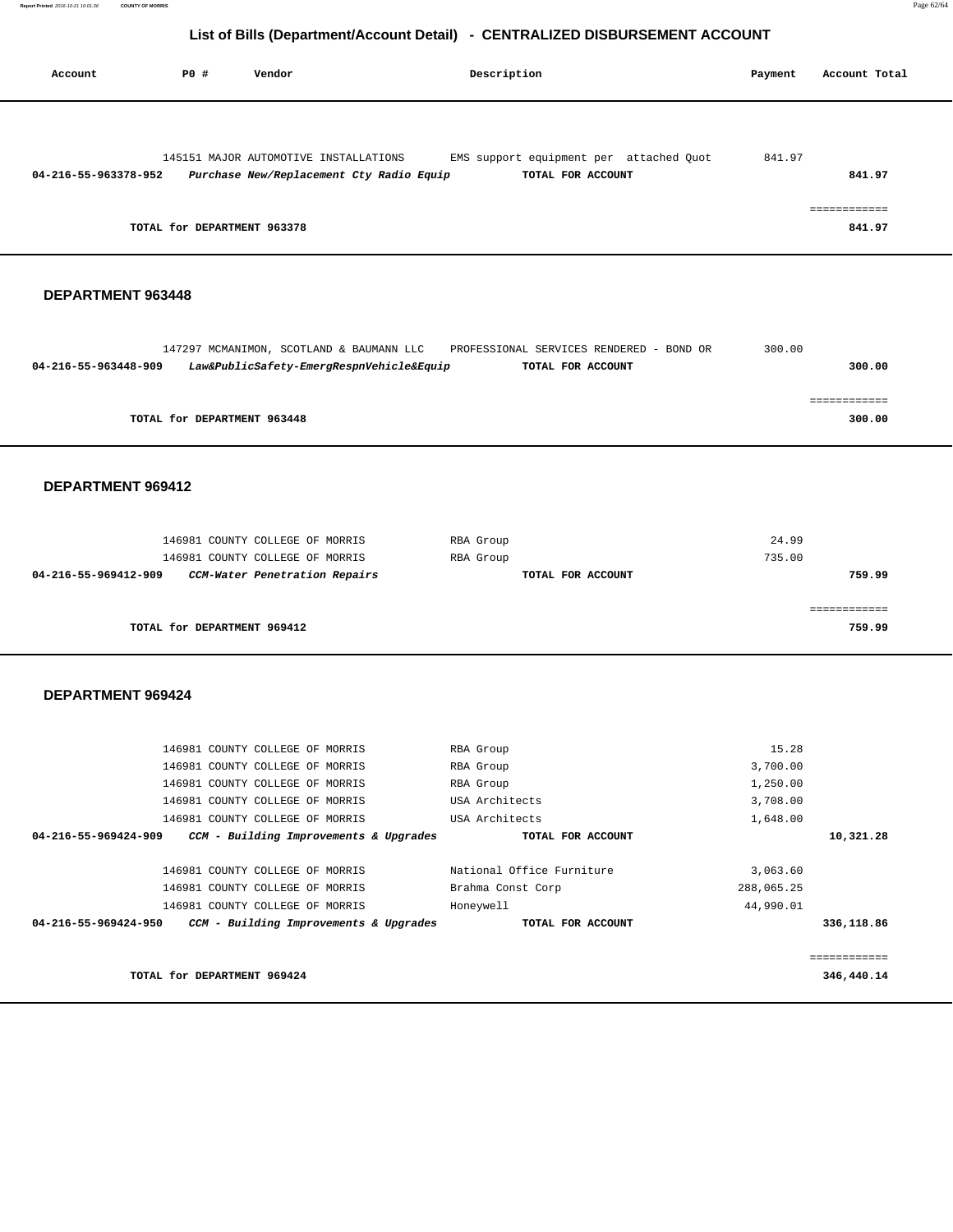| Account              | PO#                         | Vendor                                   | Description                             | Payment | Account Total          |
|----------------------|-----------------------------|------------------------------------------|-----------------------------------------|---------|------------------------|
|                      |                             |                                          |                                         |         |                        |
|                      |                             | 145151 MAJOR AUTOMOTIVE INSTALLATIONS    | EMS support equipment per attached Quot | 841.97  |                        |
| 04-216-55-963378-952 |                             | Purchase New/Replacement Cty Radio Equip | TOTAL FOR ACCOUNT                       |         | 841.97                 |
|                      | TOTAL for DEPARTMENT 963378 |                                          |                                         |         | ------------<br>841.97 |

### **DEPARTMENT 963448**

|                      | 147297 MCMANIMON, SCOTLAND & BAUMANN LLC | PROFESSIONAL SERVICES RENDERED - BOND OR | 300.00 |  |
|----------------------|------------------------------------------|------------------------------------------|--------|--|
| 04-216-55-963448-909 | Law&PublicSafety-EmergRespnVehicle&Equip | TOTAL FOR ACCOUNT                        | 300.00 |  |
|                      |                                          |                                          |        |  |
|                      |                                          |                                          |        |  |
|                      | TOTAL for DEPARTMENT 963448              |                                          | 300.00 |  |
|                      |                                          |                                          |        |  |

#### **DEPARTMENT 969412**

| 146981 COUNTY COLLEGE OF MORRIS<br>146981 COUNTY COLLEGE OF MORRIS | RBA Group<br>RBA Group | 24.99<br>735.00 |
|--------------------------------------------------------------------|------------------------|-----------------|
| CCM-Water Penetration Repairs<br>04-216-55-969412-909              | TOTAL FOR ACCOUNT      | 759.99          |
|                                                                    |                        |                 |
| TOTAL for DEPARTMENT 969412                                        |                        | 759.99          |

| TOTAL for DEPARTMENT 969424                                    |                           | 346,440.14   |
|----------------------------------------------------------------|---------------------------|--------------|
|                                                                |                           | ============ |
| 04-216-55-969424-950<br>CCM - Building Improvements & Upgrades | TOTAL FOR ACCOUNT         | 336,118.86   |
| 146981 COUNTY COLLEGE OF MORRIS                                | Honeywell                 | 44,990.01    |
| 146981 COUNTY COLLEGE OF MORRIS                                | Brahma Const Corp         | 288,065.25   |
| 146981 COUNTY COLLEGE OF MORRIS                                | National Office Furniture | 3,063.60     |
| CCM - Building Improvements & Upgrades<br>04-216-55-969424-909 | TOTAL FOR ACCOUNT         | 10,321.28    |
| 146981 COUNTY COLLEGE OF MORRIS                                | USA Architects            | 1,648.00     |
| 146981 COUNTY COLLEGE OF MORRIS                                | USA Architects            | 3,708.00     |
| 146981 COUNTY COLLEGE OF MORRIS                                | RBA Group                 | 1,250.00     |
| 146981 COUNTY COLLEGE OF MORRIS                                | RBA Group                 | 3,700.00     |
| 146981 COUNTY COLLEGE OF MORRIS                                | RBA Group                 | 15.28        |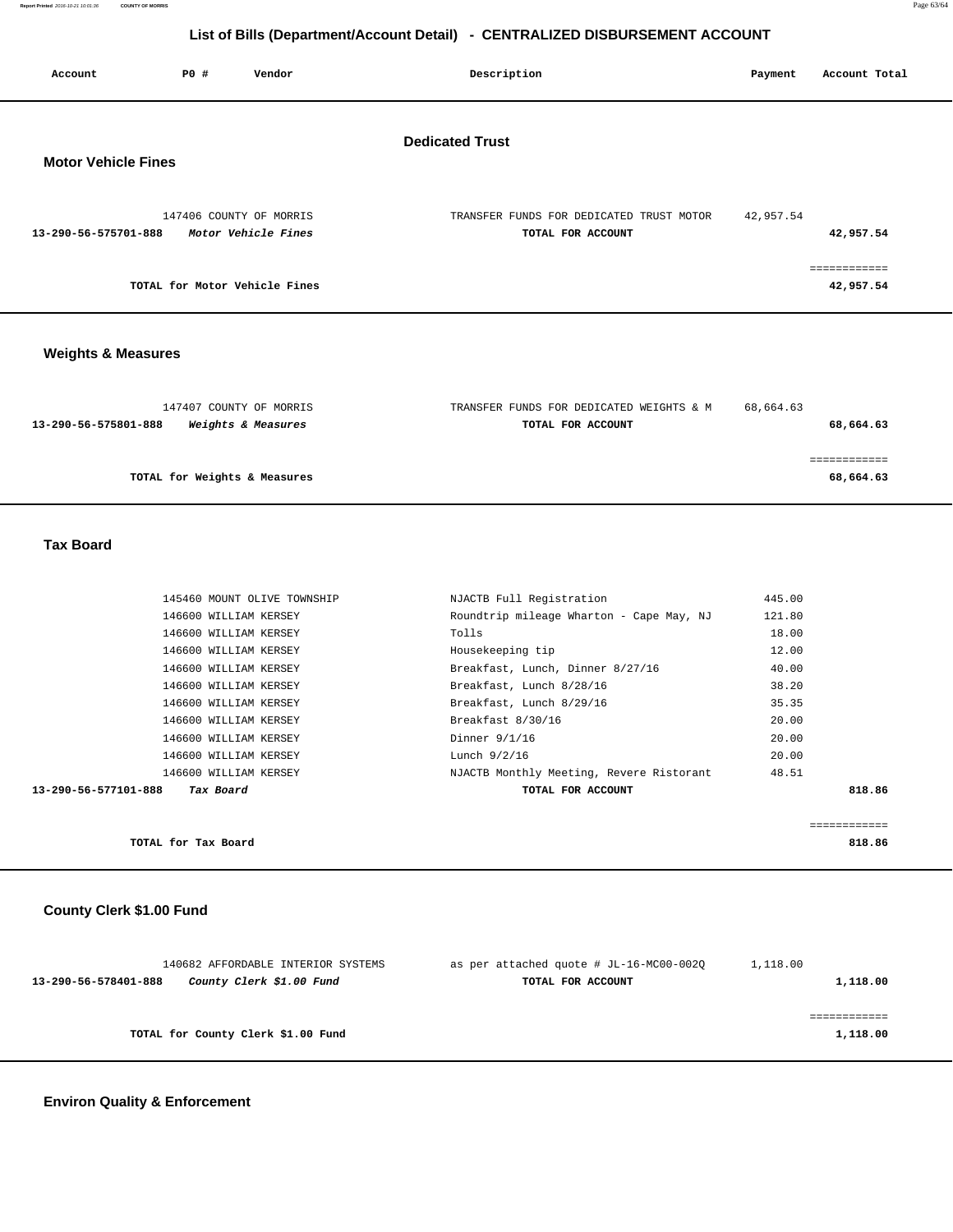**Report Printed** 2016-10-21 10:01:36 **COUNTY OF MORRIS** Page 63/64

# **List of Bills (Department/Account Detail) - CENTRALIZED DISBURSEMENT ACCOUNT**

| Account                    | PO# | Vendor                                         | Description<br>Payment                                                     | Account Total |
|----------------------------|-----|------------------------------------------------|----------------------------------------------------------------------------|---------------|
| <b>Motor Vehicle Fines</b> |     |                                                | <b>Dedicated Trust</b>                                                     |               |
| 13-290-56-575701-888       |     | 147406 COUNTY OF MORRIS<br>Motor Vehicle Fines | 42,957.54<br>TRANSFER FUNDS FOR DEDICATED TRUST MOTOR<br>TOTAL FOR ACCOUNT | 42,957.54     |
|                            |     | TOTAL for Motor Vehicle Fines                  |                                                                            | 42,957.54     |
|                            |     |                                                |                                                                            |               |

# **Weights & Measures**

| 147407 COUNTY OF MORRIS<br>Weights & Measures<br>13-290-56-575801-888 | TRANSFER FUNDS FOR DEDICATED WEIGHTS & M<br>TOTAL FOR ACCOUNT | 68,664.63<br>68,664.63 |
|-----------------------------------------------------------------------|---------------------------------------------------------------|------------------------|
|                                                                       |                                                               |                        |
| TOTAL for Weights & Measures                                          |                                                               | 68,664.63              |

### **Tax Board**

| 13-290-56-577101-888 | Tax Board                   | TOTAL FOR ACCOUNT                        | 818.86 |
|----------------------|-----------------------------|------------------------------------------|--------|
|                      | 146600 WILLIAM KERSEY       | NJACTB Monthly Meeting, Revere Ristorant | 48.51  |
|                      | 146600 WILLIAM KERSEY       | Lunch 9/2/16                             | 20.00  |
|                      | 146600 WILLIAM KERSEY       | Dinner 9/1/16                            | 20.00  |
|                      | 146600 WILLIAM KERSEY       | Breakfast 8/30/16                        | 20.00  |
|                      | 146600 WILLIAM KERSEY       | Breakfast, Lunch 8/29/16                 | 35.35  |
|                      | 146600 WILLIAM KERSEY       | Breakfast, Lunch 8/28/16                 | 38.20  |
|                      | 146600 WILLIAM KERSEY       | Breakfast, Lunch, Dinner 8/27/16         | 40.00  |
|                      | 146600 WILLIAM KERSEY       | Housekeeping tip                         | 12.00  |
|                      | 146600 WILLIAM KERSEY       | Tolls                                    | 18.00  |
|                      | 146600 WILLIAM KERSEY       | Roundtrip mileage Wharton - Cape May, NJ | 121.80 |
|                      | 145460 MOUNT OLIVE TOWNSHIP | NJACTB Full Registration                 | 445.00 |
|                      |                             |                                          |        |

|                     | -------------<br>____________ |
|---------------------|-------------------------------|
| TOTAL for Tax Board | 818.86<br>.                   |

# **County Clerk \$1.00 Fund**

| 140682 AFFORDABLE INTERIOR SYSTEMS               | as per attached quote # JL-16-MC00-002Q | 1,118.00 |
|--------------------------------------------------|-----------------------------------------|----------|
| County Clerk \$1.00 Fund<br>13-290-56-578401-888 | TOTAL FOR ACCOUNT                       | 1,118.00 |
|                                                  |                                         |          |
|                                                  |                                         |          |
| TOTAL for County Clerk \$1.00 Fund               |                                         | 1,118.00 |
|                                                  |                                         |          |